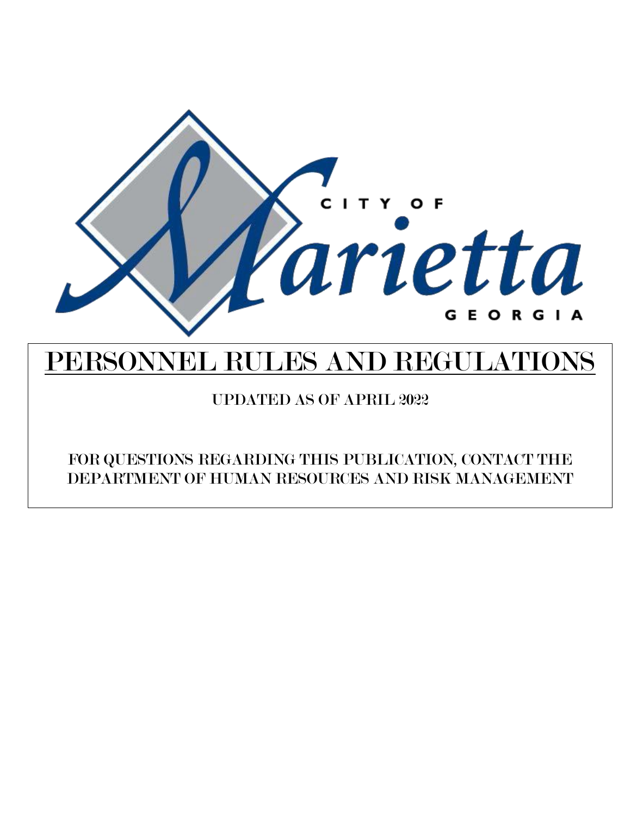

# PERSONNEL RULES AND REGULATIONS

UPDATED AS OF APRIL 2022

FOR QUESTIONS REGARDING THIS PUBLICATION, CONTACT THE DEPARTMENT OF HUMAN RESOURCES AND RISK MANAGEMENT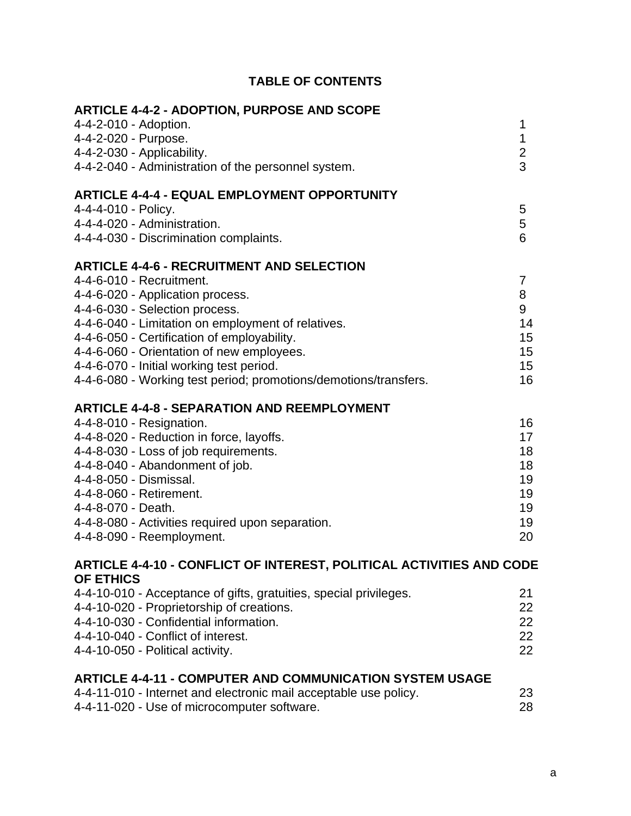# **TABLE OF CONTENTS**

| <b>ARTICLE 4-4-2 - ADOPTION, PURPOSE AND SCOPE</b>                   |                         |
|----------------------------------------------------------------------|-------------------------|
| 4-4-2-010 - Adoption.                                                | 1                       |
| 4-4-2-020 - Purpose.                                                 | 1                       |
| 4-4-2-030 - Applicability.                                           | $\overline{\mathbf{c}}$ |
| 4-4-2-040 - Administration of the personnel system.                  | 3                       |
| <b>ARTICLE 4-4-4 - EQUAL EMPLOYMENT OPPORTUNITY</b>                  |                         |
| 4-4-4-010 - Policy.                                                  | 5                       |
| 4-4-4-020 - Administration.                                          | 5                       |
| 4-4-4-030 - Discrimination complaints.                               | 6                       |
| <b>ARTICLE 4-4-6 - RECRUITMENT AND SELECTION</b>                     |                         |
| 4-4-6-010 - Recruitment.                                             | 7                       |
| 4-4-6-020 - Application process.                                     | 8                       |
| 4-4-6-030 - Selection process.                                       | 9                       |
| 4-4-6-040 - Limitation on employment of relatives.                   | 14                      |
| 4-4-6-050 - Certification of employability.                          | 15                      |
| 4-4-6-060 - Orientation of new employees.                            | 15                      |
| 4-4-6-070 - Initial working test period.                             | 15                      |
| 4-4-6-080 - Working test period; promotions/demotions/transfers.     | 16                      |
| <b>ARTICLE 4-4-8 - SEPARATION AND REEMPLOYMENT</b>                   |                         |
| 4-4-8-010 - Resignation.                                             | 16                      |
| 4-4-8-020 - Reduction in force, layoffs.                             | 17                      |
| 4-4-8-030 - Loss of job requirements.                                | 18                      |
| 4-4-8-040 - Abandonment of job.                                      | 18                      |
| 4-4-8-050 - Dismissal.                                               | 19                      |
| 4-4-8-060 - Retirement.                                              | 19                      |
| 4-4-8-070 - Death.                                                   | 19                      |
| 4-4-8-080 - Activities required upon separation.                     | 19                      |
| 4-4-8-090 - Reemployment.                                            | 20                      |
| ARTICLE 4-4-10 - CONFLICT OF INTEREST, POLITICAL ACTIVITIES AND CODE |                         |
| OF ETHICS                                                            |                         |
| 4-4-10-010 - Acceptance of gifts, gratuities, special privileges.    | 21                      |
| 4-4-10-020 - Proprietorship of creations.                            | 22                      |
| 4-4-10-030 - Confidential information.                               | 22                      |
| 4-4-10-040 - Conflict of interest.                                   | 22                      |
| 4-4-10-050 - Political activity.                                     | 22                      |
| <b>ARTICLE 4-4-11 - COMPUTER AND COMMUNICATION SYSTEM USAGE</b>      |                         |
| 4-4-11-010 - Internet and electronic mail acceptable use policy.     | 23                      |
| 4-4-11-020 - Use of microcomputer software.                          | 28                      |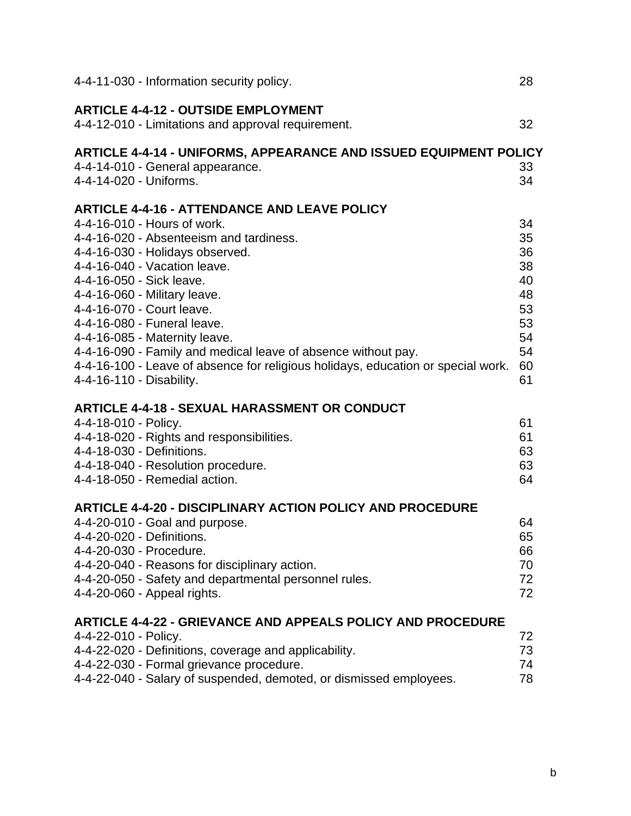| 4-4-11-030 - Information security policy.                                                                                                                                                                                                                                                                                                                                                                                                                                                                                                  | 28                                                                   |
|--------------------------------------------------------------------------------------------------------------------------------------------------------------------------------------------------------------------------------------------------------------------------------------------------------------------------------------------------------------------------------------------------------------------------------------------------------------------------------------------------------------------------------------------|----------------------------------------------------------------------|
| <b>ARTICLE 4-4-12 - OUTSIDE EMPLOYMENT</b><br>4-4-12-010 - Limitations and approval requirement.                                                                                                                                                                                                                                                                                                                                                                                                                                           | 32                                                                   |
| <b>ARTICLE 4-4-14 - UNIFORMS, APPEARANCE AND ISSUED EQUIPMENT POLICY</b><br>4-4-14-010 - General appearance.<br>4-4-14-020 - Uniforms.                                                                                                                                                                                                                                                                                                                                                                                                     | 33<br>34                                                             |
| <b>ARTICLE 4-4-16 - ATTENDANCE AND LEAVE POLICY</b><br>4-4-16-010 - Hours of work.<br>4-4-16-020 - Absenteeism and tardiness.<br>4-4-16-030 - Holidays observed.<br>4-4-16-040 - Vacation leave.<br>4-4-16-050 - Sick leave.<br>4-4-16-060 - Military leave.<br>4-4-16-070 - Court leave.<br>4-4-16-080 - Funeral leave.<br>4-4-16-085 - Maternity leave.<br>4-4-16-090 - Family and medical leave of absence without pay.<br>4-4-16-100 - Leave of absence for religious holidays, education or special work.<br>4-4-16-110 - Disability. | 34<br>35<br>36<br>38<br>40<br>48<br>53<br>53<br>54<br>54<br>60<br>61 |
| <b>ARTICLE 4-4-18 - SEXUAL HARASSMENT OR CONDUCT</b><br>4-4-18-010 - Policy.<br>4-4-18-020 - Rights and responsibilities.<br>4-4-18-030 - Definitions.<br>4-4-18-040 - Resolution procedure.<br>4-4-18-050 - Remedial action.                                                                                                                                                                                                                                                                                                              | 61<br>61<br>63<br>63<br>64                                           |
| <b>ARTICLE 4-4-20 - DISCIPLINARY ACTION POLICY AND PROCEDURE</b><br>4-4-20-010 - Goal and purpose.<br>4-4-20-020 - Definitions.<br>4-4-20-030 - Procedure.<br>4-4-20-040 - Reasons for disciplinary action.<br>4-4-20-050 - Safety and departmental personnel rules.<br>4-4-20-060 - Appeal rights.                                                                                                                                                                                                                                        | 64<br>65<br>66<br>70<br>72<br>72                                     |
| <b>ARTICLE 4-4-22 - GRIEVANCE AND APPEALS POLICY AND PROCEDURE</b><br>4-4-22-010 - Policy.<br>4-4-22-020 - Definitions, coverage and applicability.<br>4-4-22-030 - Formal grievance procedure.<br>4-4-22-040 - Salary of suspended, demoted, or dismissed employees.                                                                                                                                                                                                                                                                      | 72<br>73<br>74<br>78                                                 |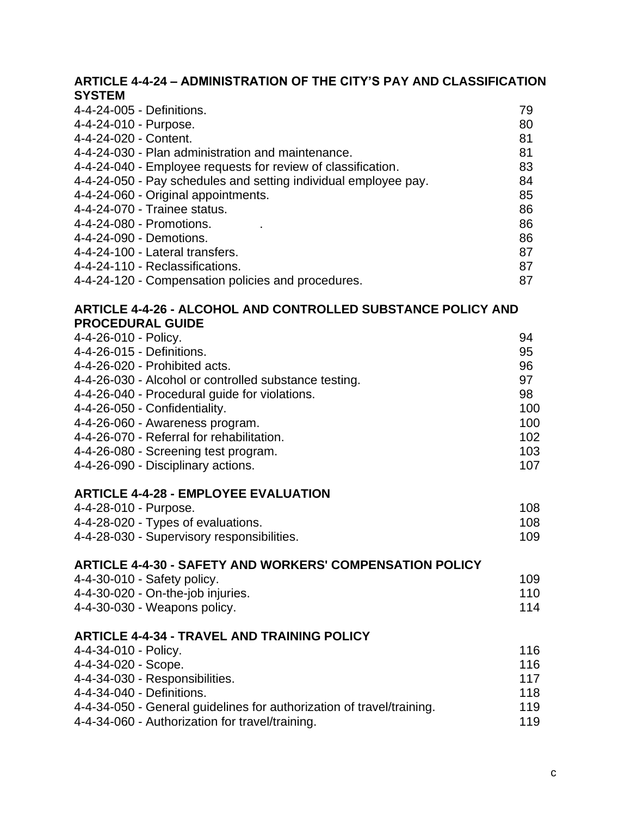# **ARTICLE 4-4-24 – [ADMINISTRATION OF THE CITY'S PAY AND CLASSIFICATION](https://www.municode.com/library/ga/marietta/codes/code_of_ordinances?nodeId=COOR_PT4PE_CH4-4PERURE_ART4-4-24PACLPL)  [SYSTEM](https://www.municode.com/library/ga/marietta/codes/code_of_ordinances?nodeId=COOR_PT4PE_CH4-4PERURE_ART4-4-24PACLPL)**

| 4-4-24-005 - Definitions.                                       | 79 |
|-----------------------------------------------------------------|----|
| 4-4-24-010 - Purpose.                                           | 80 |
| 4-4-24-020 - Content.                                           | 81 |
| 4-4-24-030 - Plan administration and maintenance.               | 81 |
| 4-4-24-040 - Employee requests for review of classification.    | 83 |
| 4-4-24-050 - Pay schedules and setting individual employee pay. | 84 |
| 4-4-24-060 - Original appointments.                             | 85 |
| 4-4-24-070 - Trainee status.                                    | 86 |
| 4-4-24-080 - Promotions.                                        | 86 |
| 4-4-24-090 - Demotions.                                         | 86 |
| 4-4-24-100 - Lateral transfers.                                 | 87 |
| 4-4-24-110 - Reclassifications.                                 | 87 |
| 4-4-24-120 - Compensation policies and procedures.              | 87 |
|                                                                 |    |

# **ARTICLE 4-4-26 - [ALCOHOL AND CONTROLLED SUBSTANCE POLICY AND](https://www.municode.com/library/ga/marietta/codes/code_of_ordinances?nodeId=COOR_PT4PE_CH4-4PERURE_ART4-4-26ALCOSUPOPRGU)  [PROCEDURAL GUIDE](https://www.municode.com/library/ga/marietta/codes/code_of_ordinances?nodeId=COOR_PT4PE_CH4-4PERURE_ART4-4-26ALCOSUPOPRGU)**

| 4-4-26-010 - Policy.                                  | 94  |
|-------------------------------------------------------|-----|
| 4-4-26-015 - Definitions.                             | 95  |
| 4-4-26-020 - Prohibited acts.                         | 96  |
| 4-4-26-030 - Alcohol or controlled substance testing. | 97  |
| 4-4-26-040 - Procedural guide for violations.         | 98  |
| 4-4-26-050 - Confidentiality.                         | 100 |
| 4-4-26-060 - Awareness program.                       | 100 |
| 4-4-26-070 - Referral for rehabilitation.             | 102 |
| 4-4-26-080 - Screening test program.                  | 103 |
| 4-4-26-090 - Disciplinary actions.                    | 107 |

#### **ARTICLE 4-4-28 - [EMPLOYEE EVALUATION](https://www.municode.com/library/ga/marietta/codes/code_of_ordinances?nodeId=COOR_PT4PE_CH4-4PERURE_ART4-4-28EMEV)**

| 4-4-28-010 - Purpose.<br>4-4-28-020 - Types of evaluations. | 108 |  |
|-------------------------------------------------------------|-----|--|
|                                                             | 108 |  |
| 4-4-28-030 - Supervisory responsibilities.                  | 109 |  |

# **ARTICLE 4-4-30 - [SAFETY AND WORKERS' COMPENSATION POLICY](https://www.municode.com/library/ga/marietta/codes/code_of_ordinances?nodeId=COOR_PT4PE_CH4-4PERURE_ART4-4-30SAWOCOPO)** 4-4-30-010 - Safety policy. 109 4-4-30-020 - On-the-job injuries. 110

| 4-4-30-030 - Weapons policy.                            | 114 |
|---------------------------------------------------------|-----|
| <b>ARTICLE 4-4-34 - TRAVEL AND TRAINING POLICY</b><br>. |     |

| 4-4-34-010 - Policy.                                                  | 116 |
|-----------------------------------------------------------------------|-----|
| 4-4-34-020 - Scope.                                                   | 116 |
| 4-4-34-030 - Responsibilities.                                        | 117 |
| 4-4-34-040 - Definitions.                                             | 118 |
| 4-4-34-050 - General guidelines for authorization of travel/training. | 119 |
| 4-4-34-060 - Authorization for travel/training.                       | 119 |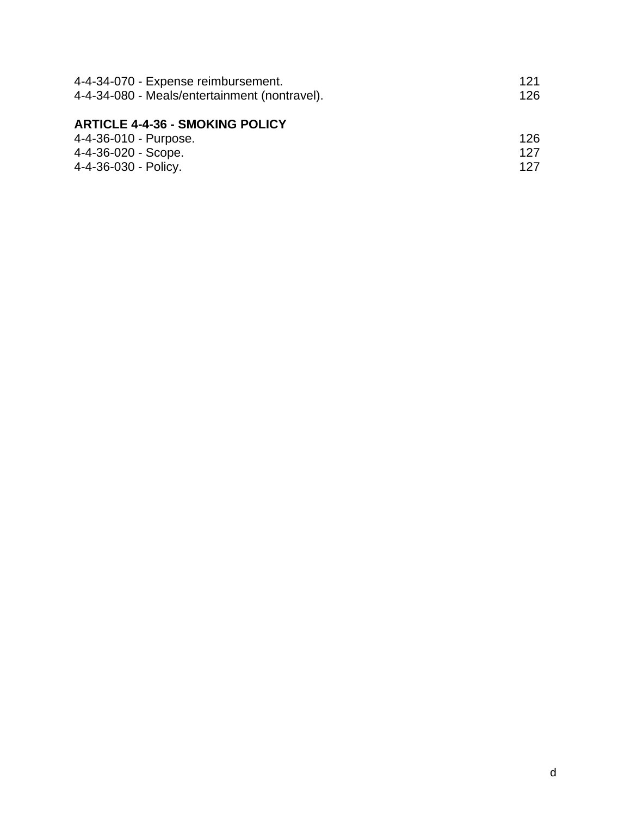| 121  |
|------|
| 126. |
|      |
|      |
| 126. |
| 127  |
| 127  |
|      |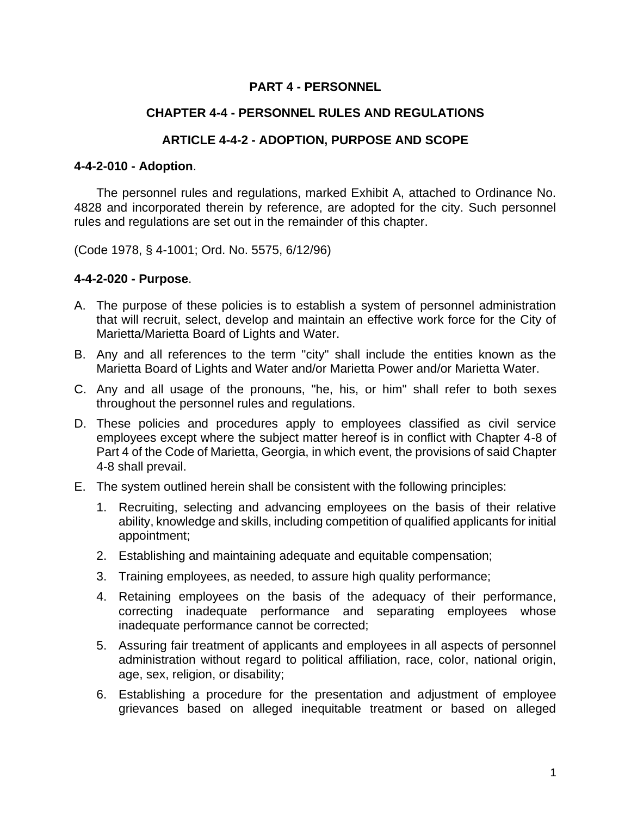# **PART 4 - PERSONNEL**

#### **CHAPTER 4-4 - PERSONNEL RULES AND REGULATIONS**

#### **ARTICLE 4-4-2 - ADOPTION, PURPOSE AND SCOPE**

#### **4-4-2-010 - Adoption**.

The personnel rules and regulations, marked Exhibit A, attached to Ordinance No. 4828 and incorporated therein by reference, are adopted for the city. Such personnel rules and regulations are set out in the remainder of this chapter.

(Code 1978, § 4-1001; Ord. No. 5575, 6/12/96)

#### **4-4-2-020 - Purpose**.

- A. The purpose of these policies is to establish a system of personnel administration that will recruit, select, develop and maintain an effective work force for the City of Marietta/Marietta Board of Lights and Water.
- B. Any and all references to the term "city" shall include the entities known as the Marietta Board of Lights and Water and/or Marietta Power and/or Marietta Water.
- C. Any and all usage of the pronouns, "he, his, or him" shall refer to both sexes throughout the personnel rules and regulations.
- D. These policies and procedures apply to employees classified as civil service employees except where the subject matter hereof is in conflict with Chapter 4-8 of Part 4 of the Code of Marietta, Georgia, in which event, the provisions of said Chapter 4-8 shall prevail.
- E. The system outlined herein shall be consistent with the following principles:
	- 1. Recruiting, selecting and advancing employees on the basis of their relative ability, knowledge and skills, including competition of qualified applicants for initial appointment;
	- 2. Establishing and maintaining adequate and equitable compensation;
	- 3. Training employees, as needed, to assure high quality performance;
	- 4. Retaining employees on the basis of the adequacy of their performance, correcting inadequate performance and separating employees whose inadequate performance cannot be corrected;
	- 5. Assuring fair treatment of applicants and employees in all aspects of personnel administration without regard to political affiliation, race, color, national origin, age, sex, religion, or disability;
	- 6. Establishing a procedure for the presentation and adjustment of employee grievances based on alleged inequitable treatment or based on alleged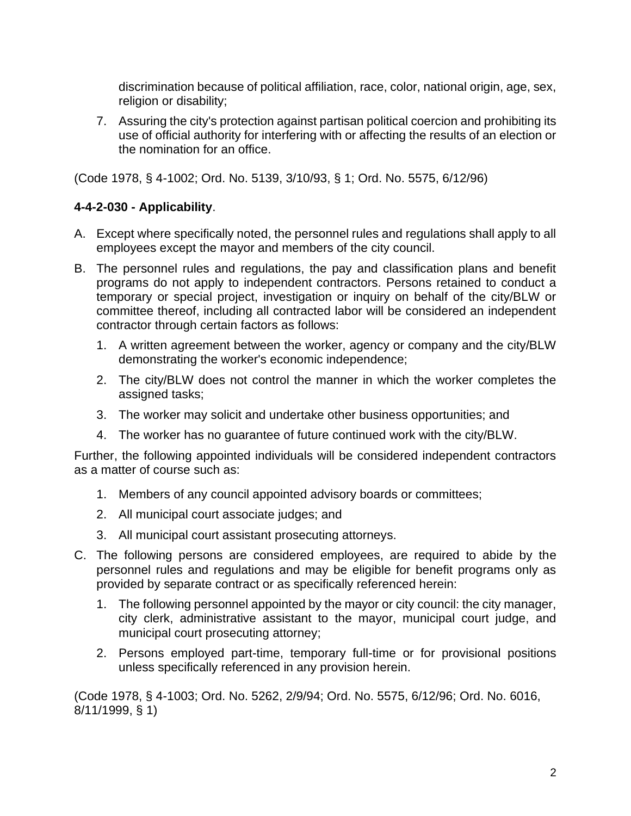discrimination because of political affiliation, race, color, national origin, age, sex, religion or disability;

7. Assuring the city's protection against partisan political coercion and prohibiting its use of official authority for interfering with or affecting the results of an election or the nomination for an office.

(Code 1978, § 4-1002; Ord. No. 5139, 3/10/93, § 1; Ord. No. 5575, 6/12/96)

# **4-4-2-030 - Applicability**.

- A. Except where specifically noted, the personnel rules and regulations shall apply to all employees except the mayor and members of the city council.
- B. The personnel rules and regulations, the pay and classification plans and benefit programs do not apply to independent contractors. Persons retained to conduct a temporary or special project, investigation or inquiry on behalf of the city/BLW or committee thereof, including all contracted labor will be considered an independent contractor through certain factors as follows:
	- 1. A written agreement between the worker, agency or company and the city/BLW demonstrating the worker's economic independence;
	- 2. The city/BLW does not control the manner in which the worker completes the assigned tasks;
	- 3. The worker may solicit and undertake other business opportunities; and
	- 4. The worker has no guarantee of future continued work with the city/BLW.

Further, the following appointed individuals will be considered independent contractors as a matter of course such as:

- 1. Members of any council appointed advisory boards or committees;
- 2. All municipal court associate judges; and
- 3. All municipal court assistant prosecuting attorneys.
- C. The following persons are considered employees, are required to abide by the personnel rules and regulations and may be eligible for benefit programs only as provided by separate contract or as specifically referenced herein:
	- 1. The following personnel appointed by the mayor or city council: the city manager, city clerk, administrative assistant to the mayor, municipal court judge, and municipal court prosecuting attorney;
	- 2. Persons employed part-time, temporary full-time or for provisional positions unless specifically referenced in any provision herein.

(Code 1978, § 4-1003; Ord. No. 5262, 2/9/94; Ord. No. 5575, 6/12/96; Ord. No. 6016, 8/11/1999, § 1)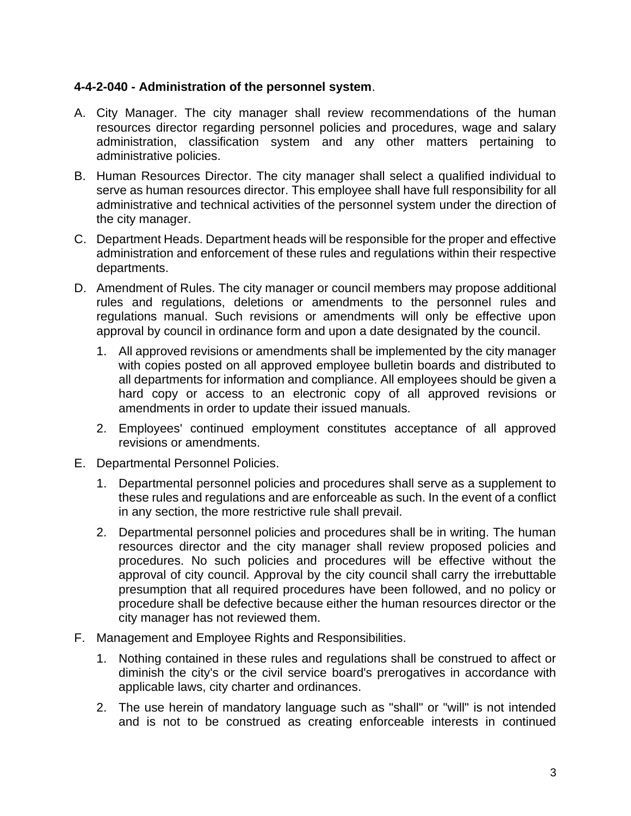#### **4-4-2-040 - Administration of the personnel system**.

- A. City Manager. The city manager shall review recommendations of the human resources director regarding personnel policies and procedures, wage and salary administration, classification system and any other matters pertaining to administrative policies.
- B. Human Resources Director. The city manager shall select a qualified individual to serve as human resources director. This employee shall have full responsibility for all administrative and technical activities of the personnel system under the direction of the city manager.
- C. Department Heads. Department heads will be responsible for the proper and effective administration and enforcement of these rules and regulations within their respective departments.
- D. Amendment of Rules. The city manager or council members may propose additional rules and regulations, deletions or amendments to the personnel rules and regulations manual. Such revisions or amendments will only be effective upon approval by council in ordinance form and upon a date designated by the council.
	- 1. All approved revisions or amendments shall be implemented by the city manager with copies posted on all approved employee bulletin boards and distributed to all departments for information and compliance. All employees should be given a hard copy or access to an electronic copy of all approved revisions or amendments in order to update their issued manuals.
	- 2. Employees' continued employment constitutes acceptance of all approved revisions or amendments.
- E. Departmental Personnel Policies.
	- 1. Departmental personnel policies and procedures shall serve as a supplement to these rules and regulations and are enforceable as such. In the event of a conflict in any section, the more restrictive rule shall prevail.
	- 2. Departmental personnel policies and procedures shall be in writing. The human resources director and the city manager shall review proposed policies and procedures. No such policies and procedures will be effective without the approval of city council. Approval by the city council shall carry the irrebuttable presumption that all required procedures have been followed, and no policy or procedure shall be defective because either the human resources director or the city manager has not reviewed them.
- F. Management and Employee Rights and Responsibilities.
	- 1. Nothing contained in these rules and regulations shall be construed to affect or diminish the city's or the civil service board's prerogatives in accordance with applicable laws, city charter and ordinances.
	- 2. The use herein of mandatory language such as "shall" or "will" is not intended and is not to be construed as creating enforceable interests in continued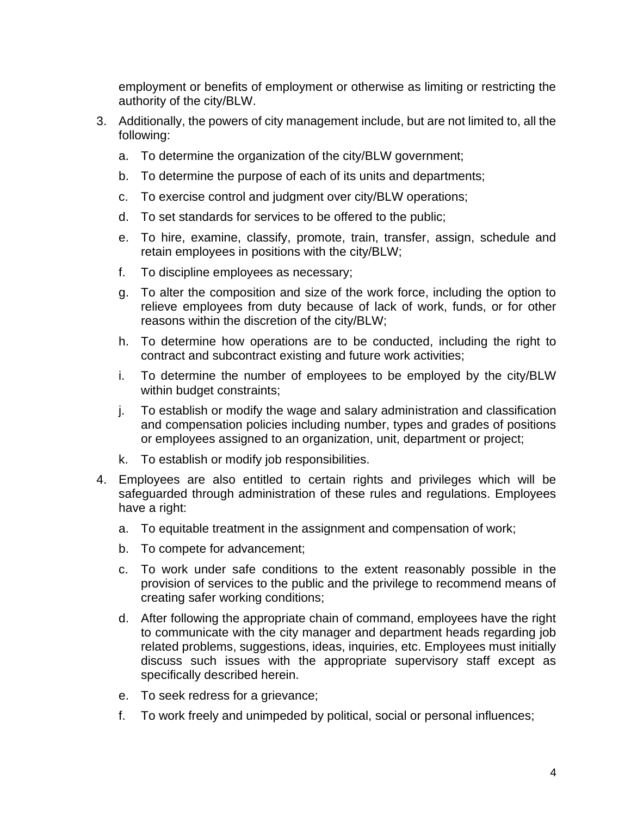employment or benefits of employment or otherwise as limiting or restricting the authority of the city/BLW.

- 3. Additionally, the powers of city management include, but are not limited to, all the following:
	- a. To determine the organization of the city/BLW government;
	- b. To determine the purpose of each of its units and departments;
	- c. To exercise control and judgment over city/BLW operations;
	- d. To set standards for services to be offered to the public;
	- e. To hire, examine, classify, promote, train, transfer, assign, schedule and retain employees in positions with the city/BLW;
	- f. To discipline employees as necessary;
	- g. To alter the composition and size of the work force, including the option to relieve employees from duty because of lack of work, funds, or for other reasons within the discretion of the city/BLW;
	- h. To determine how operations are to be conducted, including the right to contract and subcontract existing and future work activities;
	- i. To determine the number of employees to be employed by the city/BLW within budget constraints;
	- j. To establish or modify the wage and salary administration and classification and compensation policies including number, types and grades of positions or employees assigned to an organization, unit, department or project;
	- k. To establish or modify job responsibilities.
- 4. Employees are also entitled to certain rights and privileges which will be safeguarded through administration of these rules and regulations. Employees have a right:
	- a. To equitable treatment in the assignment and compensation of work;
	- b. To compete for advancement;
	- c. To work under safe conditions to the extent reasonably possible in the provision of services to the public and the privilege to recommend means of creating safer working conditions;
	- d. After following the appropriate chain of command, employees have the right to communicate with the city manager and department heads regarding job related problems, suggestions, ideas, inquiries, etc. Employees must initially discuss such issues with the appropriate supervisory staff except as specifically described herein.
	- e. To seek redress for a grievance;
	- f. To work freely and unimpeded by political, social or personal influences;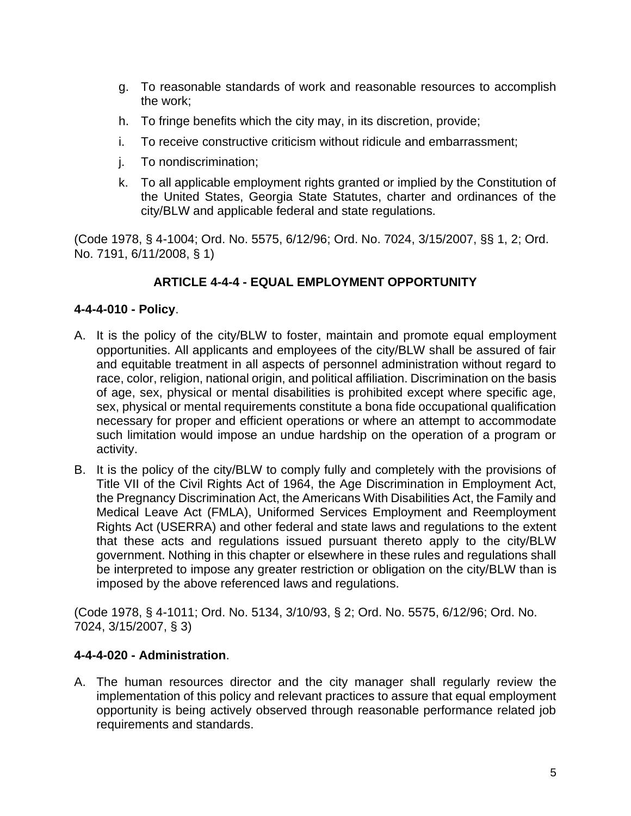- g. To reasonable standards of work and reasonable resources to accomplish the work;
- h. To fringe benefits which the city may, in its discretion, provide;
- i. To receive constructive criticism without ridicule and embarrassment;
- j. To nondiscrimination;
- k. To all applicable employment rights granted or implied by the Constitution of the United States, Georgia State Statutes, charter and ordinances of the city/BLW and applicable federal and state regulations.

(Code 1978, § 4-1004; Ord. No. 5575, 6/12/96; Ord. No. 7024, 3/15/2007, §§ 1, 2; Ord. No. 7191, 6/11/2008, § 1)

# **ARTICLE 4-4-4 - EQUAL EMPLOYMENT OPPORTUNITY**

## **4-4-4-010 - Policy**.

- A. It is the policy of the city/BLW to foster, maintain and promote equal employment opportunities. All applicants and employees of the city/BLW shall be assured of fair and equitable treatment in all aspects of personnel administration without regard to race, color, religion, national origin, and political affiliation. Discrimination on the basis of age, sex, physical or mental disabilities is prohibited except where specific age, sex, physical or mental requirements constitute a bona fide occupational qualification necessary for proper and efficient operations or where an attempt to accommodate such limitation would impose an undue hardship on the operation of a program or activity.
- B. It is the policy of the city/BLW to comply fully and completely with the provisions of Title VII of the Civil Rights Act of 1964, the Age Discrimination in Employment Act, the Pregnancy Discrimination Act, the Americans With Disabilities Act, the Family and Medical Leave Act (FMLA), Uniformed Services Employment and Reemployment Rights Act (USERRA) and other federal and state laws and regulations to the extent that these acts and regulations issued pursuant thereto apply to the city/BLW government. Nothing in this chapter or elsewhere in these rules and regulations shall be interpreted to impose any greater restriction or obligation on the city/BLW than is imposed by the above referenced laws and regulations.

(Code 1978, § 4-1011; Ord. No. 5134, 3/10/93, § 2; Ord. No. 5575, 6/12/96; Ord. No. 7024, 3/15/2007, § 3)

#### **4-4-4-020 - Administration**.

A. The human resources director and the city manager shall regularly review the implementation of this policy and relevant practices to assure that equal employment opportunity is being actively observed through reasonable performance related job requirements and standards.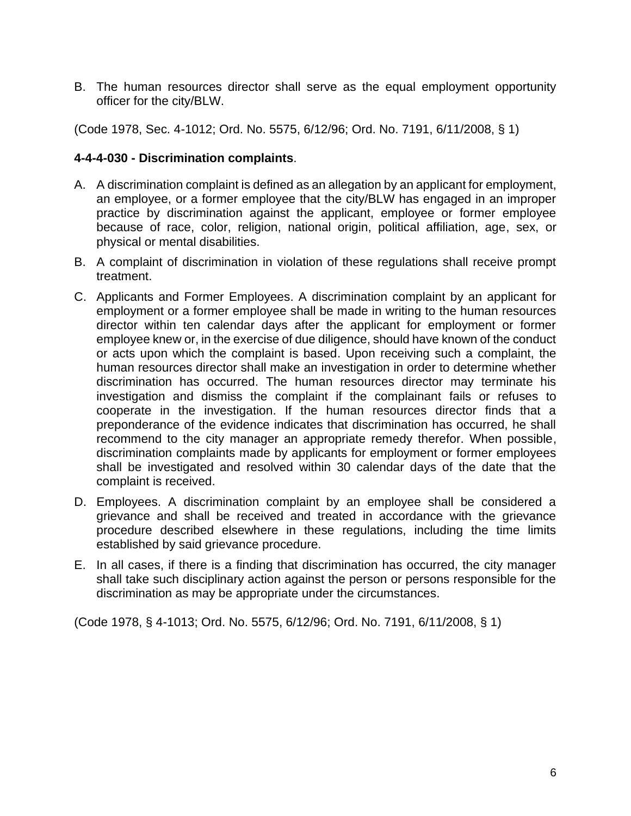B. The human resources director shall serve as the equal employment opportunity officer for the city/BLW.

(Code 1978, Sec. 4-1012; Ord. No. 5575, 6/12/96; Ord. No. 7191, 6/11/2008, § 1)

#### **4-4-4-030 - Discrimination complaints**.

- A. A discrimination complaint is defined as an allegation by an applicant for employment, an employee, or a former employee that the city/BLW has engaged in an improper practice by discrimination against the applicant, employee or former employee because of race, color, religion, national origin, political affiliation, age, sex, or physical or mental disabilities.
- B. A complaint of discrimination in violation of these regulations shall receive prompt treatment.
- C. Applicants and Former Employees. A discrimination complaint by an applicant for employment or a former employee shall be made in writing to the human resources director within ten calendar days after the applicant for employment or former employee knew or, in the exercise of due diligence, should have known of the conduct or acts upon which the complaint is based. Upon receiving such a complaint, the human resources director shall make an investigation in order to determine whether discrimination has occurred. The human resources director may terminate his investigation and dismiss the complaint if the complainant fails or refuses to cooperate in the investigation. If the human resources director finds that a preponderance of the evidence indicates that discrimination has occurred, he shall recommend to the city manager an appropriate remedy therefor. When possible, discrimination complaints made by applicants for employment or former employees shall be investigated and resolved within 30 calendar days of the date that the complaint is received.
- D. Employees. A discrimination complaint by an employee shall be considered a grievance and shall be received and treated in accordance with the grievance procedure described elsewhere in these regulations, including the time limits established by said grievance procedure.
- E. In all cases, if there is a finding that discrimination has occurred, the city manager shall take such disciplinary action against the person or persons responsible for the discrimination as may be appropriate under the circumstances.

(Code 1978, § 4-1013; Ord. No. 5575, 6/12/96; Ord. No. 7191, 6/11/2008, § 1)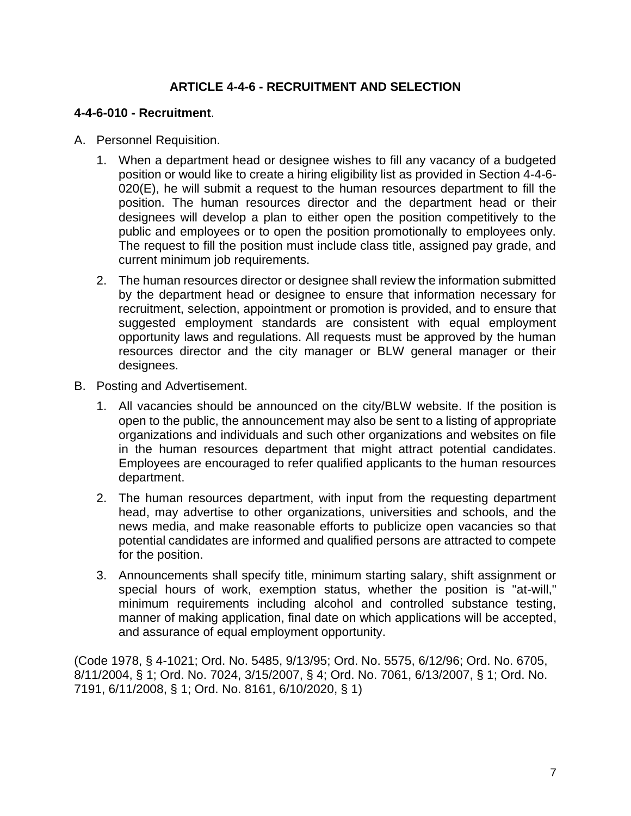# **ARTICLE 4-4-6 - RECRUITMENT AND SELECTION**

#### **4-4-6-010 - Recruitment**.

- A. Personnel Requisition.
	- 1. When a department head or designee wishes to fill any vacancy of a budgeted position or would like to create a hiring eligibility list as provided in Section 4-4-6- 020(E), he will submit a request to the human resources department to fill the position. The human resources director and the department head or their designees will develop a plan to either open the position competitively to the public and employees or to open the position promotionally to employees only. The request to fill the position must include class title, assigned pay grade, and current minimum job requirements.
	- 2. The human resources director or designee shall review the information submitted by the department head or designee to ensure that information necessary for recruitment, selection, appointment or promotion is provided, and to ensure that suggested employment standards are consistent with equal employment opportunity laws and regulations. All requests must be approved by the human resources director and the city manager or BLW general manager or their designees.
- B. Posting and Advertisement.
	- 1. All vacancies should be announced on the city/BLW website. If the position is open to the public, the announcement may also be sent to a listing of appropriate organizations and individuals and such other organizations and websites on file in the human resources department that might attract potential candidates. Employees are encouraged to refer qualified applicants to the human resources department.
	- 2. The human resources department, with input from the requesting department head, may advertise to other organizations, universities and schools, and the news media, and make reasonable efforts to publicize open vacancies so that potential candidates are informed and qualified persons are attracted to compete for the position.
	- 3. Announcements shall specify title, minimum starting salary, shift assignment or special hours of work, exemption status, whether the position is "at-will," minimum requirements including alcohol and controlled substance testing, manner of making application, final date on which applications will be accepted, and assurance of equal employment opportunity.

(Code 1978, § 4-1021; Ord. No. 5485, 9/13/95; Ord. No. 5575, 6/12/96; Ord. No. 6705, 8/11/2004, § 1; Ord. No. 7024, 3/15/2007, § 4; Ord. No. 7061, 6/13/2007, § 1; Ord. No. 7191, 6/11/2008, § 1; Ord. No. 8161, 6/10/2020, § 1)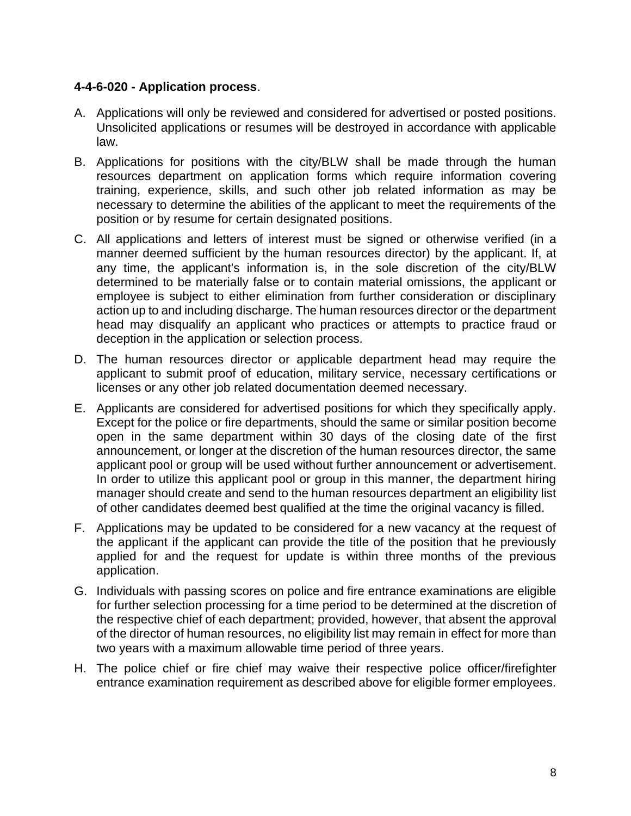#### **4-4-6-020 - Application process**.

- A. Applications will only be reviewed and considered for advertised or posted positions. Unsolicited applications or resumes will be destroyed in accordance with applicable law.
- B. Applications for positions with the city/BLW shall be made through the human resources department on application forms which require information covering training, experience, skills, and such other job related information as may be necessary to determine the abilities of the applicant to meet the requirements of the position or by resume for certain designated positions.
- C. All applications and letters of interest must be signed or otherwise verified (in a manner deemed sufficient by the human resources director) by the applicant. If, at any time, the applicant's information is, in the sole discretion of the city/BLW determined to be materially false or to contain material omissions, the applicant or employee is subject to either elimination from further consideration or disciplinary action up to and including discharge. The human resources director or the department head may disqualify an applicant who practices or attempts to practice fraud or deception in the application or selection process.
- D. The human resources director or applicable department head may require the applicant to submit proof of education, military service, necessary certifications or licenses or any other job related documentation deemed necessary.
- E. Applicants are considered for advertised positions for which they specifically apply. Except for the police or fire departments, should the same or similar position become open in the same department within 30 days of the closing date of the first announcement, or longer at the discretion of the human resources director, the same applicant pool or group will be used without further announcement or advertisement. In order to utilize this applicant pool or group in this manner, the department hiring manager should create and send to the human resources department an eligibility list of other candidates deemed best qualified at the time the original vacancy is filled.
- F. Applications may be updated to be considered for a new vacancy at the request of the applicant if the applicant can provide the title of the position that he previously applied for and the request for update is within three months of the previous application.
- G. Individuals with passing scores on police and fire entrance examinations are eligible for further selection processing for a time period to be determined at the discretion of the respective chief of each department; provided, however, that absent the approval of the director of human resources, no eligibility list may remain in effect for more than two years with a maximum allowable time period of three years.
- H. The police chief or fire chief may waive their respective police officer/firefighter entrance examination requirement as described above for eligible former employees.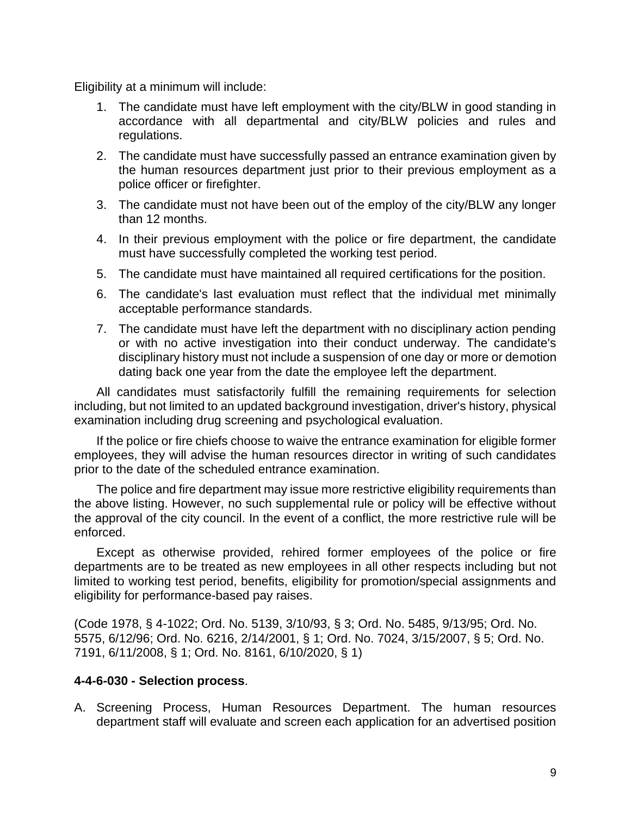Eligibility at a minimum will include:

- 1. The candidate must have left employment with the city/BLW in good standing in accordance with all departmental and city/BLW policies and rules and regulations.
- 2. The candidate must have successfully passed an entrance examination given by the human resources department just prior to their previous employment as a police officer or firefighter.
- 3. The candidate must not have been out of the employ of the city/BLW any longer than 12 months.
- 4. In their previous employment with the police or fire department, the candidate must have successfully completed the working test period.
- 5. The candidate must have maintained all required certifications for the position.
- 6. The candidate's last evaluation must reflect that the individual met minimally acceptable performance standards.
- 7. The candidate must have left the department with no disciplinary action pending or with no active investigation into their conduct underway. The candidate's disciplinary history must not include a suspension of one day or more or demotion dating back one year from the date the employee left the department.

All candidates must satisfactorily fulfill the remaining requirements for selection including, but not limited to an updated background investigation, driver's history, physical examination including drug screening and psychological evaluation.

If the police or fire chiefs choose to waive the entrance examination for eligible former employees, they will advise the human resources director in writing of such candidates prior to the date of the scheduled entrance examination.

The police and fire department may issue more restrictive eligibility requirements than the above listing. However, no such supplemental rule or policy will be effective without the approval of the city council. In the event of a conflict, the more restrictive rule will be enforced.

Except as otherwise provided, rehired former employees of the police or fire departments are to be treated as new employees in all other respects including but not limited to working test period, benefits, eligibility for promotion/special assignments and eligibility for performance-based pay raises.

(Code 1978, § 4-1022; Ord. No. 5139, 3/10/93, § 3; Ord. No. 5485, 9/13/95; Ord. No. 5575, 6/12/96; Ord. No. 6216, 2/14/2001, § 1; Ord. No. 7024, 3/15/2007, § 5; Ord. No. 7191, 6/11/2008, § 1; Ord. No. 8161, 6/10/2020, § 1)

#### **4-4-6-030 - Selection process**.

A. Screening Process, Human Resources Department. The human resources department staff will evaluate and screen each application for an advertised position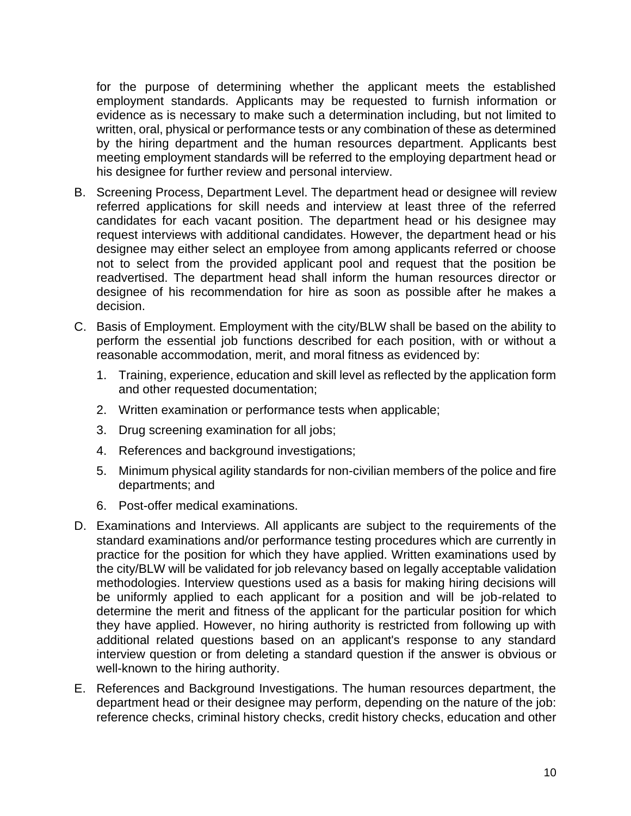for the purpose of determining whether the applicant meets the established employment standards. Applicants may be requested to furnish information or evidence as is necessary to make such a determination including, but not limited to written, oral, physical or performance tests or any combination of these as determined by the hiring department and the human resources department. Applicants best meeting employment standards will be referred to the employing department head or his designee for further review and personal interview.

- B. Screening Process, Department Level. The department head or designee will review referred applications for skill needs and interview at least three of the referred candidates for each vacant position. The department head or his designee may request interviews with additional candidates. However, the department head or his designee may either select an employee from among applicants referred or choose not to select from the provided applicant pool and request that the position be readvertised. The department head shall inform the human resources director or designee of his recommendation for hire as soon as possible after he makes a decision.
- C. Basis of Employment. Employment with the city/BLW shall be based on the ability to perform the essential job functions described for each position, with or without a reasonable accommodation, merit, and moral fitness as evidenced by:
	- 1. Training, experience, education and skill level as reflected by the application form and other requested documentation;
	- 2. Written examination or performance tests when applicable;
	- 3. Drug screening examination for all jobs;
	- 4. References and background investigations;
	- 5. Minimum physical agility standards for non-civilian members of the police and fire departments; and
	- 6. Post-offer medical examinations.
- D. Examinations and Interviews. All applicants are subject to the requirements of the standard examinations and/or performance testing procedures which are currently in practice for the position for which they have applied. Written examinations used by the city/BLW will be validated for job relevancy based on legally acceptable validation methodologies. Interview questions used as a basis for making hiring decisions will be uniformly applied to each applicant for a position and will be job-related to determine the merit and fitness of the applicant for the particular position for which they have applied. However, no hiring authority is restricted from following up with additional related questions based on an applicant's response to any standard interview question or from deleting a standard question if the answer is obvious or well-known to the hiring authority.
- E. References and Background Investigations. The human resources department, the department head or their designee may perform, depending on the nature of the job: reference checks, criminal history checks, credit history checks, education and other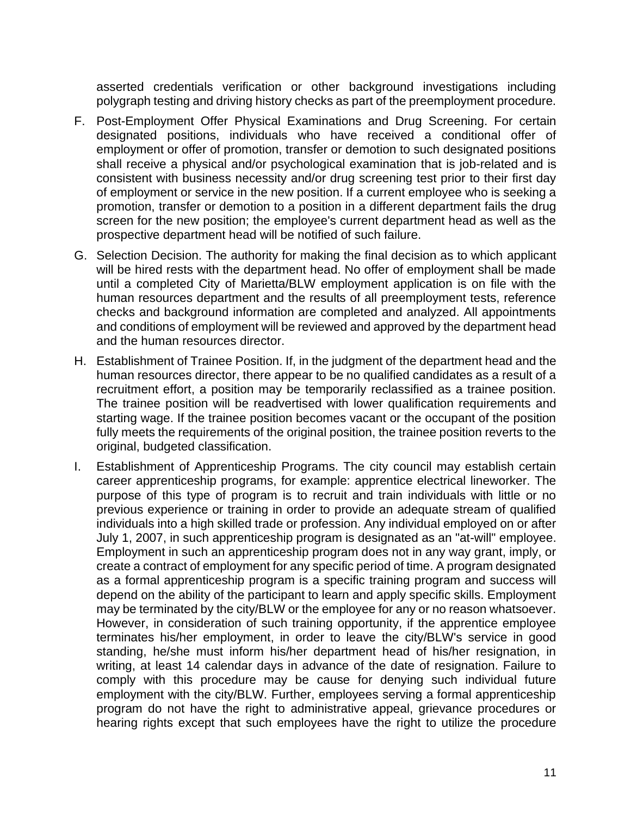asserted credentials verification or other background investigations including polygraph testing and driving history checks as part of the preemployment procedure.

- F. Post-Employment Offer Physical Examinations and Drug Screening. For certain designated positions, individuals who have received a conditional offer of employment or offer of promotion, transfer or demotion to such designated positions shall receive a physical and/or psychological examination that is job-related and is consistent with business necessity and/or drug screening test prior to their first day of employment or service in the new position. If a current employee who is seeking a promotion, transfer or demotion to a position in a different department fails the drug screen for the new position; the employee's current department head as well as the prospective department head will be notified of such failure.
- G. Selection Decision. The authority for making the final decision as to which applicant will be hired rests with the department head. No offer of employment shall be made until a completed City of Marietta/BLW employment application is on file with the human resources department and the results of all preemployment tests, reference checks and background information are completed and analyzed. All appointments and conditions of employment will be reviewed and approved by the department head and the human resources director.
- H. Establishment of Trainee Position. If, in the judgment of the department head and the human resources director, there appear to be no qualified candidates as a result of a recruitment effort, a position may be temporarily reclassified as a trainee position. The trainee position will be readvertised with lower qualification requirements and starting wage. If the trainee position becomes vacant or the occupant of the position fully meets the requirements of the original position, the trainee position reverts to the original, budgeted classification.
- I. Establishment of Apprenticeship Programs. The city council may establish certain career apprenticeship programs, for example: apprentice electrical lineworker. The purpose of this type of program is to recruit and train individuals with little or no previous experience or training in order to provide an adequate stream of qualified individuals into a high skilled trade or profession. Any individual employed on or after July 1, 2007, in such apprenticeship program is designated as an "at-will" employee. Employment in such an apprenticeship program does not in any way grant, imply, or create a contract of employment for any specific period of time. A program designated as a formal apprenticeship program is a specific training program and success will depend on the ability of the participant to learn and apply specific skills. Employment may be terminated by the city/BLW or the employee for any or no reason whatsoever. However, in consideration of such training opportunity, if the apprentice employee terminates his/her employment, in order to leave the city/BLW's service in good standing, he/she must inform his/her department head of his/her resignation, in writing, at least 14 calendar days in advance of the date of resignation. Failure to comply with this procedure may be cause for denying such individual future employment with the city/BLW. Further, employees serving a formal apprenticeship program do not have the right to administrative appeal, grievance procedures or hearing rights except that such employees have the right to utilize the procedure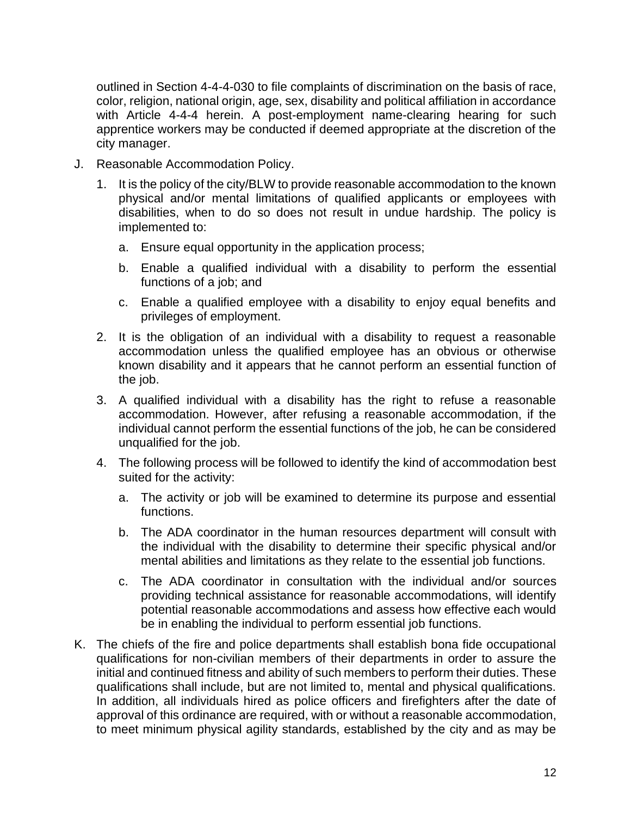outlined in Section 4-4-4-030 to file complaints of discrimination on the basis of race, color, religion, national origin, age, sex, disability and political affiliation in accordance with Article 4-4-4 herein. A post-employment name-clearing hearing for such apprentice workers may be conducted if deemed appropriate at the discretion of the city manager.

- J. Reasonable Accommodation Policy.
	- 1. It is the policy of the city/BLW to provide reasonable accommodation to the known physical and/or mental limitations of qualified applicants or employees with disabilities, when to do so does not result in undue hardship. The policy is implemented to:
		- a. Ensure equal opportunity in the application process;
		- b. Enable a qualified individual with a disability to perform the essential functions of a job; and
		- c. Enable a qualified employee with a disability to enjoy equal benefits and privileges of employment.
	- 2. It is the obligation of an individual with a disability to request a reasonable accommodation unless the qualified employee has an obvious or otherwise known disability and it appears that he cannot perform an essential function of the job.
	- 3. A qualified individual with a disability has the right to refuse a reasonable accommodation. However, after refusing a reasonable accommodation, if the individual cannot perform the essential functions of the job, he can be considered unqualified for the job.
	- 4. The following process will be followed to identify the kind of accommodation best suited for the activity:
		- a. The activity or job will be examined to determine its purpose and essential functions.
		- b. The ADA coordinator in the human resources department will consult with the individual with the disability to determine their specific physical and/or mental abilities and limitations as they relate to the essential job functions.
		- c. The ADA coordinator in consultation with the individual and/or sources providing technical assistance for reasonable accommodations, will identify potential reasonable accommodations and assess how effective each would be in enabling the individual to perform essential job functions.
- K. The chiefs of the fire and police departments shall establish bona fide occupational qualifications for non-civilian members of their departments in order to assure the initial and continued fitness and ability of such members to perform their duties. These qualifications shall include, but are not limited to, mental and physical qualifications. In addition, all individuals hired as police officers and firefighters after the date of approval of this ordinance are required, with or without a reasonable accommodation, to meet minimum physical agility standards, established by the city and as may be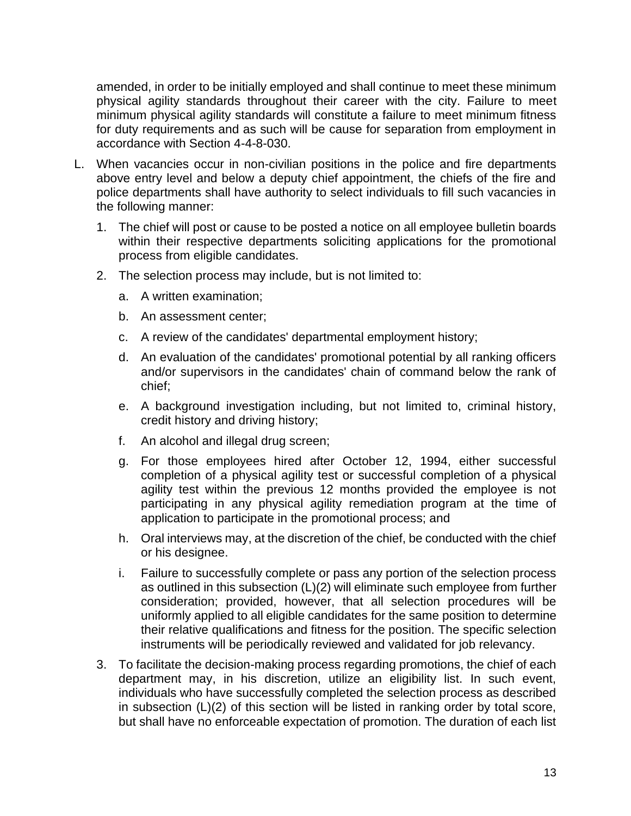amended, in order to be initially employed and shall continue to meet these minimum physical agility standards throughout their career with the city. Failure to meet minimum physical agility standards will constitute a failure to meet minimum fitness for duty requirements and as such will be cause for separation from employment in accordance with Section 4-4-8-030.

- L. When vacancies occur in non-civilian positions in the police and fire departments above entry level and below a deputy chief appointment, the chiefs of the fire and police departments shall have authority to select individuals to fill such vacancies in the following manner:
	- 1. The chief will post or cause to be posted a notice on all employee bulletin boards within their respective departments soliciting applications for the promotional process from eligible candidates.
	- 2. The selection process may include, but is not limited to:
		- a. A written examination;
		- b. An assessment center;
		- c. A review of the candidates' departmental employment history;
		- d. An evaluation of the candidates' promotional potential by all ranking officers and/or supervisors in the candidates' chain of command below the rank of chief;
		- e. A background investigation including, but not limited to, criminal history, credit history and driving history;
		- f. An alcohol and illegal drug screen;
		- g. For those employees hired after October 12, 1994, either successful completion of a physical agility test or successful completion of a physical agility test within the previous 12 months provided the employee is not participating in any physical agility remediation program at the time of application to participate in the promotional process; and
		- h. Oral interviews may, at the discretion of the chief, be conducted with the chief or his designee.
		- i. Failure to successfully complete or pass any portion of the selection process as outlined in this subsection (L)(2) will eliminate such employee from further consideration; provided, however, that all selection procedures will be uniformly applied to all eligible candidates for the same position to determine their relative qualifications and fitness for the position. The specific selection instruments will be periodically reviewed and validated for job relevancy.
	- 3. To facilitate the decision-making process regarding promotions, the chief of each department may, in his discretion, utilize an eligibility list. In such event, individuals who have successfully completed the selection process as described in subsection (L)(2) of this section will be listed in ranking order by total score, but shall have no enforceable expectation of promotion. The duration of each list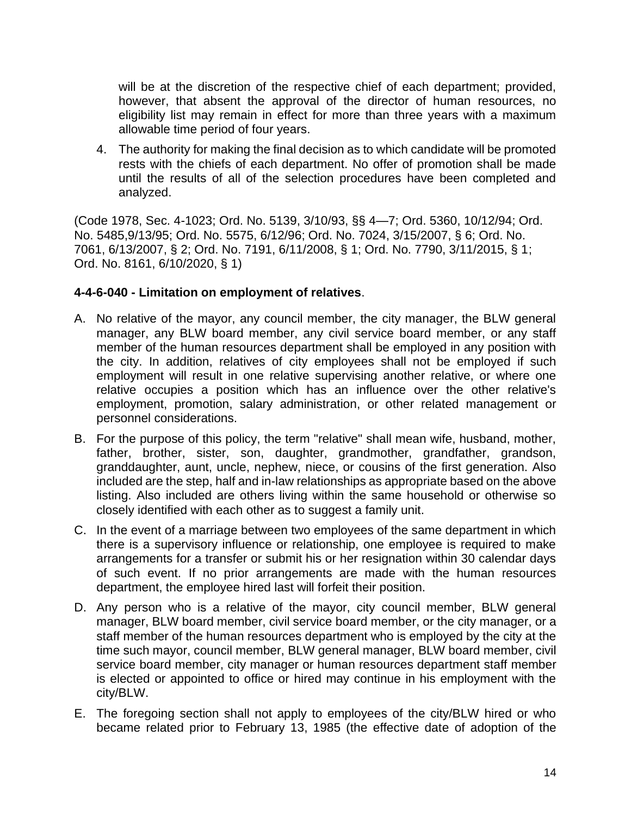will be at the discretion of the respective chief of each department; provided, however, that absent the approval of the director of human resources, no eligibility list may remain in effect for more than three years with a maximum allowable time period of four years.

4. The authority for making the final decision as to which candidate will be promoted rests with the chiefs of each department. No offer of promotion shall be made until the results of all of the selection procedures have been completed and analyzed.

(Code 1978, Sec. 4-1023; Ord. No. 5139, 3/10/93, §§ 4—7; Ord. 5360, 10/12/94; Ord. No. 5485,9/13/95; Ord. No. 5575, 6/12/96; Ord. No. 7024, 3/15/2007, § 6; Ord. No. 7061, 6/13/2007, § 2; Ord. No. 7191, 6/11/2008, § 1; Ord. No. 7790, 3/11/2015, § 1; Ord. No. 8161, 6/10/2020, § 1)

#### **4-4-6-040 - Limitation on employment of relatives**.

- A. No relative of the mayor, any council member, the city manager, the BLW general manager, any BLW board member, any civil service board member, or any staff member of the human resources department shall be employed in any position with the city. In addition, relatives of city employees shall not be employed if such employment will result in one relative supervising another relative, or where one relative occupies a position which has an influence over the other relative's employment, promotion, salary administration, or other related management or personnel considerations.
- B. For the purpose of this policy, the term "relative" shall mean wife, husband, mother, father, brother, sister, son, daughter, grandmother, grandfather, grandson, granddaughter, aunt, uncle, nephew, niece, or cousins of the first generation. Also included are the step, half and in-law relationships as appropriate based on the above listing. Also included are others living within the same household or otherwise so closely identified with each other as to suggest a family unit.
- C. In the event of a marriage between two employees of the same department in which there is a supervisory influence or relationship, one employee is required to make arrangements for a transfer or submit his or her resignation within 30 calendar days of such event. If no prior arrangements are made with the human resources department, the employee hired last will forfeit their position.
- D. Any person who is a relative of the mayor, city council member, BLW general manager, BLW board member, civil service board member, or the city manager, or a staff member of the human resources department who is employed by the city at the time such mayor, council member, BLW general manager, BLW board member, civil service board member, city manager or human resources department staff member is elected or appointed to office or hired may continue in his employment with the city/BLW.
- E. The foregoing section shall not apply to employees of the city/BLW hired or who became related prior to February 13, 1985 (the effective date of adoption of the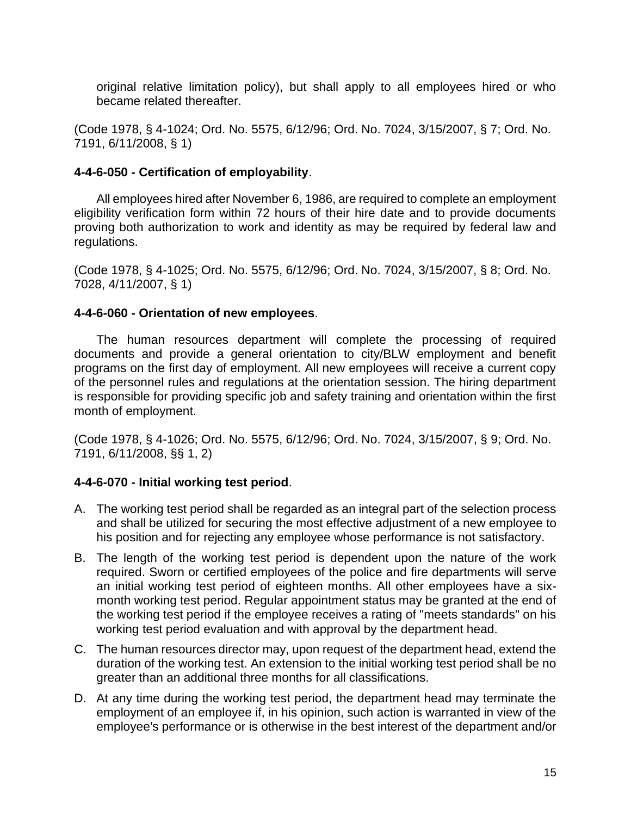original relative limitation policy), but shall apply to all employees hired or who became related thereafter.

(Code 1978, § 4-1024; Ord. No. 5575, 6/12/96; Ord. No. 7024, 3/15/2007, § 7; Ord. No. 7191, 6/11/2008, § 1)

# **4-4-6-050 - Certification of employability**.

All employees hired after November 6, 1986, are required to complete an employment eligibility verification form within 72 hours of their hire date and to provide documents proving both authorization to work and identity as may be required by federal law and regulations.

(Code 1978, § 4-1025; Ord. No. 5575, 6/12/96; Ord. No. 7024, 3/15/2007, § 8; Ord. No. 7028, 4/11/2007, § 1)

# **4-4-6-060 - Orientation of new employees**.

The human resources department will complete the processing of required documents and provide a general orientation to city/BLW employment and benefit programs on the first day of employment. All new employees will receive a current copy of the personnel rules and regulations at the orientation session. The hiring department is responsible for providing specific job and safety training and orientation within the first month of employment.

(Code 1978, § 4-1026; Ord. No. 5575, 6/12/96; Ord. No. 7024, 3/15/2007, § 9; Ord. No. 7191, 6/11/2008, §§ 1, 2)

# **4-4-6-070 - Initial working test period**.

- A. The working test period shall be regarded as an integral part of the selection process and shall be utilized for securing the most effective adjustment of a new employee to his position and for rejecting any employee whose performance is not satisfactory.
- B. The length of the working test period is dependent upon the nature of the work required. Sworn or certified employees of the police and fire departments will serve an initial working test period of eighteen months. All other employees have a sixmonth working test period. Regular appointment status may be granted at the end of the working test period if the employee receives a rating of "meets standards" on his working test period evaluation and with approval by the department head.
- C. The human resources director may, upon request of the department head, extend the duration of the working test. An extension to the initial working test period shall be no greater than an additional three months for all classifications.
- D. At any time during the working test period, the department head may terminate the employment of an employee if, in his opinion, such action is warranted in view of the employee's performance or is otherwise in the best interest of the department and/or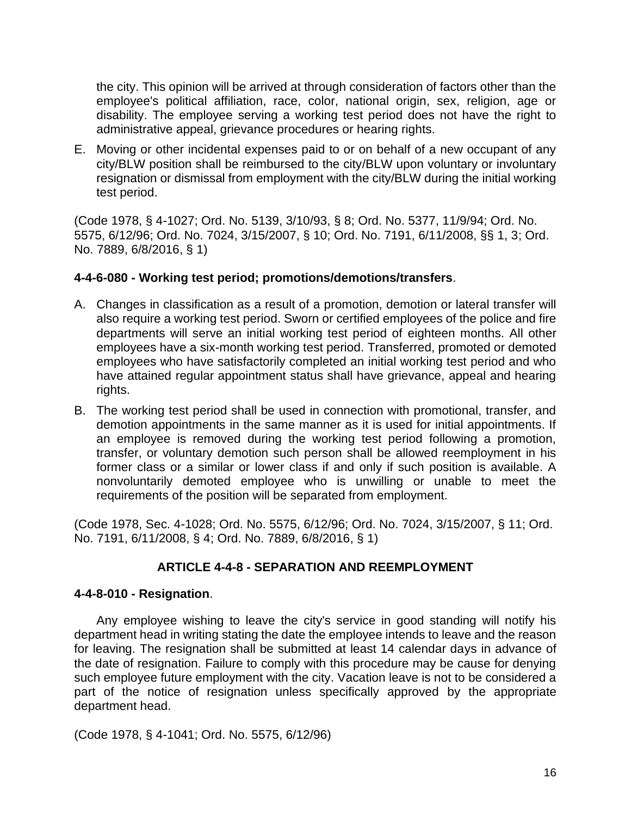the city. This opinion will be arrived at through consideration of factors other than the employee's political affiliation, race, color, national origin, sex, religion, age or disability. The employee serving a working test period does not have the right to administrative appeal, grievance procedures or hearing rights.

E. Moving or other incidental expenses paid to or on behalf of a new occupant of any city/BLW position shall be reimbursed to the city/BLW upon voluntary or involuntary resignation or dismissal from employment with the city/BLW during the initial working test period.

(Code 1978, § 4-1027; Ord. No. 5139, 3/10/93, § 8; Ord. No. 5377, 11/9/94; Ord. No. 5575, 6/12/96; Ord. No. 7024, 3/15/2007, § 10; Ord. No. 7191, 6/11/2008, §§ 1, 3; Ord. No. 7889, 6/8/2016, § 1)

#### **4-4-6-080 - Working test period; promotions/demotions/transfers**.

- A. Changes in classification as a result of a promotion, demotion or lateral transfer will also require a working test period. Sworn or certified employees of the police and fire departments will serve an initial working test period of eighteen months. All other employees have a six-month working test period. Transferred, promoted or demoted employees who have satisfactorily completed an initial working test period and who have attained regular appointment status shall have grievance, appeal and hearing rights.
- B. The working test period shall be used in connection with promotional, transfer, and demotion appointments in the same manner as it is used for initial appointments. If an employee is removed during the working test period following a promotion, transfer, or voluntary demotion such person shall be allowed reemployment in his former class or a similar or lower class if and only if such position is available. A nonvoluntarily demoted employee who is unwilling or unable to meet the requirements of the position will be separated from employment.

(Code 1978, Sec. 4-1028; Ord. No. 5575, 6/12/96; Ord. No. 7024, 3/15/2007, § 11; Ord. No. 7191, 6/11/2008, § 4; Ord. No. 7889, 6/8/2016, § 1)

#### **ARTICLE 4-4-8 - SEPARATION AND REEMPLOYMENT**

#### **4-4-8-010 - Resignation**.

Any employee wishing to leave the city's service in good standing will notify his department head in writing stating the date the employee intends to leave and the reason for leaving. The resignation shall be submitted at least 14 calendar days in advance of the date of resignation. Failure to comply with this procedure may be cause for denying such employee future employment with the city. Vacation leave is not to be considered a part of the notice of resignation unless specifically approved by the appropriate department head.

(Code 1978, § 4-1041; Ord. No. 5575, 6/12/96)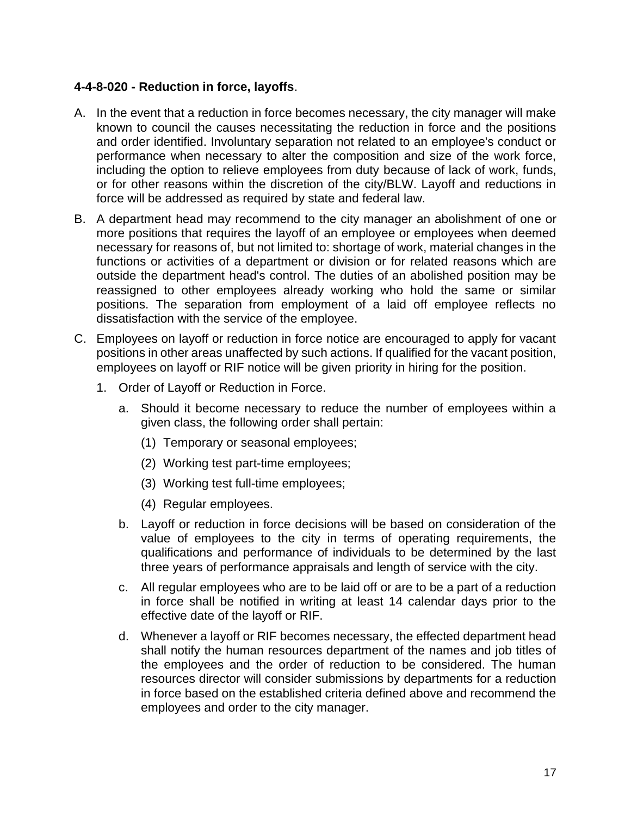# **4-4-8-020 - Reduction in force, layoffs**.

- A. In the event that a reduction in force becomes necessary, the city manager will make known to council the causes necessitating the reduction in force and the positions and order identified. Involuntary separation not related to an employee's conduct or performance when necessary to alter the composition and size of the work force, including the option to relieve employees from duty because of lack of work, funds, or for other reasons within the discretion of the city/BLW. Layoff and reductions in force will be addressed as required by state and federal law.
- B. A department head may recommend to the city manager an abolishment of one or more positions that requires the layoff of an employee or employees when deemed necessary for reasons of, but not limited to: shortage of work, material changes in the functions or activities of a department or division or for related reasons which are outside the department head's control. The duties of an abolished position may be reassigned to other employees already working who hold the same or similar positions. The separation from employment of a laid off employee reflects no dissatisfaction with the service of the employee.
- C. Employees on layoff or reduction in force notice are encouraged to apply for vacant positions in other areas unaffected by such actions. If qualified for the vacant position, employees on layoff or RIF notice will be given priority in hiring for the position.
	- 1. Order of Layoff or Reduction in Force.
		- a. Should it become necessary to reduce the number of employees within a given class, the following order shall pertain:
			- (1) Temporary or seasonal employees;
			- (2) Working test part-time employees;
			- (3) Working test full-time employees;
			- (4) Regular employees.
		- b. Layoff or reduction in force decisions will be based on consideration of the value of employees to the city in terms of operating requirements, the qualifications and performance of individuals to be determined by the last three years of performance appraisals and length of service with the city.
		- c. All regular employees who are to be laid off or are to be a part of a reduction in force shall be notified in writing at least 14 calendar days prior to the effective date of the layoff or RIF.
		- d. Whenever a layoff or RIF becomes necessary, the effected department head shall notify the human resources department of the names and job titles of the employees and the order of reduction to be considered. The human resources director will consider submissions by departments for a reduction in force based on the established criteria defined above and recommend the employees and order to the city manager.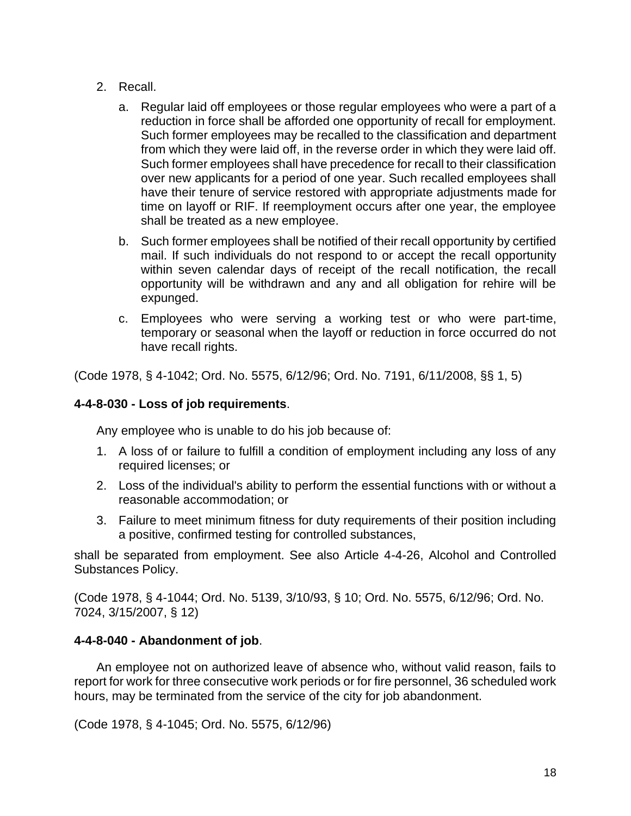- 2. Recall.
	- a. Regular laid off employees or those regular employees who were a part of a reduction in force shall be afforded one opportunity of recall for employment. Such former employees may be recalled to the classification and department from which they were laid off, in the reverse order in which they were laid off. Such former employees shall have precedence for recall to their classification over new applicants for a period of one year. Such recalled employees shall have their tenure of service restored with appropriate adjustments made for time on layoff or RIF. If reemployment occurs after one year, the employee shall be treated as a new employee.
	- b. Such former employees shall be notified of their recall opportunity by certified mail. If such individuals do not respond to or accept the recall opportunity within seven calendar days of receipt of the recall notification, the recall opportunity will be withdrawn and any and all obligation for rehire will be expunged.
	- c. Employees who were serving a working test or who were part-time, temporary or seasonal when the layoff or reduction in force occurred do not have recall rights.

(Code 1978, § 4-1042; Ord. No. 5575, 6/12/96; Ord. No. 7191, 6/11/2008, §§ 1, 5)

# **4-4-8-030 - Loss of job requirements**.

Any employee who is unable to do his job because of:

- 1. A loss of or failure to fulfill a condition of employment including any loss of any required licenses; or
- 2. Loss of the individual's ability to perform the essential functions with or without a reasonable accommodation; or
- 3. Failure to meet minimum fitness for duty requirements of their position including a positive, confirmed testing for controlled substances,

shall be separated from employment. See also Article 4-4-26, Alcohol and Controlled Substances Policy.

(Code 1978, § 4-1044; Ord. No. 5139, 3/10/93, § 10; Ord. No. 5575, 6/12/96; Ord. No. 7024, 3/15/2007, § 12)

# **4-4-8-040 - Abandonment of job**.

An employee not on authorized leave of absence who, without valid reason, fails to report for work for three consecutive work periods or for fire personnel, 36 scheduled work hours, may be terminated from the service of the city for job abandonment.

(Code 1978, § 4-1045; Ord. No. 5575, 6/12/96)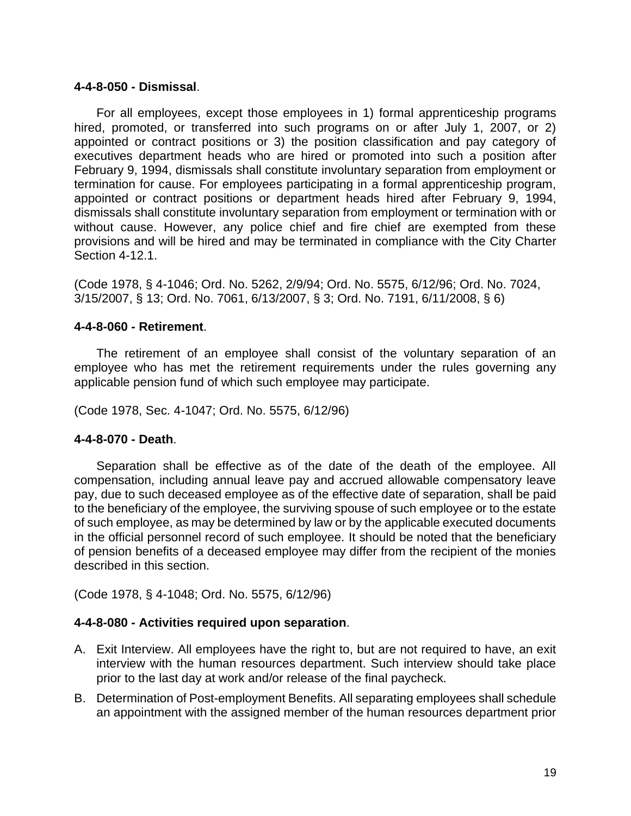#### **4-4-8-050 - Dismissal**.

For all employees, except those employees in 1) formal apprenticeship programs hired, promoted, or transferred into such programs on or after July 1, 2007, or 2) appointed or contract positions or 3) the position classification and pay category of executives department heads who are hired or promoted into such a position after February 9, 1994, dismissals shall constitute involuntary separation from employment or termination for cause. For employees participating in a formal apprenticeship program, appointed or contract positions or department heads hired after February 9, 1994, dismissals shall constitute involuntary separation from employment or termination with or without cause. However, any police chief and fire chief are exempted from these provisions and will be hired and may be terminated in compliance with the City Charter Section 4-12.1.

(Code 1978, § 4-1046; Ord. No. 5262, 2/9/94; Ord. No. 5575, 6/12/96; Ord. No. 7024, 3/15/2007, § 13; Ord. No. 7061, 6/13/2007, § 3; Ord. No. 7191, 6/11/2008, § 6)

#### **4-4-8-060 - Retirement**.

The retirement of an employee shall consist of the voluntary separation of an employee who has met the retirement requirements under the rules governing any applicable pension fund of which such employee may participate.

(Code 1978, Sec. 4-1047; Ord. No. 5575, 6/12/96)

#### **4-4-8-070 - Death**.

Separation shall be effective as of the date of the death of the employee. All compensation, including annual leave pay and accrued allowable compensatory leave pay, due to such deceased employee as of the effective date of separation, shall be paid to the beneficiary of the employee, the surviving spouse of such employee or to the estate of such employee, as may be determined by law or by the applicable executed documents in the official personnel record of such employee. It should be noted that the beneficiary of pension benefits of a deceased employee may differ from the recipient of the monies described in this section.

(Code 1978, § 4-1048; Ord. No. 5575, 6/12/96)

#### **4-4-8-080 - Activities required upon separation**.

- A. Exit Interview. All employees have the right to, but are not required to have, an exit interview with the human resources department. Such interview should take place prior to the last day at work and/or release of the final paycheck.
- B. Determination of Post-employment Benefits. All separating employees shall schedule an appointment with the assigned member of the human resources department prior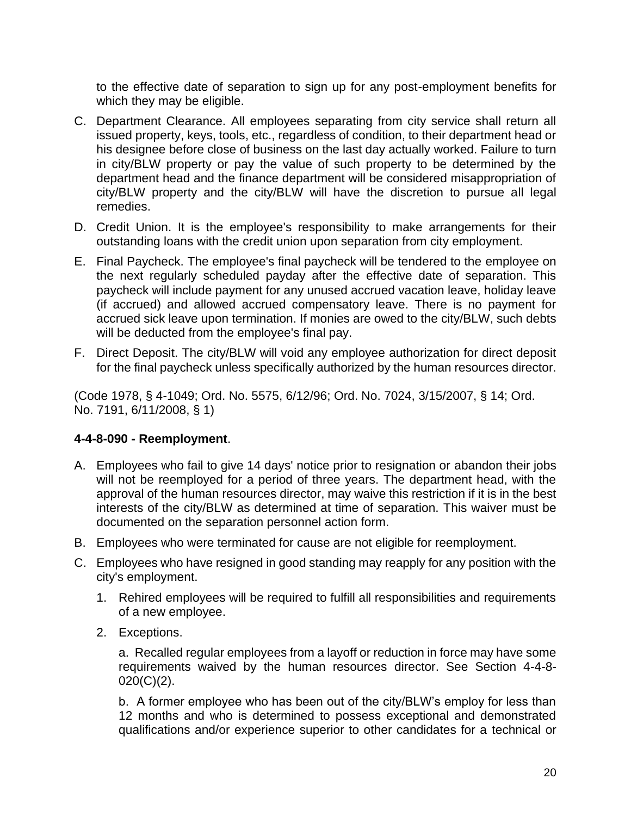to the effective date of separation to sign up for any post-employment benefits for which they may be eligible.

- C. Department Clearance. All employees separating from city service shall return all issued property, keys, tools, etc., regardless of condition, to their department head or his designee before close of business on the last day actually worked. Failure to turn in city/BLW property or pay the value of such property to be determined by the department head and the finance department will be considered misappropriation of city/BLW property and the city/BLW will have the discretion to pursue all legal remedies.
- D. Credit Union. It is the employee's responsibility to make arrangements for their outstanding loans with the credit union upon separation from city employment.
- E. Final Paycheck. The employee's final paycheck will be tendered to the employee on the next regularly scheduled payday after the effective date of separation. This paycheck will include payment for any unused accrued vacation leave, holiday leave (if accrued) and allowed accrued compensatory leave. There is no payment for accrued sick leave upon termination. If monies are owed to the city/BLW, such debts will be deducted from the employee's final pay.
- F. Direct Deposit. The city/BLW will void any employee authorization for direct deposit for the final paycheck unless specifically authorized by the human resources director.

(Code 1978, § 4-1049; Ord. No. 5575, 6/12/96; Ord. No. 7024, 3/15/2007, § 14; Ord. No. 7191, 6/11/2008, § 1)

# **4-4-8-090 - Reemployment**.

- A. Employees who fail to give 14 days' notice prior to resignation or abandon their jobs will not be reemployed for a period of three years. The department head, with the approval of the human resources director, may waive this restriction if it is in the best interests of the city/BLW as determined at time of separation. This waiver must be documented on the separation personnel action form.
- B. Employees who were terminated for cause are not eligible for reemployment.
- C. Employees who have resigned in good standing may reapply for any position with the city's employment.
	- 1. Rehired employees will be required to fulfill all responsibilities and requirements of a new employee.
	- 2. Exceptions.

a. Recalled regular employees from a layoff or reduction in force may have some requirements waived by the human resources director. See Section 4-4-8-  $020(C)(2)$ .

b. A former employee who has been out of the city/BLW's employ for less than 12 months and who is determined to possess exceptional and demonstrated qualifications and/or experience superior to other candidates for a technical or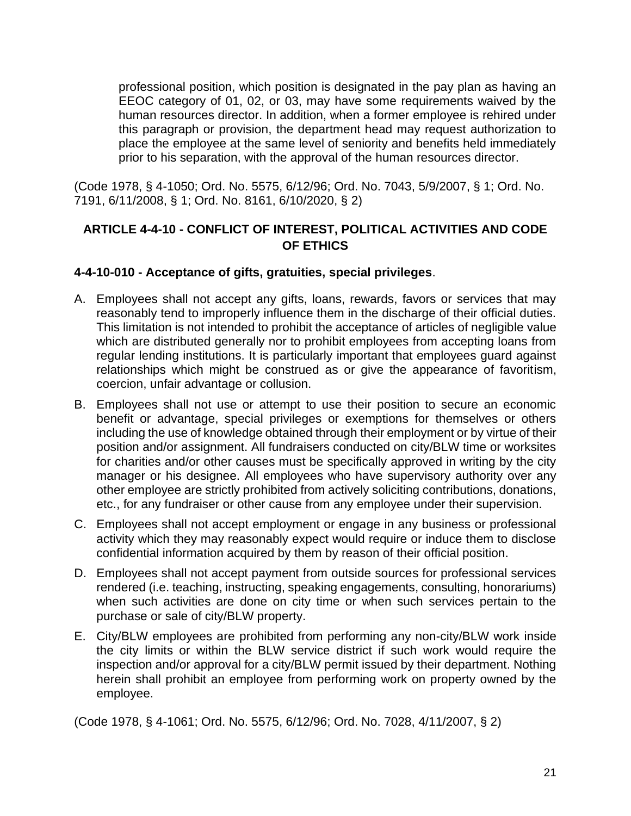professional position, which position is designated in the pay plan as having an EEOC category of 01, 02, or 03, may have some requirements waived by the human resources director. In addition, when a former employee is rehired under this paragraph or provision, the department head may request authorization to place the employee at the same level of seniority and benefits held immediately prior to his separation, with the approval of the human resources director.

(Code 1978, § 4-1050; Ord. No. 5575, 6/12/96; Ord. No. 7043, 5/9/2007, § 1; Ord. No. 7191, 6/11/2008, § 1; Ord. No. 8161, 6/10/2020, § 2)

# **ARTICLE 4-4-10 - CONFLICT OF INTEREST, POLITICAL ACTIVITIES AND CODE OF ETHICS**

## **4-4-10-010 - Acceptance of gifts, gratuities, special privileges**.

- A. Employees shall not accept any gifts, loans, rewards, favors or services that may reasonably tend to improperly influence them in the discharge of their official duties. This limitation is not intended to prohibit the acceptance of articles of negligible value which are distributed generally nor to prohibit employees from accepting loans from regular lending institutions. It is particularly important that employees guard against relationships which might be construed as or give the appearance of favoritism, coercion, unfair advantage or collusion.
- B. Employees shall not use or attempt to use their position to secure an economic benefit or advantage, special privileges or exemptions for themselves or others including the use of knowledge obtained through their employment or by virtue of their position and/or assignment. All fundraisers conducted on city/BLW time or worksites for charities and/or other causes must be specifically approved in writing by the city manager or his designee. All employees who have supervisory authority over any other employee are strictly prohibited from actively soliciting contributions, donations, etc., for any fundraiser or other cause from any employee under their supervision.
- C. Employees shall not accept employment or engage in any business or professional activity which they may reasonably expect would require or induce them to disclose confidential information acquired by them by reason of their official position.
- D. Employees shall not accept payment from outside sources for professional services rendered (i.e. teaching, instructing, speaking engagements, consulting, honorariums) when such activities are done on city time or when such services pertain to the purchase or sale of city/BLW property.
- E. City/BLW employees are prohibited from performing any non-city/BLW work inside the city limits or within the BLW service district if such work would require the inspection and/or approval for a city/BLW permit issued by their department. Nothing herein shall prohibit an employee from performing work on property owned by the employee.

(Code 1978, § 4-1061; Ord. No. 5575, 6/12/96; Ord. No. 7028, 4/11/2007, § 2)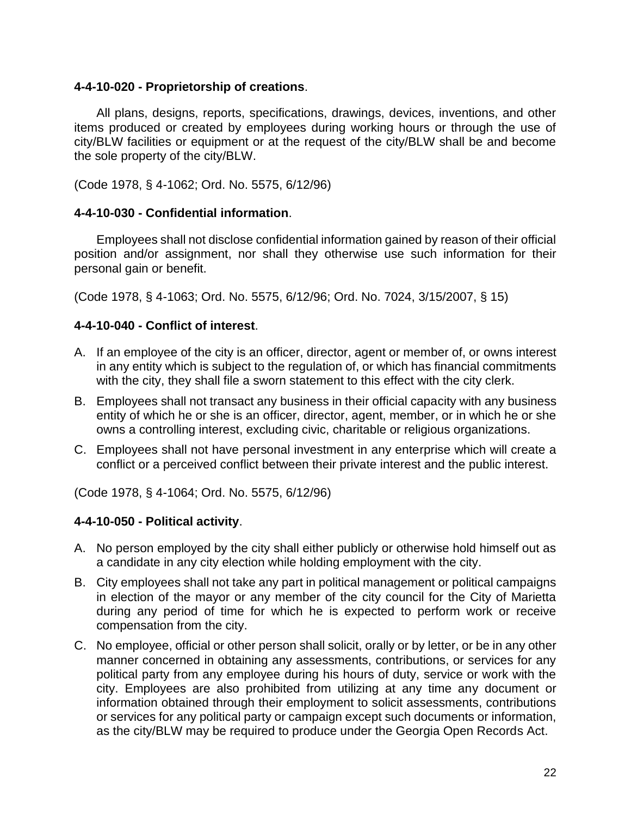#### **4-4-10-020 - Proprietorship of creations**.

All plans, designs, reports, specifications, drawings, devices, inventions, and other items produced or created by employees during working hours or through the use of city/BLW facilities or equipment or at the request of the city/BLW shall be and become the sole property of the city/BLW.

(Code 1978, § 4-1062; Ord. No. 5575, 6/12/96)

## **4-4-10-030 - Confidential information**.

Employees shall not disclose confidential information gained by reason of their official position and/or assignment, nor shall they otherwise use such information for their personal gain or benefit.

(Code 1978, § 4-1063; Ord. No. 5575, 6/12/96; Ord. No. 7024, 3/15/2007, § 15)

## **4-4-10-040 - Conflict of interest**.

- A. If an employee of the city is an officer, director, agent or member of, or owns interest in any entity which is subject to the regulation of, or which has financial commitments with the city, they shall file a sworn statement to this effect with the city clerk.
- B. Employees shall not transact any business in their official capacity with any business entity of which he or she is an officer, director, agent, member, or in which he or she owns a controlling interest, excluding civic, charitable or religious organizations.
- C. Employees shall not have personal investment in any enterprise which will create a conflict or a perceived conflict between their private interest and the public interest.

(Code 1978, § 4-1064; Ord. No. 5575, 6/12/96)

# **4-4-10-050 - Political activity**.

- A. No person employed by the city shall either publicly or otherwise hold himself out as a candidate in any city election while holding employment with the city.
- B. City employees shall not take any part in political management or political campaigns in election of the mayor or any member of the city council for the City of Marietta during any period of time for which he is expected to perform work or receive compensation from the city.
- C. No employee, official or other person shall solicit, orally or by letter, or be in any other manner concerned in obtaining any assessments, contributions, or services for any political party from any employee during his hours of duty, service or work with the city. Employees are also prohibited from utilizing at any time any document or information obtained through their employment to solicit assessments, contributions or services for any political party or campaign except such documents or information, as the city/BLW may be required to produce under the Georgia Open Records Act.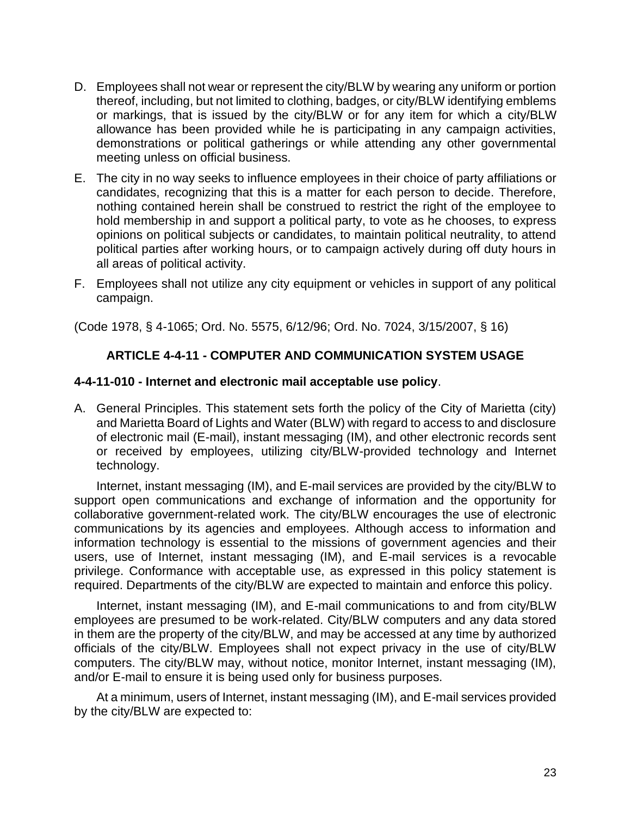- D. Employees shall not wear or represent the city/BLW by wearing any uniform or portion thereof, including, but not limited to clothing, badges, or city/BLW identifying emblems or markings, that is issued by the city/BLW or for any item for which a city/BLW allowance has been provided while he is participating in any campaign activities, demonstrations or political gatherings or while attending any other governmental meeting unless on official business.
- E. The city in no way seeks to influence employees in their choice of party affiliations or candidates, recognizing that this is a matter for each person to decide. Therefore, nothing contained herein shall be construed to restrict the right of the employee to hold membership in and support a political party, to vote as he chooses, to express opinions on political subjects or candidates, to maintain political neutrality, to attend political parties after working hours, or to campaign actively during off duty hours in all areas of political activity.
- F. Employees shall not utilize any city equipment or vehicles in support of any political campaign.

(Code 1978, § 4-1065; Ord. No. 5575, 6/12/96; Ord. No. 7024, 3/15/2007, § 16)

#### **ARTICLE 4-4-11 - COMPUTER AND COMMUNICATION SYSTEM USAGE**

#### **4-4-11-010 - Internet and electronic mail acceptable use policy**.

A. General Principles. This statement sets forth the policy of the City of Marietta (city) and Marietta Board of Lights and Water (BLW) with regard to access to and disclosure of electronic mail (E-mail), instant messaging (IM), and other electronic records sent or received by employees, utilizing city/BLW-provided technology and Internet technology.

Internet, instant messaging (IM), and E-mail services are provided by the city/BLW to support open communications and exchange of information and the opportunity for collaborative government-related work. The city/BLW encourages the use of electronic communications by its agencies and employees. Although access to information and information technology is essential to the missions of government agencies and their users, use of Internet, instant messaging (IM), and E-mail services is a revocable privilege. Conformance with acceptable use, as expressed in this policy statement is required. Departments of the city/BLW are expected to maintain and enforce this policy.

Internet, instant messaging (IM), and E-mail communications to and from city/BLW employees are presumed to be work-related. City/BLW computers and any data stored in them are the property of the city/BLW, and may be accessed at any time by authorized officials of the city/BLW. Employees shall not expect privacy in the use of city/BLW computers. The city/BLW may, without notice, monitor Internet, instant messaging (IM), and/or E-mail to ensure it is being used only for business purposes.

At a minimum, users of Internet, instant messaging (IM), and E-mail services provided by the city/BLW are expected to: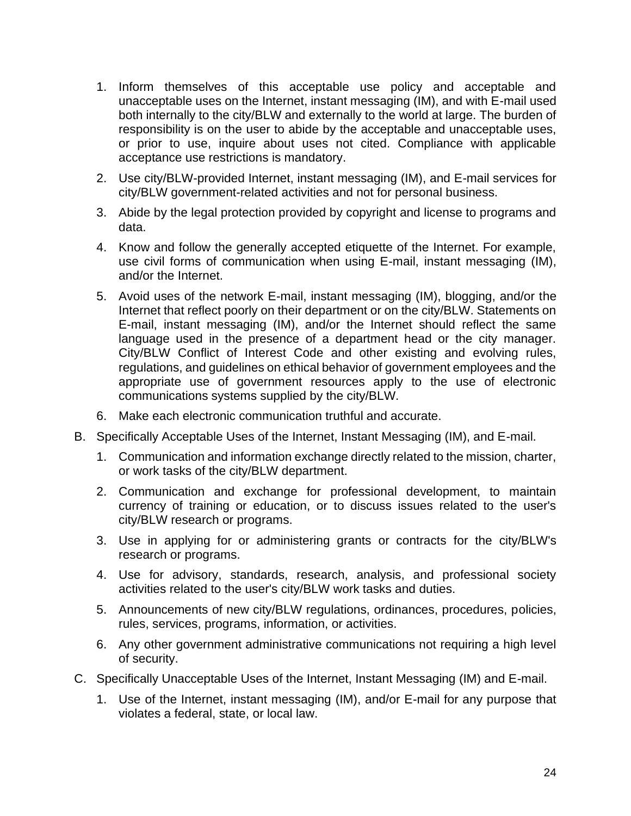- 1. Inform themselves of this acceptable use policy and acceptable and unacceptable uses on the Internet, instant messaging (IM), and with E-mail used both internally to the city/BLW and externally to the world at large. The burden of responsibility is on the user to abide by the acceptable and unacceptable uses, or prior to use, inquire about uses not cited. Compliance with applicable acceptance use restrictions is mandatory.
- 2. Use city/BLW-provided Internet, instant messaging (IM), and E-mail services for city/BLW government-related activities and not for personal business.
- 3. Abide by the legal protection provided by copyright and license to programs and data.
- 4. Know and follow the generally accepted etiquette of the Internet. For example, use civil forms of communication when using E-mail, instant messaging (IM), and/or the Internet.
- 5. Avoid uses of the network E-mail, instant messaging (IM), blogging, and/or the Internet that reflect poorly on their department or on the city/BLW. Statements on E-mail, instant messaging (IM), and/or the Internet should reflect the same language used in the presence of a department head or the city manager. City/BLW Conflict of Interest Code and other existing and evolving rules, regulations, and guidelines on ethical behavior of government employees and the appropriate use of government resources apply to the use of electronic communications systems supplied by the city/BLW.
- 6. Make each electronic communication truthful and accurate.
- B. Specifically Acceptable Uses of the Internet, Instant Messaging (IM), and E-mail.
	- 1. Communication and information exchange directly related to the mission, charter, or work tasks of the city/BLW department.
	- 2. Communication and exchange for professional development, to maintain currency of training or education, or to discuss issues related to the user's city/BLW research or programs.
	- 3. Use in applying for or administering grants or contracts for the city/BLW's research or programs.
	- 4. Use for advisory, standards, research, analysis, and professional society activities related to the user's city/BLW work tasks and duties.
	- 5. Announcements of new city/BLW regulations, ordinances, procedures, policies, rules, services, programs, information, or activities.
	- 6. Any other government administrative communications not requiring a high level of security.
- C. Specifically Unacceptable Uses of the Internet, Instant Messaging (IM) and E-mail.
	- 1. Use of the Internet, instant messaging (IM), and/or E-mail for any purpose that violates a federal, state, or local law.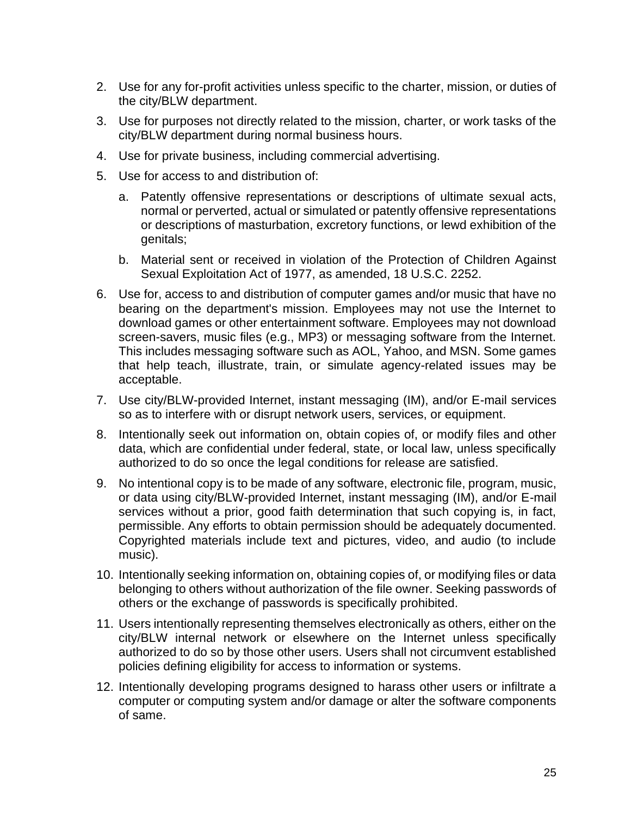- 2. Use for any for-profit activities unless specific to the charter, mission, or duties of the city/BLW department.
- 3. Use for purposes not directly related to the mission, charter, or work tasks of the city/BLW department during normal business hours.
- 4. Use for private business, including commercial advertising.
- 5. Use for access to and distribution of:
	- a. Patently offensive representations or descriptions of ultimate sexual acts, normal or perverted, actual or simulated or patently offensive representations or descriptions of masturbation, excretory functions, or lewd exhibition of the genitals;
	- b. Material sent or received in violation of the Protection of Children Against Sexual Exploitation Act of 1977, as amended, 18 U.S.C. 2252.
- 6. Use for, access to and distribution of computer games and/or music that have no bearing on the department's mission. Employees may not use the Internet to download games or other entertainment software. Employees may not download screen-savers, music files (e.g., MP3) or messaging software from the Internet. This includes messaging software such as AOL, Yahoo, and MSN. Some games that help teach, illustrate, train, or simulate agency-related issues may be acceptable.
- 7. Use city/BLW-provided Internet, instant messaging (IM), and/or E-mail services so as to interfere with or disrupt network users, services, or equipment.
- 8. Intentionally seek out information on, obtain copies of, or modify files and other data, which are confidential under federal, state, or local law, unless specifically authorized to do so once the legal conditions for release are satisfied.
- 9. No intentional copy is to be made of any software, electronic file, program, music, or data using city/BLW-provided Internet, instant messaging (IM), and/or E-mail services without a prior, good faith determination that such copying is, in fact, permissible. Any efforts to obtain permission should be adequately documented. Copyrighted materials include text and pictures, video, and audio (to include music).
- 10. Intentionally seeking information on, obtaining copies of, or modifying files or data belonging to others without authorization of the file owner. Seeking passwords of others or the exchange of passwords is specifically prohibited.
- 11. Users intentionally representing themselves electronically as others, either on the city/BLW internal network or elsewhere on the Internet unless specifically authorized to do so by those other users. Users shall not circumvent established policies defining eligibility for access to information or systems.
- 12. Intentionally developing programs designed to harass other users or infiltrate a computer or computing system and/or damage or alter the software components of same.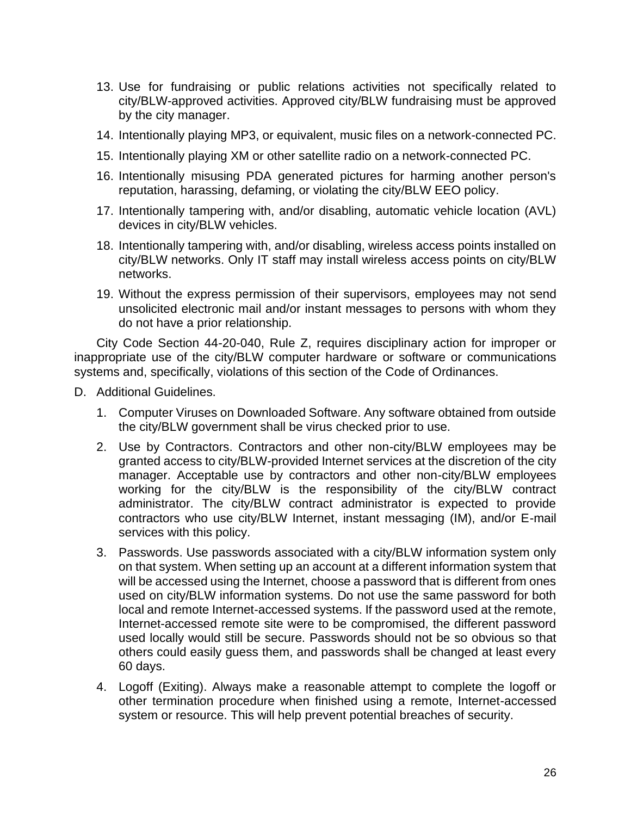- 13. Use for fundraising or public relations activities not specifically related to city/BLW-approved activities. Approved city/BLW fundraising must be approved by the city manager.
- 14. Intentionally playing MP3, or equivalent, music files on a network-connected PC.
- 15. Intentionally playing XM or other satellite radio on a network-connected PC.
- 16. Intentionally misusing PDA generated pictures for harming another person's reputation, harassing, defaming, or violating the city/BLW EEO policy.
- 17. Intentionally tampering with, and/or disabling, automatic vehicle location (AVL) devices in city/BLW vehicles.
- 18. Intentionally tampering with, and/or disabling, wireless access points installed on city/BLW networks. Only IT staff may install wireless access points on city/BLW networks.
- 19. Without the express permission of their supervisors, employees may not send unsolicited electronic mail and/or instant messages to persons with whom they do not have a prior relationship.

City Code Section 44-20-040, Rule Z, requires disciplinary action for improper or inappropriate use of the city/BLW computer hardware or software or communications systems and, specifically, violations of this section of the Code of Ordinances.

- D. Additional Guidelines.
	- 1. Computer Viruses on Downloaded Software. Any software obtained from outside the city/BLW government shall be virus checked prior to use.
	- 2. Use by Contractors. Contractors and other non-city/BLW employees may be granted access to city/BLW-provided Internet services at the discretion of the city manager. Acceptable use by contractors and other non-city/BLW employees working for the city/BLW is the responsibility of the city/BLW contract administrator. The city/BLW contract administrator is expected to provide contractors who use city/BLW Internet, instant messaging (IM), and/or E-mail services with this policy.
	- 3. Passwords. Use passwords associated with a city/BLW information system only on that system. When setting up an account at a different information system that will be accessed using the Internet, choose a password that is different from ones used on city/BLW information systems. Do not use the same password for both local and remote Internet-accessed systems. If the password used at the remote, Internet-accessed remote site were to be compromised, the different password used locally would still be secure. Passwords should not be so obvious so that others could easily guess them, and passwords shall be changed at least every 60 days.
	- 4. Logoff (Exiting). Always make a reasonable attempt to complete the logoff or other termination procedure when finished using a remote, Internet-accessed system or resource. This will help prevent potential breaches of security.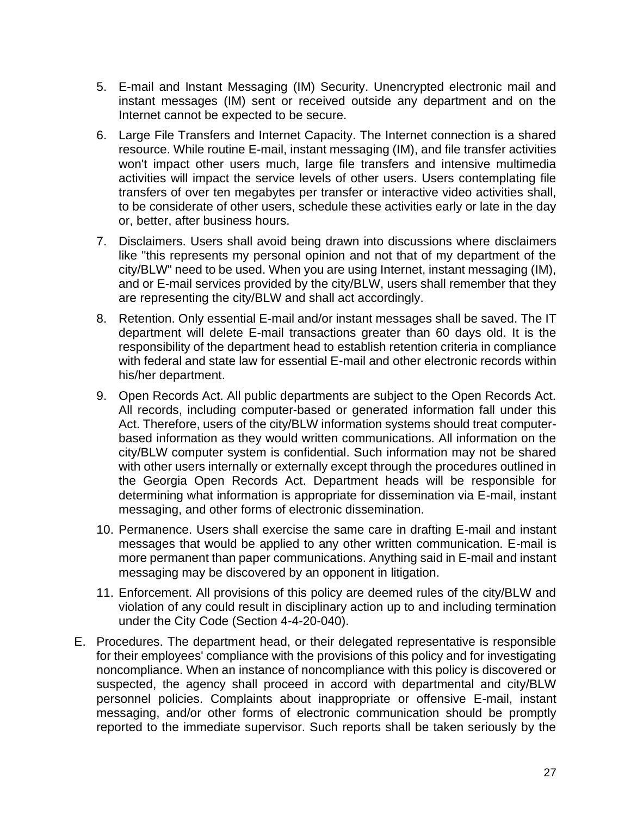- 5. E-mail and Instant Messaging (IM) Security. Unencrypted electronic mail and instant messages (IM) sent or received outside any department and on the Internet cannot be expected to be secure.
- 6. Large File Transfers and Internet Capacity. The Internet connection is a shared resource. While routine E-mail, instant messaging (IM), and file transfer activities won't impact other users much, large file transfers and intensive multimedia activities will impact the service levels of other users. Users contemplating file transfers of over ten megabytes per transfer or interactive video activities shall, to be considerate of other users, schedule these activities early or late in the day or, better, after business hours.
- 7. Disclaimers. Users shall avoid being drawn into discussions where disclaimers like "this represents my personal opinion and not that of my department of the city/BLW" need to be used. When you are using Internet, instant messaging (IM), and or E-mail services provided by the city/BLW, users shall remember that they are representing the city/BLW and shall act accordingly.
- 8. Retention. Only essential E-mail and/or instant messages shall be saved. The IT department will delete E-mail transactions greater than 60 days old. It is the responsibility of the department head to establish retention criteria in compliance with federal and state law for essential E-mail and other electronic records within his/her department.
- 9. Open Records Act. All public departments are subject to the Open Records Act. All records, including computer-based or generated information fall under this Act. Therefore, users of the city/BLW information systems should treat computerbased information as they would written communications. All information on the city/BLW computer system is confidential. Such information may not be shared with other users internally or externally except through the procedures outlined in the Georgia Open Records Act. Department heads will be responsible for determining what information is appropriate for dissemination via E-mail, instant messaging, and other forms of electronic dissemination.
- 10. Permanence. Users shall exercise the same care in drafting E-mail and instant messages that would be applied to any other written communication. E-mail is more permanent than paper communications. Anything said in E-mail and instant messaging may be discovered by an opponent in litigation.
- 11. Enforcement. All provisions of this policy are deemed rules of the city/BLW and violation of any could result in disciplinary action up to and including termination under the City Code (Section 4-4-20-040).
- E. Procedures. The department head, or their delegated representative is responsible for their employees' compliance with the provisions of this policy and for investigating noncompliance. When an instance of noncompliance with this policy is discovered or suspected, the agency shall proceed in accord with departmental and city/BLW personnel policies. Complaints about inappropriate or offensive E-mail, instant messaging, and/or other forms of electronic communication should be promptly reported to the immediate supervisor. Such reports shall be taken seriously by the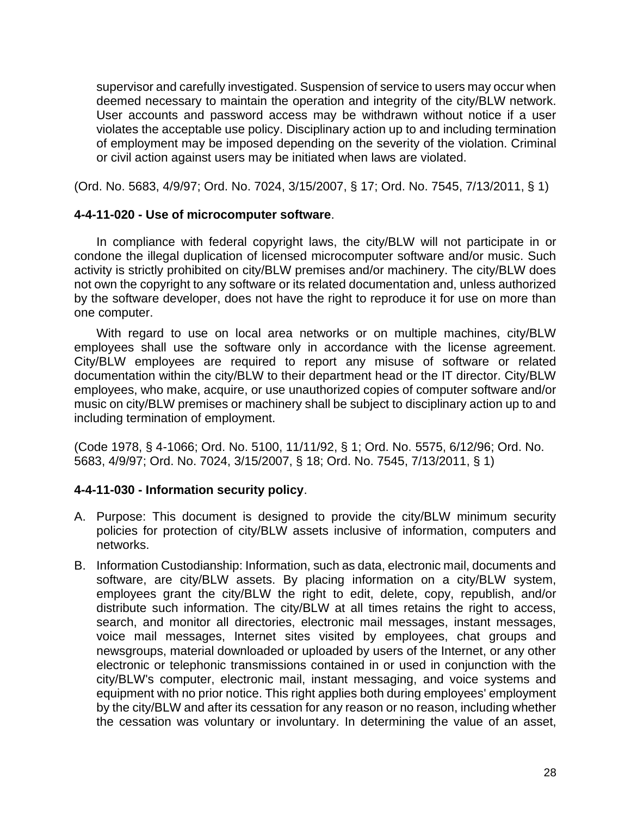supervisor and carefully investigated. Suspension of service to users may occur when deemed necessary to maintain the operation and integrity of the city/BLW network. User accounts and password access may be withdrawn without notice if a user violates the acceptable use policy. Disciplinary action up to and including termination of employment may be imposed depending on the severity of the violation. Criminal or civil action against users may be initiated when laws are violated.

(Ord. No. 5683, 4/9/97; Ord. No. 7024, 3/15/2007, § 17; Ord. No. 7545, 7/13/2011, § 1)

#### **4-4-11-020 - Use of microcomputer software**.

In compliance with federal copyright laws, the city/BLW will not participate in or condone the illegal duplication of licensed microcomputer software and/or music. Such activity is strictly prohibited on city/BLW premises and/or machinery. The city/BLW does not own the copyright to any software or its related documentation and, unless authorized by the software developer, does not have the right to reproduce it for use on more than one computer.

With regard to use on local area networks or on multiple machines, city/BLW employees shall use the software only in accordance with the license agreement. City/BLW employees are required to report any misuse of software or related documentation within the city/BLW to their department head or the IT director. City/BLW employees, who make, acquire, or use unauthorized copies of computer software and/or music on city/BLW premises or machinery shall be subject to disciplinary action up to and including termination of employment.

(Code 1978, § 4-1066; Ord. No. 5100, 11/11/92, § 1; Ord. No. 5575, 6/12/96; Ord. No. 5683, 4/9/97; Ord. No. 7024, 3/15/2007, § 18; Ord. No. 7545, 7/13/2011, § 1)

#### **4-4-11-030 - Information security policy**.

- A. Purpose: This document is designed to provide the city/BLW minimum security policies for protection of city/BLW assets inclusive of information, computers and networks.
- B. Information Custodianship: Information, such as data, electronic mail, documents and software, are city/BLW assets. By placing information on a city/BLW system, employees grant the city/BLW the right to edit, delete, copy, republish, and/or distribute such information. The city/BLW at all times retains the right to access, search, and monitor all directories, electronic mail messages, instant messages, voice mail messages, Internet sites visited by employees, chat groups and newsgroups, material downloaded or uploaded by users of the Internet, or any other electronic or telephonic transmissions contained in or used in conjunction with the city/BLW's computer, electronic mail, instant messaging, and voice systems and equipment with no prior notice. This right applies both during employees' employment by the city/BLW and after its cessation for any reason or no reason, including whether the cessation was voluntary or involuntary. In determining the value of an asset,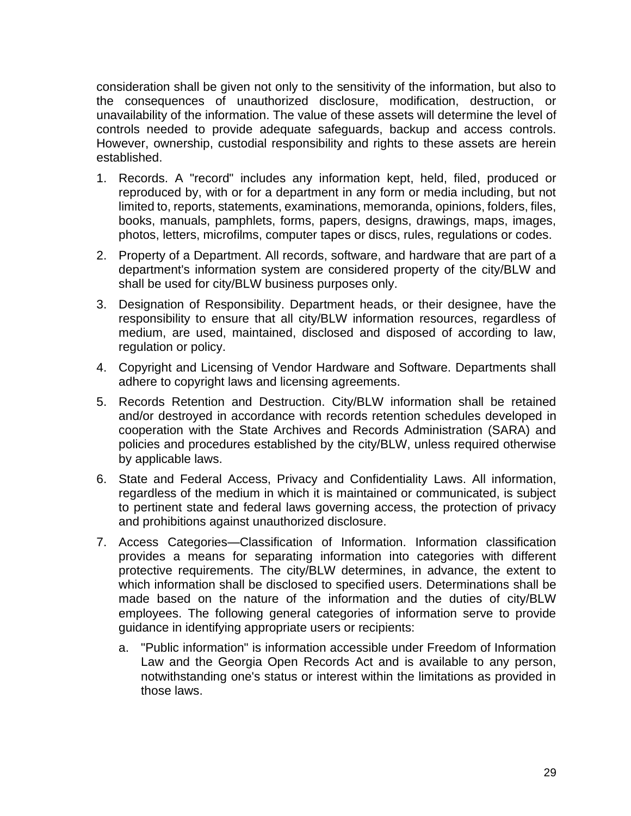consideration shall be given not only to the sensitivity of the information, but also to the consequences of unauthorized disclosure, modification, destruction, or unavailability of the information. The value of these assets will determine the level of controls needed to provide adequate safeguards, backup and access controls. However, ownership, custodial responsibility and rights to these assets are herein established.

- 1. Records. A "record" includes any information kept, held, filed, produced or reproduced by, with or for a department in any form or media including, but not limited to, reports, statements, examinations, memoranda, opinions, folders, files, books, manuals, pamphlets, forms, papers, designs, drawings, maps, images, photos, letters, microfilms, computer tapes or discs, rules, regulations or codes.
- 2. Property of a Department. All records, software, and hardware that are part of a department's information system are considered property of the city/BLW and shall be used for city/BLW business purposes only.
- 3. Designation of Responsibility. Department heads, or their designee, have the responsibility to ensure that all city/BLW information resources, regardless of medium, are used, maintained, disclosed and disposed of according to law, regulation or policy.
- 4. Copyright and Licensing of Vendor Hardware and Software. Departments shall adhere to copyright laws and licensing agreements.
- 5. Records Retention and Destruction. City/BLW information shall be retained and/or destroyed in accordance with records retention schedules developed in cooperation with the State Archives and Records Administration (SARA) and policies and procedures established by the city/BLW, unless required otherwise by applicable laws.
- 6. State and Federal Access, Privacy and Confidentiality Laws. All information, regardless of the medium in which it is maintained or communicated, is subject to pertinent state and federal laws governing access, the protection of privacy and prohibitions against unauthorized disclosure.
- 7. Access Categories—Classification of Information. Information classification provides a means for separating information into categories with different protective requirements. The city/BLW determines, in advance, the extent to which information shall be disclosed to specified users. Determinations shall be made based on the nature of the information and the duties of city/BLW employees. The following general categories of information serve to provide guidance in identifying appropriate users or recipients:
	- a. "Public information" is information accessible under Freedom of Information Law and the Georgia Open Records Act and is available to any person, notwithstanding one's status or interest within the limitations as provided in those laws.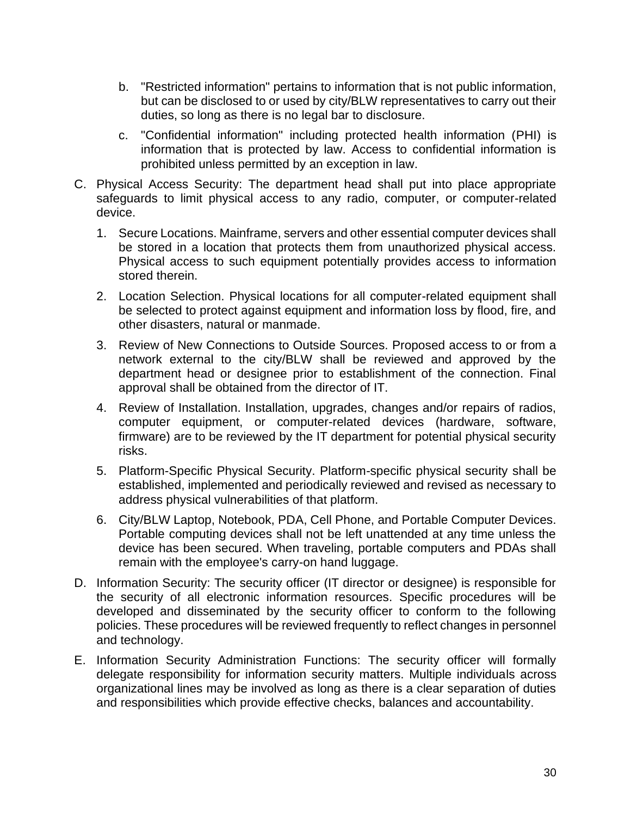- b. "Restricted information" pertains to information that is not public information, but can be disclosed to or used by city/BLW representatives to carry out their duties, so long as there is no legal bar to disclosure.
- c. "Confidential information" including protected health information (PHI) is information that is protected by law. Access to confidential information is prohibited unless permitted by an exception in law.
- C. Physical Access Security: The department head shall put into place appropriate safeguards to limit physical access to any radio, computer, or computer-related device.
	- 1. Secure Locations. Mainframe, servers and other essential computer devices shall be stored in a location that protects them from unauthorized physical access. Physical access to such equipment potentially provides access to information stored therein.
	- 2. Location Selection. Physical locations for all computer-related equipment shall be selected to protect against equipment and information loss by flood, fire, and other disasters, natural or manmade.
	- 3. Review of New Connections to Outside Sources. Proposed access to or from a network external to the city/BLW shall be reviewed and approved by the department head or designee prior to establishment of the connection. Final approval shall be obtained from the director of IT.
	- 4. Review of Installation. Installation, upgrades, changes and/or repairs of radios, computer equipment, or computer-related devices (hardware, software, firmware) are to be reviewed by the IT department for potential physical security risks.
	- 5. Platform-Specific Physical Security. Platform-specific physical security shall be established, implemented and periodically reviewed and revised as necessary to address physical vulnerabilities of that platform.
	- 6. City/BLW Laptop, Notebook, PDA, Cell Phone, and Portable Computer Devices. Portable computing devices shall not be left unattended at any time unless the device has been secured. When traveling, portable computers and PDAs shall remain with the employee's carry-on hand luggage.
- D. Information Security: The security officer (IT director or designee) is responsible for the security of all electronic information resources. Specific procedures will be developed and disseminated by the security officer to conform to the following policies. These procedures will be reviewed frequently to reflect changes in personnel and technology.
- E. Information Security Administration Functions: The security officer will formally delegate responsibility for information security matters. Multiple individuals across organizational lines may be involved as long as there is a clear separation of duties and responsibilities which provide effective checks, balances and accountability.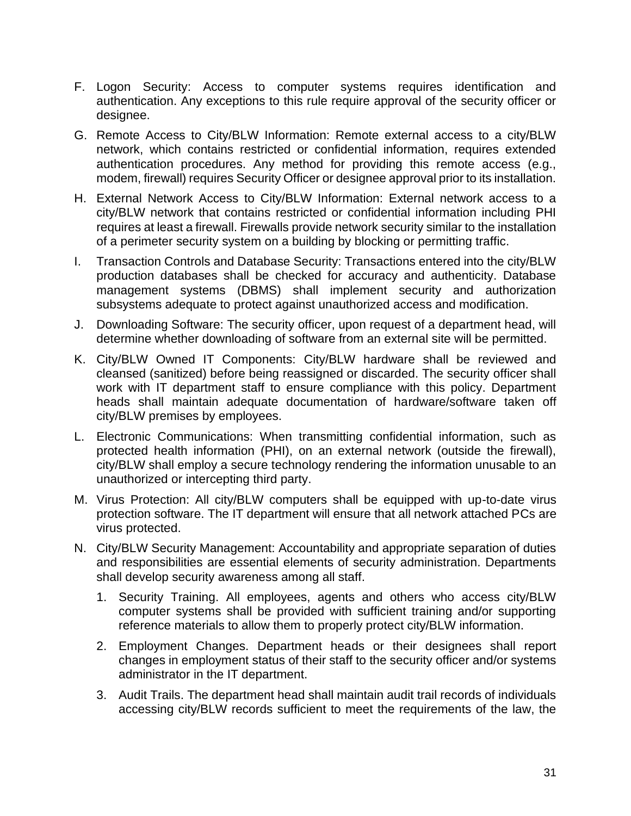- F. Logon Security: Access to computer systems requires identification and authentication. Any exceptions to this rule require approval of the security officer or designee.
- G. Remote Access to City/BLW Information: Remote external access to a city/BLW network, which contains restricted or confidential information, requires extended authentication procedures. Any method for providing this remote access (e.g., modem, firewall) requires Security Officer or designee approval prior to its installation.
- H. External Network Access to City/BLW Information: External network access to a city/BLW network that contains restricted or confidential information including PHI requires at least a firewall. Firewalls provide network security similar to the installation of a perimeter security system on a building by blocking or permitting traffic.
- I. Transaction Controls and Database Security: Transactions entered into the city/BLW production databases shall be checked for accuracy and authenticity. Database management systems (DBMS) shall implement security and authorization subsystems adequate to protect against unauthorized access and modification.
- J. Downloading Software: The security officer, upon request of a department head, will determine whether downloading of software from an external site will be permitted.
- K. City/BLW Owned IT Components: City/BLW hardware shall be reviewed and cleansed (sanitized) before being reassigned or discarded. The security officer shall work with IT department staff to ensure compliance with this policy. Department heads shall maintain adequate documentation of hardware/software taken off city/BLW premises by employees.
- L. Electronic Communications: When transmitting confidential information, such as protected health information (PHI), on an external network (outside the firewall), city/BLW shall employ a secure technology rendering the information unusable to an unauthorized or intercepting third party.
- M. Virus Protection: All city/BLW computers shall be equipped with up-to-date virus protection software. The IT department will ensure that all network attached PCs are virus protected.
- N. City/BLW Security Management: Accountability and appropriate separation of duties and responsibilities are essential elements of security administration. Departments shall develop security awareness among all staff.
	- 1. Security Training. All employees, agents and others who access city/BLW computer systems shall be provided with sufficient training and/or supporting reference materials to allow them to properly protect city/BLW information.
	- 2. Employment Changes. Department heads or their designees shall report changes in employment status of their staff to the security officer and/or systems administrator in the IT department.
	- 3. Audit Trails. The department head shall maintain audit trail records of individuals accessing city/BLW records sufficient to meet the requirements of the law, the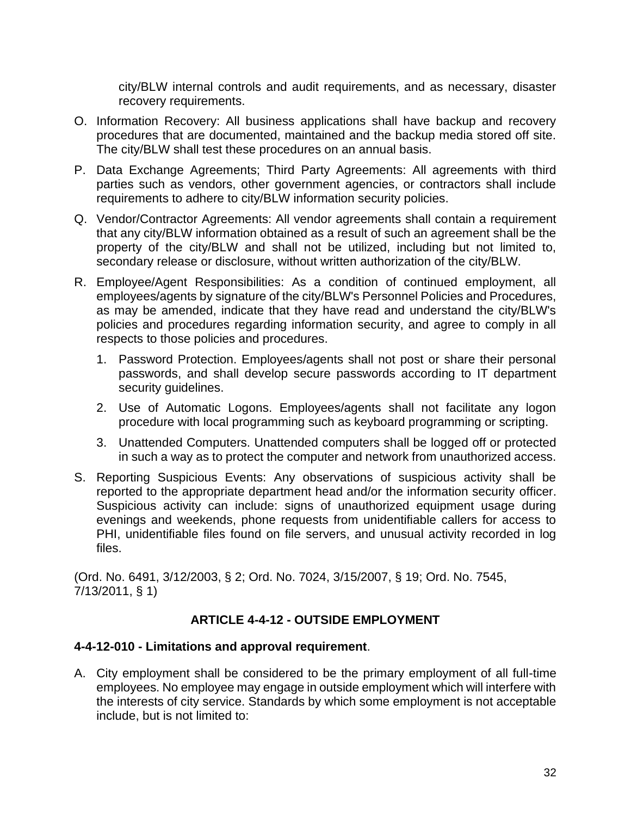city/BLW internal controls and audit requirements, and as necessary, disaster recovery requirements.

- O. Information Recovery: All business applications shall have backup and recovery procedures that are documented, maintained and the backup media stored off site. The city/BLW shall test these procedures on an annual basis.
- P. Data Exchange Agreements; Third Party Agreements: All agreements with third parties such as vendors, other government agencies, or contractors shall include requirements to adhere to city/BLW information security policies.
- Q. Vendor/Contractor Agreements: All vendor agreements shall contain a requirement that any city/BLW information obtained as a result of such an agreement shall be the property of the city/BLW and shall not be utilized, including but not limited to, secondary release or disclosure, without written authorization of the city/BLW.
- R. Employee/Agent Responsibilities: As a condition of continued employment, all employees/agents by signature of the city/BLW's Personnel Policies and Procedures, as may be amended, indicate that they have read and understand the city/BLW's policies and procedures regarding information security, and agree to comply in all respects to those policies and procedures.
	- 1. Password Protection. Employees/agents shall not post or share their personal passwords, and shall develop secure passwords according to IT department security guidelines.
	- 2. Use of Automatic Logons. Employees/agents shall not facilitate any logon procedure with local programming such as keyboard programming or scripting.
	- 3. Unattended Computers. Unattended computers shall be logged off or protected in such a way as to protect the computer and network from unauthorized access.
- S. Reporting Suspicious Events: Any observations of suspicious activity shall be reported to the appropriate department head and/or the information security officer. Suspicious activity can include: signs of unauthorized equipment usage during evenings and weekends, phone requests from unidentifiable callers for access to PHI, unidentifiable files found on file servers, and unusual activity recorded in log files.

(Ord. No. 6491, 3/12/2003, § 2; Ord. No. 7024, 3/15/2007, § 19; Ord. No. 7545, 7/13/2011, § 1)

# **ARTICLE 4-4-12 - OUTSIDE EMPLOYMENT**

# **4-4-12-010 - Limitations and approval requirement**.

A. City employment shall be considered to be the primary employment of all full-time employees. No employee may engage in outside employment which will interfere with the interests of city service. Standards by which some employment is not acceptable include, but is not limited to: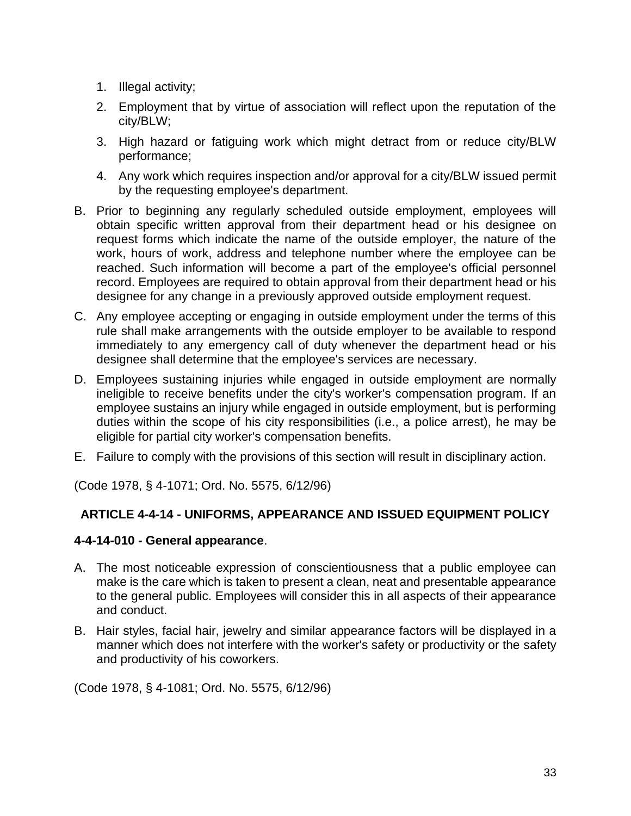- 1. Illegal activity;
- 2. Employment that by virtue of association will reflect upon the reputation of the city/BLW;
- 3. High hazard or fatiguing work which might detract from or reduce city/BLW performance;
- 4. Any work which requires inspection and/or approval for a city/BLW issued permit by the requesting employee's department.
- B. Prior to beginning any regularly scheduled outside employment, employees will obtain specific written approval from their department head or his designee on request forms which indicate the name of the outside employer, the nature of the work, hours of work, address and telephone number where the employee can be reached. Such information will become a part of the employee's official personnel record. Employees are required to obtain approval from their department head or his designee for any change in a previously approved outside employment request.
- C. Any employee accepting or engaging in outside employment under the terms of this rule shall make arrangements with the outside employer to be available to respond immediately to any emergency call of duty whenever the department head or his designee shall determine that the employee's services are necessary.
- D. Employees sustaining injuries while engaged in outside employment are normally ineligible to receive benefits under the city's worker's compensation program. If an employee sustains an injury while engaged in outside employment, but is performing duties within the scope of his city responsibilities (i.e., a police arrest), he may be eligible for partial city worker's compensation benefits.
- E. Failure to comply with the provisions of this section will result in disciplinary action.

(Code 1978, § 4-1071; Ord. No. 5575, 6/12/96)

# **ARTICLE 4-4-14 - UNIFORMS, APPEARANCE AND ISSUED EQUIPMENT POLICY**

# **4-4-14-010 - General appearance**.

- A. The most noticeable expression of conscientiousness that a public employee can make is the care which is taken to present a clean, neat and presentable appearance to the general public. Employees will consider this in all aspects of their appearance and conduct.
- B. Hair styles, facial hair, jewelry and similar appearance factors will be displayed in a manner which does not interfere with the worker's safety or productivity or the safety and productivity of his coworkers.

(Code 1978, § 4-1081; Ord. No. 5575, 6/12/96)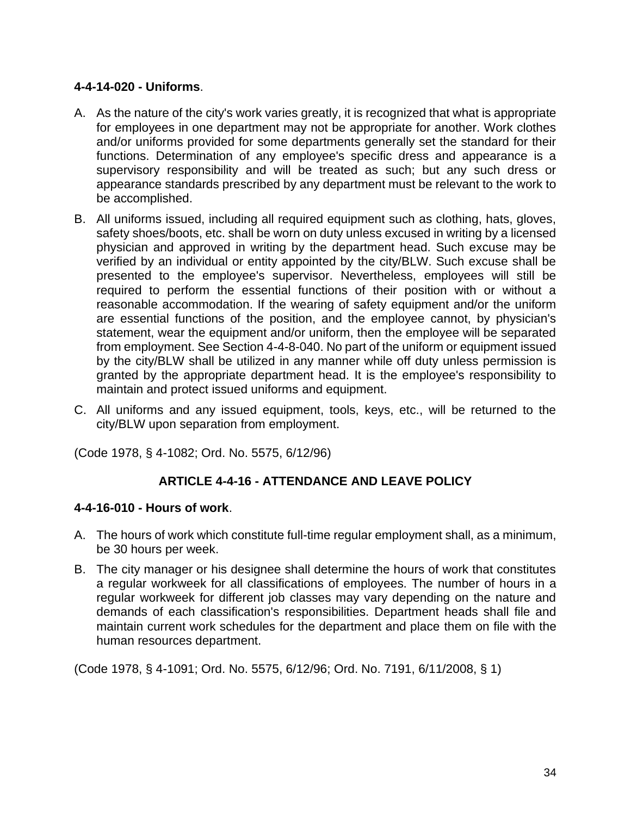# **4-4-14-020 - Uniforms**.

- A. As the nature of the city's work varies greatly, it is recognized that what is appropriate for employees in one department may not be appropriate for another. Work clothes and/or uniforms provided for some departments generally set the standard for their functions. Determination of any employee's specific dress and appearance is a supervisory responsibility and will be treated as such; but any such dress or appearance standards prescribed by any department must be relevant to the work to be accomplished.
- B. All uniforms issued, including all required equipment such as clothing, hats, gloves, safety shoes/boots, etc. shall be worn on duty unless excused in writing by a licensed physician and approved in writing by the department head. Such excuse may be verified by an individual or entity appointed by the city/BLW. Such excuse shall be presented to the employee's supervisor. Nevertheless, employees will still be required to perform the essential functions of their position with or without a reasonable accommodation. If the wearing of safety equipment and/or the uniform are essential functions of the position, and the employee cannot, by physician's statement, wear the equipment and/or uniform, then the employee will be separated from employment. See Section 4-4-8-040. No part of the uniform or equipment issued by the city/BLW shall be utilized in any manner while off duty unless permission is granted by the appropriate department head. It is the employee's responsibility to maintain and protect issued uniforms and equipment.
- C. All uniforms and any issued equipment, tools, keys, etc., will be returned to the city/BLW upon separation from employment.

(Code 1978, § 4-1082; Ord. No. 5575, 6/12/96)

# **ARTICLE 4-4-16 - ATTENDANCE AND LEAVE POLICY**

### **4-4-16-010 - Hours of work**.

- A. The hours of work which constitute full-time regular employment shall, as a minimum, be 30 hours per week.
- B. The city manager or his designee shall determine the hours of work that constitutes a regular workweek for all classifications of employees. The number of hours in a regular workweek for different job classes may vary depending on the nature and demands of each classification's responsibilities. Department heads shall file and maintain current work schedules for the department and place them on file with the human resources department.

(Code 1978, § 4-1091; Ord. No. 5575, 6/12/96; Ord. No. 7191, 6/11/2008, § 1)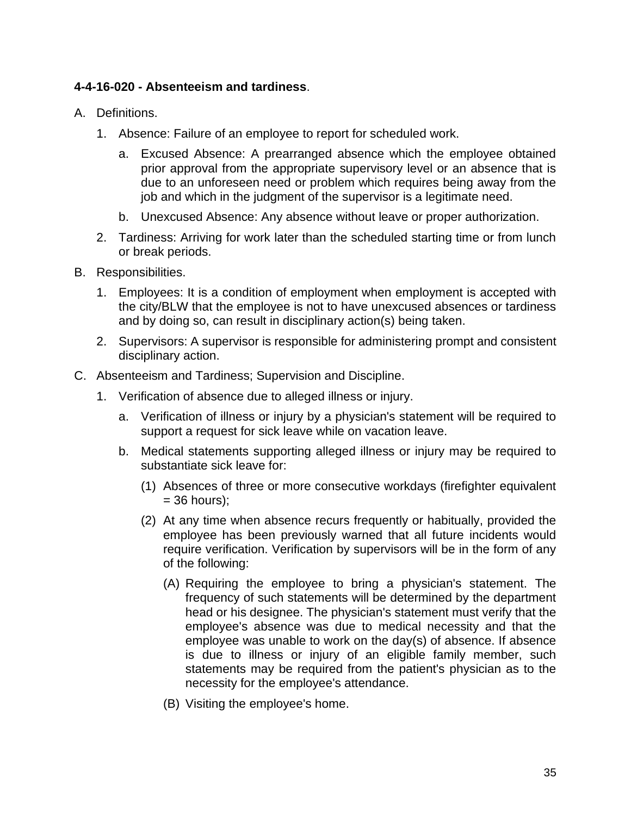### **4-4-16-020 - Absenteeism and tardiness**.

- A. Definitions.
	- 1. Absence: Failure of an employee to report for scheduled work.
		- a. Excused Absence: A prearranged absence which the employee obtained prior approval from the appropriate supervisory level or an absence that is due to an unforeseen need or problem which requires being away from the job and which in the judgment of the supervisor is a legitimate need.
		- b. Unexcused Absence: Any absence without leave or proper authorization.
	- 2. Tardiness: Arriving for work later than the scheduled starting time or from lunch or break periods.
- B. Responsibilities.
	- 1. Employees: It is a condition of employment when employment is accepted with the city/BLW that the employee is not to have unexcused absences or tardiness and by doing so, can result in disciplinary action(s) being taken.
	- 2. Supervisors: A supervisor is responsible for administering prompt and consistent disciplinary action.
- C. Absenteeism and Tardiness; Supervision and Discipline.
	- 1. Verification of absence due to alleged illness or injury.
		- a. Verification of illness or injury by a physician's statement will be required to support a request for sick leave while on vacation leave.
		- b. Medical statements supporting alleged illness or injury may be required to substantiate sick leave for:
			- (1) Absences of three or more consecutive workdays (firefighter equivalent  $= 36$  hours):
			- (2) At any time when absence recurs frequently or habitually, provided the employee has been previously warned that all future incidents would require verification. Verification by supervisors will be in the form of any of the following:
				- (A) Requiring the employee to bring a physician's statement. The frequency of such statements will be determined by the department head or his designee. The physician's statement must verify that the employee's absence was due to medical necessity and that the employee was unable to work on the day(s) of absence. If absence is due to illness or injury of an eligible family member, such statements may be required from the patient's physician as to the necessity for the employee's attendance.
				- (B) Visiting the employee's home.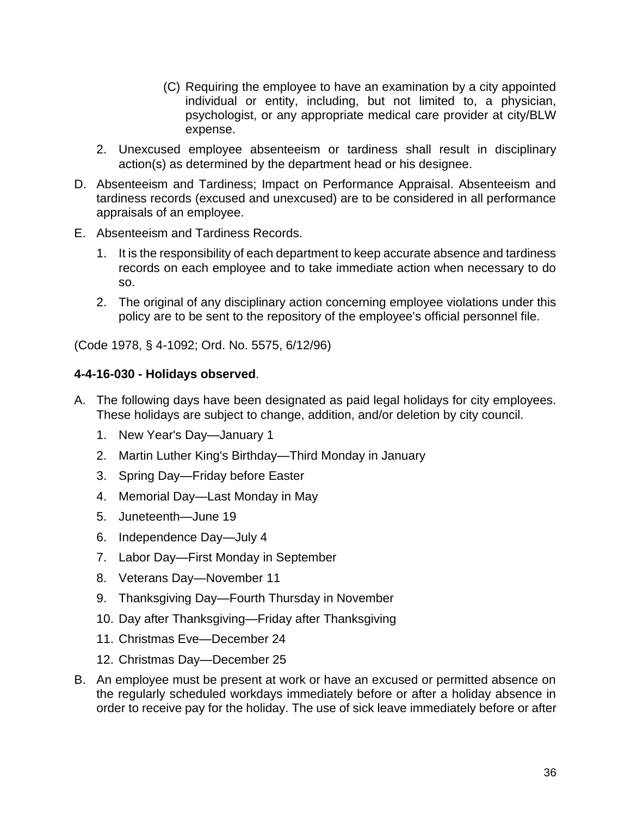- (C) Requiring the employee to have an examination by a city appointed individual or entity, including, but not limited to, a physician, psychologist, or any appropriate medical care provider at city/BLW expense.
- 2. Unexcused employee absenteeism or tardiness shall result in disciplinary action(s) as determined by the department head or his designee.
- D. Absenteeism and Tardiness; Impact on Performance Appraisal. Absenteeism and tardiness records (excused and unexcused) are to be considered in all performance appraisals of an employee.
- E. Absenteeism and Tardiness Records.
	- 1. It is the responsibility of each department to keep accurate absence and tardiness records on each employee and to take immediate action when necessary to do so.
	- 2. The original of any disciplinary action concerning employee violations under this policy are to be sent to the repository of the employee's official personnel file.

(Code 1978, § 4-1092; Ord. No. 5575, 6/12/96)

### **4-4-16-030 - Holidays observed**.

- A. The following days have been designated as paid legal holidays for city employees. These holidays are subject to change, addition, and/or deletion by city council.
	- 1. New Year's Day—January 1
	- 2. Martin Luther King's Birthday—Third Monday in January
	- 3. Spring Day—Friday before Easter
	- 4. Memorial Day—Last Monday in May
	- 5. Juneteenth—June 19
	- 6. Independence Day—July 4
	- 7. Labor Day—First Monday in September
	- 8. Veterans Day—November 11
	- 9. Thanksgiving Day—Fourth Thursday in November
	- 10. Day after Thanksgiving—Friday after Thanksgiving
	- 11. Christmas Eve—December 24
	- 12. Christmas Day—December 25
- B. An employee must be present at work or have an excused or permitted absence on the regularly scheduled workdays immediately before or after a holiday absence in order to receive pay for the holiday. The use of sick leave immediately before or after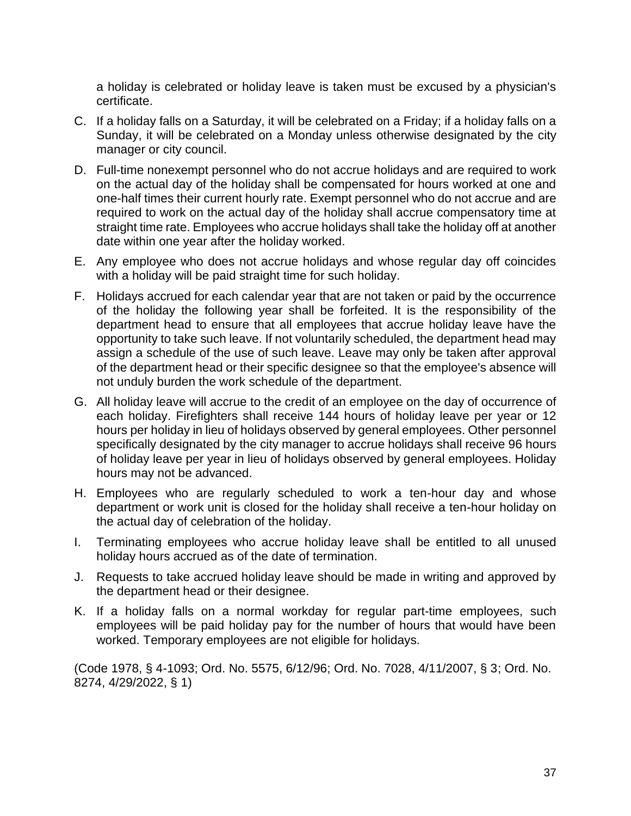a holiday is celebrated or holiday leave is taken must be excused by a physician's certificate.

- C. If a holiday falls on a Saturday, it will be celebrated on a Friday; if a holiday falls on a Sunday, it will be celebrated on a Monday unless otherwise designated by the city manager or city council.
- D. Full-time nonexempt personnel who do not accrue holidays and are required to work on the actual day of the holiday shall be compensated for hours worked at one and one-half times their current hourly rate. Exempt personnel who do not accrue and are required to work on the actual day of the holiday shall accrue compensatory time at straight time rate. Employees who accrue holidays shall take the holiday off at another date within one year after the holiday worked.
- E. Any employee who does not accrue holidays and whose regular day off coincides with a holiday will be paid straight time for such holiday.
- F. Holidays accrued for each calendar year that are not taken or paid by the occurrence of the holiday the following year shall be forfeited. It is the responsibility of the department head to ensure that all employees that accrue holiday leave have the opportunity to take such leave. If not voluntarily scheduled, the department head may assign a schedule of the use of such leave. Leave may only be taken after approval of the department head or their specific designee so that the employee's absence will not unduly burden the work schedule of the department.
- G. All holiday leave will accrue to the credit of an employee on the day of occurrence of each holiday. Firefighters shall receive 144 hours of holiday leave per year or 12 hours per holiday in lieu of holidays observed by general employees. Other personnel specifically designated by the city manager to accrue holidays shall receive 96 hours of holiday leave per year in lieu of holidays observed by general employees. Holiday hours may not be advanced.
- H. Employees who are regularly scheduled to work a ten-hour day and whose department or work unit is closed for the holiday shall receive a ten-hour holiday on the actual day of celebration of the holiday.
- I. Terminating employees who accrue holiday leave shall be entitled to all unused holiday hours accrued as of the date of termination.
- J. Requests to take accrued holiday leave should be made in writing and approved by the department head or their designee.
- K. If a holiday falls on a normal workday for regular part-time employees, such employees will be paid holiday pay for the number of hours that would have been worked. Temporary employees are not eligible for holidays.

(Code 1978, § 4-1093; Ord. No. 5575, 6/12/96; Ord. No. 7028, 4/11/2007, § 3; Ord. No. 8274, 4/29/2022, § 1)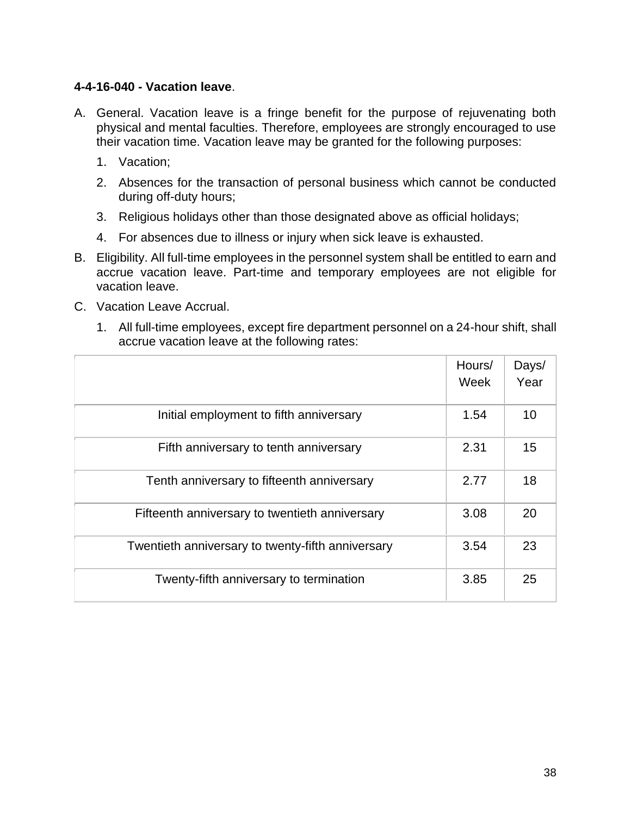### **4-4-16-040 - Vacation leave**.

- A. General. Vacation leave is a fringe benefit for the purpose of rejuvenating both physical and mental faculties. Therefore, employees are strongly encouraged to use their vacation time. Vacation leave may be granted for the following purposes:
	- 1. Vacation;
	- 2. Absences for the transaction of personal business which cannot be conducted during off-duty hours;
	- 3. Religious holidays other than those designated above as official holidays;
	- 4. For absences due to illness or injury when sick leave is exhausted.
- B. Eligibility. All full-time employees in the personnel system shall be entitled to earn and accrue vacation leave. Part-time and temporary employees are not eligible for vacation leave.
- C. Vacation Leave Accrual.
	- 1. All full-time employees, except fire department personnel on a 24-hour shift, shall accrue vacation leave at the following rates:

|                                                   | Hours/<br>Week | Days/<br>Year |
|---------------------------------------------------|----------------|---------------|
| Initial employment to fifth anniversary           | 1.54           | 10            |
| Fifth anniversary to tenth anniversary            | 2.31           | 15            |
| Tenth anniversary to fifteenth anniversary        | 2.77           | 18            |
| Fifteenth anniversary to twentieth anniversary    | 3.08           | 20            |
| Twentieth anniversary to twenty-fifth anniversary | 3.54           | 23            |
| Twenty-fifth anniversary to termination           | 3.85           | 25            |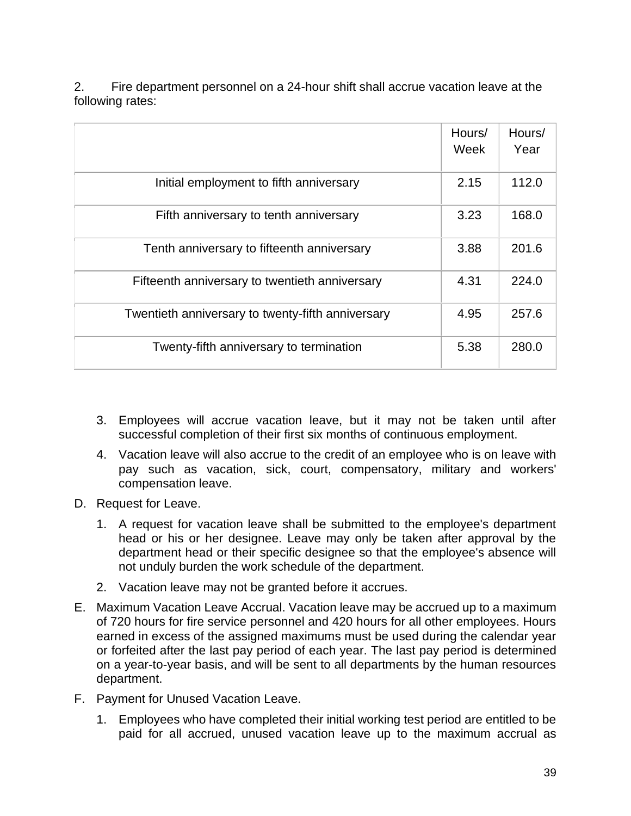| Fire department personnel on a 24-hour shift shall accrue vacation leave at the |
|---------------------------------------------------------------------------------|
| following rates:                                                                |

|                                                   | Hours/<br>Week | Hours/<br>Year |
|---------------------------------------------------|----------------|----------------|
| Initial employment to fifth anniversary           | 2.15           | 112.0          |
| Fifth anniversary to tenth anniversary            | 3.23           | 168.0          |
| Tenth anniversary to fifteenth anniversary        | 3.88           | 201.6          |
| Fifteenth anniversary to twentieth anniversary    | 4.31           | 224.0          |
| Twentieth anniversary to twenty-fifth anniversary | 4.95           | 257.6          |
| Twenty-fifth anniversary to termination           | 5.38           | 280.0          |

- 3. Employees will accrue vacation leave, but it may not be taken until after successful completion of their first six months of continuous employment.
- 4. Vacation leave will also accrue to the credit of an employee who is on leave with pay such as vacation, sick, court, compensatory, military and workers' compensation leave.
- D. Request for Leave.
	- 1. A request for vacation leave shall be submitted to the employee's department head or his or her designee. Leave may only be taken after approval by the department head or their specific designee so that the employee's absence will not unduly burden the work schedule of the department.
	- 2. Vacation leave may not be granted before it accrues.
- E. Maximum Vacation Leave Accrual. Vacation leave may be accrued up to a maximum of 720 hours for fire service personnel and 420 hours for all other employees. Hours earned in excess of the assigned maximums must be used during the calendar year or forfeited after the last pay period of each year. The last pay period is determined on a year-to-year basis, and will be sent to all departments by the human resources department.
- F. Payment for Unused Vacation Leave.
	- 1. Employees who have completed their initial working test period are entitled to be paid for all accrued, unused vacation leave up to the maximum accrual as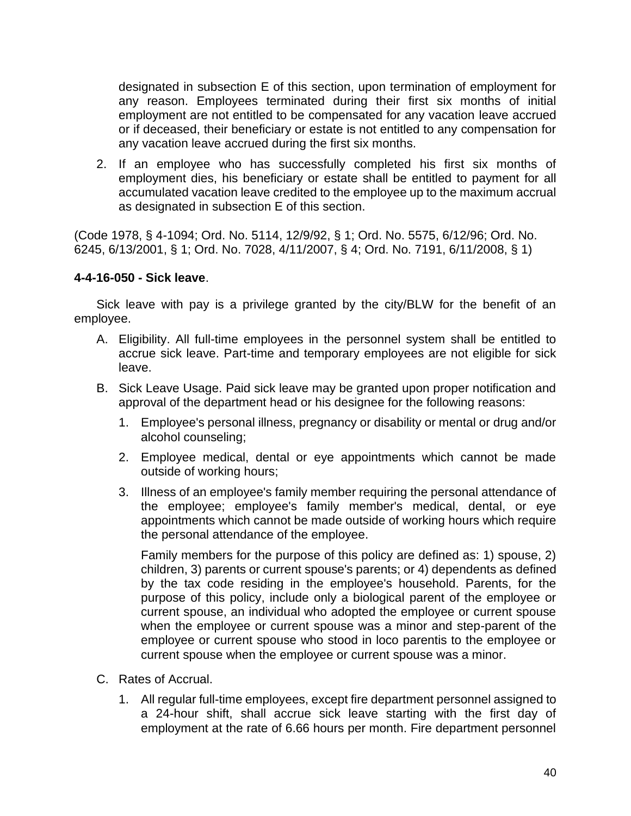designated in subsection E of this section, upon termination of employment for any reason. Employees terminated during their first six months of initial employment are not entitled to be compensated for any vacation leave accrued or if deceased, their beneficiary or estate is not entitled to any compensation for any vacation leave accrued during the first six months.

2. If an employee who has successfully completed his first six months of employment dies, his beneficiary or estate shall be entitled to payment for all accumulated vacation leave credited to the employee up to the maximum accrual as designated in subsection E of this section.

(Code 1978, § 4-1094; Ord. No. 5114, 12/9/92, § 1; Ord. No. 5575, 6/12/96; Ord. No. 6245, 6/13/2001, § 1; Ord. No. 7028, 4/11/2007, § 4; Ord. No. 7191, 6/11/2008, § 1)

#### **4-4-16-050 - Sick leave**.

Sick leave with pay is a privilege granted by the city/BLW for the benefit of an employee.

- A. Eligibility. All full-time employees in the personnel system shall be entitled to accrue sick leave. Part-time and temporary employees are not eligible for sick leave.
- B. Sick Leave Usage. Paid sick leave may be granted upon proper notification and approval of the department head or his designee for the following reasons:
	- 1. Employee's personal illness, pregnancy or disability or mental or drug and/or alcohol counseling;
	- 2. Employee medical, dental or eye appointments which cannot be made outside of working hours;
	- 3. Illness of an employee's family member requiring the personal attendance of the employee; employee's family member's medical, dental, or eye appointments which cannot be made outside of working hours which require the personal attendance of the employee.

Family members for the purpose of this policy are defined as: 1) spouse, 2) children, 3) parents or current spouse's parents; or 4) dependents as defined by the tax code residing in the employee's household. Parents, for the purpose of this policy, include only a biological parent of the employee or current spouse, an individual who adopted the employee or current spouse when the employee or current spouse was a minor and step-parent of the employee or current spouse who stood in loco parentis to the employee or current spouse when the employee or current spouse was a minor.

- C. Rates of Accrual.
	- 1. All regular full-time employees, except fire department personnel assigned to a 24-hour shift, shall accrue sick leave starting with the first day of employment at the rate of 6.66 hours per month. Fire department personnel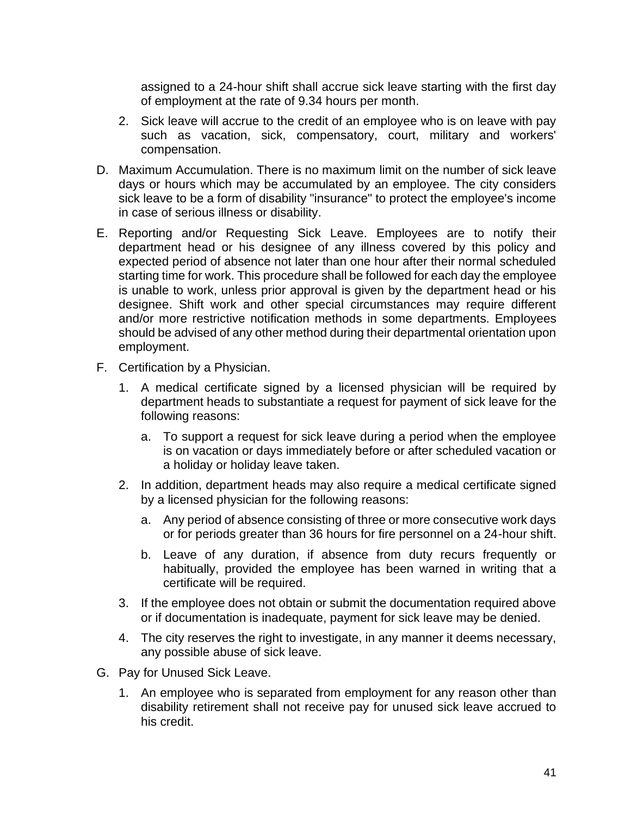assigned to a 24-hour shift shall accrue sick leave starting with the first day of employment at the rate of 9.34 hours per month.

- 2. Sick leave will accrue to the credit of an employee who is on leave with pay such as vacation, sick, compensatory, court, military and workers' compensation.
- D. Maximum Accumulation. There is no maximum limit on the number of sick leave days or hours which may be accumulated by an employee. The city considers sick leave to be a form of disability "insurance" to protect the employee's income in case of serious illness or disability.
- E. Reporting and/or Requesting Sick Leave. Employees are to notify their department head or his designee of any illness covered by this policy and expected period of absence not later than one hour after their normal scheduled starting time for work. This procedure shall be followed for each day the employee is unable to work, unless prior approval is given by the department head or his designee. Shift work and other special circumstances may require different and/or more restrictive notification methods in some departments. Employees should be advised of any other method during their departmental orientation upon employment.
- F. Certification by a Physician.
	- 1. A medical certificate signed by a licensed physician will be required by department heads to substantiate a request for payment of sick leave for the following reasons:
		- a. To support a request for sick leave during a period when the employee is on vacation or days immediately before or after scheduled vacation or a holiday or holiday leave taken.
	- 2. In addition, department heads may also require a medical certificate signed by a licensed physician for the following reasons:
		- a. Any period of absence consisting of three or more consecutive work days or for periods greater than 36 hours for fire personnel on a 24-hour shift.
		- b. Leave of any duration, if absence from duty recurs frequently or habitually, provided the employee has been warned in writing that a certificate will be required.
	- 3. If the employee does not obtain or submit the documentation required above or if documentation is inadequate, payment for sick leave may be denied.
	- 4. The city reserves the right to investigate, in any manner it deems necessary, any possible abuse of sick leave.
- G. Pay for Unused Sick Leave.
	- 1. An employee who is separated from employment for any reason other than disability retirement shall not receive pay for unused sick leave accrued to his credit.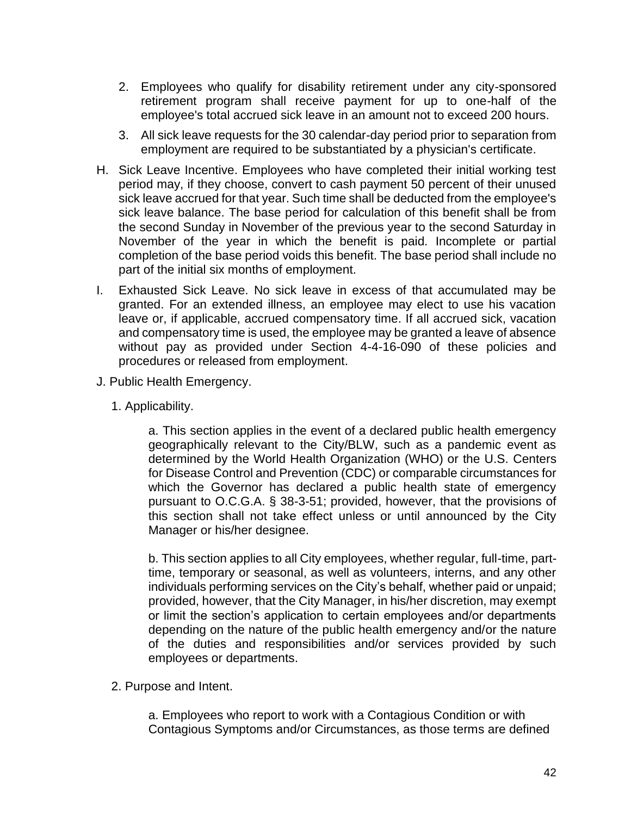- 2. Employees who qualify for disability retirement under any city-sponsored retirement program shall receive payment for up to one-half of the employee's total accrued sick leave in an amount not to exceed 200 hours.
- 3. All sick leave requests for the 30 calendar-day period prior to separation from employment are required to be substantiated by a physician's certificate.
- H. Sick Leave Incentive. Employees who have completed their initial working test period may, if they choose, convert to cash payment 50 percent of their unused sick leave accrued for that year. Such time shall be deducted from the employee's sick leave balance. The base period for calculation of this benefit shall be from the second Sunday in November of the previous year to the second Saturday in November of the year in which the benefit is paid. Incomplete or partial completion of the base period voids this benefit. The base period shall include no part of the initial six months of employment.
- I. Exhausted Sick Leave. No sick leave in excess of that accumulated may be granted. For an extended illness, an employee may elect to use his vacation leave or, if applicable, accrued compensatory time. If all accrued sick, vacation and compensatory time is used, the employee may be granted a leave of absence without pay as provided under Section 4-4-16-090 of these policies and procedures or released from employment.
- J. Public Health Emergency.
	- 1. Applicability.

a. This section applies in the event of a declared public health emergency geographically relevant to the City/BLW, such as a pandemic event as determined by the World Health Organization (WHO) or the U.S. Centers for Disease Control and Prevention (CDC) or comparable circumstances for which the Governor has declared a public health state of emergency pursuant to O.C.G.A. § 38-3-51; provided, however, that the provisions of this section shall not take effect unless or until announced by the City Manager or his/her designee.

b. This section applies to all City employees, whether regular, full-time, parttime, temporary or seasonal, as well as volunteers, interns, and any other individuals performing services on the City's behalf, whether paid or unpaid; provided, however, that the City Manager, in his/her discretion, may exempt or limit the section's application to certain employees and/or departments depending on the nature of the public health emergency and/or the nature of the duties and responsibilities and/or services provided by such employees or departments.

2. Purpose and Intent.

a. Employees who report to work with a Contagious Condition or with Contagious Symptoms and/or Circumstances, as those terms are defined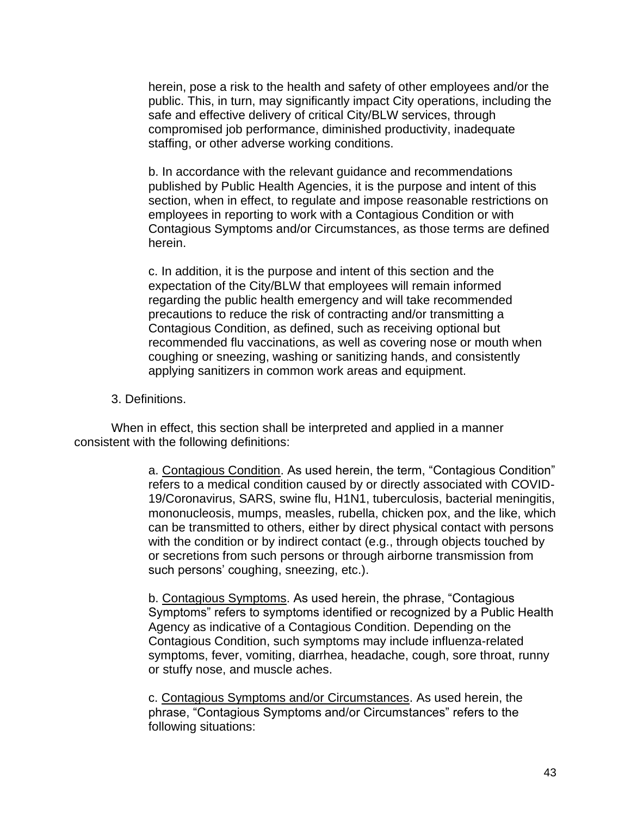herein, pose a risk to the health and safety of other employees and/or the public. This, in turn, may significantly impact City operations, including the safe and effective delivery of critical City/BLW services, through compromised job performance, diminished productivity, inadequate staffing, or other adverse working conditions.

b. In accordance with the relevant guidance and recommendations published by Public Health Agencies, it is the purpose and intent of this section, when in effect, to regulate and impose reasonable restrictions on employees in reporting to work with a Contagious Condition or with Contagious Symptoms and/or Circumstances, as those terms are defined herein.

c. In addition, it is the purpose and intent of this section and the expectation of the City/BLW that employees will remain informed regarding the public health emergency and will take recommended precautions to reduce the risk of contracting and/or transmitting a Contagious Condition, as defined, such as receiving optional but recommended flu vaccinations, as well as covering nose or mouth when coughing or sneezing, washing or sanitizing hands, and consistently applying sanitizers in common work areas and equipment.

#### 3. Definitions.

When in effect, this section shall be interpreted and applied in a manner consistent with the following definitions:

> a. Contagious Condition. As used herein, the term, "Contagious Condition" refers to a medical condition caused by or directly associated with COVID-19/Coronavirus, SARS, swine flu, H1N1, tuberculosis, bacterial meningitis, mononucleosis, mumps, measles, rubella, chicken pox, and the like, which can be transmitted to others, either by direct physical contact with persons with the condition or by indirect contact (e.g., through objects touched by or secretions from such persons or through airborne transmission from such persons' coughing, sneezing, etc.).

> b. Contagious Symptoms. As used herein, the phrase, "Contagious Symptoms" refers to symptoms identified or recognized by a Public Health Agency as indicative of a Contagious Condition. Depending on the Contagious Condition, such symptoms may include influenza-related symptoms, fever, vomiting, diarrhea, headache, cough, sore throat, runny or stuffy nose, and muscle aches.

c. Contagious Symptoms and/or Circumstances. As used herein, the phrase, "Contagious Symptoms and/or Circumstances" refers to the following situations: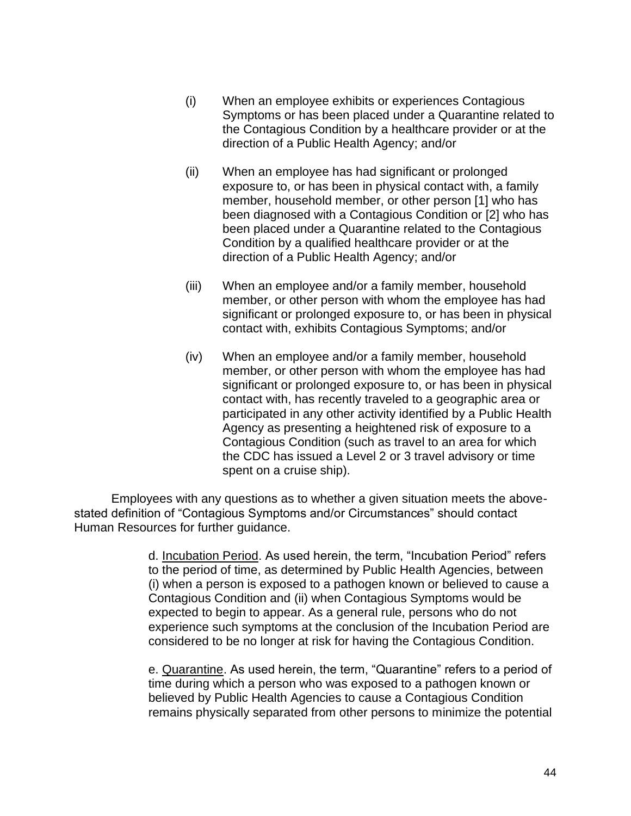- (i) When an employee exhibits or experiences Contagious Symptoms or has been placed under a Quarantine related to the Contagious Condition by a healthcare provider or at the direction of a Public Health Agency; and/or
- (ii) When an employee has had significant or prolonged exposure to, or has been in physical contact with, a family member, household member, or other person [1] who has been diagnosed with a Contagious Condition or [2] who has been placed under a Quarantine related to the Contagious Condition by a qualified healthcare provider or at the direction of a Public Health Agency; and/or
- (iii) When an employee and/or a family member, household member, or other person with whom the employee has had significant or prolonged exposure to, or has been in physical contact with, exhibits Contagious Symptoms; and/or
- (iv) When an employee and/or a family member, household member, or other person with whom the employee has had significant or prolonged exposure to, or has been in physical contact with, has recently traveled to a geographic area or participated in any other activity identified by a Public Health Agency as presenting a heightened risk of exposure to a Contagious Condition (such as travel to an area for which the CDC has issued a Level 2 or 3 travel advisory or time spent on a cruise ship).

Employees with any questions as to whether a given situation meets the abovestated definition of "Contagious Symptoms and/or Circumstances" should contact Human Resources for further guidance.

> d. Incubation Period. As used herein, the term, "Incubation Period" refers to the period of time, as determined by Public Health Agencies, between (i) when a person is exposed to a pathogen known or believed to cause a Contagious Condition and (ii) when Contagious Symptoms would be expected to begin to appear. As a general rule, persons who do not experience such symptoms at the conclusion of the Incubation Period are considered to be no longer at risk for having the Contagious Condition.

> e. Quarantine. As used herein, the term, "Quarantine" refers to a period of time during which a person who was exposed to a pathogen known or believed by Public Health Agencies to cause a Contagious Condition remains physically separated from other persons to minimize the potential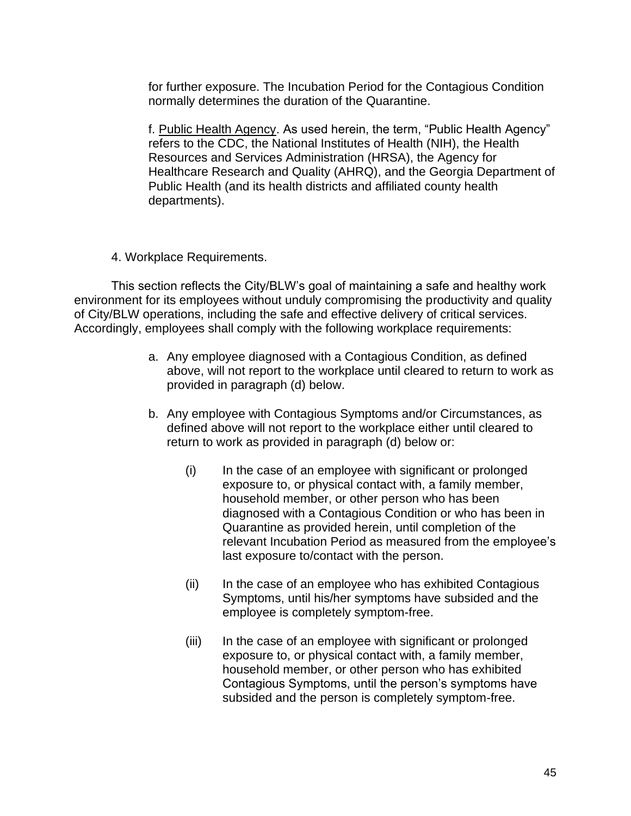for further exposure. The Incubation Period for the Contagious Condition normally determines the duration of the Quarantine.

f. Public Health Agency. As used herein, the term, "Public Health Agency" refers to the CDC, the National Institutes of Health (NIH), the Health Resources and Services Administration (HRSA), the Agency for Healthcare Research and Quality (AHRQ), and the Georgia Department of Public Health (and its health districts and affiliated county health departments).

### 4. Workplace Requirements.

This section reflects the City/BLW's goal of maintaining a safe and healthy work environment for its employees without unduly compromising the productivity and quality of City/BLW operations, including the safe and effective delivery of critical services. Accordingly, employees shall comply with the following workplace requirements:

- a. Any employee diagnosed with a Contagious Condition, as defined above, will not report to the workplace until cleared to return to work as provided in paragraph (d) below.
- b. Any employee with Contagious Symptoms and/or Circumstances, as defined above will not report to the workplace either until cleared to return to work as provided in paragraph (d) below or:
	- (i) In the case of an employee with significant or prolonged exposure to, or physical contact with, a family member, household member, or other person who has been diagnosed with a Contagious Condition or who has been in Quarantine as provided herein, until completion of the relevant Incubation Period as measured from the employee's last exposure to/contact with the person.
	- (ii) In the case of an employee who has exhibited Contagious Symptoms, until his/her symptoms have subsided and the employee is completely symptom-free.
	- (iii) In the case of an employee with significant or prolonged exposure to, or physical contact with, a family member, household member, or other person who has exhibited Contagious Symptoms, until the person's symptoms have subsided and the person is completely symptom-free.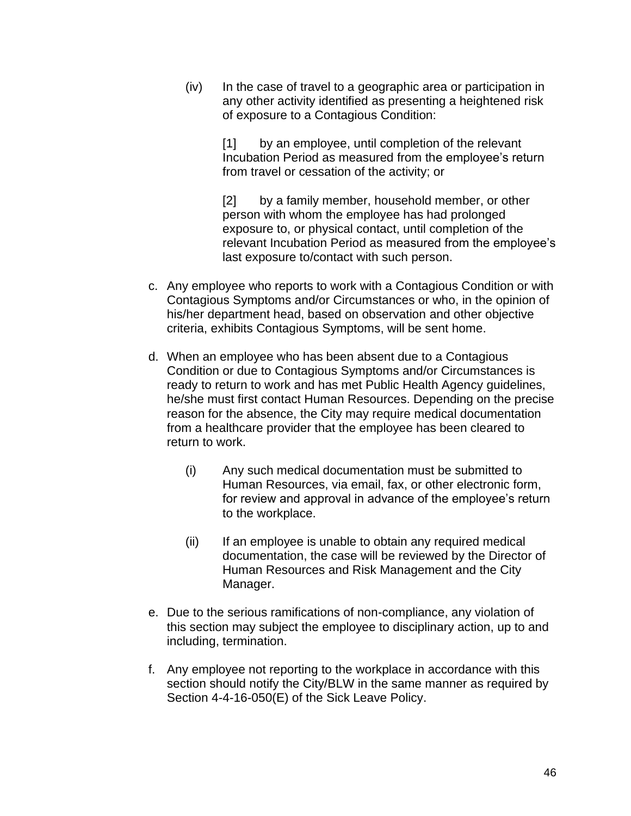(iv) In the case of travel to a geographic area or participation in any other activity identified as presenting a heightened risk of exposure to a Contagious Condition:

> [1] by an employee, until completion of the relevant Incubation Period as measured from the employee's return from travel or cessation of the activity; or

[2] by a family member, household member, or other person with whom the employee has had prolonged exposure to, or physical contact, until completion of the relevant Incubation Period as measured from the employee's last exposure to/contact with such person.

- c. Any employee who reports to work with a Contagious Condition or with Contagious Symptoms and/or Circumstances or who, in the opinion of his/her department head, based on observation and other objective criteria, exhibits Contagious Symptoms, will be sent home.
- d. When an employee who has been absent due to a Contagious Condition or due to Contagious Symptoms and/or Circumstances is ready to return to work and has met Public Health Agency guidelines, he/she must first contact Human Resources. Depending on the precise reason for the absence, the City may require medical documentation from a healthcare provider that the employee has been cleared to return to work.
	- (i) Any such medical documentation must be submitted to Human Resources, via email, fax, or other electronic form, for review and approval in advance of the employee's return to the workplace.
	- (ii) If an employee is unable to obtain any required medical documentation, the case will be reviewed by the Director of Human Resources and Risk Management and the City Manager.
- e. Due to the serious ramifications of non-compliance, any violation of this section may subject the employee to disciplinary action, up to and including, termination.
- f. Any employee not reporting to the workplace in accordance with this section should notify the City/BLW in the same manner as required by Section 4-4-16-050(E) of the Sick Leave Policy.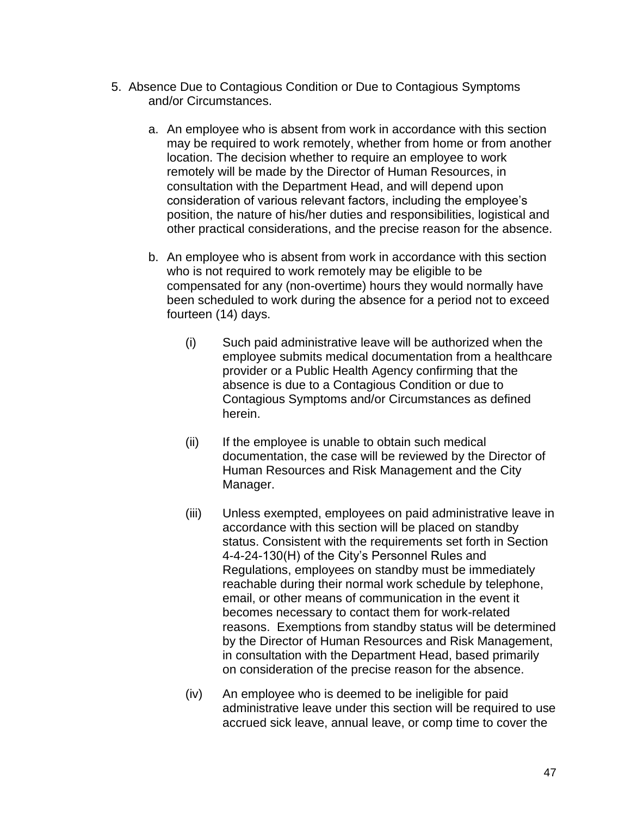- 5. Absence Due to Contagious Condition or Due to Contagious Symptoms and/or Circumstances.
	- a. An employee who is absent from work in accordance with this section may be required to work remotely, whether from home or from another location. The decision whether to require an employee to work remotely will be made by the Director of Human Resources, in consultation with the Department Head, and will depend upon consideration of various relevant factors, including the employee's position, the nature of his/her duties and responsibilities, logistical and other practical considerations, and the precise reason for the absence.
	- b. An employee who is absent from work in accordance with this section who is not required to work remotely may be eligible to be compensated for any (non-overtime) hours they would normally have been scheduled to work during the absence for a period not to exceed fourteen (14) days.
		- (i) Such paid administrative leave will be authorized when the employee submits medical documentation from a healthcare provider or a Public Health Agency confirming that the absence is due to a Contagious Condition or due to Contagious Symptoms and/or Circumstances as defined herein.
		- (ii) If the employee is unable to obtain such medical documentation, the case will be reviewed by the Director of Human Resources and Risk Management and the City Manager.
		- (iii) Unless exempted, employees on paid administrative leave in accordance with this section will be placed on standby status. Consistent with the requirements set forth in Section 4-4-24-130(H) of the City's Personnel Rules and Regulations, employees on standby must be immediately reachable during their normal work schedule by telephone, email, or other means of communication in the event it becomes necessary to contact them for work-related reasons. Exemptions from standby status will be determined by the Director of Human Resources and Risk Management, in consultation with the Department Head, based primarily on consideration of the precise reason for the absence.
		- (iv) An employee who is deemed to be ineligible for paid administrative leave under this section will be required to use accrued sick leave, annual leave, or comp time to cover the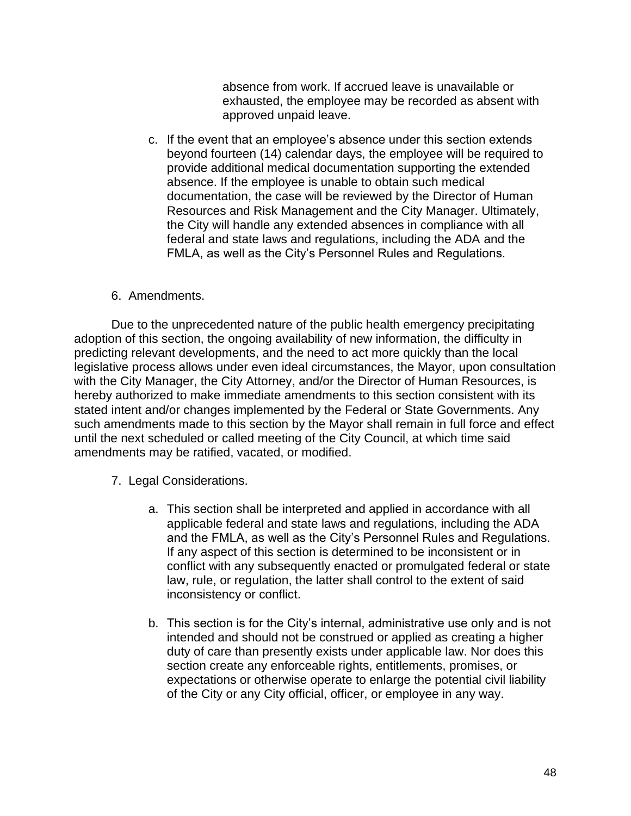absence from work. If accrued leave is unavailable or exhausted, the employee may be recorded as absent with approved unpaid leave.

c. If the event that an employee's absence under this section extends beyond fourteen (14) calendar days, the employee will be required to provide additional medical documentation supporting the extended absence. If the employee is unable to obtain such medical documentation, the case will be reviewed by the Director of Human Resources and Risk Management and the City Manager. Ultimately, the City will handle any extended absences in compliance with all federal and state laws and regulations, including the ADA and the FMLA, as well as the City's Personnel Rules and Regulations.

### 6. Amendments.

Due to the unprecedented nature of the public health emergency precipitating adoption of this section, the ongoing availability of new information, the difficulty in predicting relevant developments, and the need to act more quickly than the local legislative process allows under even ideal circumstances, the Mayor, upon consultation with the City Manager, the City Attorney, and/or the Director of Human Resources, is hereby authorized to make immediate amendments to this section consistent with its stated intent and/or changes implemented by the Federal or State Governments. Any such amendments made to this section by the Mayor shall remain in full force and effect until the next scheduled or called meeting of the City Council, at which time said amendments may be ratified, vacated, or modified.

- 7. Legal Considerations.
	- a. This section shall be interpreted and applied in accordance with all applicable federal and state laws and regulations, including the ADA and the FMLA, as well as the City's Personnel Rules and Regulations. If any aspect of this section is determined to be inconsistent or in conflict with any subsequently enacted or promulgated federal or state law, rule, or regulation, the latter shall control to the extent of said inconsistency or conflict.
	- b. This section is for the City's internal, administrative use only and is not intended and should not be construed or applied as creating a higher duty of care than presently exists under applicable law. Nor does this section create any enforceable rights, entitlements, promises, or expectations or otherwise operate to enlarge the potential civil liability of the City or any City official, officer, or employee in any way.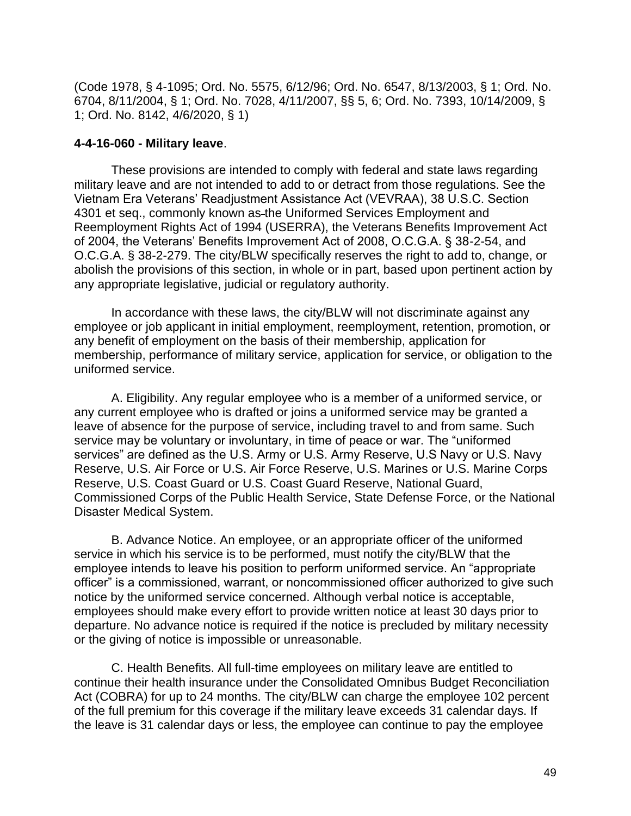(Code 1978, § 4-1095; Ord. No. 5575, 6/12/96; Ord. No. 6547, 8/13/2003, § 1; Ord. No. 6704, 8/11/2004, § 1; Ord. No. 7028, 4/11/2007, §§ 5, 6; Ord. No. 7393, 10/14/2009, § 1; Ord. No. 8142, 4/6/2020, § 1)

#### **4-4-16-060 - Military leave**.

These provisions are intended to comply with federal and state laws regarding military leave and are not intended to add to or detract from those regulations. See the Vietnam Era Veterans' Readjustment Assistance Act (VEVRAA), 38 U.S.C. Section 4301 et seq., commonly known as the Uniformed Services Employment and Reemployment Rights Act of 1994 (USERRA), the Veterans Benefits Improvement Act of 2004, the Veterans' Benefits Improvement Act of 2008, O.C.G.A. § 38-2-54, and O.C.G.A. § 38-2-279. The city/BLW specifically reserves the right to add to, change, or abolish the provisions of this section, in whole or in part, based upon pertinent action by any appropriate legislative, judicial or regulatory authority.

In accordance with these laws, the city/BLW will not discriminate against any employee or job applicant in initial employment, reemployment, retention, promotion, or any benefit of employment on the basis of their membership, application for membership, performance of military service, application for service, or obligation to the uniformed service.

A. Eligibility. Any regular employee who is a member of a uniformed service, or any current employee who is drafted or joins a uniformed service may be granted a leave of absence for the purpose of service, including travel to and from same. Such service may be voluntary or involuntary, in time of peace or war. The "uniformed services" are defined as the U.S. Army or U.S. Army Reserve, U.S Navy or U.S. Navy Reserve, U.S. Air Force or U.S. Air Force Reserve, U.S. Marines or U.S. Marine Corps Reserve, U.S. Coast Guard or U.S. Coast Guard Reserve, National Guard, Commissioned Corps of the Public Health Service, State Defense Force, or the National Disaster Medical System.

B. Advance Notice. An employee, or an appropriate officer of the uniformed service in which his service is to be performed, must notify the city/BLW that the employee intends to leave his position to perform uniformed service. An "appropriate officer" is a commissioned, warrant, or noncommissioned officer authorized to give such notice by the uniformed service concerned. Although verbal notice is acceptable, employees should make every effort to provide written notice at least 30 days prior to departure. No advance notice is required if the notice is precluded by military necessity or the giving of notice is impossible or unreasonable.

C. Health Benefits. All full-time employees on military leave are entitled to continue their health insurance under the Consolidated Omnibus Budget Reconciliation Act (COBRA) for up to 24 months. The city/BLW can charge the employee 102 percent of the full premium for this coverage if the military leave exceeds 31 calendar days. If the leave is 31 calendar days or less, the employee can continue to pay the employee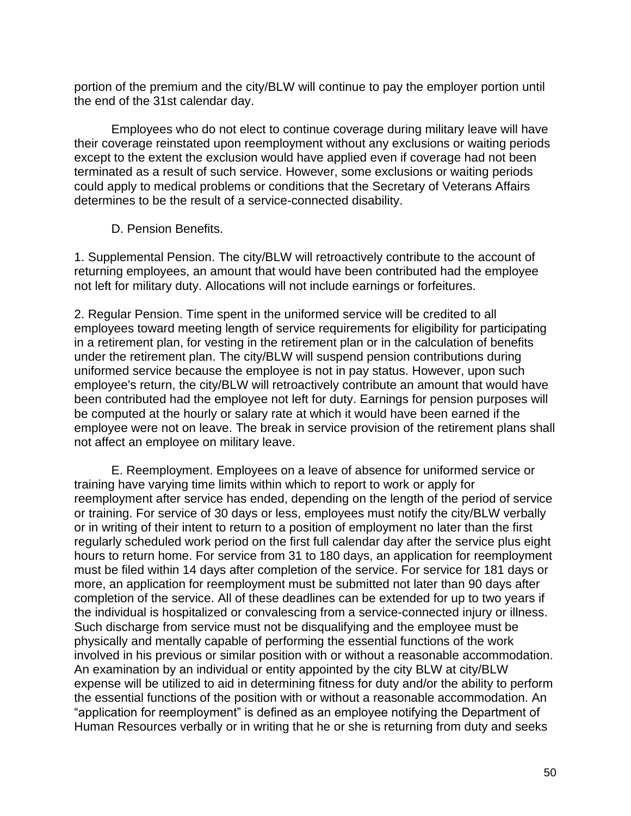portion of the premium and the city/BLW will continue to pay the employer portion until the end of the 31st calendar day.

Employees who do not elect to continue coverage during military leave will have their coverage reinstated upon reemployment without any exclusions or waiting periods except to the extent the exclusion would have applied even if coverage had not been terminated as a result of such service. However, some exclusions or waiting periods could apply to medical problems or conditions that the Secretary of Veterans Affairs determines to be the result of a service-connected disability.

### D. Pension Benefits.

1. Supplemental Pension. The city/BLW will retroactively contribute to the account of returning employees, an amount that would have been contributed had the employee not left for military duty. Allocations will not include earnings or forfeitures.

2. Regular Pension. Time spent in the uniformed service will be credited to all employees toward meeting length of service requirements for eligibility for participating in a retirement plan, for vesting in the retirement plan or in the calculation of benefits under the retirement plan. The city/BLW will suspend pension contributions during uniformed service because the employee is not in pay status. However, upon such employee's return, the city/BLW will retroactively contribute an amount that would have been contributed had the employee not left for duty. Earnings for pension purposes will be computed at the hourly or salary rate at which it would have been earned if the employee were not on leave. The break in service provision of the retirement plans shall not affect an employee on military leave.

E. Reemployment. Employees on a leave of absence for uniformed service or training have varying time limits within which to report to work or apply for reemployment after service has ended, depending on the length of the period of service or training. For service of 30 days or less, employees must notify the city/BLW verbally or in writing of their intent to return to a position of employment no later than the first regularly scheduled work period on the first full calendar day after the service plus eight hours to return home. For service from 31 to 180 days, an application for reemployment must be filed within 14 days after completion of the service. For service for 181 days or more, an application for reemployment must be submitted not later than 90 days after completion of the service. All of these deadlines can be extended for up to two years if the individual is hospitalized or convalescing from a service-connected injury or illness. Such discharge from service must not be disqualifying and the employee must be physically and mentally capable of performing the essential functions of the work involved in his previous or similar position with or without a reasonable accommodation. An examination by an individual or entity appointed by the city BLW at city/BLW expense will be utilized to aid in determining fitness for duty and/or the ability to perform the essential functions of the position with or without a reasonable accommodation. An "application for reemployment" is defined as an employee notifying the Department of Human Resources verbally or in writing that he or she is returning from duty and seeks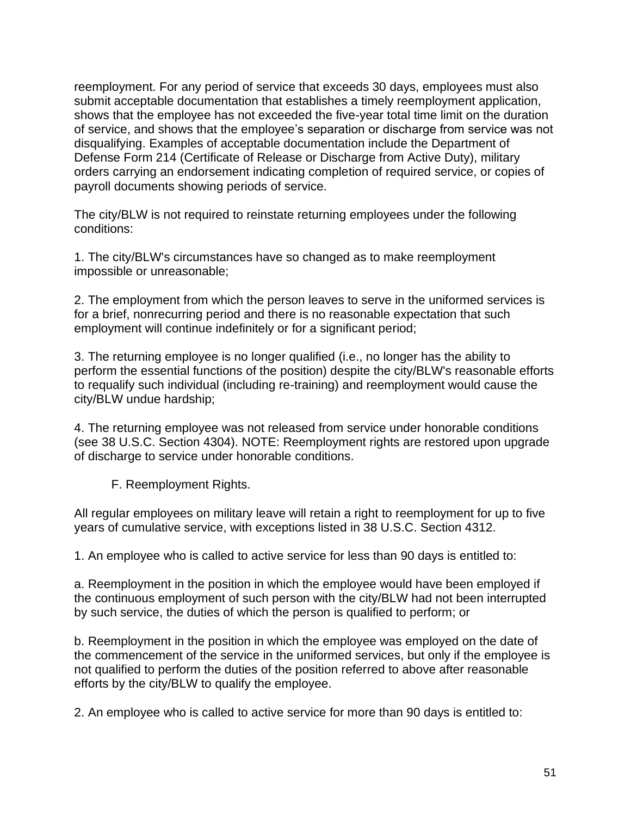reemployment. For any period of service that exceeds 30 days, employees must also submit acceptable documentation that establishes a timely reemployment application, shows that the employee has not exceeded the five-year total time limit on the duration of service, and shows that the employee's separation or discharge from service was not disqualifying. Examples of acceptable documentation include the Department of Defense Form 214 (Certificate of Release or Discharge from Active Duty), military orders carrying an endorsement indicating completion of required service, or copies of payroll documents showing periods of service.

The city/BLW is not required to reinstate returning employees under the following conditions:

1. The city/BLW's circumstances have so changed as to make reemployment impossible or unreasonable;

2. The employment from which the person leaves to serve in the uniformed services is for a brief, nonrecurring period and there is no reasonable expectation that such employment will continue indefinitely or for a significant period;

3. The returning employee is no longer qualified (i.e., no longer has the ability to perform the essential functions of the position) despite the city/BLW's reasonable efforts to requalify such individual (including re-training) and reemployment would cause the city/BLW undue hardship;

4. The returning employee was not released from service under honorable conditions (see 38 U.S.C. Section 4304). NOTE: Reemployment rights are restored upon upgrade of discharge to service under honorable conditions.

F. Reemployment Rights.

All regular employees on military leave will retain a right to reemployment for up to five years of cumulative service, with exceptions listed in 38 U.S.C. Section 4312.

1. An employee who is called to active service for less than 90 days is entitled to:

a. Reemployment in the position in which the employee would have been employed if the continuous employment of such person with the city/BLW had not been interrupted by such service, the duties of which the person is qualified to perform; or

b. Reemployment in the position in which the employee was employed on the date of the commencement of the service in the uniformed services, but only if the employee is not qualified to perform the duties of the position referred to above after reasonable efforts by the city/BLW to qualify the employee.

2. An employee who is called to active service for more than 90 days is entitled to: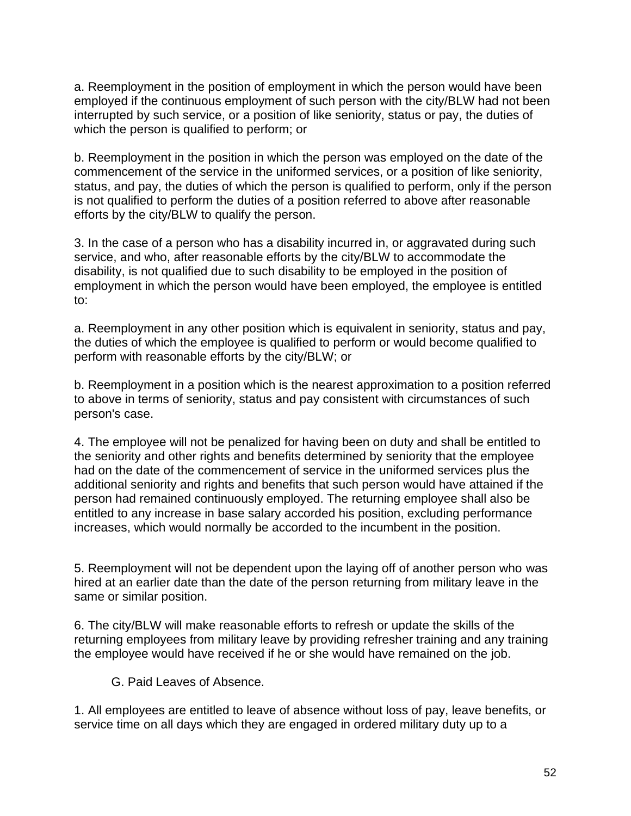a. Reemployment in the position of employment in which the person would have been employed if the continuous employment of such person with the city/BLW had not been interrupted by such service, or a position of like seniority, status or pay, the duties of which the person is qualified to perform; or

b. Reemployment in the position in which the person was employed on the date of the commencement of the service in the uniformed services, or a position of like seniority, status, and pay, the duties of which the person is qualified to perform, only if the person is not qualified to perform the duties of a position referred to above after reasonable efforts by the city/BLW to qualify the person.

3. In the case of a person who has a disability incurred in, or aggravated during such service, and who, after reasonable efforts by the city/BLW to accommodate the disability, is not qualified due to such disability to be employed in the position of employment in which the person would have been employed, the employee is entitled to:

a. Reemployment in any other position which is equivalent in seniority, status and pay, the duties of which the employee is qualified to perform or would become qualified to perform with reasonable efforts by the city/BLW; or

b. Reemployment in a position which is the nearest approximation to a position referred to above in terms of seniority, status and pay consistent with circumstances of such person's case.

4. The employee will not be penalized for having been on duty and shall be entitled to the seniority and other rights and benefits determined by seniority that the employee had on the date of the commencement of service in the uniformed services plus the additional seniority and rights and benefits that such person would have attained if the person had remained continuously employed. The returning employee shall also be entitled to any increase in base salary accorded his position, excluding performance increases, which would normally be accorded to the incumbent in the position.

5. Reemployment will not be dependent upon the laying off of another person who was hired at an earlier date than the date of the person returning from military leave in the same or similar position.

6. The city/BLW will make reasonable efforts to refresh or update the skills of the returning employees from military leave by providing refresher training and any training the employee would have received if he or she would have remained on the job.

G. Paid Leaves of Absence.

1. All employees are entitled to leave of absence without loss of pay, leave benefits, or service time on all days which they are engaged in ordered military duty up to a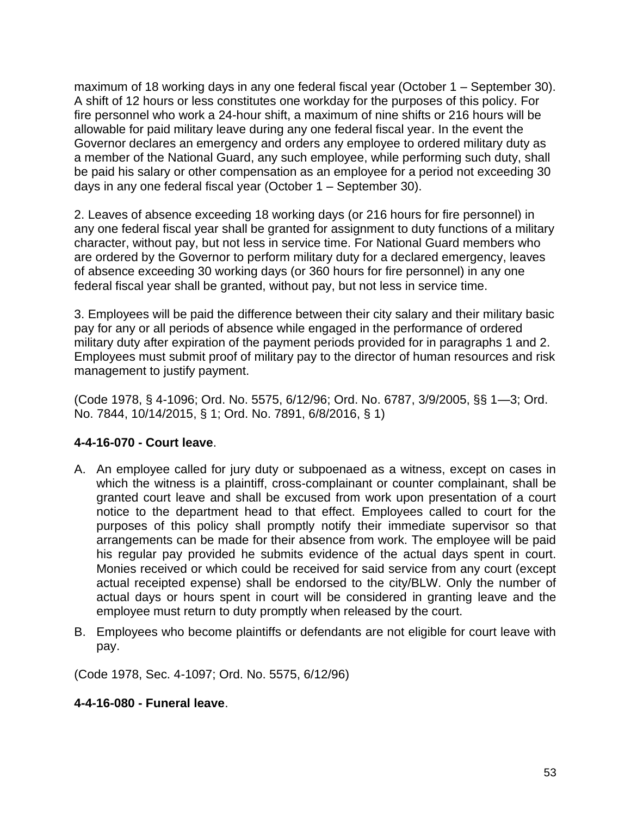maximum of 18 working days in any one federal fiscal year (October 1 – September 30). A shift of 12 hours or less constitutes one workday for the purposes of this policy. For fire personnel who work a 24-hour shift, a maximum of nine shifts or 216 hours will be allowable for paid military leave during any one federal fiscal year. In the event the Governor declares an emergency and orders any employee to ordered military duty as a member of the National Guard, any such employee, while performing such duty, shall be paid his salary or other compensation as an employee for a period not exceeding 30 days in any one federal fiscal year (October 1 – September 30).

2. Leaves of absence exceeding 18 working days (or 216 hours for fire personnel) in any one federal fiscal year shall be granted for assignment to duty functions of a military character, without pay, but not less in service time. For National Guard members who are ordered by the Governor to perform military duty for a declared emergency, leaves of absence exceeding 30 working days (or 360 hours for fire personnel) in any one federal fiscal year shall be granted, without pay, but not less in service time.

3. Employees will be paid the difference between their city salary and their military basic pay for any or all periods of absence while engaged in the performance of ordered military duty after expiration of the payment periods provided for in paragraphs 1 and 2. Employees must submit proof of military pay to the director of human resources and risk management to justify payment.

(Code 1978, § 4-1096; Ord. No. 5575, 6/12/96; Ord. No. 6787, 3/9/2005, §§ 1—3; Ord. No. 7844, 10/14/2015, § 1; Ord. No. 7891, 6/8/2016, § 1)

# **4-4-16-070 - Court leave**.

- A. An employee called for jury duty or subpoenaed as a witness, except on cases in which the witness is a plaintiff, cross-complainant or counter complainant, shall be granted court leave and shall be excused from work upon presentation of a court notice to the department head to that effect. Employees called to court for the purposes of this policy shall promptly notify their immediate supervisor so that arrangements can be made for their absence from work. The employee will be paid his regular pay provided he submits evidence of the actual days spent in court. Monies received or which could be received for said service from any court (except actual receipted expense) shall be endorsed to the city/BLW. Only the number of actual days or hours spent in court will be considered in granting leave and the employee must return to duty promptly when released by the court.
- B. Employees who become plaintiffs or defendants are not eligible for court leave with pay.

(Code 1978, Sec. 4-1097; Ord. No. 5575, 6/12/96)

### **4-4-16-080 - Funeral leave**.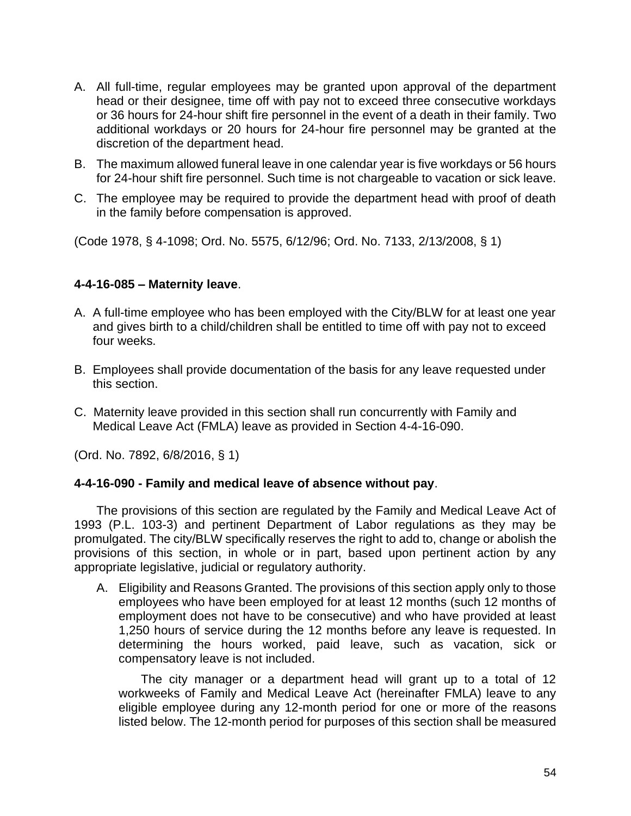- A. All full-time, regular employees may be granted upon approval of the department head or their designee, time off with pay not to exceed three consecutive workdays or 36 hours for 24-hour shift fire personnel in the event of a death in their family. Two additional workdays or 20 hours for 24-hour fire personnel may be granted at the discretion of the department head.
- B. The maximum allowed funeral leave in one calendar year is five workdays or 56 hours for 24-hour shift fire personnel. Such time is not chargeable to vacation or sick leave.
- C. The employee may be required to provide the department head with proof of death in the family before compensation is approved.

(Code 1978, § 4-1098; Ord. No. 5575, 6/12/96; Ord. No. 7133, 2/13/2008, § 1)

### **4-4-16-085 – Maternity leave**.

- A. A full-time employee who has been employed with the City/BLW for at least one year and gives birth to a child/children shall be entitled to time off with pay not to exceed four weeks.
- B. Employees shall provide documentation of the basis for any leave requested under this section.
- C. Maternity leave provided in this section shall run concurrently with Family and Medical Leave Act (FMLA) leave as provided in Section 4-4-16-090.

(Ord. No. 7892, 6/8/2016, § 1)

### **4-4-16-090 - Family and medical leave of absence without pay**.

The provisions of this section are regulated by the Family and Medical Leave Act of 1993 (P.L. 103-3) and pertinent Department of Labor regulations as they may be promulgated. The city/BLW specifically reserves the right to add to, change or abolish the provisions of this section, in whole or in part, based upon pertinent action by any appropriate legislative, judicial or regulatory authority.

A. Eligibility and Reasons Granted. The provisions of this section apply only to those employees who have been employed for at least 12 months (such 12 months of employment does not have to be consecutive) and who have provided at least 1,250 hours of service during the 12 months before any leave is requested. In determining the hours worked, paid leave, such as vacation, sick or compensatory leave is not included.

The city manager or a department head will grant up to a total of 12 workweeks of Family and Medical Leave Act (hereinafter FMLA) leave to any eligible employee during any 12-month period for one or more of the reasons listed below. The 12-month period for purposes of this section shall be measured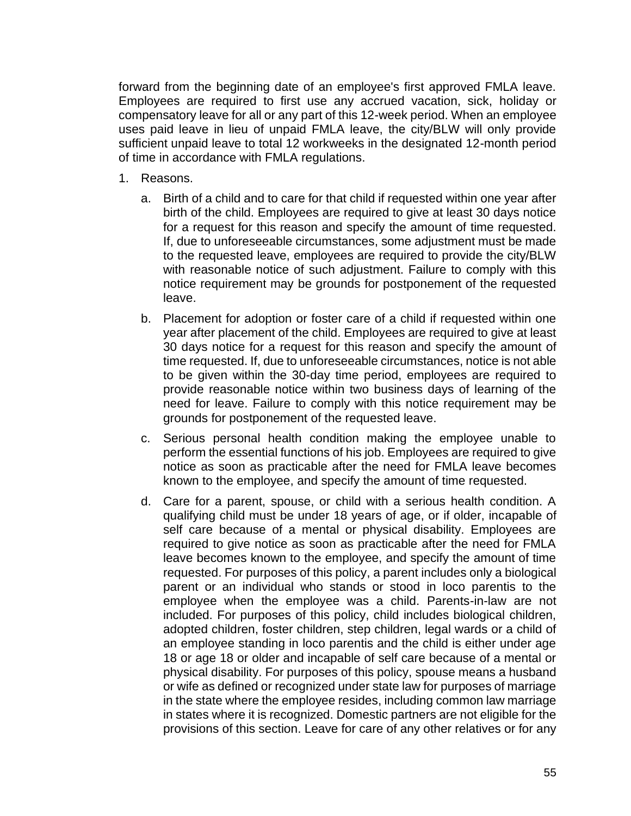forward from the beginning date of an employee's first approved FMLA leave. Employees are required to first use any accrued vacation, sick, holiday or compensatory leave for all or any part of this 12-week period. When an employee uses paid leave in lieu of unpaid FMLA leave, the city/BLW will only provide sufficient unpaid leave to total 12 workweeks in the designated 12-month period of time in accordance with FMLA regulations.

- 1. Reasons.
	- a. Birth of a child and to care for that child if requested within one year after birth of the child. Employees are required to give at least 30 days notice for a request for this reason and specify the amount of time requested. If, due to unforeseeable circumstances, some adjustment must be made to the requested leave, employees are required to provide the city/BLW with reasonable notice of such adjustment. Failure to comply with this notice requirement may be grounds for postponement of the requested leave.
	- b. Placement for adoption or foster care of a child if requested within one year after placement of the child. Employees are required to give at least 30 days notice for a request for this reason and specify the amount of time requested. If, due to unforeseeable circumstances, notice is not able to be given within the 30-day time period, employees are required to provide reasonable notice within two business days of learning of the need for leave. Failure to comply with this notice requirement may be grounds for postponement of the requested leave.
	- c. Serious personal health condition making the employee unable to perform the essential functions of his job. Employees are required to give notice as soon as practicable after the need for FMLA leave becomes known to the employee, and specify the amount of time requested.
	- d. Care for a parent, spouse, or child with a serious health condition. A qualifying child must be under 18 years of age, or if older, incapable of self care because of a mental or physical disability. Employees are required to give notice as soon as practicable after the need for FMLA leave becomes known to the employee, and specify the amount of time requested. For purposes of this policy, a parent includes only a biological parent or an individual who stands or stood in loco parentis to the employee when the employee was a child. Parents-in-law are not included. For purposes of this policy, child includes biological children, adopted children, foster children, step children, legal wards or a child of an employee standing in loco parentis and the child is either under age 18 or age 18 or older and incapable of self care because of a mental or physical disability. For purposes of this policy, spouse means a husband or wife as defined or recognized under state law for purposes of marriage in the state where the employee resides, including common law marriage in states where it is recognized. Domestic partners are not eligible for the provisions of this section. Leave for care of any other relatives or for any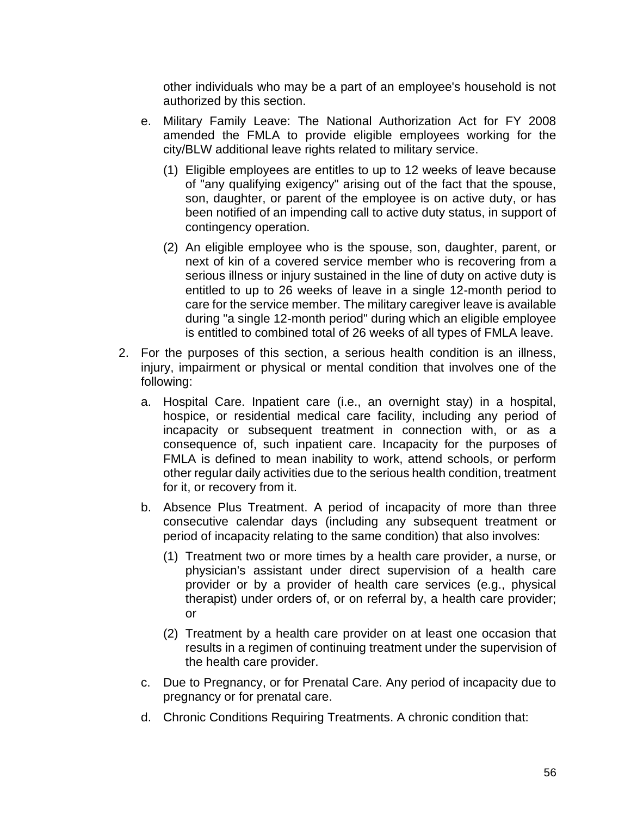other individuals who may be a part of an employee's household is not authorized by this section.

- e. Military Family Leave: The National Authorization Act for FY 2008 amended the FMLA to provide eligible employees working for the city/BLW additional leave rights related to military service.
	- (1) Eligible employees are entitles to up to 12 weeks of leave because of "any qualifying exigency" arising out of the fact that the spouse, son, daughter, or parent of the employee is on active duty, or has been notified of an impending call to active duty status, in support of contingency operation.
	- (2) An eligible employee who is the spouse, son, daughter, parent, or next of kin of a covered service member who is recovering from a serious illness or injury sustained in the line of duty on active duty is entitled to up to 26 weeks of leave in a single 12-month period to care for the service member. The military caregiver leave is available during "a single 12-month period" during which an eligible employee is entitled to combined total of 26 weeks of all types of FMLA leave.
- 2. For the purposes of this section, a serious health condition is an illness, injury, impairment or physical or mental condition that involves one of the following:
	- a. Hospital Care. Inpatient care (i.e., an overnight stay) in a hospital, hospice, or residential medical care facility, including any period of incapacity or subsequent treatment in connection with, or as a consequence of, such inpatient care. Incapacity for the purposes of FMLA is defined to mean inability to work, attend schools, or perform other regular daily activities due to the serious health condition, treatment for it, or recovery from it.
	- b. Absence Plus Treatment. A period of incapacity of more than three consecutive calendar days (including any subsequent treatment or period of incapacity relating to the same condition) that also involves:
		- (1) Treatment two or more times by a health care provider, a nurse, or physician's assistant under direct supervision of a health care provider or by a provider of health care services (e.g., physical therapist) under orders of, or on referral by, a health care provider; or
		- (2) Treatment by a health care provider on at least one occasion that results in a regimen of continuing treatment under the supervision of the health care provider.
	- c. Due to Pregnancy, or for Prenatal Care. Any period of incapacity due to pregnancy or for prenatal care.
	- d. Chronic Conditions Requiring Treatments. A chronic condition that: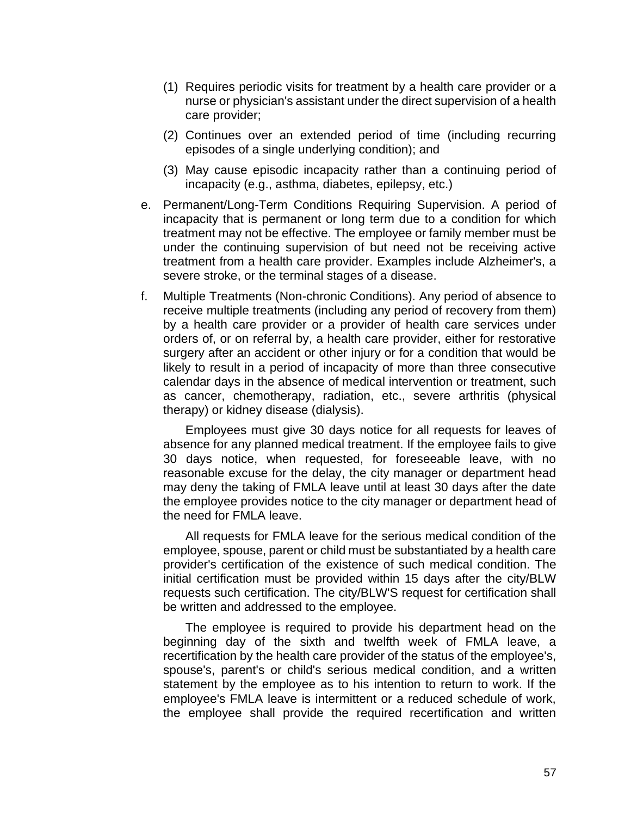- (1) Requires periodic visits for treatment by a health care provider or a nurse or physician's assistant under the direct supervision of a health care provider;
- (2) Continues over an extended period of time (including recurring episodes of a single underlying condition); and
- (3) May cause episodic incapacity rather than a continuing period of incapacity (e.g., asthma, diabetes, epilepsy, etc.)
- e. Permanent/Long-Term Conditions Requiring Supervision. A period of incapacity that is permanent or long term due to a condition for which treatment may not be effective. The employee or family member must be under the continuing supervision of but need not be receiving active treatment from a health care provider. Examples include Alzheimer's, a severe stroke, or the terminal stages of a disease.
- f. Multiple Treatments (Non-chronic Conditions). Any period of absence to receive multiple treatments (including any period of recovery from them) by a health care provider or a provider of health care services under orders of, or on referral by, a health care provider, either for restorative surgery after an accident or other injury or for a condition that would be likely to result in a period of incapacity of more than three consecutive calendar days in the absence of medical intervention or treatment, such as cancer, chemotherapy, radiation, etc., severe arthritis (physical therapy) or kidney disease (dialysis).

Employees must give 30 days notice for all requests for leaves of absence for any planned medical treatment. If the employee fails to give 30 days notice, when requested, for foreseeable leave, with no reasonable excuse for the delay, the city manager or department head may deny the taking of FMLA leave until at least 30 days after the date the employee provides notice to the city manager or department head of the need for FMLA leave.

All requests for FMLA leave for the serious medical condition of the employee, spouse, parent or child must be substantiated by a health care provider's certification of the existence of such medical condition. The initial certification must be provided within 15 days after the city/BLW requests such certification. The city/BLW'S request for certification shall be written and addressed to the employee.

The employee is required to provide his department head on the beginning day of the sixth and twelfth week of FMLA leave, a recertification by the health care provider of the status of the employee's, spouse's, parent's or child's serious medical condition, and a written statement by the employee as to his intention to return to work. If the employee's FMLA leave is intermittent or a reduced schedule of work, the employee shall provide the required recertification and written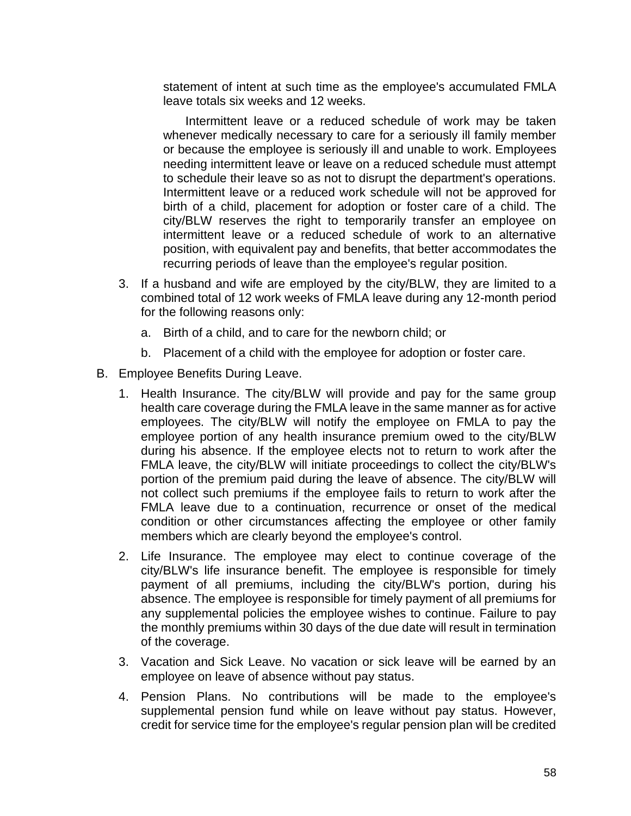statement of intent at such time as the employee's accumulated FMLA leave totals six weeks and 12 weeks.

Intermittent leave or a reduced schedule of work may be taken whenever medically necessary to care for a seriously ill family member or because the employee is seriously ill and unable to work. Employees needing intermittent leave or leave on a reduced schedule must attempt to schedule their leave so as not to disrupt the department's operations. Intermittent leave or a reduced work schedule will not be approved for birth of a child, placement for adoption or foster care of a child. The city/BLW reserves the right to temporarily transfer an employee on intermittent leave or a reduced schedule of work to an alternative position, with equivalent pay and benefits, that better accommodates the recurring periods of leave than the employee's regular position.

- 3. If a husband and wife are employed by the city/BLW, they are limited to a combined total of 12 work weeks of FMLA leave during any 12-month period for the following reasons only:
	- a. Birth of a child, and to care for the newborn child; or
	- b. Placement of a child with the employee for adoption or foster care.
- B. Employee Benefits During Leave.
	- 1. Health Insurance. The city/BLW will provide and pay for the same group health care coverage during the FMLA leave in the same manner as for active employees. The city/BLW will notify the employee on FMLA to pay the employee portion of any health insurance premium owed to the city/BLW during his absence. If the employee elects not to return to work after the FMLA leave, the city/BLW will initiate proceedings to collect the city/BLW's portion of the premium paid during the leave of absence. The city/BLW will not collect such premiums if the employee fails to return to work after the FMLA leave due to a continuation, recurrence or onset of the medical condition or other circumstances affecting the employee or other family members which are clearly beyond the employee's control.
	- 2. Life Insurance. The employee may elect to continue coverage of the city/BLW's life insurance benefit. The employee is responsible for timely payment of all premiums, including the city/BLW's portion, during his absence. The employee is responsible for timely payment of all premiums for any supplemental policies the employee wishes to continue. Failure to pay the monthly premiums within 30 days of the due date will result in termination of the coverage.
	- 3. Vacation and Sick Leave. No vacation or sick leave will be earned by an employee on leave of absence without pay status.
	- 4. Pension Plans. No contributions will be made to the employee's supplemental pension fund while on leave without pay status. However, credit for service time for the employee's regular pension plan will be credited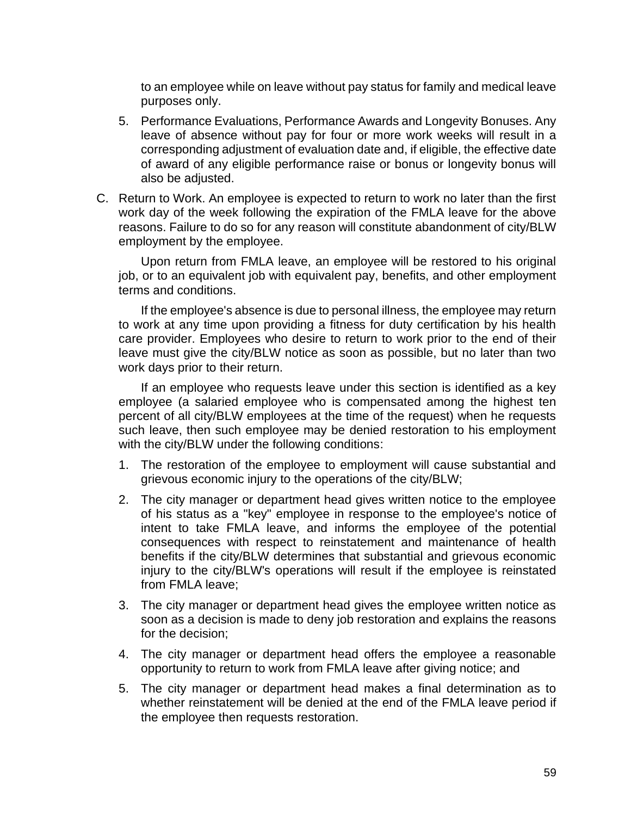to an employee while on leave without pay status for family and medical leave purposes only.

- 5. Performance Evaluations, Performance Awards and Longevity Bonuses. Any leave of absence without pay for four or more work weeks will result in a corresponding adjustment of evaluation date and, if eligible, the effective date of award of any eligible performance raise or bonus or longevity bonus will also be adjusted.
- C. Return to Work. An employee is expected to return to work no later than the first work day of the week following the expiration of the FMLA leave for the above reasons. Failure to do so for any reason will constitute abandonment of city/BLW employment by the employee.

Upon return from FMLA leave, an employee will be restored to his original job, or to an equivalent job with equivalent pay, benefits, and other employment terms and conditions.

If the employee's absence is due to personal illness, the employee may return to work at any time upon providing a fitness for duty certification by his health care provider. Employees who desire to return to work prior to the end of their leave must give the city/BLW notice as soon as possible, but no later than two work days prior to their return.

If an employee who requests leave under this section is identified as a key employee (a salaried employee who is compensated among the highest ten percent of all city/BLW employees at the time of the request) when he requests such leave, then such employee may be denied restoration to his employment with the city/BLW under the following conditions:

- 1. The restoration of the employee to employment will cause substantial and grievous economic injury to the operations of the city/BLW;
- 2. The city manager or department head gives written notice to the employee of his status as a "key" employee in response to the employee's notice of intent to take FMLA leave, and informs the employee of the potential consequences with respect to reinstatement and maintenance of health benefits if the city/BLW determines that substantial and grievous economic injury to the city/BLW's operations will result if the employee is reinstated from FMLA leave;
- 3. The city manager or department head gives the employee written notice as soon as a decision is made to deny job restoration and explains the reasons for the decision;
- 4. The city manager or department head offers the employee a reasonable opportunity to return to work from FMLA leave after giving notice; and
- 5. The city manager or department head makes a final determination as to whether reinstatement will be denied at the end of the FMLA leave period if the employee then requests restoration.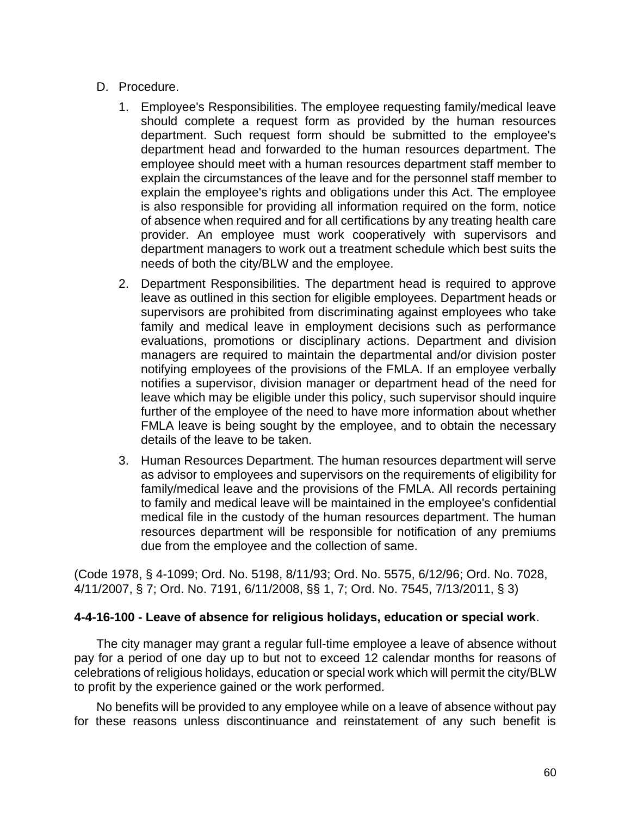### D. Procedure.

- 1. Employee's Responsibilities. The employee requesting family/medical leave should complete a request form as provided by the human resources department. Such request form should be submitted to the employee's department head and forwarded to the human resources department. The employee should meet with a human resources department staff member to explain the circumstances of the leave and for the personnel staff member to explain the employee's rights and obligations under this Act. The employee is also responsible for providing all information required on the form, notice of absence when required and for all certifications by any treating health care provider. An employee must work cooperatively with supervisors and department managers to work out a treatment schedule which best suits the needs of both the city/BLW and the employee.
- 2. Department Responsibilities. The department head is required to approve leave as outlined in this section for eligible employees. Department heads or supervisors are prohibited from discriminating against employees who take family and medical leave in employment decisions such as performance evaluations, promotions or disciplinary actions. Department and division managers are required to maintain the departmental and/or division poster notifying employees of the provisions of the FMLA. If an employee verbally notifies a supervisor, division manager or department head of the need for leave which may be eligible under this policy, such supervisor should inquire further of the employee of the need to have more information about whether FMLA leave is being sought by the employee, and to obtain the necessary details of the leave to be taken.
- 3. Human Resources Department. The human resources department will serve as advisor to employees and supervisors on the requirements of eligibility for family/medical leave and the provisions of the FMLA. All records pertaining to family and medical leave will be maintained in the employee's confidential medical file in the custody of the human resources department. The human resources department will be responsible for notification of any premiums due from the employee and the collection of same.

(Code 1978, § 4-1099; Ord. No. 5198, 8/11/93; Ord. No. 5575, 6/12/96; Ord. No. 7028, 4/11/2007, § 7; Ord. No. 7191, 6/11/2008, §§ 1, 7; Ord. No. 7545, 7/13/2011, § 3)

### **4-4-16-100 - Leave of absence for religious holidays, education or special work**.

The city manager may grant a regular full-time employee a leave of absence without pay for a period of one day up to but not to exceed 12 calendar months for reasons of celebrations of religious holidays, education or special work which will permit the city/BLW to profit by the experience gained or the work performed.

No benefits will be provided to any employee while on a leave of absence without pay for these reasons unless discontinuance and reinstatement of any such benefit is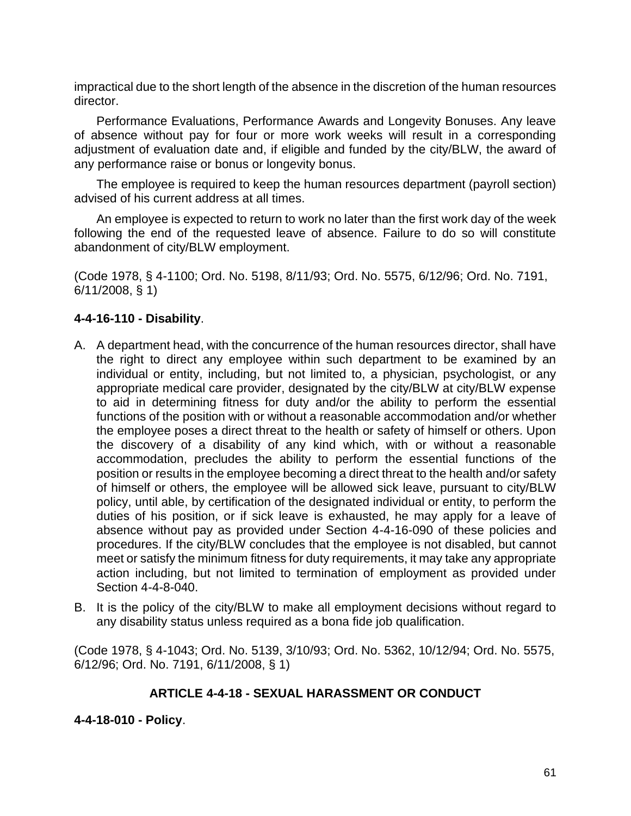impractical due to the short length of the absence in the discretion of the human resources director.

Performance Evaluations, Performance Awards and Longevity Bonuses. Any leave of absence without pay for four or more work weeks will result in a corresponding adjustment of evaluation date and, if eligible and funded by the city/BLW, the award of any performance raise or bonus or longevity bonus.

The employee is required to keep the human resources department (payroll section) advised of his current address at all times.

An employee is expected to return to work no later than the first work day of the week following the end of the requested leave of absence. Failure to do so will constitute abandonment of city/BLW employment.

(Code 1978, § 4-1100; Ord. No. 5198, 8/11/93; Ord. No. 5575, 6/12/96; Ord. No. 7191, 6/11/2008, § 1)

# **4-4-16-110 - Disability**.

- A. A department head, with the concurrence of the human resources director, shall have the right to direct any employee within such department to be examined by an individual or entity, including, but not limited to, a physician, psychologist, or any appropriate medical care provider, designated by the city/BLW at city/BLW expense to aid in determining fitness for duty and/or the ability to perform the essential functions of the position with or without a reasonable accommodation and/or whether the employee poses a direct threat to the health or safety of himself or others. Upon the discovery of a disability of any kind which, with or without a reasonable accommodation, precludes the ability to perform the essential functions of the position or results in the employee becoming a direct threat to the health and/or safety of himself or others, the employee will be allowed sick leave, pursuant to city/BLW policy, until able, by certification of the designated individual or entity, to perform the duties of his position, or if sick leave is exhausted, he may apply for a leave of absence without pay as provided under Section 4-4-16-090 of these policies and procedures. If the city/BLW concludes that the employee is not disabled, but cannot meet or satisfy the minimum fitness for duty requirements, it may take any appropriate action including, but not limited to termination of employment as provided under Section 4-4-8-040.
- B. It is the policy of the city/BLW to make all employment decisions without regard to any disability status unless required as a bona fide job qualification.

(Code 1978, § 4-1043; Ord. No. 5139, 3/10/93; Ord. No. 5362, 10/12/94; Ord. No. 5575, 6/12/96; Ord. No. 7191, 6/11/2008, § 1)

# **ARTICLE 4-4-18 - SEXUAL HARASSMENT OR CONDUCT**

**4-4-18-010 - Policy**.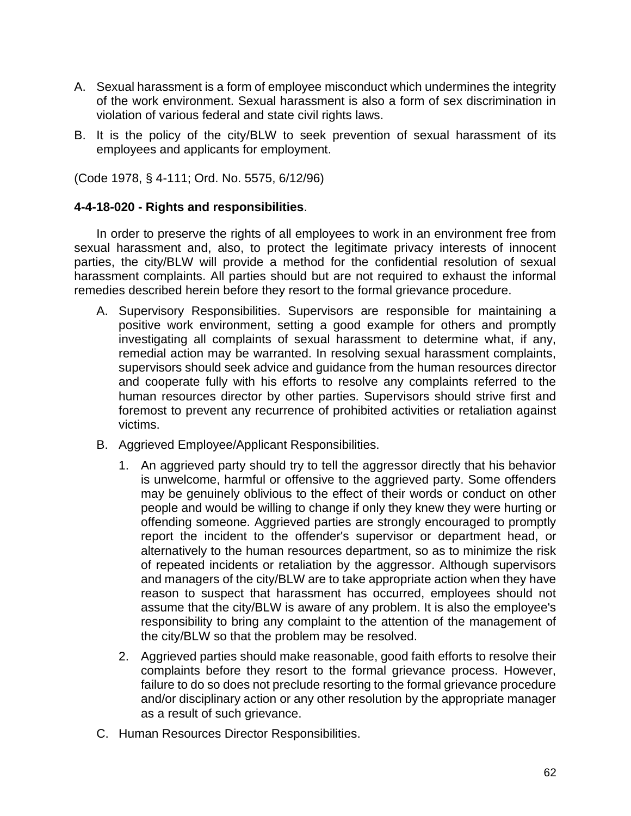- A. Sexual harassment is a form of employee misconduct which undermines the integrity of the work environment. Sexual harassment is also a form of sex discrimination in violation of various federal and state civil rights laws.
- B. It is the policy of the city/BLW to seek prevention of sexual harassment of its employees and applicants for employment.

(Code 1978, § 4-111; Ord. No. 5575, 6/12/96)

#### **4-4-18-020 - Rights and responsibilities**.

In order to preserve the rights of all employees to work in an environment free from sexual harassment and, also, to protect the legitimate privacy interests of innocent parties, the city/BLW will provide a method for the confidential resolution of sexual harassment complaints. All parties should but are not required to exhaust the informal remedies described herein before they resort to the formal grievance procedure.

- A. Supervisory Responsibilities. Supervisors are responsible for maintaining a positive work environment, setting a good example for others and promptly investigating all complaints of sexual harassment to determine what, if any, remedial action may be warranted. In resolving sexual harassment complaints, supervisors should seek advice and guidance from the human resources director and cooperate fully with his efforts to resolve any complaints referred to the human resources director by other parties. Supervisors should strive first and foremost to prevent any recurrence of prohibited activities or retaliation against victims.
- B. Aggrieved Employee/Applicant Responsibilities.
	- 1. An aggrieved party should try to tell the aggressor directly that his behavior is unwelcome, harmful or offensive to the aggrieved party. Some offenders may be genuinely oblivious to the effect of their words or conduct on other people and would be willing to change if only they knew they were hurting or offending someone. Aggrieved parties are strongly encouraged to promptly report the incident to the offender's supervisor or department head, or alternatively to the human resources department, so as to minimize the risk of repeated incidents or retaliation by the aggressor. Although supervisors and managers of the city/BLW are to take appropriate action when they have reason to suspect that harassment has occurred, employees should not assume that the city/BLW is aware of any problem. It is also the employee's responsibility to bring any complaint to the attention of the management of the city/BLW so that the problem may be resolved.
	- 2. Aggrieved parties should make reasonable, good faith efforts to resolve their complaints before they resort to the formal grievance process. However, failure to do so does not preclude resorting to the formal grievance procedure and/or disciplinary action or any other resolution by the appropriate manager as a result of such grievance.
- C. Human Resources Director Responsibilities.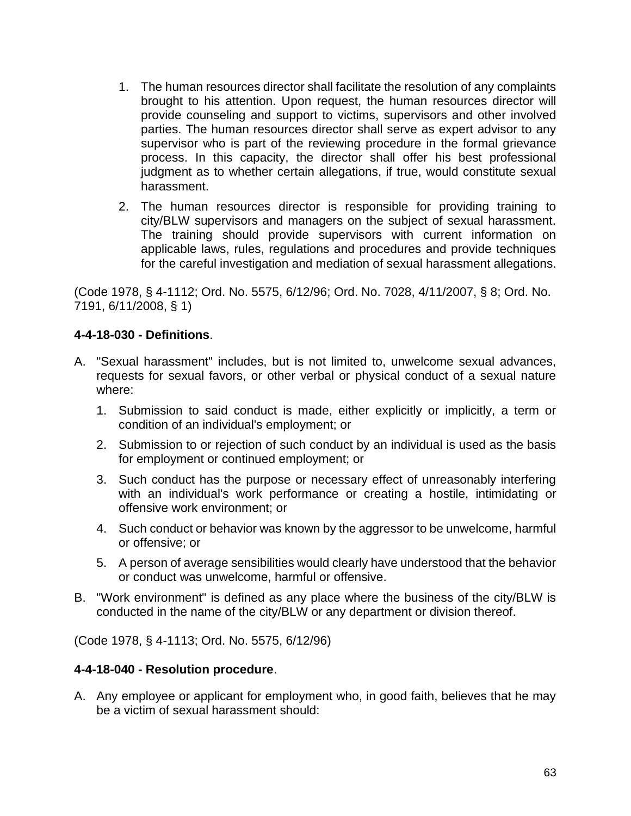- 1. The human resources director shall facilitate the resolution of any complaints brought to his attention. Upon request, the human resources director will provide counseling and support to victims, supervisors and other involved parties. The human resources director shall serve as expert advisor to any supervisor who is part of the reviewing procedure in the formal grievance process. In this capacity, the director shall offer his best professional judgment as to whether certain allegations, if true, would constitute sexual harassment.
- 2. The human resources director is responsible for providing training to city/BLW supervisors and managers on the subject of sexual harassment. The training should provide supervisors with current information on applicable laws, rules, regulations and procedures and provide techniques for the careful investigation and mediation of sexual harassment allegations.

(Code 1978, § 4-1112; Ord. No. 5575, 6/12/96; Ord. No. 7028, 4/11/2007, § 8; Ord. No. 7191, 6/11/2008, § 1)

# **4-4-18-030 - Definitions**.

- A. "Sexual harassment" includes, but is not limited to, unwelcome sexual advances, requests for sexual favors, or other verbal or physical conduct of a sexual nature where:
	- 1. Submission to said conduct is made, either explicitly or implicitly, a term or condition of an individual's employment; or
	- 2. Submission to or rejection of such conduct by an individual is used as the basis for employment or continued employment; or
	- 3. Such conduct has the purpose or necessary effect of unreasonably interfering with an individual's work performance or creating a hostile, intimidating or offensive work environment; or
	- 4. Such conduct or behavior was known by the aggressor to be unwelcome, harmful or offensive; or
	- 5. A person of average sensibilities would clearly have understood that the behavior or conduct was unwelcome, harmful or offensive.
- B. "Work environment" is defined as any place where the business of the city/BLW is conducted in the name of the city/BLW or any department or division thereof.

(Code 1978, § 4-1113; Ord. No. 5575, 6/12/96)

### **4-4-18-040 - Resolution procedure**.

A. Any employee or applicant for employment who, in good faith, believes that he may be a victim of sexual harassment should: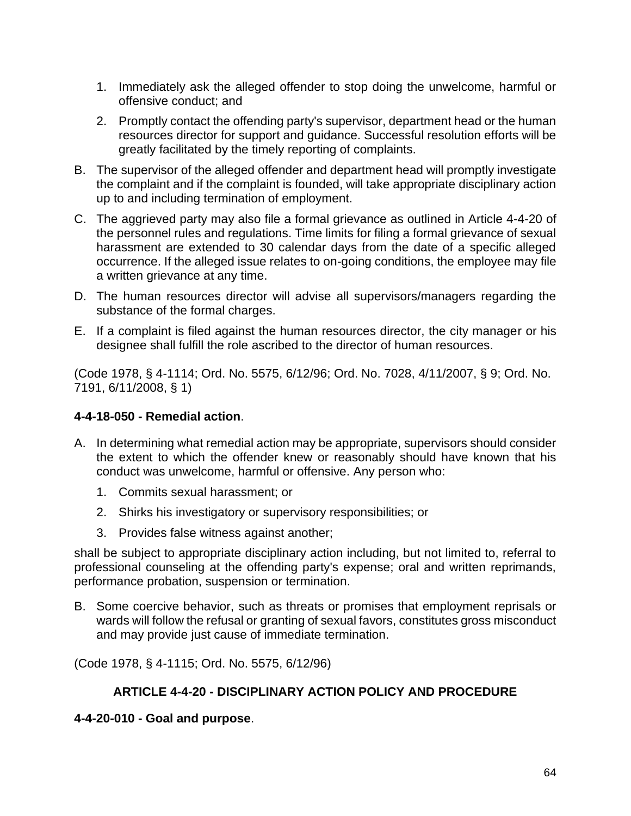- 1. Immediately ask the alleged offender to stop doing the unwelcome, harmful or offensive conduct; and
- 2. Promptly contact the offending party's supervisor, department head or the human resources director for support and guidance. Successful resolution efforts will be greatly facilitated by the timely reporting of complaints.
- B. The supervisor of the alleged offender and department head will promptly investigate the complaint and if the complaint is founded, will take appropriate disciplinary action up to and including termination of employment.
- C. The aggrieved party may also file a formal grievance as outlined in Article 4-4-20 of the personnel rules and regulations. Time limits for filing a formal grievance of sexual harassment are extended to 30 calendar days from the date of a specific alleged occurrence. If the alleged issue relates to on-going conditions, the employee may file a written grievance at any time.
- D. The human resources director will advise all supervisors/managers regarding the substance of the formal charges.
- E. If a complaint is filed against the human resources director, the city manager or his designee shall fulfill the role ascribed to the director of human resources.

(Code 1978, § 4-1114; Ord. No. 5575, 6/12/96; Ord. No. 7028, 4/11/2007, § 9; Ord. No. 7191, 6/11/2008, § 1)

# **4-4-18-050 - Remedial action**.

- A. In determining what remedial action may be appropriate, supervisors should consider the extent to which the offender knew or reasonably should have known that his conduct was unwelcome, harmful or offensive. Any person who:
	- 1. Commits sexual harassment; or
	- 2. Shirks his investigatory or supervisory responsibilities; or
	- 3. Provides false witness against another;

shall be subject to appropriate disciplinary action including, but not limited to, referral to professional counseling at the offending party's expense; oral and written reprimands, performance probation, suspension or termination.

B. Some coercive behavior, such as threats or promises that employment reprisals or wards will follow the refusal or granting of sexual favors, constitutes gross misconduct and may provide just cause of immediate termination.

(Code 1978, § 4-1115; Ord. No. 5575, 6/12/96)

# **ARTICLE 4-4-20 - DISCIPLINARY ACTION POLICY AND PROCEDURE**

# **4-4-20-010 - Goal and purpose**.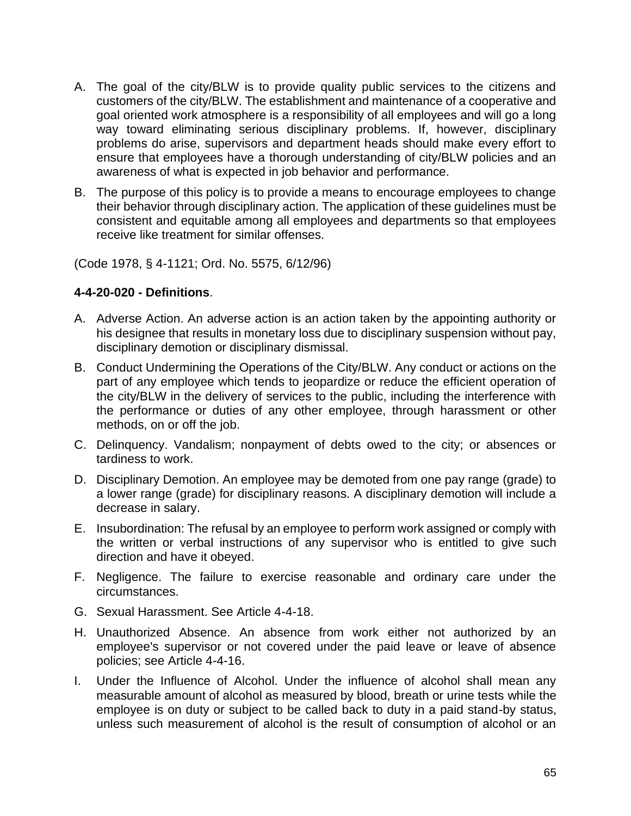- A. The goal of the city/BLW is to provide quality public services to the citizens and customers of the city/BLW. The establishment and maintenance of a cooperative and goal oriented work atmosphere is a responsibility of all employees and will go a long way toward eliminating serious disciplinary problems. If, however, disciplinary problems do arise, supervisors and department heads should make every effort to ensure that employees have a thorough understanding of city/BLW policies and an awareness of what is expected in job behavior and performance.
- B. The purpose of this policy is to provide a means to encourage employees to change their behavior through disciplinary action. The application of these guidelines must be consistent and equitable among all employees and departments so that employees receive like treatment for similar offenses.

(Code 1978, § 4-1121; Ord. No. 5575, 6/12/96)

### **4-4-20-020 - Definitions**.

- A. Adverse Action. An adverse action is an action taken by the appointing authority or his designee that results in monetary loss due to disciplinary suspension without pay, disciplinary demotion or disciplinary dismissal.
- B. Conduct Undermining the Operations of the City/BLW. Any conduct or actions on the part of any employee which tends to jeopardize or reduce the efficient operation of the city/BLW in the delivery of services to the public, including the interference with the performance or duties of any other employee, through harassment or other methods, on or off the job.
- C. Delinquency. Vandalism; nonpayment of debts owed to the city; or absences or tardiness to work.
- D. Disciplinary Demotion. An employee may be demoted from one pay range (grade) to a lower range (grade) for disciplinary reasons. A disciplinary demotion will include a decrease in salary.
- E. Insubordination: The refusal by an employee to perform work assigned or comply with the written or verbal instructions of any supervisor who is entitled to give such direction and have it obeyed.
- F. Negligence. The failure to exercise reasonable and ordinary care under the circumstances.
- G. Sexual Harassment. See Article 4-4-18.
- H. Unauthorized Absence. An absence from work either not authorized by an employee's supervisor or not covered under the paid leave or leave of absence policies; see Article 4-4-16.
- I. Under the Influence of Alcohol. Under the influence of alcohol shall mean any measurable amount of alcohol as measured by blood, breath or urine tests while the employee is on duty or subject to be called back to duty in a paid stand-by status, unless such measurement of alcohol is the result of consumption of alcohol or an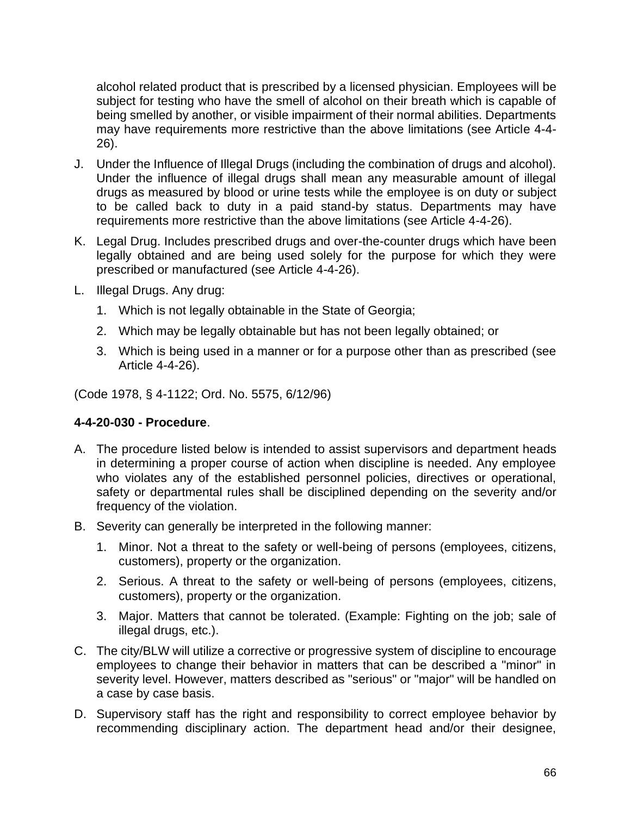alcohol related product that is prescribed by a licensed physician. Employees will be subject for testing who have the smell of alcohol on their breath which is capable of being smelled by another, or visible impairment of their normal abilities. Departments may have requirements more restrictive than the above limitations (see Article 4-4- 26).

- J. Under the Influence of Illegal Drugs (including the combination of drugs and alcohol). Under the influence of illegal drugs shall mean any measurable amount of illegal drugs as measured by blood or urine tests while the employee is on duty or subject to be called back to duty in a paid stand-by status. Departments may have requirements more restrictive than the above limitations (see Article 4-4-26).
- K. Legal Drug. Includes prescribed drugs and over-the-counter drugs which have been legally obtained and are being used solely for the purpose for which they were prescribed or manufactured (see Article 4-4-26).
- L. Illegal Drugs. Any drug:
	- 1. Which is not legally obtainable in the State of Georgia;
	- 2. Which may be legally obtainable but has not been legally obtained; or
	- 3. Which is being used in a manner or for a purpose other than as prescribed (see Article 4-4-26).

(Code 1978, § 4-1122; Ord. No. 5575, 6/12/96)

#### **4-4-20-030 - Procedure**.

- A. The procedure listed below is intended to assist supervisors and department heads in determining a proper course of action when discipline is needed. Any employee who violates any of the established personnel policies, directives or operational, safety or departmental rules shall be disciplined depending on the severity and/or frequency of the violation.
- B. Severity can generally be interpreted in the following manner:
	- 1. Minor. Not a threat to the safety or well-being of persons (employees, citizens, customers), property or the organization.
	- 2. Serious. A threat to the safety or well-being of persons (employees, citizens, customers), property or the organization.
	- 3. Major. Matters that cannot be tolerated. (Example: Fighting on the job; sale of illegal drugs, etc.).
- C. The city/BLW will utilize a corrective or progressive system of discipline to encourage employees to change their behavior in matters that can be described a "minor" in severity level. However, matters described as "serious" or "major" will be handled on a case by case basis.
- D. Supervisory staff has the right and responsibility to correct employee behavior by recommending disciplinary action. The department head and/or their designee,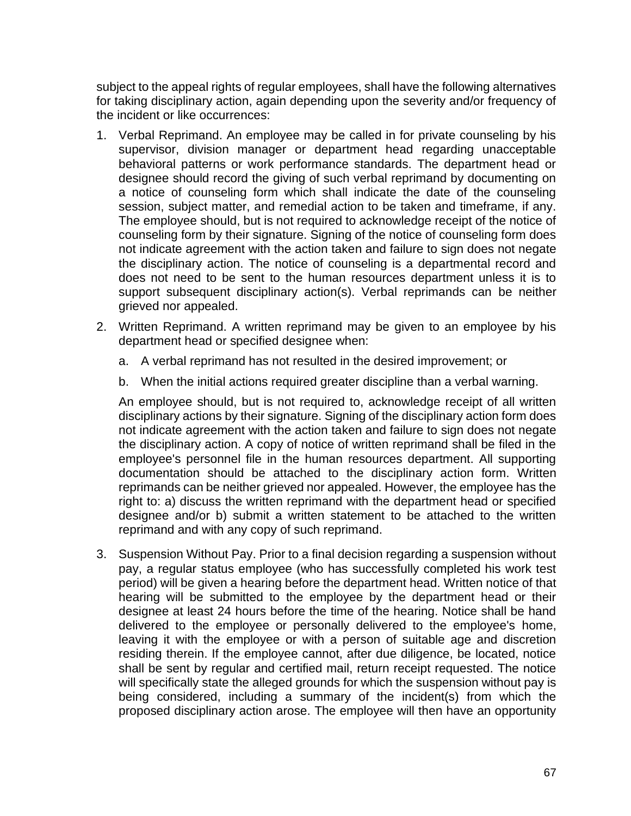subject to the appeal rights of regular employees, shall have the following alternatives for taking disciplinary action, again depending upon the severity and/or frequency of the incident or like occurrences:

- 1. Verbal Reprimand. An employee may be called in for private counseling by his supervisor, division manager or department head regarding unacceptable behavioral patterns or work performance standards. The department head or designee should record the giving of such verbal reprimand by documenting on a notice of counseling form which shall indicate the date of the counseling session, subject matter, and remedial action to be taken and timeframe, if any. The employee should, but is not required to acknowledge receipt of the notice of counseling form by their signature. Signing of the notice of counseling form does not indicate agreement with the action taken and failure to sign does not negate the disciplinary action. The notice of counseling is a departmental record and does not need to be sent to the human resources department unless it is to support subsequent disciplinary action(s). Verbal reprimands can be neither grieved nor appealed.
- 2. Written Reprimand. A written reprimand may be given to an employee by his department head or specified designee when:
	- a. A verbal reprimand has not resulted in the desired improvement; or
	- b. When the initial actions required greater discipline than a verbal warning.

An employee should, but is not required to, acknowledge receipt of all written disciplinary actions by their signature. Signing of the disciplinary action form does not indicate agreement with the action taken and failure to sign does not negate the disciplinary action. A copy of notice of written reprimand shall be filed in the employee's personnel file in the human resources department. All supporting documentation should be attached to the disciplinary action form. Written reprimands can be neither grieved nor appealed. However, the employee has the right to: a) discuss the written reprimand with the department head or specified designee and/or b) submit a written statement to be attached to the written reprimand and with any copy of such reprimand.

3. Suspension Without Pay. Prior to a final decision regarding a suspension without pay, a regular status employee (who has successfully completed his work test period) will be given a hearing before the department head. Written notice of that hearing will be submitted to the employee by the department head or their designee at least 24 hours before the time of the hearing. Notice shall be hand delivered to the employee or personally delivered to the employee's home, leaving it with the employee or with a person of suitable age and discretion residing therein. If the employee cannot, after due diligence, be located, notice shall be sent by regular and certified mail, return receipt requested. The notice will specifically state the alleged grounds for which the suspension without pay is being considered, including a summary of the incident(s) from which the proposed disciplinary action arose. The employee will then have an opportunity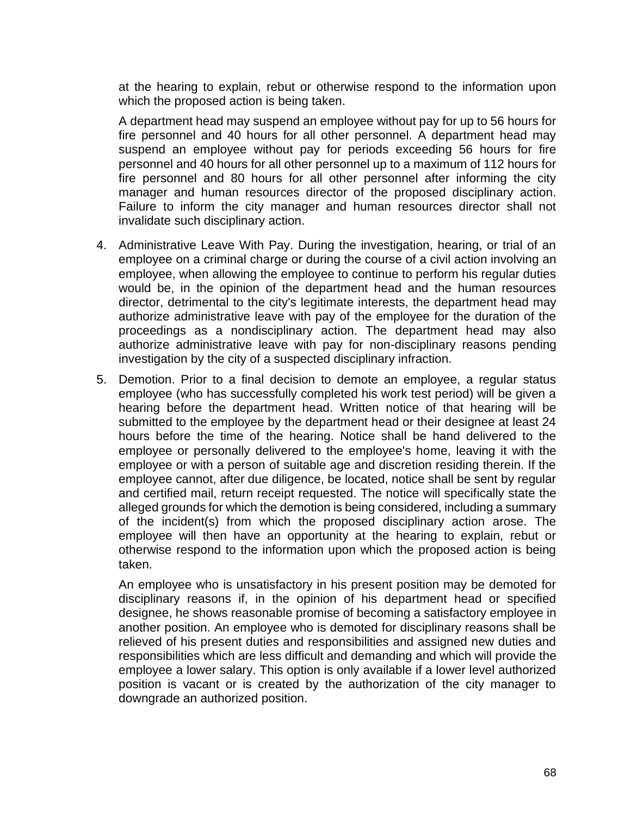at the hearing to explain, rebut or otherwise respond to the information upon which the proposed action is being taken.

A department head may suspend an employee without pay for up to 56 hours for fire personnel and 40 hours for all other personnel. A department head may suspend an employee without pay for periods exceeding 56 hours for fire personnel and 40 hours for all other personnel up to a maximum of 112 hours for fire personnel and 80 hours for all other personnel after informing the city manager and human resources director of the proposed disciplinary action. Failure to inform the city manager and human resources director shall not invalidate such disciplinary action.

- 4. Administrative Leave With Pay. During the investigation, hearing, or trial of an employee on a criminal charge or during the course of a civil action involving an employee, when allowing the employee to continue to perform his regular duties would be, in the opinion of the department head and the human resources director, detrimental to the city's legitimate interests, the department head may authorize administrative leave with pay of the employee for the duration of the proceedings as a nondisciplinary action. The department head may also authorize administrative leave with pay for non-disciplinary reasons pending investigation by the city of a suspected disciplinary infraction.
- 5. Demotion. Prior to a final decision to demote an employee, a regular status employee (who has successfully completed his work test period) will be given a hearing before the department head. Written notice of that hearing will be submitted to the employee by the department head or their designee at least 24 hours before the time of the hearing. Notice shall be hand delivered to the employee or personally delivered to the employee's home, leaving it with the employee or with a person of suitable age and discretion residing therein. If the employee cannot, after due diligence, be located, notice shall be sent by regular and certified mail, return receipt requested. The notice will specifically state the alleged grounds for which the demotion is being considered, including a summary of the incident(s) from which the proposed disciplinary action arose. The employee will then have an opportunity at the hearing to explain, rebut or otherwise respond to the information upon which the proposed action is being taken.

An employee who is unsatisfactory in his present position may be demoted for disciplinary reasons if, in the opinion of his department head or specified designee, he shows reasonable promise of becoming a satisfactory employee in another position. An employee who is demoted for disciplinary reasons shall be relieved of his present duties and responsibilities and assigned new duties and responsibilities which are less difficult and demanding and which will provide the employee a lower salary. This option is only available if a lower level authorized position is vacant or is created by the authorization of the city manager to downgrade an authorized position.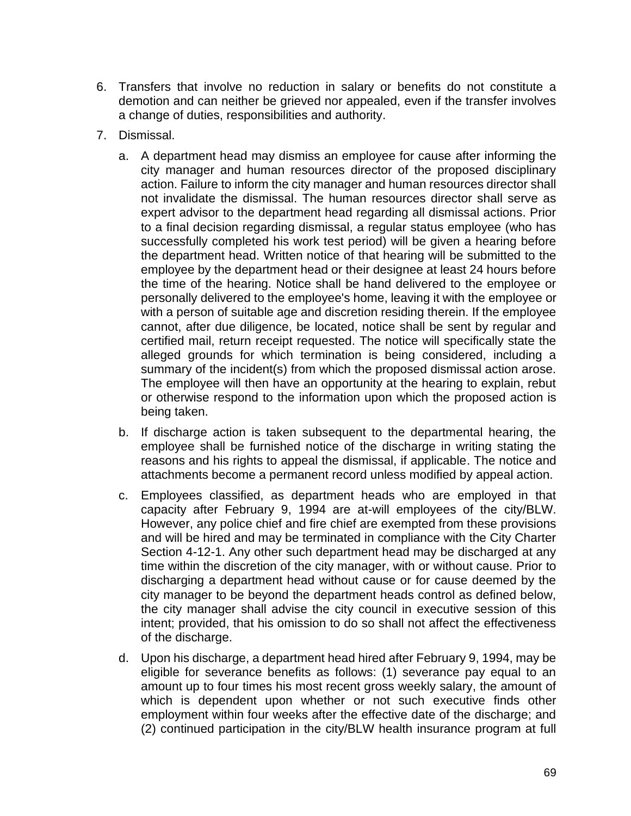- 6. Transfers that involve no reduction in salary or benefits do not constitute a demotion and can neither be grieved nor appealed, even if the transfer involves a change of duties, responsibilities and authority.
- 7. Dismissal.
	- a. A department head may dismiss an employee for cause after informing the city manager and human resources director of the proposed disciplinary action. Failure to inform the city manager and human resources director shall not invalidate the dismissal. The human resources director shall serve as expert advisor to the department head regarding all dismissal actions. Prior to a final decision regarding dismissal, a regular status employee (who has successfully completed his work test period) will be given a hearing before the department head. Written notice of that hearing will be submitted to the employee by the department head or their designee at least 24 hours before the time of the hearing. Notice shall be hand delivered to the employee or personally delivered to the employee's home, leaving it with the employee or with a person of suitable age and discretion residing therein. If the employee cannot, after due diligence, be located, notice shall be sent by regular and certified mail, return receipt requested. The notice will specifically state the alleged grounds for which termination is being considered, including a summary of the incident(s) from which the proposed dismissal action arose. The employee will then have an opportunity at the hearing to explain, rebut or otherwise respond to the information upon which the proposed action is being taken.
	- b. If discharge action is taken subsequent to the departmental hearing, the employee shall be furnished notice of the discharge in writing stating the reasons and his rights to appeal the dismissal, if applicable. The notice and attachments become a permanent record unless modified by appeal action.
	- c. Employees classified, as department heads who are employed in that capacity after February 9, 1994 are at-will employees of the city/BLW. However, any police chief and fire chief are exempted from these provisions and will be hired and may be terminated in compliance with the City Charter Section 4-12-1. Any other such department head may be discharged at any time within the discretion of the city manager, with or without cause. Prior to discharging a department head without cause or for cause deemed by the city manager to be beyond the department heads control as defined below, the city manager shall advise the city council in executive session of this intent; provided, that his omission to do so shall not affect the effectiveness of the discharge.
	- d. Upon his discharge, a department head hired after February 9, 1994, may be eligible for severance benefits as follows: (1) severance pay equal to an amount up to four times his most recent gross weekly salary, the amount of which is dependent upon whether or not such executive finds other employment within four weeks after the effective date of the discharge; and (2) continued participation in the city/BLW health insurance program at full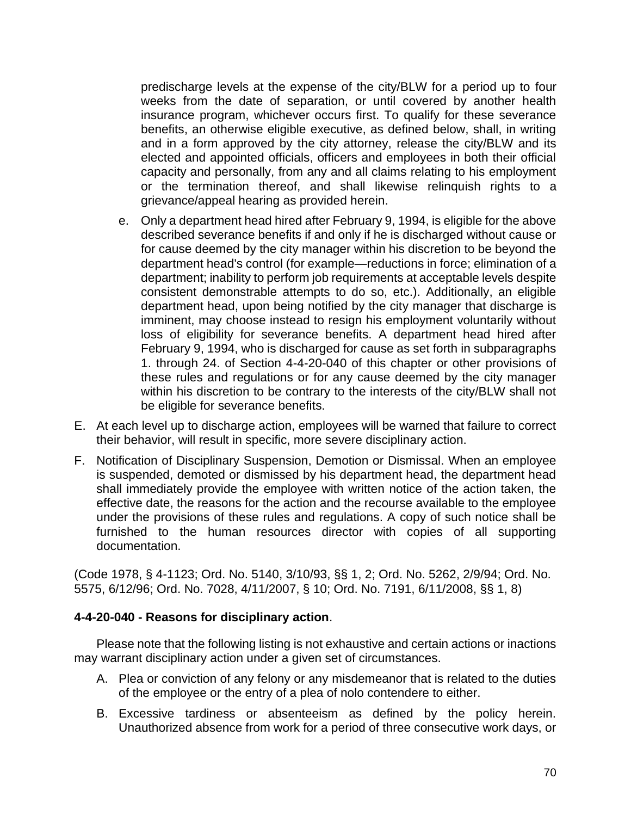predischarge levels at the expense of the city/BLW for a period up to four weeks from the date of separation, or until covered by another health insurance program, whichever occurs first. To qualify for these severance benefits, an otherwise eligible executive, as defined below, shall, in writing and in a form approved by the city attorney, release the city/BLW and its elected and appointed officials, officers and employees in both their official capacity and personally, from any and all claims relating to his employment or the termination thereof, and shall likewise relinquish rights to a grievance/appeal hearing as provided herein.

- e. Only a department head hired after February 9, 1994, is eligible for the above described severance benefits if and only if he is discharged without cause or for cause deemed by the city manager within his discretion to be beyond the department head's control (for example—reductions in force; elimination of a department; inability to perform job requirements at acceptable levels despite consistent demonstrable attempts to do so, etc.). Additionally, an eligible department head, upon being notified by the city manager that discharge is imminent, may choose instead to resign his employment voluntarily without loss of eligibility for severance benefits. A department head hired after February 9, 1994, who is discharged for cause as set forth in subparagraphs 1. through 24. of Section 4-4-20-040 of this chapter or other provisions of these rules and regulations or for any cause deemed by the city manager within his discretion to be contrary to the interests of the city/BLW shall not be eligible for severance benefits.
- E. At each level up to discharge action, employees will be warned that failure to correct their behavior, will result in specific, more severe disciplinary action.
- F. Notification of Disciplinary Suspension, Demotion or Dismissal. When an employee is suspended, demoted or dismissed by his department head, the department head shall immediately provide the employee with written notice of the action taken, the effective date, the reasons for the action and the recourse available to the employee under the provisions of these rules and regulations. A copy of such notice shall be furnished to the human resources director with copies of all supporting documentation.

(Code 1978, § 4-1123; Ord. No. 5140, 3/10/93, §§ 1, 2; Ord. No. 5262, 2/9/94; Ord. No. 5575, 6/12/96; Ord. No. 7028, 4/11/2007, § 10; Ord. No. 7191, 6/11/2008, §§ 1, 8)

#### **4-4-20-040 - Reasons for disciplinary action**.

Please note that the following listing is not exhaustive and certain actions or inactions may warrant disciplinary action under a given set of circumstances.

- A. Plea or conviction of any felony or any misdemeanor that is related to the duties of the employee or the entry of a plea of nolo contendere to either.
- B. Excessive tardiness or absenteeism as defined by the policy herein. Unauthorized absence from work for a period of three consecutive work days, or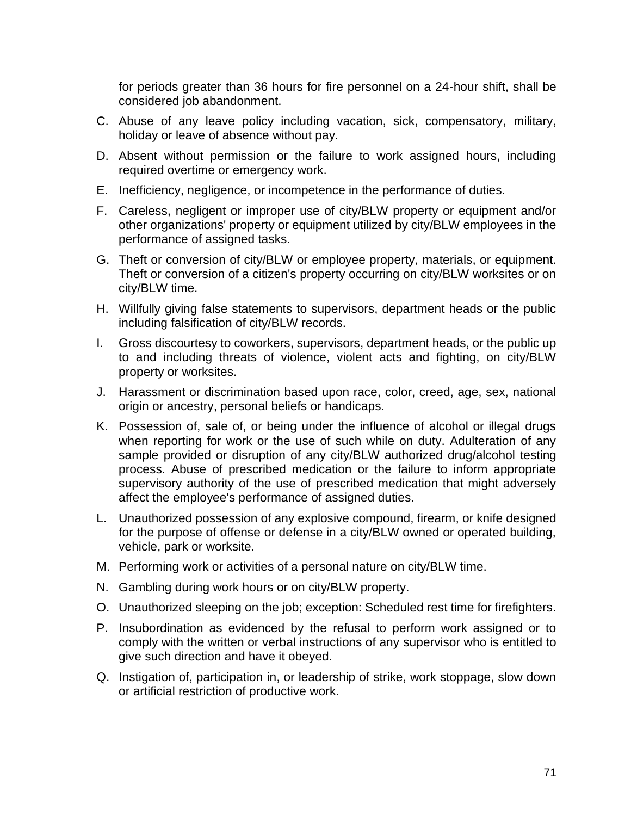for periods greater than 36 hours for fire personnel on a 24-hour shift, shall be considered job abandonment.

- C. Abuse of any leave policy including vacation, sick, compensatory, military, holiday or leave of absence without pay.
- D. Absent without permission or the failure to work assigned hours, including required overtime or emergency work.
- E. Inefficiency, negligence, or incompetence in the performance of duties.
- F. Careless, negligent or improper use of city/BLW property or equipment and/or other organizations' property or equipment utilized by city/BLW employees in the performance of assigned tasks.
- G. Theft or conversion of city/BLW or employee property, materials, or equipment. Theft or conversion of a citizen's property occurring on city/BLW worksites or on city/BLW time.
- H. Willfully giving false statements to supervisors, department heads or the public including falsification of city/BLW records.
- I. Gross discourtesy to coworkers, supervisors, department heads, or the public up to and including threats of violence, violent acts and fighting, on city/BLW property or worksites.
- J. Harassment or discrimination based upon race, color, creed, age, sex, national origin or ancestry, personal beliefs or handicaps.
- K. Possession of, sale of, or being under the influence of alcohol or illegal drugs when reporting for work or the use of such while on duty. Adulteration of any sample provided or disruption of any city/BLW authorized drug/alcohol testing process. Abuse of prescribed medication or the failure to inform appropriate supervisory authority of the use of prescribed medication that might adversely affect the employee's performance of assigned duties.
- L. Unauthorized possession of any explosive compound, firearm, or knife designed for the purpose of offense or defense in a city/BLW owned or operated building, vehicle, park or worksite.
- M. Performing work or activities of a personal nature on city/BLW time.
- N. Gambling during work hours or on city/BLW property.
- O. Unauthorized sleeping on the job; exception: Scheduled rest time for firefighters.
- P. Insubordination as evidenced by the refusal to perform work assigned or to comply with the written or verbal instructions of any supervisor who is entitled to give such direction and have it obeyed.
- Q. Instigation of, participation in, or leadership of strike, work stoppage, slow down or artificial restriction of productive work.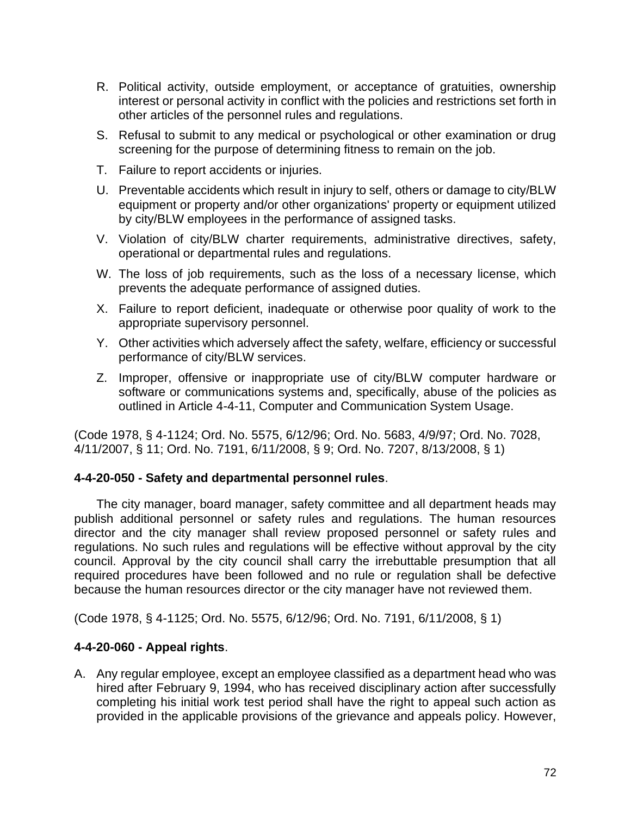- R. Political activity, outside employment, or acceptance of gratuities, ownership interest or personal activity in conflict with the policies and restrictions set forth in other articles of the personnel rules and regulations.
- S. Refusal to submit to any medical or psychological or other examination or drug screening for the purpose of determining fitness to remain on the job.
- T. Failure to report accidents or injuries.
- U. Preventable accidents which result in injury to self, others or damage to city/BLW equipment or property and/or other organizations' property or equipment utilized by city/BLW employees in the performance of assigned tasks.
- V. Violation of city/BLW charter requirements, administrative directives, safety, operational or departmental rules and regulations.
- W. The loss of job requirements, such as the loss of a necessary license, which prevents the adequate performance of assigned duties.
- X. Failure to report deficient, inadequate or otherwise poor quality of work to the appropriate supervisory personnel.
- Y. Other activities which adversely affect the safety, welfare, efficiency or successful performance of city/BLW services.
- Z. Improper, offensive or inappropriate use of city/BLW computer hardware or software or communications systems and, specifically, abuse of the policies as outlined in Article 4-4-11, Computer and Communication System Usage.

(Code 1978, § 4-1124; Ord. No. 5575, 6/12/96; Ord. No. 5683, 4/9/97; Ord. No. 7028, 4/11/2007, § 11; Ord. No. 7191, 6/11/2008, § 9; Ord. No. 7207, 8/13/2008, § 1)

### **4-4-20-050 - Safety and departmental personnel rules**.

The city manager, board manager, safety committee and all department heads may publish additional personnel or safety rules and regulations. The human resources director and the city manager shall review proposed personnel or safety rules and regulations. No such rules and regulations will be effective without approval by the city council. Approval by the city council shall carry the irrebuttable presumption that all required procedures have been followed and no rule or regulation shall be defective because the human resources director or the city manager have not reviewed them.

(Code 1978, § 4-1125; Ord. No. 5575, 6/12/96; Ord. No. 7191, 6/11/2008, § 1)

### **4-4-20-060 - Appeal rights**.

A. Any regular employee, except an employee classified as a department head who was hired after February 9, 1994, who has received disciplinary action after successfully completing his initial work test period shall have the right to appeal such action as provided in the applicable provisions of the grievance and appeals policy. However,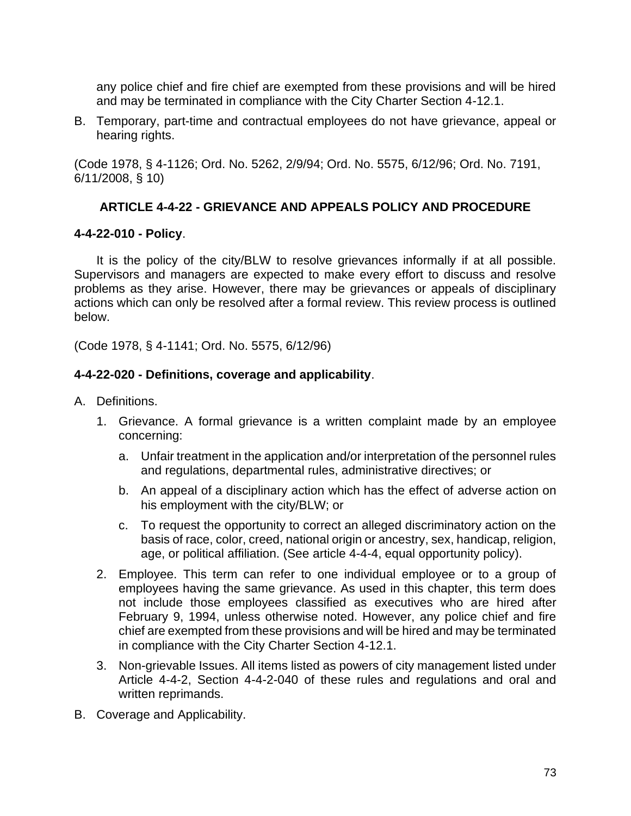any police chief and fire chief are exempted from these provisions and will be hired and may be terminated in compliance with the City Charter Section 4-12.1.

B. Temporary, part-time and contractual employees do not have grievance, appeal or hearing rights.

(Code 1978, § 4-1126; Ord. No. 5262, 2/9/94; Ord. No. 5575, 6/12/96; Ord. No. 7191, 6/11/2008, § 10)

## **ARTICLE 4-4-22 - GRIEVANCE AND APPEALS POLICY AND PROCEDURE**

### **4-4-22-010 - Policy**.

It is the policy of the city/BLW to resolve grievances informally if at all possible. Supervisors and managers are expected to make every effort to discuss and resolve problems as they arise. However, there may be grievances or appeals of disciplinary actions which can only be resolved after a formal review. This review process is outlined below.

(Code 1978, § 4-1141; Ord. No. 5575, 6/12/96)

### **4-4-22-020 - Definitions, coverage and applicability**.

- A. Definitions.
	- 1. Grievance. A formal grievance is a written complaint made by an employee concerning:
		- a. Unfair treatment in the application and/or interpretation of the personnel rules and regulations, departmental rules, administrative directives; or
		- b. An appeal of a disciplinary action which has the effect of adverse action on his employment with the city/BLW; or
		- c. To request the opportunity to correct an alleged discriminatory action on the basis of race, color, creed, national origin or ancestry, sex, handicap, religion, age, or political affiliation. (See article 4-4-4, equal opportunity policy).
	- 2. Employee. This term can refer to one individual employee or to a group of employees having the same grievance. As used in this chapter, this term does not include those employees classified as executives who are hired after February 9, 1994, unless otherwise noted. However, any police chief and fire chief are exempted from these provisions and will be hired and may be terminated in compliance with the City Charter Section 4-12.1.
	- 3. Non-grievable Issues. All items listed as powers of city management listed under Article 4-4-2, Section 4-4-2-040 of these rules and regulations and oral and written reprimands.
- B. Coverage and Applicability.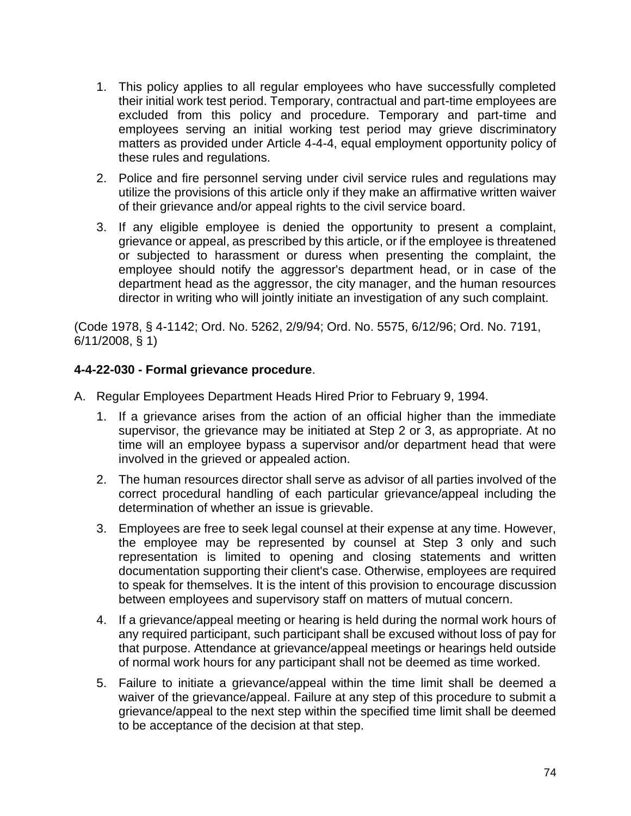- 1. This policy applies to all regular employees who have successfully completed their initial work test period. Temporary, contractual and part-time employees are excluded from this policy and procedure. Temporary and part-time and employees serving an initial working test period may grieve discriminatory matters as provided under Article 4-4-4, equal employment opportunity policy of these rules and regulations.
- 2. Police and fire personnel serving under civil service rules and regulations may utilize the provisions of this article only if they make an affirmative written waiver of their grievance and/or appeal rights to the civil service board.
- 3. If any eligible employee is denied the opportunity to present a complaint, grievance or appeal, as prescribed by this article, or if the employee is threatened or subjected to harassment or duress when presenting the complaint, the employee should notify the aggressor's department head, or in case of the department head as the aggressor, the city manager, and the human resources director in writing who will jointly initiate an investigation of any such complaint.

(Code 1978, § 4-1142; Ord. No. 5262, 2/9/94; Ord. No. 5575, 6/12/96; Ord. No. 7191, 6/11/2008, § 1)

## **4-4-22-030 - Formal grievance procedure**.

- A. Regular Employees Department Heads Hired Prior to February 9, 1994.
	- 1. If a grievance arises from the action of an official higher than the immediate supervisor, the grievance may be initiated at Step 2 or 3, as appropriate. At no time will an employee bypass a supervisor and/or department head that were involved in the grieved or appealed action.
	- 2. The human resources director shall serve as advisor of all parties involved of the correct procedural handling of each particular grievance/appeal including the determination of whether an issue is grievable.
	- 3. Employees are free to seek legal counsel at their expense at any time. However, the employee may be represented by counsel at Step 3 only and such representation is limited to opening and closing statements and written documentation supporting their client's case. Otherwise, employees are required to speak for themselves. It is the intent of this provision to encourage discussion between employees and supervisory staff on matters of mutual concern.
	- 4. If a grievance/appeal meeting or hearing is held during the normal work hours of any required participant, such participant shall be excused without loss of pay for that purpose. Attendance at grievance/appeal meetings or hearings held outside of normal work hours for any participant shall not be deemed as time worked.
	- 5. Failure to initiate a grievance/appeal within the time limit shall be deemed a waiver of the grievance/appeal. Failure at any step of this procedure to submit a grievance/appeal to the next step within the specified time limit shall be deemed to be acceptance of the decision at that step.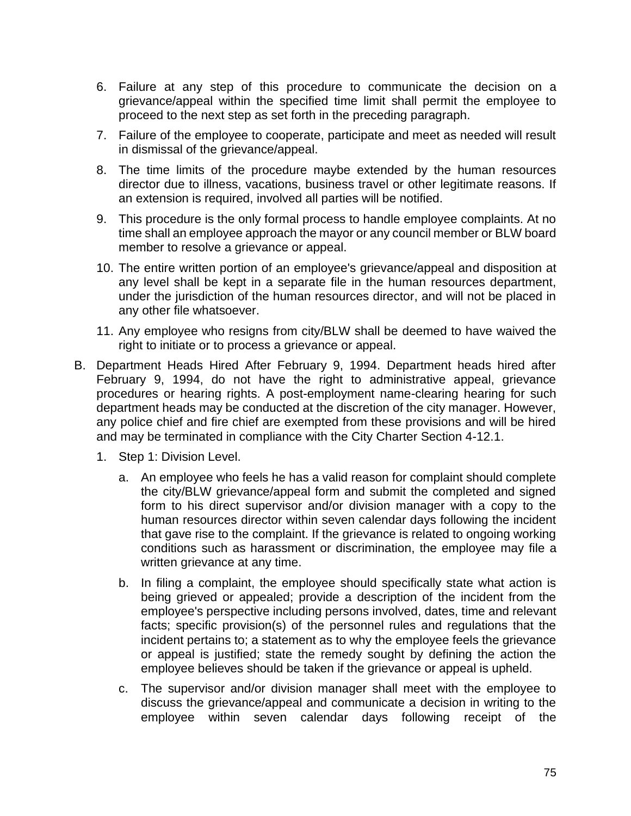- 6. Failure at any step of this procedure to communicate the decision on a grievance/appeal within the specified time limit shall permit the employee to proceed to the next step as set forth in the preceding paragraph.
- 7. Failure of the employee to cooperate, participate and meet as needed will result in dismissal of the grievance/appeal.
- 8. The time limits of the procedure maybe extended by the human resources director due to illness, vacations, business travel or other legitimate reasons. If an extension is required, involved all parties will be notified.
- 9. This procedure is the only formal process to handle employee complaints. At no time shall an employee approach the mayor or any council member or BLW board member to resolve a grievance or appeal.
- 10. The entire written portion of an employee's grievance/appeal and disposition at any level shall be kept in a separate file in the human resources department, under the jurisdiction of the human resources director, and will not be placed in any other file whatsoever.
- 11. Any employee who resigns from city/BLW shall be deemed to have waived the right to initiate or to process a grievance or appeal.
- B. Department Heads Hired After February 9, 1994. Department heads hired after February 9, 1994, do not have the right to administrative appeal, grievance procedures or hearing rights. A post-employment name-clearing hearing for such department heads may be conducted at the discretion of the city manager. However, any police chief and fire chief are exempted from these provisions and will be hired and may be terminated in compliance with the City Charter Section 4-12.1.
	- 1. Step 1: Division Level.
		- a. An employee who feels he has a valid reason for complaint should complete the city/BLW grievance/appeal form and submit the completed and signed form to his direct supervisor and/or division manager with a copy to the human resources director within seven calendar days following the incident that gave rise to the complaint. If the grievance is related to ongoing working conditions such as harassment or discrimination, the employee may file a written grievance at any time.
		- b. In filing a complaint, the employee should specifically state what action is being grieved or appealed; provide a description of the incident from the employee's perspective including persons involved, dates, time and relevant facts; specific provision(s) of the personnel rules and regulations that the incident pertains to; a statement as to why the employee feels the grievance or appeal is justified; state the remedy sought by defining the action the employee believes should be taken if the grievance or appeal is upheld.
		- c. The supervisor and/or division manager shall meet with the employee to discuss the grievance/appeal and communicate a decision in writing to the employee within seven calendar days following receipt of the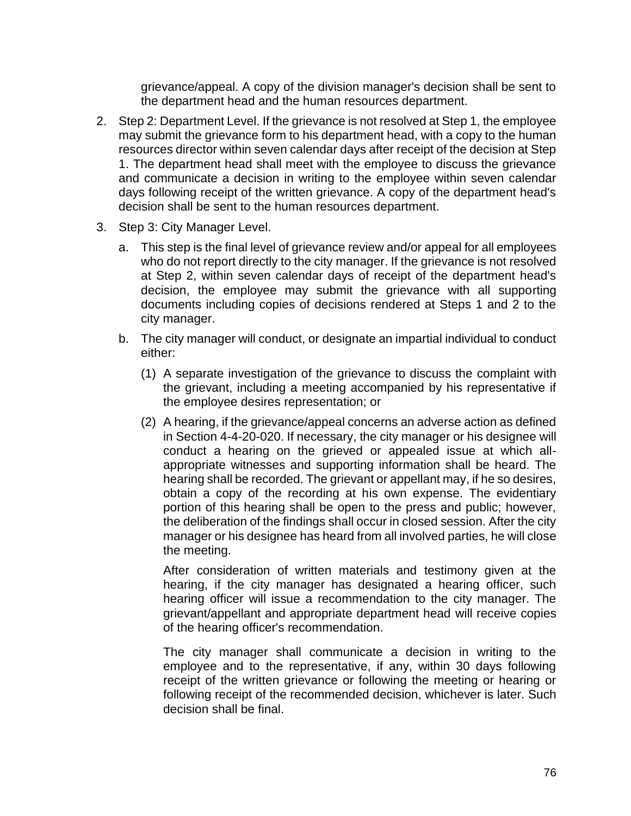grievance/appeal. A copy of the division manager's decision shall be sent to the department head and the human resources department.

- 2. Step 2: Department Level. If the grievance is not resolved at Step 1, the employee may submit the grievance form to his department head, with a copy to the human resources director within seven calendar days after receipt of the decision at Step 1. The department head shall meet with the employee to discuss the grievance and communicate a decision in writing to the employee within seven calendar days following receipt of the written grievance. A copy of the department head's decision shall be sent to the human resources department.
- 3. Step 3: City Manager Level.
	- a. This step is the final level of grievance review and/or appeal for all employees who do not report directly to the city manager. If the grievance is not resolved at Step 2, within seven calendar days of receipt of the department head's decision, the employee may submit the grievance with all supporting documents including copies of decisions rendered at Steps 1 and 2 to the city manager.
	- b. The city manager will conduct, or designate an impartial individual to conduct either:
		- (1) A separate investigation of the grievance to discuss the complaint with the grievant, including a meeting accompanied by his representative if the employee desires representation; or
		- (2) A hearing, if the grievance/appeal concerns an adverse action as defined in Section 4-4-20-020. If necessary, the city manager or his designee will conduct a hearing on the grieved or appealed issue at which allappropriate witnesses and supporting information shall be heard. The hearing shall be recorded. The grievant or appellant may, if he so desires, obtain a copy of the recording at his own expense. The evidentiary portion of this hearing shall be open to the press and public; however, the deliberation of the findings shall occur in closed session. After the city manager or his designee has heard from all involved parties, he will close the meeting.

After consideration of written materials and testimony given at the hearing, if the city manager has designated a hearing officer, such hearing officer will issue a recommendation to the city manager. The grievant/appellant and appropriate department head will receive copies of the hearing officer's recommendation.

The city manager shall communicate a decision in writing to the employee and to the representative, if any, within 30 days following receipt of the written grievance or following the meeting or hearing or following receipt of the recommended decision, whichever is later. Such decision shall be final.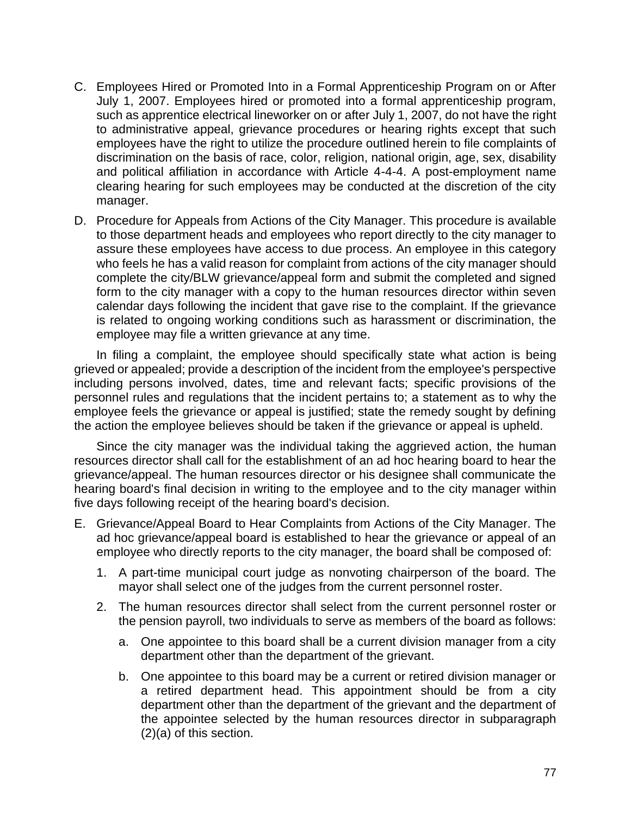- C. Employees Hired or Promoted Into in a Formal Apprenticeship Program on or After July 1, 2007. Employees hired or promoted into a formal apprenticeship program, such as apprentice electrical lineworker on or after July 1, 2007, do not have the right to administrative appeal, grievance procedures or hearing rights except that such employees have the right to utilize the procedure outlined herein to file complaints of discrimination on the basis of race, color, religion, national origin, age, sex, disability and political affiliation in accordance with Article 4-4-4. A post-employment name clearing hearing for such employees may be conducted at the discretion of the city manager.
- D. Procedure for Appeals from Actions of the City Manager. This procedure is available to those department heads and employees who report directly to the city manager to assure these employees have access to due process. An employee in this category who feels he has a valid reason for complaint from actions of the city manager should complete the city/BLW grievance/appeal form and submit the completed and signed form to the city manager with a copy to the human resources director within seven calendar days following the incident that gave rise to the complaint. If the grievance is related to ongoing working conditions such as harassment or discrimination, the employee may file a written grievance at any time.

In filing a complaint, the employee should specifically state what action is being grieved or appealed; provide a description of the incident from the employee's perspective including persons involved, dates, time and relevant facts; specific provisions of the personnel rules and regulations that the incident pertains to; a statement as to why the employee feels the grievance or appeal is justified; state the remedy sought by defining the action the employee believes should be taken if the grievance or appeal is upheld.

Since the city manager was the individual taking the aggrieved action, the human resources director shall call for the establishment of an ad hoc hearing board to hear the grievance/appeal. The human resources director or his designee shall communicate the hearing board's final decision in writing to the employee and to the city manager within five days following receipt of the hearing board's decision.

- E. Grievance/Appeal Board to Hear Complaints from Actions of the City Manager. The ad hoc grievance/appeal board is established to hear the grievance or appeal of an employee who directly reports to the city manager, the board shall be composed of:
	- 1. A part-time municipal court judge as nonvoting chairperson of the board. The mayor shall select one of the judges from the current personnel roster.
	- 2. The human resources director shall select from the current personnel roster or the pension payroll, two individuals to serve as members of the board as follows:
		- a. One appointee to this board shall be a current division manager from a city department other than the department of the grievant.
		- b. One appointee to this board may be a current or retired division manager or a retired department head. This appointment should be from a city department other than the department of the grievant and the department of the appointee selected by the human resources director in subparagraph (2)(a) of this section.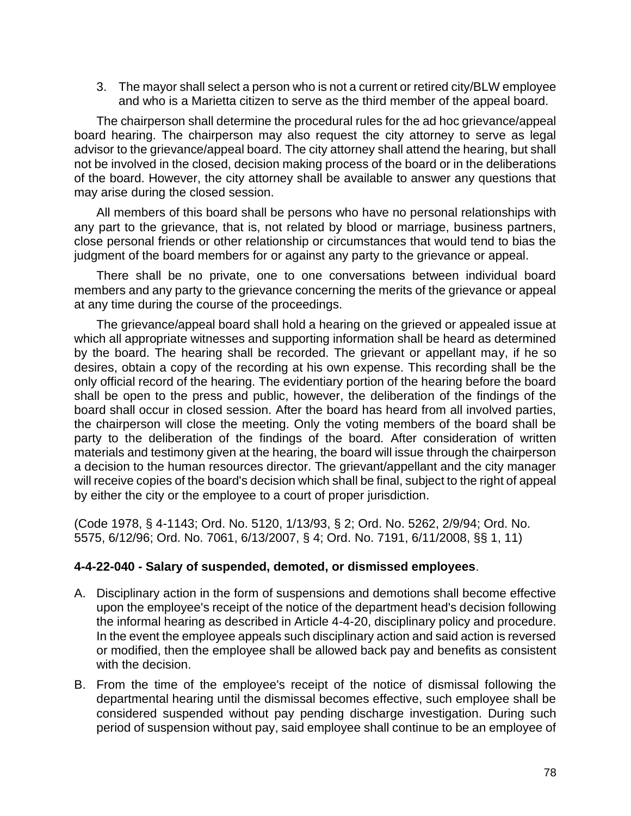3. The mayor shall select a person who is not a current or retired city/BLW employee and who is a Marietta citizen to serve as the third member of the appeal board.

The chairperson shall determine the procedural rules for the ad hoc grievance/appeal board hearing. The chairperson may also request the city attorney to serve as legal advisor to the grievance/appeal board. The city attorney shall attend the hearing, but shall not be involved in the closed, decision making process of the board or in the deliberations of the board. However, the city attorney shall be available to answer any questions that may arise during the closed session.

All members of this board shall be persons who have no personal relationships with any part to the grievance, that is, not related by blood or marriage, business partners, close personal friends or other relationship or circumstances that would tend to bias the judgment of the board members for or against any party to the grievance or appeal.

There shall be no private, one to one conversations between individual board members and any party to the grievance concerning the merits of the grievance or appeal at any time during the course of the proceedings.

The grievance/appeal board shall hold a hearing on the grieved or appealed issue at which all appropriate witnesses and supporting information shall be heard as determined by the board. The hearing shall be recorded. The grievant or appellant may, if he so desires, obtain a copy of the recording at his own expense. This recording shall be the only official record of the hearing. The evidentiary portion of the hearing before the board shall be open to the press and public, however, the deliberation of the findings of the board shall occur in closed session. After the board has heard from all involved parties, the chairperson will close the meeting. Only the voting members of the board shall be party to the deliberation of the findings of the board. After consideration of written materials and testimony given at the hearing, the board will issue through the chairperson a decision to the human resources director. The grievant/appellant and the city manager will receive copies of the board's decision which shall be final, subject to the right of appeal by either the city or the employee to a court of proper jurisdiction.

(Code 1978, § 4-1143; Ord. No. 5120, 1/13/93, § 2; Ord. No. 5262, 2/9/94; Ord. No. 5575, 6/12/96; Ord. No. 7061, 6/13/2007, § 4; Ord. No. 7191, 6/11/2008, §§ 1, 11)

### **4-4-22-040 - Salary of suspended, demoted, or dismissed employees**.

- A. Disciplinary action in the form of suspensions and demotions shall become effective upon the employee's receipt of the notice of the department head's decision following the informal hearing as described in Article 4-4-20, disciplinary policy and procedure. In the event the employee appeals such disciplinary action and said action is reversed or modified, then the employee shall be allowed back pay and benefits as consistent with the decision.
- B. From the time of the employee's receipt of the notice of dismissal following the departmental hearing until the dismissal becomes effective, such employee shall be considered suspended without pay pending discharge investigation. During such period of suspension without pay, said employee shall continue to be an employee of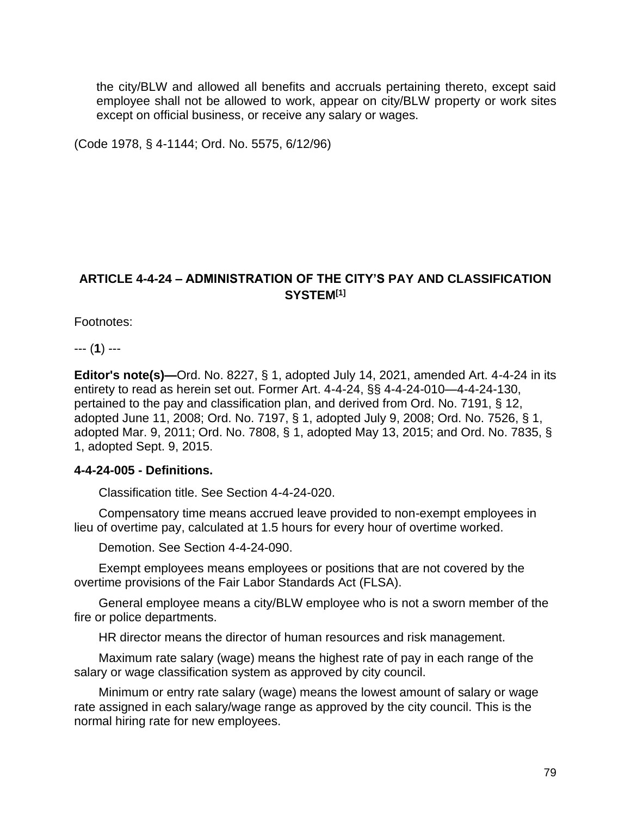the city/BLW and allowed all benefits and accruals pertaining thereto, except said employee shall not be allowed to work, appear on city/BLW property or work sites except on official business, or receive any salary or wages.

(Code 1978, § 4-1144; Ord. No. 5575, 6/12/96)

# **ARTICLE 4-4-24 – ADMINISTRATION OF THE CITY'S PAY AND CLASSIFICATION SYSTEM[1]**

Footnotes:

--- (**1**) ---

**Editor's note(s)—**Ord. No. 8227, § 1, adopted July 14, 2021, amended Art. 4-4-24 in its entirety to read as herein set out. Former Art. 4-4-24, §§ 4-4-24-010—4-4-24-130, pertained to the pay and classification plan, and derived from Ord. No. 7191, § 12, adopted June 11, 2008; Ord. No. 7197, § 1, adopted July 9, 2008; Ord. No. 7526, § 1, adopted Mar. 9, 2011; Ord. No. 7808, § 1, adopted May 13, 2015; and Ord. No. 7835, § 1, adopted Sept. 9, 2015.

### **4-4-24-005 - Definitions.**

Classification title. See Section 4-4-24-020.

Compensatory time means accrued leave provided to non-exempt employees in lieu of overtime pay, calculated at 1.5 hours for every hour of overtime worked.

Demotion. See Section 4-4-24-090.

Exempt employees means employees or positions that are not covered by the overtime provisions of the Fair Labor Standards Act (FLSA).

General employee means a city/BLW employee who is not a sworn member of the fire or police departments.

HR director means the director of human resources and risk management.

Maximum rate salary (wage) means the highest rate of pay in each range of the salary or wage classification system as approved by city council.

Minimum or entry rate salary (wage) means the lowest amount of salary or wage rate assigned in each salary/wage range as approved by the city council. This is the normal hiring rate for new employees.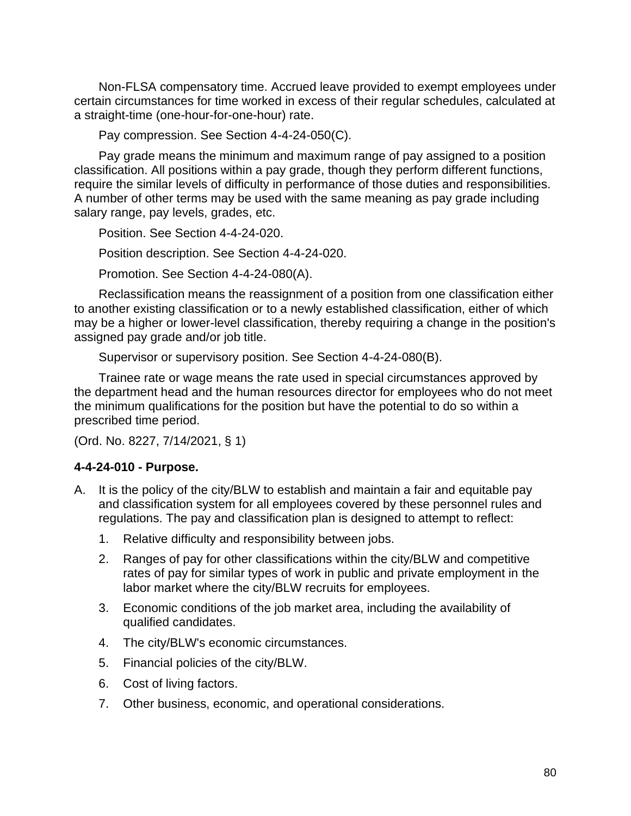Non-FLSA compensatory time. Accrued leave provided to exempt employees under certain circumstances for time worked in excess of their regular schedules, calculated at a straight-time (one-hour-for-one-hour) rate.

Pay compression. See Section 4-4-24-050(C).

Pay grade means the minimum and maximum range of pay assigned to a position classification. All positions within a pay grade, though they perform different functions, require the similar levels of difficulty in performance of those duties and responsibilities. A number of other terms may be used with the same meaning as pay grade including salary range, pay levels, grades, etc.

Position. See Section 4-4-24-020.

Position description. See Section 4-4-24-020.

Promotion. See Section 4-4-24-080(A).

Reclassification means the reassignment of a position from one classification either to another existing classification or to a newly established classification, either of which may be a higher or lower-level classification, thereby requiring a change in the position's assigned pay grade and/or job title.

Supervisor or supervisory position. See Section 4-4-24-080(B).

Trainee rate or wage means the rate used in special circumstances approved by the department head and the human resources director for employees who do not meet the minimum qualifications for the position but have the potential to do so within a prescribed time period.

(Ord. No. 8227, 7/14/2021, § 1)

### **4-4-24-010 - Purpose.**

- A. It is the policy of the city/BLW to establish and maintain a fair and equitable pay and classification system for all employees covered by these personnel rules and regulations. The pay and classification plan is designed to attempt to reflect:
	- 1. Relative difficulty and responsibility between jobs.
	- 2. Ranges of pay for other classifications within the city/BLW and competitive rates of pay for similar types of work in public and private employment in the labor market where the city/BLW recruits for employees.
	- 3. Economic conditions of the job market area, including the availability of qualified candidates.
	- 4. The city/BLW's economic circumstances.
	- 5. Financial policies of the city/BLW.
	- 6. Cost of living factors.
	- 7. Other business, economic, and operational considerations.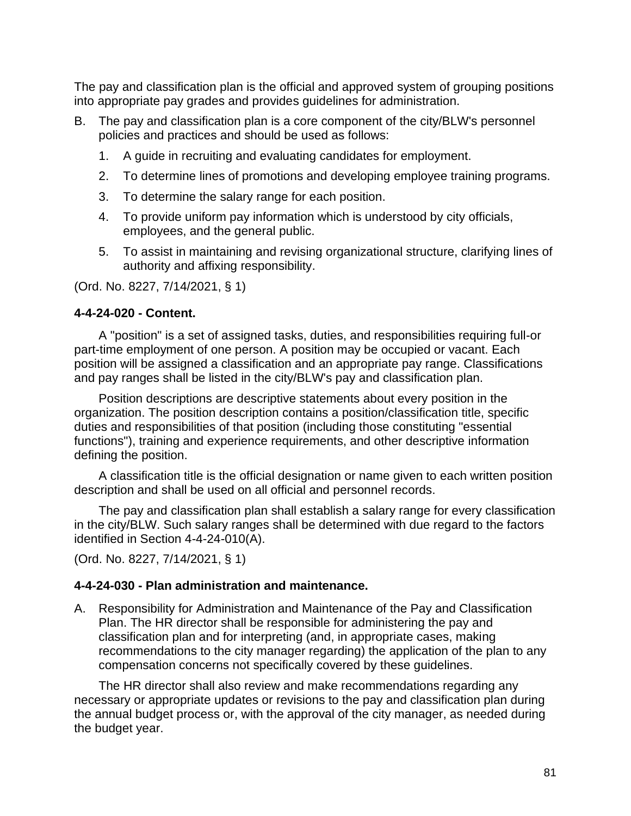The pay and classification plan is the official and approved system of grouping positions into appropriate pay grades and provides guidelines for administration.

- B. The pay and classification plan is a core component of the city/BLW's personnel policies and practices and should be used as follows:
	- 1. A guide in recruiting and evaluating candidates for employment.
	- 2. To determine lines of promotions and developing employee training programs.
	- 3. To determine the salary range for each position.
	- 4. To provide uniform pay information which is understood by city officials, employees, and the general public.
	- 5. To assist in maintaining and revising organizational structure, clarifying lines of authority and affixing responsibility.

(Ord. No. 8227, 7/14/2021, § 1)

## **4-4-24-020 - Content.**

A "position" is a set of assigned tasks, duties, and responsibilities requiring full-or part-time employment of one person. A position may be occupied or vacant. Each position will be assigned a classification and an appropriate pay range. Classifications and pay ranges shall be listed in the city/BLW's pay and classification plan.

Position descriptions are descriptive statements about every position in the organization. The position description contains a position/classification title, specific duties and responsibilities of that position (including those constituting "essential functions"), training and experience requirements, and other descriptive information defining the position.

A classification title is the official designation or name given to each written position description and shall be used on all official and personnel records.

The pay and classification plan shall establish a salary range for every classification in the city/BLW. Such salary ranges shall be determined with due regard to the factors identified in Section 4-4-24-010(A).

(Ord. No. 8227, 7/14/2021, § 1)

# **4-4-24-030 - Plan administration and maintenance.**

A. Responsibility for Administration and Maintenance of the Pay and Classification Plan. The HR director shall be responsible for administering the pay and classification plan and for interpreting (and, in appropriate cases, making recommendations to the city manager regarding) the application of the plan to any compensation concerns not specifically covered by these guidelines.

The HR director shall also review and make recommendations regarding any necessary or appropriate updates or revisions to the pay and classification plan during the annual budget process or, with the approval of the city manager, as needed during the budget year.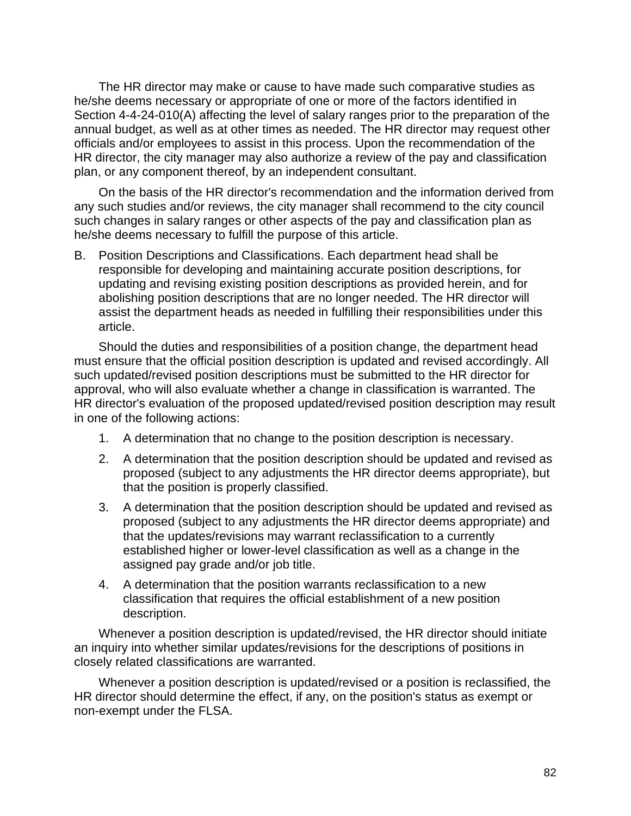The HR director may make or cause to have made such comparative studies as he/she deems necessary or appropriate of one or more of the factors identified in Section 4-4-24-010(A) affecting the level of salary ranges prior to the preparation of the annual budget, as well as at other times as needed. The HR director may request other officials and/or employees to assist in this process. Upon the recommendation of the HR director, the city manager may also authorize a review of the pay and classification plan, or any component thereof, by an independent consultant.

On the basis of the HR director's recommendation and the information derived from any such studies and/or reviews, the city manager shall recommend to the city council such changes in salary ranges or other aspects of the pay and classification plan as he/she deems necessary to fulfill the purpose of this article.

B. Position Descriptions and Classifications. Each department head shall be responsible for developing and maintaining accurate position descriptions, for updating and revising existing position descriptions as provided herein, and for abolishing position descriptions that are no longer needed. The HR director will assist the department heads as needed in fulfilling their responsibilities under this article.

Should the duties and responsibilities of a position change, the department head must ensure that the official position description is updated and revised accordingly. All such updated/revised position descriptions must be submitted to the HR director for approval, who will also evaluate whether a change in classification is warranted. The HR director's evaluation of the proposed updated/revised position description may result in one of the following actions:

- 1. A determination that no change to the position description is necessary.
- 2. A determination that the position description should be updated and revised as proposed (subject to any adjustments the HR director deems appropriate), but that the position is properly classified.
- 3. A determination that the position description should be updated and revised as proposed (subject to any adjustments the HR director deems appropriate) and that the updates/revisions may warrant reclassification to a currently established higher or lower-level classification as well as a change in the assigned pay grade and/or job title.
- 4. A determination that the position warrants reclassification to a new classification that requires the official establishment of a new position description.

Whenever a position description is updated/revised, the HR director should initiate an inquiry into whether similar updates/revisions for the descriptions of positions in closely related classifications are warranted.

Whenever a position description is updated/revised or a position is reclassified, the HR director should determine the effect, if any, on the position's status as exempt or non-exempt under the FLSA.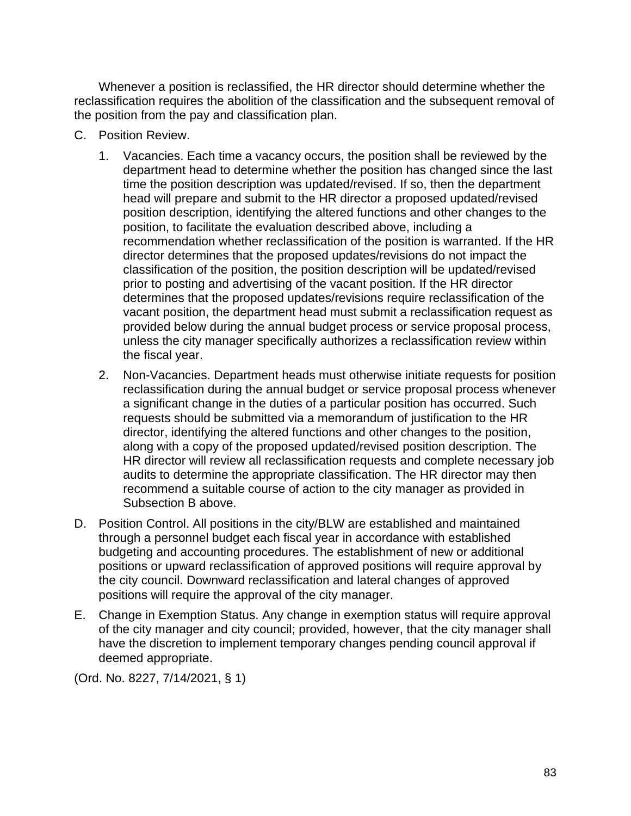Whenever a position is reclassified, the HR director should determine whether the reclassification requires the abolition of the classification and the subsequent removal of the position from the pay and classification plan.

- C. Position Review.
	- 1. Vacancies. Each time a vacancy occurs, the position shall be reviewed by the department head to determine whether the position has changed since the last time the position description was updated/revised. If so, then the department head will prepare and submit to the HR director a proposed updated/revised position description, identifying the altered functions and other changes to the position, to facilitate the evaluation described above, including a recommendation whether reclassification of the position is warranted. If the HR director determines that the proposed updates/revisions do not impact the classification of the position, the position description will be updated/revised prior to posting and advertising of the vacant position. If the HR director determines that the proposed updates/revisions require reclassification of the vacant position, the department head must submit a reclassification request as provided below during the annual budget process or service proposal process, unless the city manager specifically authorizes a reclassification review within the fiscal year.
	- 2. Non-Vacancies. Department heads must otherwise initiate requests for position reclassification during the annual budget or service proposal process whenever a significant change in the duties of a particular position has occurred. Such requests should be submitted via a memorandum of justification to the HR director, identifying the altered functions and other changes to the position, along with a copy of the proposed updated/revised position description. The HR director will review all reclassification requests and complete necessary job audits to determine the appropriate classification. The HR director may then recommend a suitable course of action to the city manager as provided in Subsection B above.
- D. Position Control. All positions in the city/BLW are established and maintained through a personnel budget each fiscal year in accordance with established budgeting and accounting procedures. The establishment of new or additional positions or upward reclassification of approved positions will require approval by the city council. Downward reclassification and lateral changes of approved positions will require the approval of the city manager.
- E. Change in Exemption Status. Any change in exemption status will require approval of the city manager and city council; provided, however, that the city manager shall have the discretion to implement temporary changes pending council approval if deemed appropriate.

(Ord. No. 8227, 7/14/2021, § 1)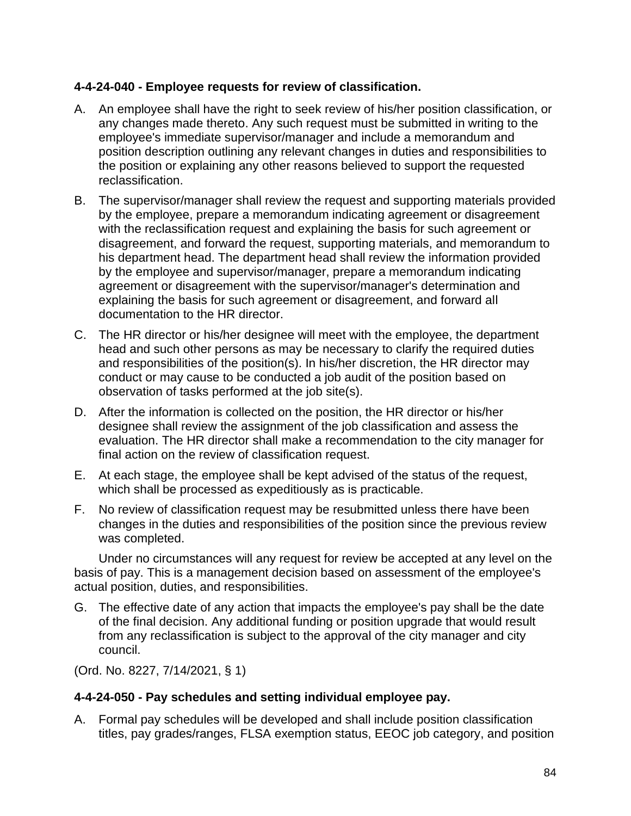## **4-4-24-040 - Employee requests for review of classification.**

- A. An employee shall have the right to seek review of his/her position classification, or any changes made thereto. Any such request must be submitted in writing to the employee's immediate supervisor/manager and include a memorandum and position description outlining any relevant changes in duties and responsibilities to the position or explaining any other reasons believed to support the requested reclassification.
- B. The supervisor/manager shall review the request and supporting materials provided by the employee, prepare a memorandum indicating agreement or disagreement with the reclassification request and explaining the basis for such agreement or disagreement, and forward the request, supporting materials, and memorandum to his department head. The department head shall review the information provided by the employee and supervisor/manager, prepare a memorandum indicating agreement or disagreement with the supervisor/manager's determination and explaining the basis for such agreement or disagreement, and forward all documentation to the HR director.
- C. The HR director or his/her designee will meet with the employee, the department head and such other persons as may be necessary to clarify the required duties and responsibilities of the position(s). In his/her discretion, the HR director may conduct or may cause to be conducted a job audit of the position based on observation of tasks performed at the job site(s).
- D. After the information is collected on the position, the HR director or his/her designee shall review the assignment of the job classification and assess the evaluation. The HR director shall make a recommendation to the city manager for final action on the review of classification request.
- E. At each stage, the employee shall be kept advised of the status of the request, which shall be processed as expeditiously as is practicable.
- F. No review of classification request may be resubmitted unless there have been changes in the duties and responsibilities of the position since the previous review was completed.

Under no circumstances will any request for review be accepted at any level on the basis of pay. This is a management decision based on assessment of the employee's actual position, duties, and responsibilities.

G. The effective date of any action that impacts the employee's pay shall be the date of the final decision. Any additional funding or position upgrade that would result from any reclassification is subject to the approval of the city manager and city council.

(Ord. No. 8227, 7/14/2021, § 1)

### **4-4-24-050 - Pay schedules and setting individual employee pay.**

A. Formal pay schedules will be developed and shall include position classification titles, pay grades/ranges, FLSA exemption status, EEOC job category, and position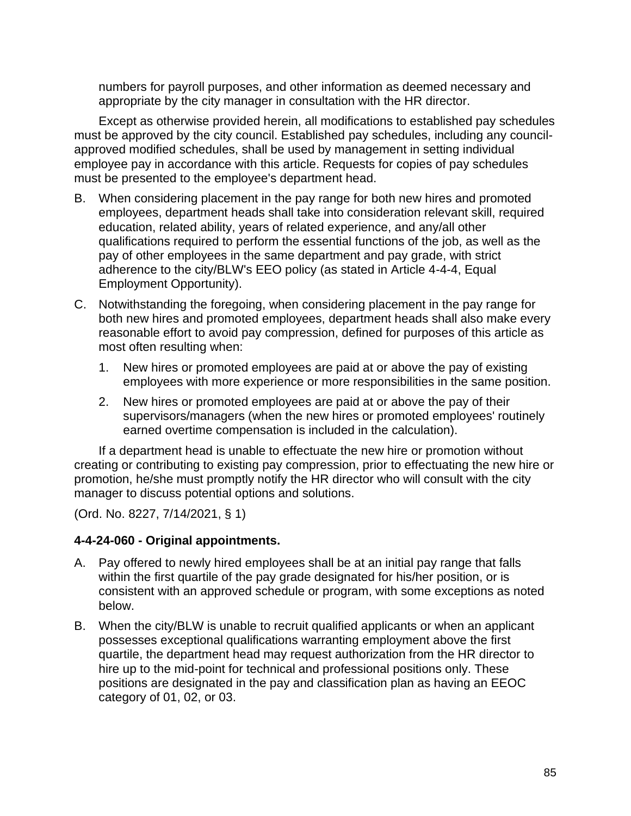numbers for payroll purposes, and other information as deemed necessary and appropriate by the city manager in consultation with the HR director.

Except as otherwise provided herein, all modifications to established pay schedules must be approved by the city council. Established pay schedules, including any councilapproved modified schedules, shall be used by management in setting individual employee pay in accordance with this article. Requests for copies of pay schedules must be presented to the employee's department head.

- B. When considering placement in the pay range for both new hires and promoted employees, department heads shall take into consideration relevant skill, required education, related ability, years of related experience, and any/all other qualifications required to perform the essential functions of the job, as well as the pay of other employees in the same department and pay grade, with strict adherence to the city/BLW's EEO policy (as stated in Article 4-4-4, Equal Employment Opportunity).
- C. Notwithstanding the foregoing, when considering placement in the pay range for both new hires and promoted employees, department heads shall also make every reasonable effort to avoid pay compression, defined for purposes of this article as most often resulting when:
	- 1. New hires or promoted employees are paid at or above the pay of existing employees with more experience or more responsibilities in the same position.
	- 2. New hires or promoted employees are paid at or above the pay of their supervisors/managers (when the new hires or promoted employees' routinely earned overtime compensation is included in the calculation).

If a department head is unable to effectuate the new hire or promotion without creating or contributing to existing pay compression, prior to effectuating the new hire or promotion, he/she must promptly notify the HR director who will consult with the city manager to discuss potential options and solutions.

(Ord. No. 8227, 7/14/2021, § 1)

### **4-4-24-060 - Original appointments.**

- A. Pay offered to newly hired employees shall be at an initial pay range that falls within the first quartile of the pay grade designated for his/her position, or is consistent with an approved schedule or program, with some exceptions as noted below.
- B. When the city/BLW is unable to recruit qualified applicants or when an applicant possesses exceptional qualifications warranting employment above the first quartile, the department head may request authorization from the HR director to hire up to the mid-point for technical and professional positions only. These positions are designated in the pay and classification plan as having an EEOC category of 01, 02, or 03.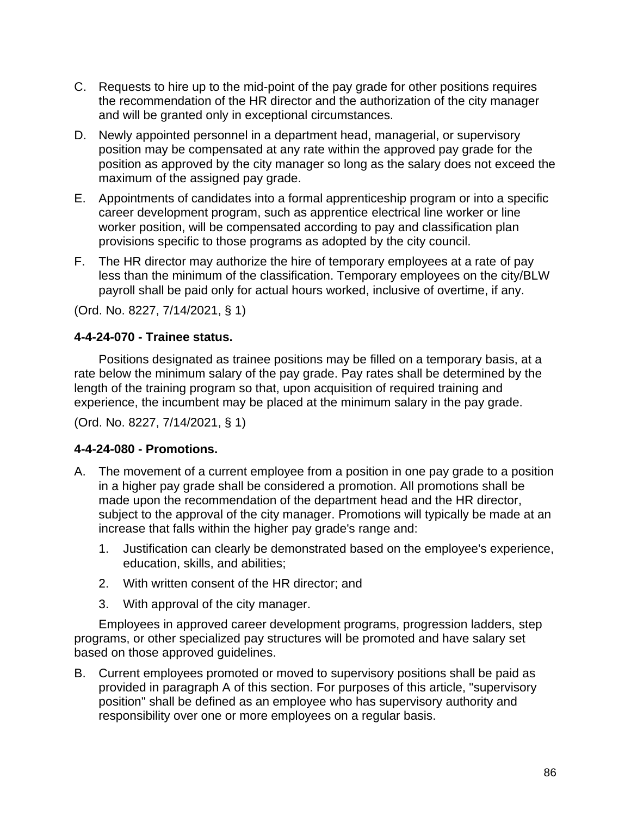- C. Requests to hire up to the mid-point of the pay grade for other positions requires the recommendation of the HR director and the authorization of the city manager and will be granted only in exceptional circumstances.
- D. Newly appointed personnel in a department head, managerial, or supervisory position may be compensated at any rate within the approved pay grade for the position as approved by the city manager so long as the salary does not exceed the maximum of the assigned pay grade.
- E. Appointments of candidates into a formal apprenticeship program or into a specific career development program, such as apprentice electrical line worker or line worker position, will be compensated according to pay and classification plan provisions specific to those programs as adopted by the city council.
- F. The HR director may authorize the hire of temporary employees at a rate of pay less than the minimum of the classification. Temporary employees on the city/BLW payroll shall be paid only for actual hours worked, inclusive of overtime, if any.

(Ord. No. 8227, 7/14/2021, § 1)

## **4-4-24-070 - Trainee status.**

Positions designated as trainee positions may be filled on a temporary basis, at a rate below the minimum salary of the pay grade. Pay rates shall be determined by the length of the training program so that, upon acquisition of required training and experience, the incumbent may be placed at the minimum salary in the pay grade.

(Ord. No. 8227, 7/14/2021, § 1)

### **4-4-24-080 - Promotions.**

- A. The movement of a current employee from a position in one pay grade to a position in a higher pay grade shall be considered a promotion. All promotions shall be made upon the recommendation of the department head and the HR director, subject to the approval of the city manager. Promotions will typically be made at an increase that falls within the higher pay grade's range and:
	- 1. Justification can clearly be demonstrated based on the employee's experience, education, skills, and abilities;
	- 2. With written consent of the HR director; and
	- 3. With approval of the city manager.

Employees in approved career development programs, progression ladders, step programs, or other specialized pay structures will be promoted and have salary set based on those approved guidelines.

B. Current employees promoted or moved to supervisory positions shall be paid as provided in paragraph A of this section. For purposes of this article, "supervisory position" shall be defined as an employee who has supervisory authority and responsibility over one or more employees on a regular basis.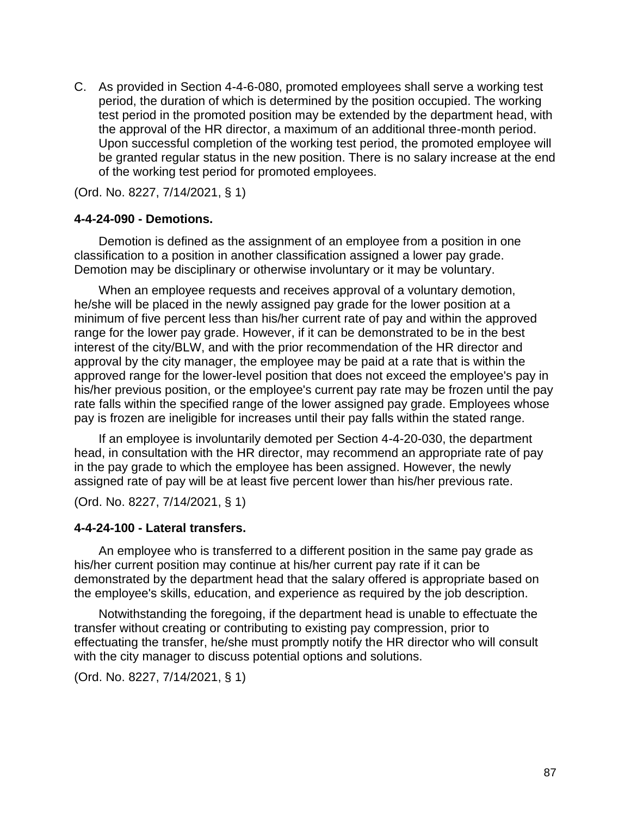C. As provided in Section 4-4-6-080, promoted employees shall serve a working test period, the duration of which is determined by the position occupied. The working test period in the promoted position may be extended by the department head, with the approval of the HR director, a maximum of an additional three-month period. Upon successful completion of the working test period, the promoted employee will be granted regular status in the new position. There is no salary increase at the end of the working test period for promoted employees.

(Ord. No. 8227, 7/14/2021, § 1)

#### **4-4-24-090 - Demotions.**

Demotion is defined as the assignment of an employee from a position in one classification to a position in another classification assigned a lower pay grade. Demotion may be disciplinary or otherwise involuntary or it may be voluntary.

When an employee requests and receives approval of a voluntary demotion, he/she will be placed in the newly assigned pay grade for the lower position at a minimum of five percent less than his/her current rate of pay and within the approved range for the lower pay grade. However, if it can be demonstrated to be in the best interest of the city/BLW, and with the prior recommendation of the HR director and approval by the city manager, the employee may be paid at a rate that is within the approved range for the lower-level position that does not exceed the employee's pay in his/her previous position, or the employee's current pay rate may be frozen until the pay rate falls within the specified range of the lower assigned pay grade. Employees whose pay is frozen are ineligible for increases until their pay falls within the stated range.

If an employee is involuntarily demoted per Section 4-4-20-030, the department head, in consultation with the HR director, may recommend an appropriate rate of pay in the pay grade to which the employee has been assigned. However, the newly assigned rate of pay will be at least five percent lower than his/her previous rate.

(Ord. No. 8227, 7/14/2021, § 1)

#### **4-4-24-100 - Lateral transfers.**

An employee who is transferred to a different position in the same pay grade as his/her current position may continue at his/her current pay rate if it can be demonstrated by the department head that the salary offered is appropriate based on the employee's skills, education, and experience as required by the job description.

Notwithstanding the foregoing, if the department head is unable to effectuate the transfer without creating or contributing to existing pay compression, prior to effectuating the transfer, he/she must promptly notify the HR director who will consult with the city manager to discuss potential options and solutions.

(Ord. No. 8227, 7/14/2021, § 1)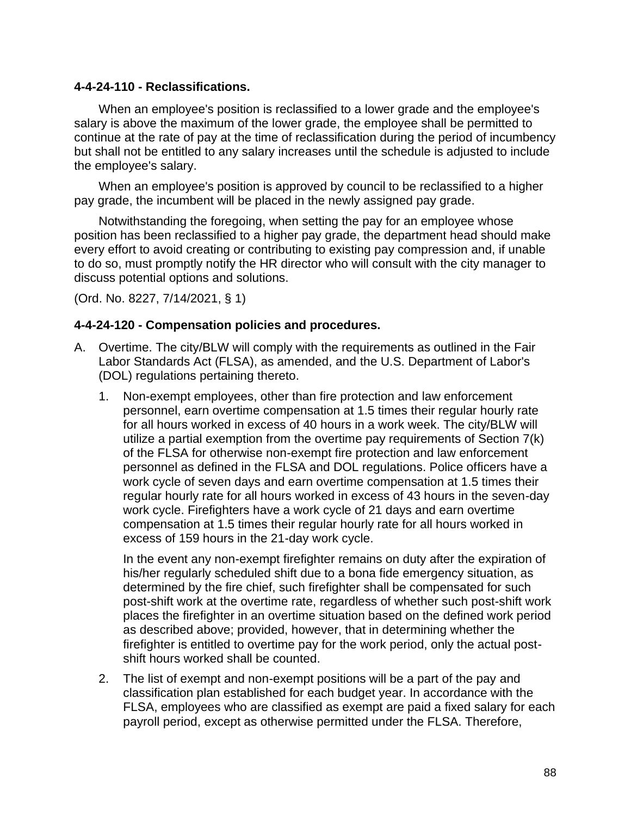#### **4-4-24-110 - Reclassifications.**

When an employee's position is reclassified to a lower grade and the employee's salary is above the maximum of the lower grade, the employee shall be permitted to continue at the rate of pay at the time of reclassification during the period of incumbency but shall not be entitled to any salary increases until the schedule is adjusted to include the employee's salary.

When an employee's position is approved by council to be reclassified to a higher pay grade, the incumbent will be placed in the newly assigned pay grade.

Notwithstanding the foregoing, when setting the pay for an employee whose position has been reclassified to a higher pay grade, the department head should make every effort to avoid creating or contributing to existing pay compression and, if unable to do so, must promptly notify the HR director who will consult with the city manager to discuss potential options and solutions.

(Ord. No. 8227, 7/14/2021, § 1)

#### **4-4-24-120 - Compensation policies and procedures.**

- A. Overtime. The city/BLW will comply with the requirements as outlined in the Fair Labor Standards Act (FLSA), as amended, and the U.S. Department of Labor's (DOL) regulations pertaining thereto.
	- 1. Non-exempt employees, other than fire protection and law enforcement personnel, earn overtime compensation at 1.5 times their regular hourly rate for all hours worked in excess of 40 hours in a work week. The city/BLW will utilize a partial exemption from the overtime pay requirements of Section 7(k) of the FLSA for otherwise non-exempt fire protection and law enforcement personnel as defined in the FLSA and DOL regulations. Police officers have a work cycle of seven days and earn overtime compensation at 1.5 times their regular hourly rate for all hours worked in excess of 43 hours in the seven-day work cycle. Firefighters have a work cycle of 21 days and earn overtime compensation at 1.5 times their regular hourly rate for all hours worked in excess of 159 hours in the 21-day work cycle.

In the event any non-exempt firefighter remains on duty after the expiration of his/her regularly scheduled shift due to a bona fide emergency situation, as determined by the fire chief, such firefighter shall be compensated for such post-shift work at the overtime rate, regardless of whether such post-shift work places the firefighter in an overtime situation based on the defined work period as described above; provided, however, that in determining whether the firefighter is entitled to overtime pay for the work period, only the actual postshift hours worked shall be counted.

2. The list of exempt and non-exempt positions will be a part of the pay and classification plan established for each budget year. In accordance with the FLSA, employees who are classified as exempt are paid a fixed salary for each payroll period, except as otherwise permitted under the FLSA. Therefore,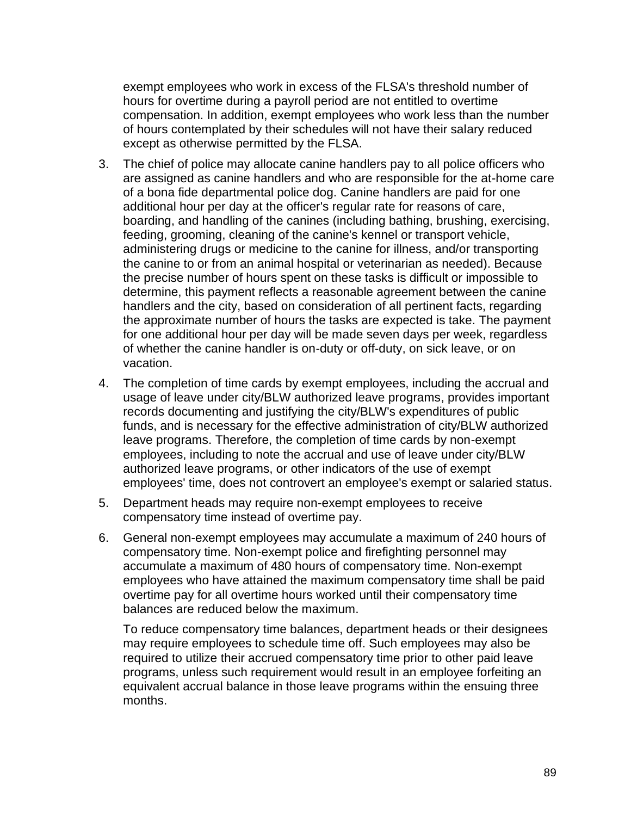exempt employees who work in excess of the FLSA's threshold number of hours for overtime during a payroll period are not entitled to overtime compensation. In addition, exempt employees who work less than the number of hours contemplated by their schedules will not have their salary reduced except as otherwise permitted by the FLSA.

- 3. The chief of police may allocate canine handlers pay to all police officers who are assigned as canine handlers and who are responsible for the at-home care of a bona fide departmental police dog. Canine handlers are paid for one additional hour per day at the officer's regular rate for reasons of care, boarding, and handling of the canines (including bathing, brushing, exercising, feeding, grooming, cleaning of the canine's kennel or transport vehicle, administering drugs or medicine to the canine for illness, and/or transporting the canine to or from an animal hospital or veterinarian as needed). Because the precise number of hours spent on these tasks is difficult or impossible to determine, this payment reflects a reasonable agreement between the canine handlers and the city, based on consideration of all pertinent facts, regarding the approximate number of hours the tasks are expected is take. The payment for one additional hour per day will be made seven days per week, regardless of whether the canine handler is on-duty or off-duty, on sick leave, or on vacation.
- 4. The completion of time cards by exempt employees, including the accrual and usage of leave under city/BLW authorized leave programs, provides important records documenting and justifying the city/BLW's expenditures of public funds, and is necessary for the effective administration of city/BLW authorized leave programs. Therefore, the completion of time cards by non-exempt employees, including to note the accrual and use of leave under city/BLW authorized leave programs, or other indicators of the use of exempt employees' time, does not controvert an employee's exempt or salaried status.
- 5. Department heads may require non-exempt employees to receive compensatory time instead of overtime pay.
- 6. General non-exempt employees may accumulate a maximum of 240 hours of compensatory time. Non-exempt police and firefighting personnel may accumulate a maximum of 480 hours of compensatory time. Non-exempt employees who have attained the maximum compensatory time shall be paid overtime pay for all overtime hours worked until their compensatory time balances are reduced below the maximum.

To reduce compensatory time balances, department heads or their designees may require employees to schedule time off. Such employees may also be required to utilize their accrued compensatory time prior to other paid leave programs, unless such requirement would result in an employee forfeiting an equivalent accrual balance in those leave programs within the ensuing three months.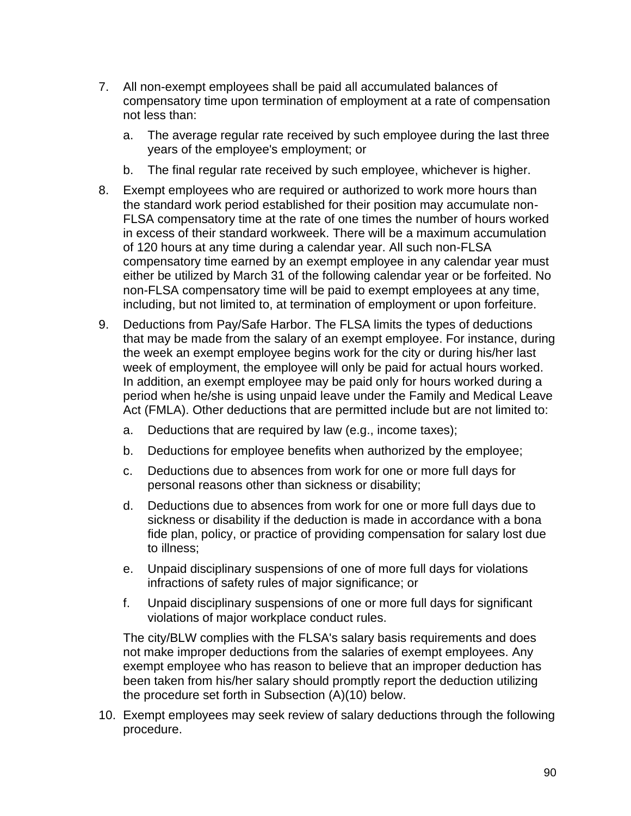- 7. All non-exempt employees shall be paid all accumulated balances of compensatory time upon termination of employment at a rate of compensation not less than:
	- a. The average regular rate received by such employee during the last three years of the employee's employment; or
	- b. The final regular rate received by such employee, whichever is higher.
- 8. Exempt employees who are required or authorized to work more hours than the standard work period established for their position may accumulate non-FLSA compensatory time at the rate of one times the number of hours worked in excess of their standard workweek. There will be a maximum accumulation of 120 hours at any time during a calendar year. All such non-FLSA compensatory time earned by an exempt employee in any calendar year must either be utilized by March 31 of the following calendar year or be forfeited. No non-FLSA compensatory time will be paid to exempt employees at any time, including, but not limited to, at termination of employment or upon forfeiture.
- 9. Deductions from Pay/Safe Harbor. The FLSA limits the types of deductions that may be made from the salary of an exempt employee. For instance, during the week an exempt employee begins work for the city or during his/her last week of employment, the employee will only be paid for actual hours worked. In addition, an exempt employee may be paid only for hours worked during a period when he/she is using unpaid leave under the Family and Medical Leave Act (FMLA). Other deductions that are permitted include but are not limited to:
	- a. Deductions that are required by law (e.g., income taxes);
	- b. Deductions for employee benefits when authorized by the employee;
	- c. Deductions due to absences from work for one or more full days for personal reasons other than sickness or disability;
	- d. Deductions due to absences from work for one or more full days due to sickness or disability if the deduction is made in accordance with a bona fide plan, policy, or practice of providing compensation for salary lost due to illness;
	- e. Unpaid disciplinary suspensions of one of more full days for violations infractions of safety rules of major significance; or
	- f. Unpaid disciplinary suspensions of one or more full days for significant violations of major workplace conduct rules.

The city/BLW complies with the FLSA's salary basis requirements and does not make improper deductions from the salaries of exempt employees. Any exempt employee who has reason to believe that an improper deduction has been taken from his/her salary should promptly report the deduction utilizing the procedure set forth in Subsection (A)(10) below.

10. Exempt employees may seek review of salary deductions through the following procedure.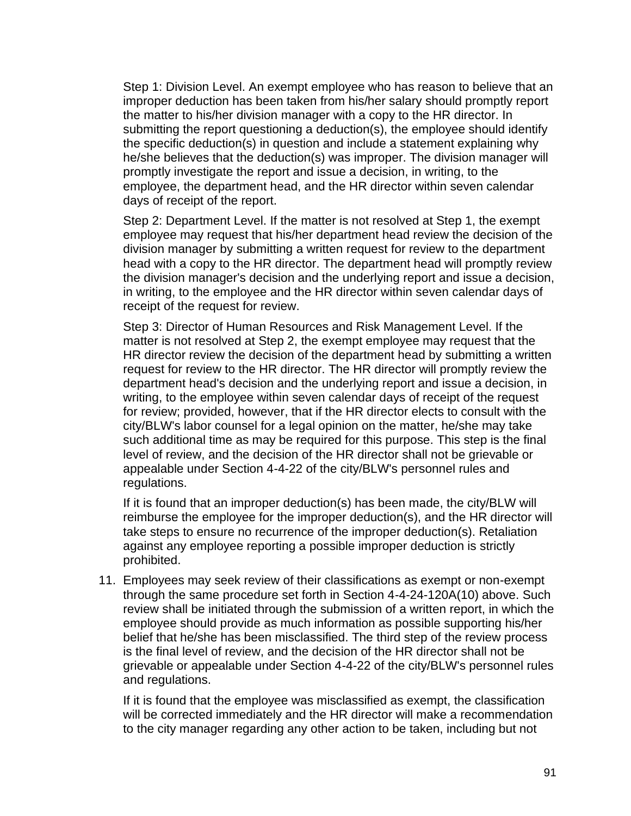Step 1: Division Level. An exempt employee who has reason to believe that an improper deduction has been taken from his/her salary should promptly report the matter to his/her division manager with a copy to the HR director. In submitting the report questioning a deduction(s), the employee should identify the specific deduction(s) in question and include a statement explaining why he/she believes that the deduction(s) was improper. The division manager will promptly investigate the report and issue a decision, in writing, to the employee, the department head, and the HR director within seven calendar days of receipt of the report.

Step 2: Department Level. If the matter is not resolved at Step 1, the exempt employee may request that his/her department head review the decision of the division manager by submitting a written request for review to the department head with a copy to the HR director. The department head will promptly review the division manager's decision and the underlying report and issue a decision, in writing, to the employee and the HR director within seven calendar days of receipt of the request for review.

Step 3: Director of Human Resources and Risk Management Level. If the matter is not resolved at Step 2, the exempt employee may request that the HR director review the decision of the department head by submitting a written request for review to the HR director. The HR director will promptly review the department head's decision and the underlying report and issue a decision, in writing, to the employee within seven calendar days of receipt of the request for review; provided, however, that if the HR director elects to consult with the city/BLW's labor counsel for a legal opinion on the matter, he/she may take such additional time as may be required for this purpose. This step is the final level of review, and the decision of the HR director shall not be grievable or appealable under Section 4-4-22 of the city/BLW's personnel rules and regulations.

If it is found that an improper deduction(s) has been made, the city/BLW will reimburse the employee for the improper deduction(s), and the HR director will take steps to ensure no recurrence of the improper deduction(s). Retaliation against any employee reporting a possible improper deduction is strictly prohibited.

11. Employees may seek review of their classifications as exempt or non-exempt through the same procedure set forth in Section 4-4-24-120A(10) above. Such review shall be initiated through the submission of a written report, in which the employee should provide as much information as possible supporting his/her belief that he/she has been misclassified. The third step of the review process is the final level of review, and the decision of the HR director shall not be grievable or appealable under Section 4-4-22 of the city/BLW's personnel rules and regulations.

If it is found that the employee was misclassified as exempt, the classification will be corrected immediately and the HR director will make a recommendation to the city manager regarding any other action to be taken, including but not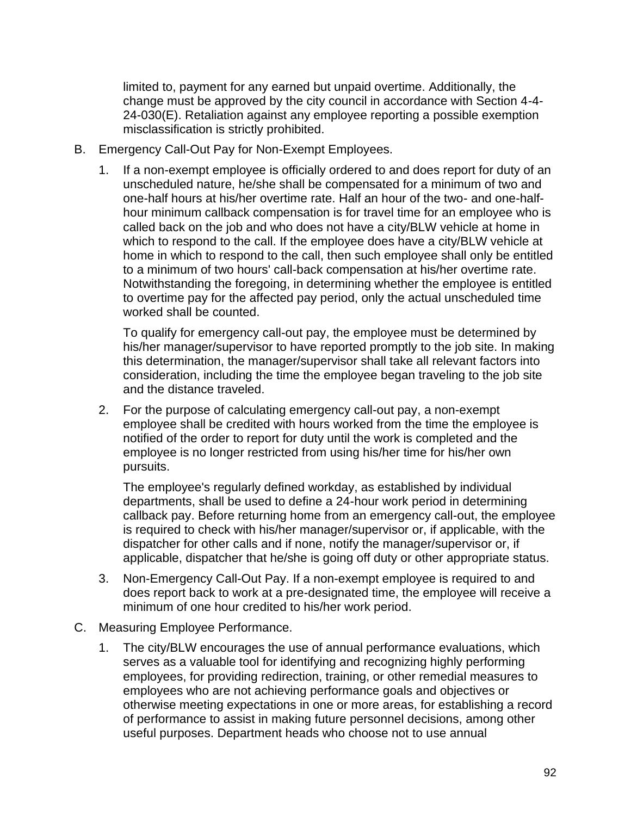limited to, payment for any earned but unpaid overtime. Additionally, the change must be approved by the city council in accordance with Section 4-4- 24-030(E). Retaliation against any employee reporting a possible exemption misclassification is strictly prohibited.

- B. Emergency Call-Out Pay for Non-Exempt Employees.
	- 1. If a non-exempt employee is officially ordered to and does report for duty of an unscheduled nature, he/she shall be compensated for a minimum of two and one-half hours at his/her overtime rate. Half an hour of the two- and one-halfhour minimum callback compensation is for travel time for an employee who is called back on the job and who does not have a city/BLW vehicle at home in which to respond to the call. If the employee does have a city/BLW vehicle at home in which to respond to the call, then such employee shall only be entitled to a minimum of two hours' call-back compensation at his/her overtime rate. Notwithstanding the foregoing, in determining whether the employee is entitled to overtime pay for the affected pay period, only the actual unscheduled time worked shall be counted.

To qualify for emergency call-out pay, the employee must be determined by his/her manager/supervisor to have reported promptly to the job site. In making this determination, the manager/supervisor shall take all relevant factors into consideration, including the time the employee began traveling to the job site and the distance traveled.

2. For the purpose of calculating emergency call-out pay, a non-exempt employee shall be credited with hours worked from the time the employee is notified of the order to report for duty until the work is completed and the employee is no longer restricted from using his/her time for his/her own pursuits.

The employee's regularly defined workday, as established by individual departments, shall be used to define a 24-hour work period in determining callback pay. Before returning home from an emergency call-out, the employee is required to check with his/her manager/supervisor or, if applicable, with the dispatcher for other calls and if none, notify the manager/supervisor or, if applicable, dispatcher that he/she is going off duty or other appropriate status.

- 3. Non-Emergency Call-Out Pay. If a non-exempt employee is required to and does report back to work at a pre-designated time, the employee will receive a minimum of one hour credited to his/her work period.
- C. Measuring Employee Performance.
	- 1. The city/BLW encourages the use of annual performance evaluations, which serves as a valuable tool for identifying and recognizing highly performing employees, for providing redirection, training, or other remedial measures to employees who are not achieving performance goals and objectives or otherwise meeting expectations in one or more areas, for establishing a record of performance to assist in making future personnel decisions, among other useful purposes. Department heads who choose not to use annual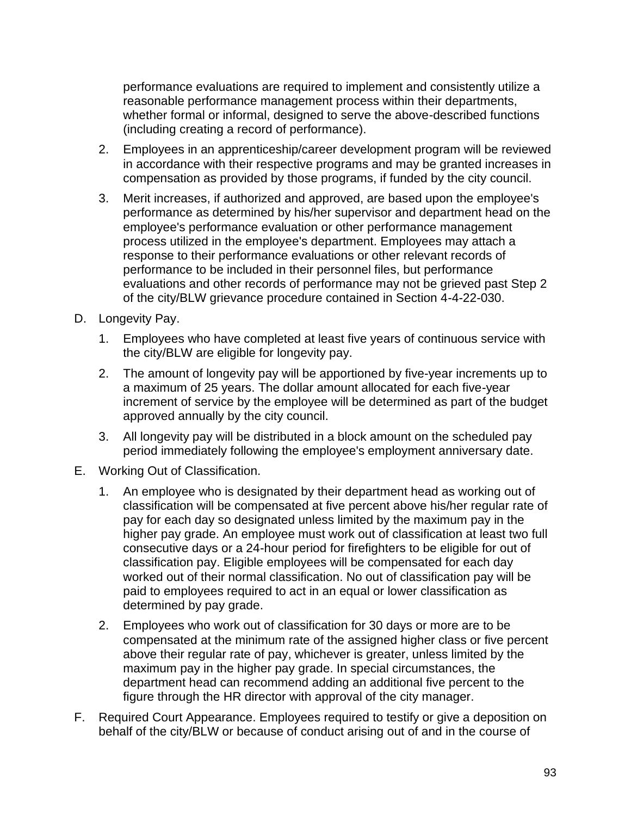performance evaluations are required to implement and consistently utilize a reasonable performance management process within their departments, whether formal or informal, designed to serve the above-described functions (including creating a record of performance).

- 2. Employees in an apprenticeship/career development program will be reviewed in accordance with their respective programs and may be granted increases in compensation as provided by those programs, if funded by the city council.
- 3. Merit increases, if authorized and approved, are based upon the employee's performance as determined by his/her supervisor and department head on the employee's performance evaluation or other performance management process utilized in the employee's department. Employees may attach a response to their performance evaluations or other relevant records of performance to be included in their personnel files, but performance evaluations and other records of performance may not be grieved past Step 2 of the city/BLW grievance procedure contained in Section 4-4-22-030.
- D. Longevity Pay.
	- 1. Employees who have completed at least five years of continuous service with the city/BLW are eligible for longevity pay.
	- 2. The amount of longevity pay will be apportioned by five-year increments up to a maximum of 25 years. The dollar amount allocated for each five-year increment of service by the employee will be determined as part of the budget approved annually by the city council.
	- 3. All longevity pay will be distributed in a block amount on the scheduled pay period immediately following the employee's employment anniversary date.
- E. Working Out of Classification.
	- 1. An employee who is designated by their department head as working out of classification will be compensated at five percent above his/her regular rate of pay for each day so designated unless limited by the maximum pay in the higher pay grade. An employee must work out of classification at least two full consecutive days or a 24-hour period for firefighters to be eligible for out of classification pay. Eligible employees will be compensated for each day worked out of their normal classification. No out of classification pay will be paid to employees required to act in an equal or lower classification as determined by pay grade.
	- 2. Employees who work out of classification for 30 days or more are to be compensated at the minimum rate of the assigned higher class or five percent above their regular rate of pay, whichever is greater, unless limited by the maximum pay in the higher pay grade. In special circumstances, the department head can recommend adding an additional five percent to the figure through the HR director with approval of the city manager.
- F. Required Court Appearance. Employees required to testify or give a deposition on behalf of the city/BLW or because of conduct arising out of and in the course of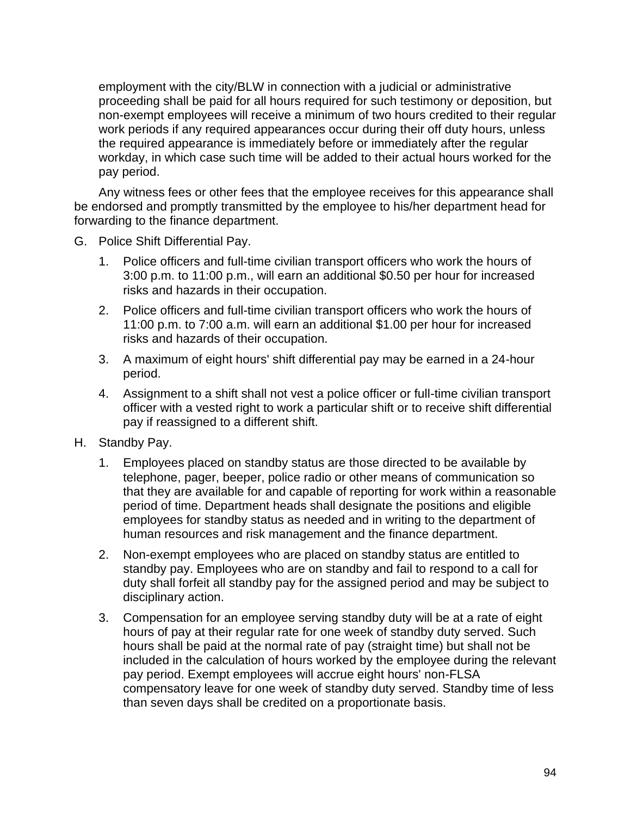employment with the city/BLW in connection with a judicial or administrative proceeding shall be paid for all hours required for such testimony or deposition, but non-exempt employees will receive a minimum of two hours credited to their regular work periods if any required appearances occur during their off duty hours, unless the required appearance is immediately before or immediately after the regular workday, in which case such time will be added to their actual hours worked for the pay period.

Any witness fees or other fees that the employee receives for this appearance shall be endorsed and promptly transmitted by the employee to his/her department head for forwarding to the finance department.

- G. Police Shift Differential Pay.
	- 1. Police officers and full-time civilian transport officers who work the hours of 3:00 p.m. to 11:00 p.m., will earn an additional \$0.50 per hour for increased risks and hazards in their occupation.
	- 2. Police officers and full-time civilian transport officers who work the hours of 11:00 p.m. to 7:00 a.m. will earn an additional \$1.00 per hour for increased risks and hazards of their occupation.
	- 3. A maximum of eight hours' shift differential pay may be earned in a 24-hour period.
	- 4. Assignment to a shift shall not vest a police officer or full-time civilian transport officer with a vested right to work a particular shift or to receive shift differential pay if reassigned to a different shift.
- H. Standby Pay.
	- 1. Employees placed on standby status are those directed to be available by telephone, pager, beeper, police radio or other means of communication so that they are available for and capable of reporting for work within a reasonable period of time. Department heads shall designate the positions and eligible employees for standby status as needed and in writing to the department of human resources and risk management and the finance department.
	- 2. Non-exempt employees who are placed on standby status are entitled to standby pay. Employees who are on standby and fail to respond to a call for duty shall forfeit all standby pay for the assigned period and may be subject to disciplinary action.
	- 3. Compensation for an employee serving standby duty will be at a rate of eight hours of pay at their regular rate for one week of standby duty served. Such hours shall be paid at the normal rate of pay (straight time) but shall not be included in the calculation of hours worked by the employee during the relevant pay period. Exempt employees will accrue eight hours' non-FLSA compensatory leave for one week of standby duty served. Standby time of less than seven days shall be credited on a proportionate basis.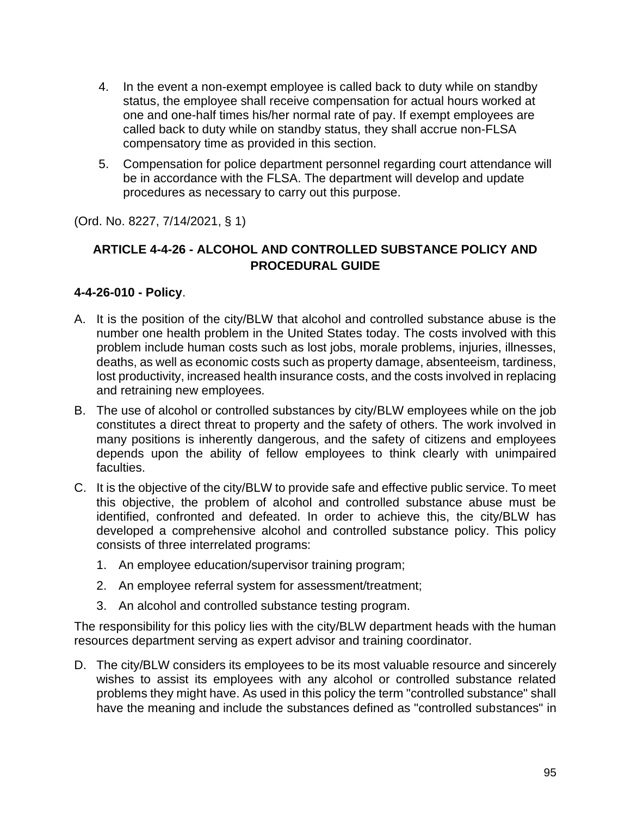- 4. In the event a non-exempt employee is called back to duty while on standby status, the employee shall receive compensation for actual hours worked at one and one-half times his/her normal rate of pay. If exempt employees are called back to duty while on standby status, they shall accrue non-FLSA compensatory time as provided in this section.
- 5. Compensation for police department personnel regarding court attendance will be in accordance with the FLSA. The department will develop and update procedures as necessary to carry out this purpose.

(Ord. No. 8227, 7/14/2021, § 1)

# **ARTICLE 4-4-26 - ALCOHOL AND CONTROLLED SUBSTANCE POLICY AND PROCEDURAL GUIDE**

## **4-4-26-010 - Policy**.

- A. It is the position of the city/BLW that alcohol and controlled substance abuse is the number one health problem in the United States today. The costs involved with this problem include human costs such as lost jobs, morale problems, injuries, illnesses, deaths, as well as economic costs such as property damage, absenteeism, tardiness, lost productivity, increased health insurance costs, and the costs involved in replacing and retraining new employees.
- B. The use of alcohol or controlled substances by city/BLW employees while on the job constitutes a direct threat to property and the safety of others. The work involved in many positions is inherently dangerous, and the safety of citizens and employees depends upon the ability of fellow employees to think clearly with unimpaired faculties.
- C. It is the objective of the city/BLW to provide safe and effective public service. To meet this objective, the problem of alcohol and controlled substance abuse must be identified, confronted and defeated. In order to achieve this, the city/BLW has developed a comprehensive alcohol and controlled substance policy. This policy consists of three interrelated programs:
	- 1. An employee education/supervisor training program;
	- 2. An employee referral system for assessment/treatment;
	- 3. An alcohol and controlled substance testing program.

The responsibility for this policy lies with the city/BLW department heads with the human resources department serving as expert advisor and training coordinator.

D. The city/BLW considers its employees to be its most valuable resource and sincerely wishes to assist its employees with any alcohol or controlled substance related problems they might have. As used in this policy the term "controlled substance" shall have the meaning and include the substances defined as "controlled substances" in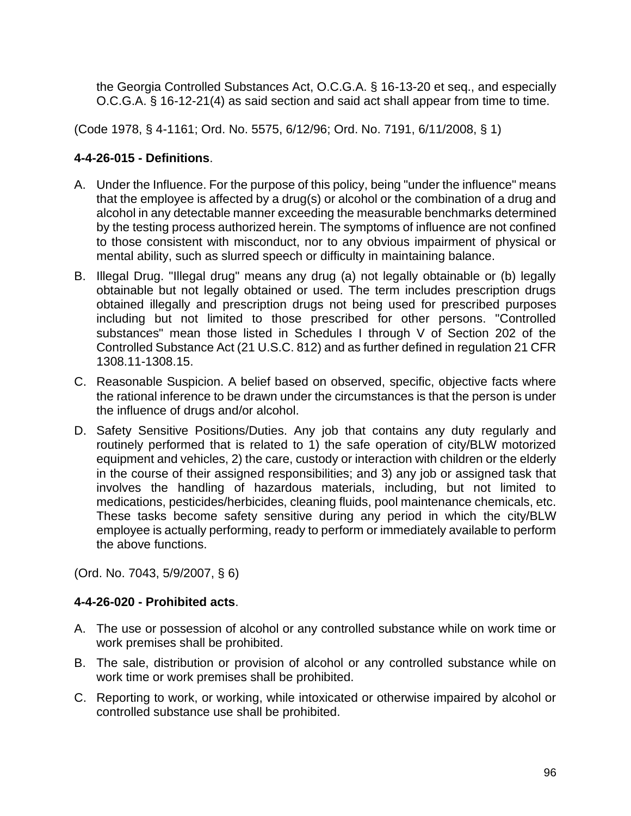the Georgia Controlled Substances Act, O.C.G.A. § 16-13-20 et seq., and especially O.C.G.A. § 16-12-21(4) as said section and said act shall appear from time to time.

(Code 1978, § 4-1161; Ord. No. 5575, 6/12/96; Ord. No. 7191, 6/11/2008, § 1)

# **4-4-26-015 - Definitions**.

- A. Under the Influence. For the purpose of this policy, being "under the influence" means that the employee is affected by a drug(s) or alcohol or the combination of a drug and alcohol in any detectable manner exceeding the measurable benchmarks determined by the testing process authorized herein. The symptoms of influence are not confined to those consistent with misconduct, nor to any obvious impairment of physical or mental ability, such as slurred speech or difficulty in maintaining balance.
- B. Illegal Drug. "Illegal drug" means any drug (a) not legally obtainable or (b) legally obtainable but not legally obtained or used. The term includes prescription drugs obtained illegally and prescription drugs not being used for prescribed purposes including but not limited to those prescribed for other persons. "Controlled substances" mean those listed in Schedules I through V of Section 202 of the Controlled Substance Act (21 U.S.C. 812) and as further defined in regulation 21 CFR 1308.11-1308.15.
- C. Reasonable Suspicion. A belief based on observed, specific, objective facts where the rational inference to be drawn under the circumstances is that the person is under the influence of drugs and/or alcohol.
- D. Safety Sensitive Positions/Duties. Any job that contains any duty regularly and routinely performed that is related to 1) the safe operation of city/BLW motorized equipment and vehicles, 2) the care, custody or interaction with children or the elderly in the course of their assigned responsibilities; and 3) any job or assigned task that involves the handling of hazardous materials, including, but not limited to medications, pesticides/herbicides, cleaning fluids, pool maintenance chemicals, etc. These tasks become safety sensitive during any period in which the city/BLW employee is actually performing, ready to perform or immediately available to perform the above functions.

(Ord. No. 7043, 5/9/2007, § 6)

# **4-4-26-020 - Prohibited acts**.

- A. The use or possession of alcohol or any controlled substance while on work time or work premises shall be prohibited.
- B. The sale, distribution or provision of alcohol or any controlled substance while on work time or work premises shall be prohibited.
- C. Reporting to work, or working, while intoxicated or otherwise impaired by alcohol or controlled substance use shall be prohibited.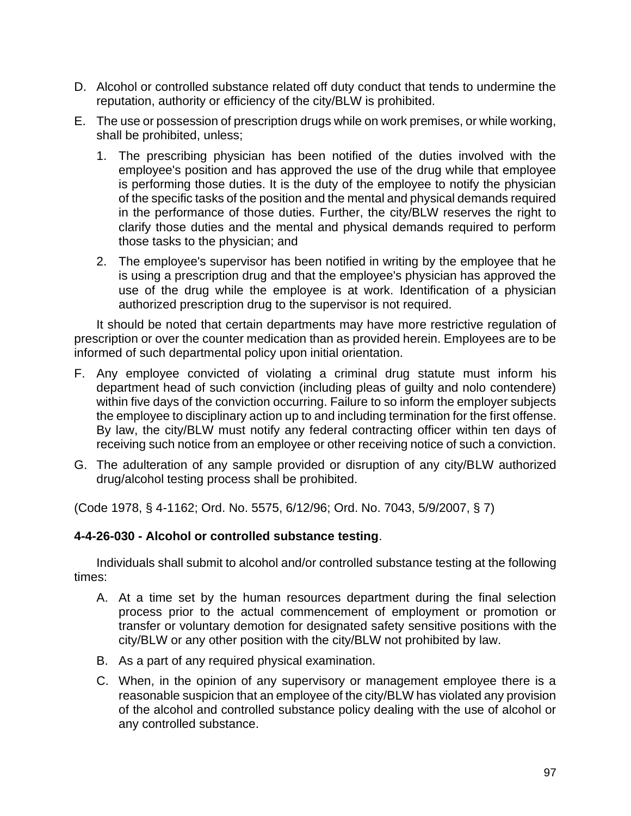- D. Alcohol or controlled substance related off duty conduct that tends to undermine the reputation, authority or efficiency of the city/BLW is prohibited.
- E. The use or possession of prescription drugs while on work premises, or while working, shall be prohibited, unless;
	- 1. The prescribing physician has been notified of the duties involved with the employee's position and has approved the use of the drug while that employee is performing those duties. It is the duty of the employee to notify the physician of the specific tasks of the position and the mental and physical demands required in the performance of those duties. Further, the city/BLW reserves the right to clarify those duties and the mental and physical demands required to perform those tasks to the physician; and
	- 2. The employee's supervisor has been notified in writing by the employee that he is using a prescription drug and that the employee's physician has approved the use of the drug while the employee is at work. Identification of a physician authorized prescription drug to the supervisor is not required.

It should be noted that certain departments may have more restrictive regulation of prescription or over the counter medication than as provided herein. Employees are to be informed of such departmental policy upon initial orientation.

- F. Any employee convicted of violating a criminal drug statute must inform his department head of such conviction (including pleas of guilty and nolo contendere) within five days of the conviction occurring. Failure to so inform the employer subjects the employee to disciplinary action up to and including termination for the first offense. By law, the city/BLW must notify any federal contracting officer within ten days of receiving such notice from an employee or other receiving notice of such a conviction.
- G. The adulteration of any sample provided or disruption of any city/BLW authorized drug/alcohol testing process shall be prohibited.

(Code 1978, § 4-1162; Ord. No. 5575, 6/12/96; Ord. No. 7043, 5/9/2007, § 7)

### **4-4-26-030 - Alcohol or controlled substance testing**.

Individuals shall submit to alcohol and/or controlled substance testing at the following times:

- A. At a time set by the human resources department during the final selection process prior to the actual commencement of employment or promotion or transfer or voluntary demotion for designated safety sensitive positions with the city/BLW or any other position with the city/BLW not prohibited by law.
- B. As a part of any required physical examination.
- C. When, in the opinion of any supervisory or management employee there is a reasonable suspicion that an employee of the city/BLW has violated any provision of the alcohol and controlled substance policy dealing with the use of alcohol or any controlled substance.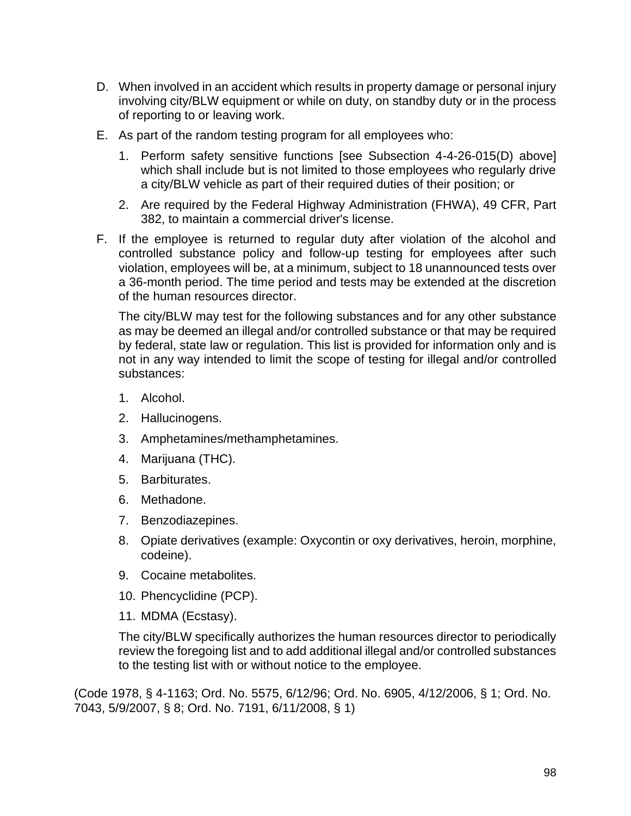- D. When involved in an accident which results in property damage or personal injury involving city/BLW equipment or while on duty, on standby duty or in the process of reporting to or leaving work.
- E. As part of the random testing program for all employees who:
	- 1. Perform safety sensitive functions [see Subsection 4-4-26-015(D) above] which shall include but is not limited to those employees who regularly drive a city/BLW vehicle as part of their required duties of their position; or
	- 2. Are required by the Federal Highway Administration (FHWA), 49 CFR, Part 382, to maintain a commercial driver's license.
- F. If the employee is returned to regular duty after violation of the alcohol and controlled substance policy and follow-up testing for employees after such violation, employees will be, at a minimum, subject to 18 unannounced tests over a 36-month period. The time period and tests may be extended at the discretion of the human resources director.

The city/BLW may test for the following substances and for any other substance as may be deemed an illegal and/or controlled substance or that may be required by federal, state law or regulation. This list is provided for information only and is not in any way intended to limit the scope of testing for illegal and/or controlled substances:

- 1. Alcohol.
- 2. Hallucinogens.
- 3. Amphetamines/methamphetamines.
- 4. Marijuana (THC).
- 5. Barbiturates.
- 6. Methadone.
- 7. Benzodiazepines.
- 8. Opiate derivatives (example: Oxycontin or oxy derivatives, heroin, morphine, codeine).
- 9. Cocaine metabolites.
- 10. Phencyclidine (PCP).
- 11. MDMA (Ecstasy).

The city/BLW specifically authorizes the human resources director to periodically review the foregoing list and to add additional illegal and/or controlled substances to the testing list with or without notice to the employee.

(Code 1978, § 4-1163; Ord. No. 5575, 6/12/96; Ord. No. 6905, 4/12/2006, § 1; Ord. No. 7043, 5/9/2007, § 8; Ord. No. 7191, 6/11/2008, § 1)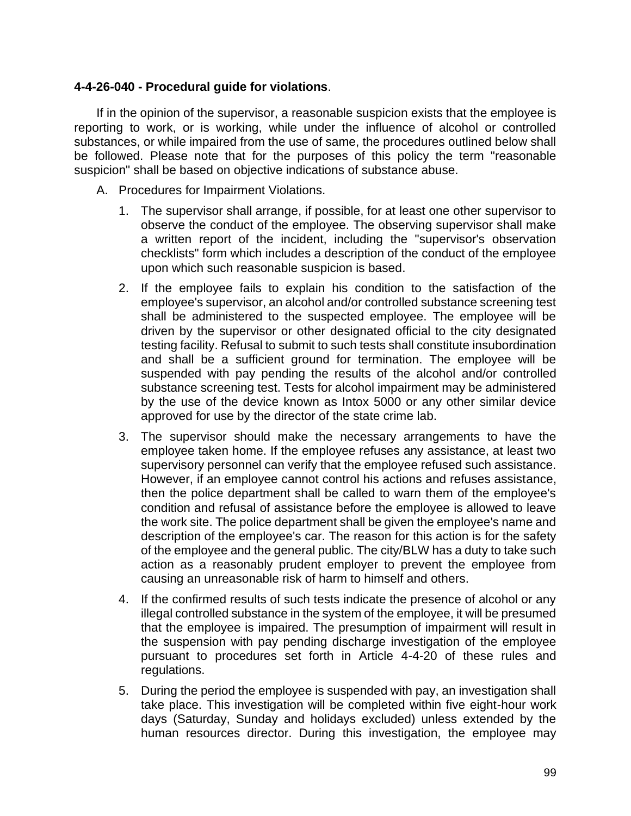## **4-4-26-040 - Procedural guide for violations**.

If in the opinion of the supervisor, a reasonable suspicion exists that the employee is reporting to work, or is working, while under the influence of alcohol or controlled substances, or while impaired from the use of same, the procedures outlined below shall be followed. Please note that for the purposes of this policy the term "reasonable suspicion" shall be based on objective indications of substance abuse.

- A. Procedures for Impairment Violations.
	- 1. The supervisor shall arrange, if possible, for at least one other supervisor to observe the conduct of the employee. The observing supervisor shall make a written report of the incident, including the "supervisor's observation checklists" form which includes a description of the conduct of the employee upon which such reasonable suspicion is based.
	- 2. If the employee fails to explain his condition to the satisfaction of the employee's supervisor, an alcohol and/or controlled substance screening test shall be administered to the suspected employee. The employee will be driven by the supervisor or other designated official to the city designated testing facility. Refusal to submit to such tests shall constitute insubordination and shall be a sufficient ground for termination. The employee will be suspended with pay pending the results of the alcohol and/or controlled substance screening test. Tests for alcohol impairment may be administered by the use of the device known as Intox 5000 or any other similar device approved for use by the director of the state crime lab.
	- 3. The supervisor should make the necessary arrangements to have the employee taken home. If the employee refuses any assistance, at least two supervisory personnel can verify that the employee refused such assistance. However, if an employee cannot control his actions and refuses assistance, then the police department shall be called to warn them of the employee's condition and refusal of assistance before the employee is allowed to leave the work site. The police department shall be given the employee's name and description of the employee's car. The reason for this action is for the safety of the employee and the general public. The city/BLW has a duty to take such action as a reasonably prudent employer to prevent the employee from causing an unreasonable risk of harm to himself and others.
	- 4. If the confirmed results of such tests indicate the presence of alcohol or any illegal controlled substance in the system of the employee, it will be presumed that the employee is impaired. The presumption of impairment will result in the suspension with pay pending discharge investigation of the employee pursuant to procedures set forth in Article 4-4-20 of these rules and regulations.
	- 5. During the period the employee is suspended with pay, an investigation shall take place. This investigation will be completed within five eight-hour work days (Saturday, Sunday and holidays excluded) unless extended by the human resources director. During this investigation, the employee may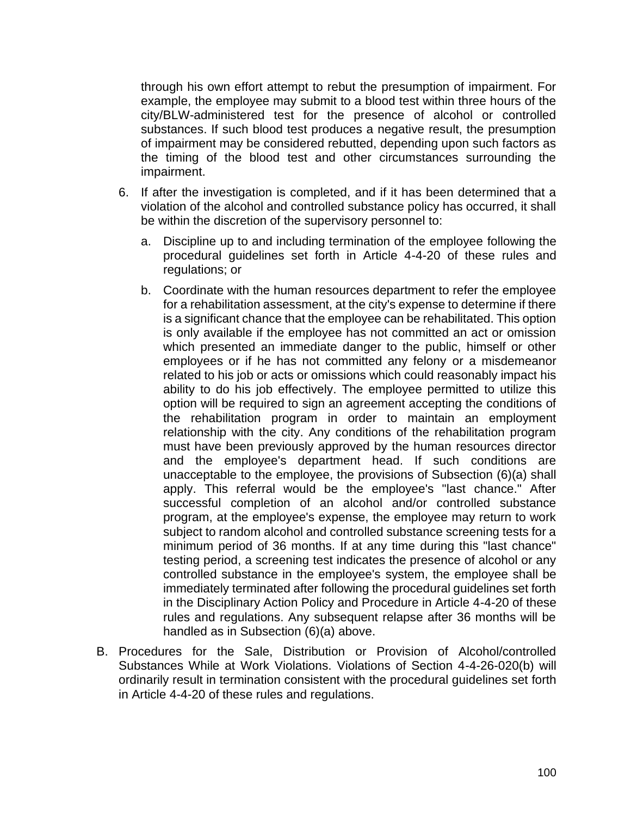through his own effort attempt to rebut the presumption of impairment. For example, the employee may submit to a blood test within three hours of the city/BLW-administered test for the presence of alcohol or controlled substances. If such blood test produces a negative result, the presumption of impairment may be considered rebutted, depending upon such factors as the timing of the blood test and other circumstances surrounding the impairment.

- 6. If after the investigation is completed, and if it has been determined that a violation of the alcohol and controlled substance policy has occurred, it shall be within the discretion of the supervisory personnel to:
	- a. Discipline up to and including termination of the employee following the procedural guidelines set forth in Article 4-4-20 of these rules and regulations; or
	- b. Coordinate with the human resources department to refer the employee for a rehabilitation assessment, at the city's expense to determine if there is a significant chance that the employee can be rehabilitated. This option is only available if the employee has not committed an act or omission which presented an immediate danger to the public, himself or other employees or if he has not committed any felony or a misdemeanor related to his job or acts or omissions which could reasonably impact his ability to do his job effectively. The employee permitted to utilize this option will be required to sign an agreement accepting the conditions of the rehabilitation program in order to maintain an employment relationship with the city. Any conditions of the rehabilitation program must have been previously approved by the human resources director and the employee's department head. If such conditions are unacceptable to the employee, the provisions of Subsection (6)(a) shall apply. This referral would be the employee's "last chance." After successful completion of an alcohol and/or controlled substance program, at the employee's expense, the employee may return to work subject to random alcohol and controlled substance screening tests for a minimum period of 36 months. If at any time during this "last chance" testing period, a screening test indicates the presence of alcohol or any controlled substance in the employee's system, the employee shall be immediately terminated after following the procedural guidelines set forth in the Disciplinary Action Policy and Procedure in Article 4-4-20 of these rules and regulations. Any subsequent relapse after 36 months will be handled as in Subsection (6)(a) above.
- B. Procedures for the Sale, Distribution or Provision of Alcohol/controlled Substances While at Work Violations. Violations of Section 4-4-26-020(b) will ordinarily result in termination consistent with the procedural guidelines set forth in Article 4-4-20 of these rules and regulations.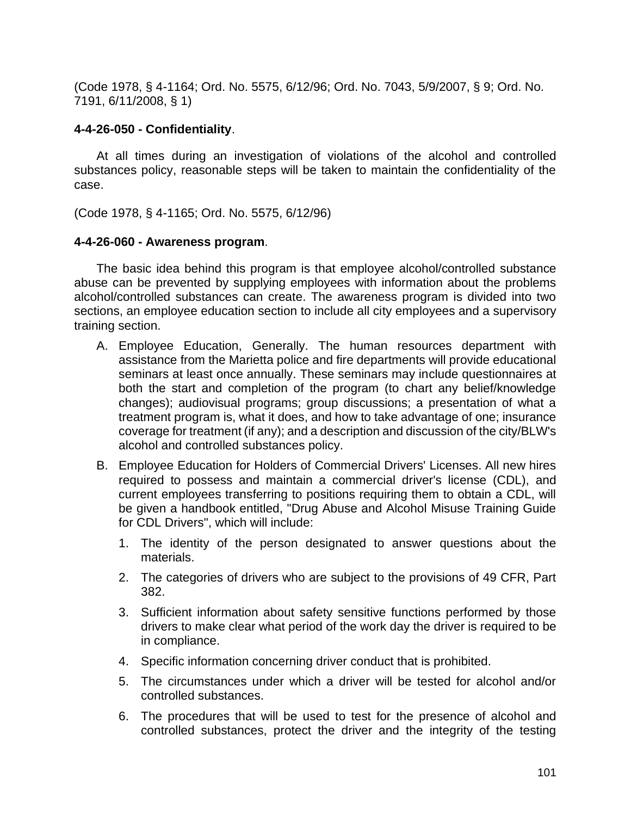(Code 1978, § 4-1164; Ord. No. 5575, 6/12/96; Ord. No. 7043, 5/9/2007, § 9; Ord. No. 7191, 6/11/2008, § 1)

#### **4-4-26-050 - Confidentiality**.

At all times during an investigation of violations of the alcohol and controlled substances policy, reasonable steps will be taken to maintain the confidentiality of the case.

(Code 1978, § 4-1165; Ord. No. 5575, 6/12/96)

#### **4-4-26-060 - Awareness program**.

The basic idea behind this program is that employee alcohol/controlled substance abuse can be prevented by supplying employees with information about the problems alcohol/controlled substances can create. The awareness program is divided into two sections, an employee education section to include all city employees and a supervisory training section.

- A. Employee Education, Generally. The human resources department with assistance from the Marietta police and fire departments will provide educational seminars at least once annually. These seminars may include questionnaires at both the start and completion of the program (to chart any belief/knowledge changes); audiovisual programs; group discussions; a presentation of what a treatment program is, what it does, and how to take advantage of one; insurance coverage for treatment (if any); and a description and discussion of the city/BLW's alcohol and controlled substances policy.
- B. Employee Education for Holders of Commercial Drivers' Licenses. All new hires required to possess and maintain a commercial driver's license (CDL), and current employees transferring to positions requiring them to obtain a CDL, will be given a handbook entitled, "Drug Abuse and Alcohol Misuse Training Guide for CDL Drivers", which will include:
	- 1. The identity of the person designated to answer questions about the materials.
	- 2. The categories of drivers who are subject to the provisions of 49 CFR, Part 382.
	- 3. Sufficient information about safety sensitive functions performed by those drivers to make clear what period of the work day the driver is required to be in compliance.
	- 4. Specific information concerning driver conduct that is prohibited.
	- 5. The circumstances under which a driver will be tested for alcohol and/or controlled substances.
	- 6. The procedures that will be used to test for the presence of alcohol and controlled substances, protect the driver and the integrity of the testing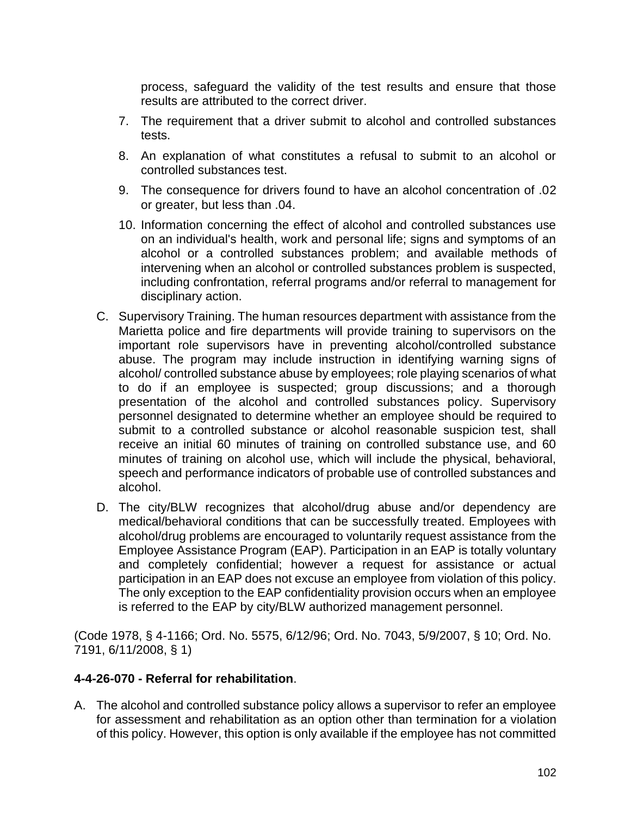process, safeguard the validity of the test results and ensure that those results are attributed to the correct driver.

- 7. The requirement that a driver submit to alcohol and controlled substances tests.
- 8. An explanation of what constitutes a refusal to submit to an alcohol or controlled substances test.
- 9. The consequence for drivers found to have an alcohol concentration of .02 or greater, but less than .04.
- 10. Information concerning the effect of alcohol and controlled substances use on an individual's health, work and personal life; signs and symptoms of an alcohol or a controlled substances problem; and available methods of intervening when an alcohol or controlled substances problem is suspected, including confrontation, referral programs and/or referral to management for disciplinary action.
- C. Supervisory Training. The human resources department with assistance from the Marietta police and fire departments will provide training to supervisors on the important role supervisors have in preventing alcohol/controlled substance abuse. The program may include instruction in identifying warning signs of alcohol/ controlled substance abuse by employees; role playing scenarios of what to do if an employee is suspected; group discussions; and a thorough presentation of the alcohol and controlled substances policy. Supervisory personnel designated to determine whether an employee should be required to submit to a controlled substance or alcohol reasonable suspicion test, shall receive an initial 60 minutes of training on controlled substance use, and 60 minutes of training on alcohol use, which will include the physical, behavioral, speech and performance indicators of probable use of controlled substances and alcohol.
- D. The city/BLW recognizes that alcohol/drug abuse and/or dependency are medical/behavioral conditions that can be successfully treated. Employees with alcohol/drug problems are encouraged to voluntarily request assistance from the Employee Assistance Program (EAP). Participation in an EAP is totally voluntary and completely confidential; however a request for assistance or actual participation in an EAP does not excuse an employee from violation of this policy. The only exception to the EAP confidentiality provision occurs when an employee is referred to the EAP by city/BLW authorized management personnel.

(Code 1978, § 4-1166; Ord. No. 5575, 6/12/96; Ord. No. 7043, 5/9/2007, § 10; Ord. No. 7191, 6/11/2008, § 1)

### **4-4-26-070 - Referral for rehabilitation**.

A. The alcohol and controlled substance policy allows a supervisor to refer an employee for assessment and rehabilitation as an option other than termination for a violation of this policy. However, this option is only available if the employee has not committed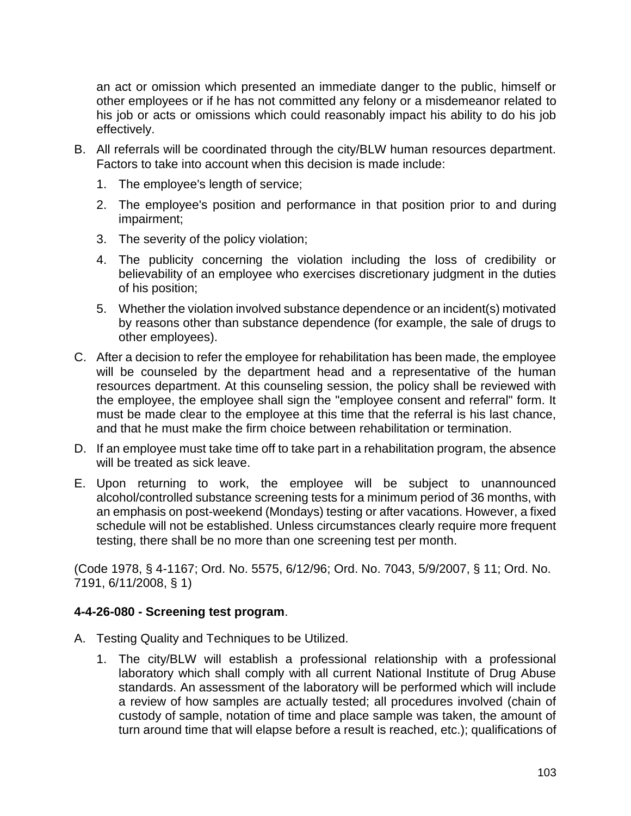an act or omission which presented an immediate danger to the public, himself or other employees or if he has not committed any felony or a misdemeanor related to his job or acts or omissions which could reasonably impact his ability to do his job effectively.

- B. All referrals will be coordinated through the city/BLW human resources department. Factors to take into account when this decision is made include:
	- 1. The employee's length of service;
	- 2. The employee's position and performance in that position prior to and during impairment;
	- 3. The severity of the policy violation;
	- 4. The publicity concerning the violation including the loss of credibility or believability of an employee who exercises discretionary judgment in the duties of his position;
	- 5. Whether the violation involved substance dependence or an incident(s) motivated by reasons other than substance dependence (for example, the sale of drugs to other employees).
- C. After a decision to refer the employee for rehabilitation has been made, the employee will be counseled by the department head and a representative of the human resources department. At this counseling session, the policy shall be reviewed with the employee, the employee shall sign the "employee consent and referral" form. It must be made clear to the employee at this time that the referral is his last chance, and that he must make the firm choice between rehabilitation or termination.
- D. If an employee must take time off to take part in a rehabilitation program, the absence will be treated as sick leave.
- E. Upon returning to work, the employee will be subject to unannounced alcohol/controlled substance screening tests for a minimum period of 36 months, with an emphasis on post-weekend (Mondays) testing or after vacations. However, a fixed schedule will not be established. Unless circumstances clearly require more frequent testing, there shall be no more than one screening test per month.

(Code 1978, § 4-1167; Ord. No. 5575, 6/12/96; Ord. No. 7043, 5/9/2007, § 11; Ord. No. 7191, 6/11/2008, § 1)

### **4-4-26-080 - Screening test program**.

- A. Testing Quality and Techniques to be Utilized.
	- 1. The city/BLW will establish a professional relationship with a professional laboratory which shall comply with all current National Institute of Drug Abuse standards. An assessment of the laboratory will be performed which will include a review of how samples are actually tested; all procedures involved (chain of custody of sample, notation of time and place sample was taken, the amount of turn around time that will elapse before a result is reached, etc.); qualifications of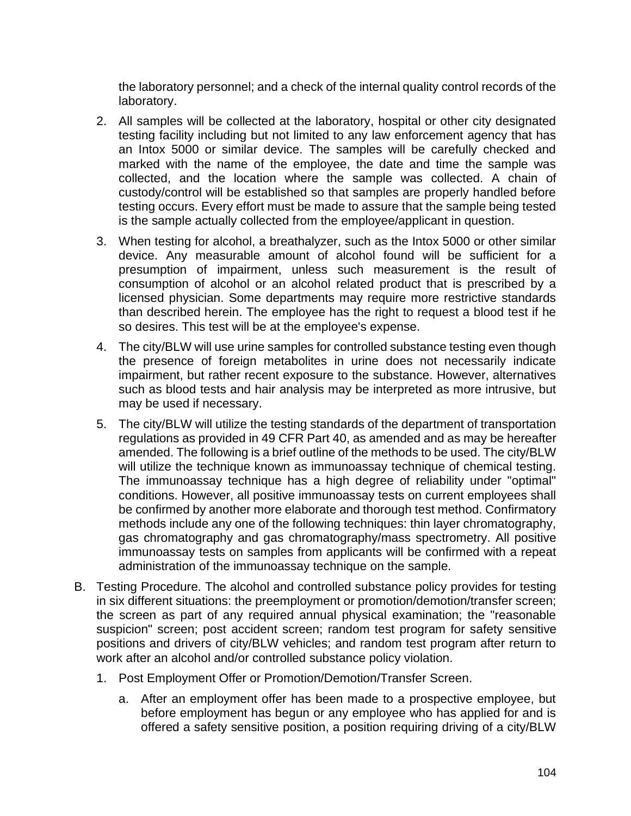the laboratory personnel; and a check of the internal quality control records of the laboratory.

- 2. All samples will be collected at the laboratory, hospital or other city designated testing facility including but not limited to any law enforcement agency that has an Intox 5000 or similar device. The samples will be carefully checked and marked with the name of the employee, the date and time the sample was collected, and the location where the sample was collected. A chain of custody/control will be established so that samples are properly handled before testing occurs. Every effort must be made to assure that the sample being tested is the sample actually collected from the employee/applicant in question.
- 3. When testing for alcohol, a breathalyzer, such as the Intox 5000 or other similar device. Any measurable amount of alcohol found will be sufficient for a presumption of impairment, unless such measurement is the result of consumption of alcohol or an alcohol related product that is prescribed by a licensed physician. Some departments may require more restrictive standards than described herein. The employee has the right to request a blood test if he so desires. This test will be at the employee's expense.
- 4. The city/BLW will use urine samples for controlled substance testing even though the presence of foreign metabolites in urine does not necessarily indicate impairment, but rather recent exposure to the substance. However, alternatives such as blood tests and hair analysis may be interpreted as more intrusive, but may be used if necessary.
- 5. The city/BLW will utilize the testing standards of the department of transportation regulations as provided in 49 CFR Part 40, as amended and as may be hereafter amended. The following is a brief outline of the methods to be used. The city/BLW will utilize the technique known as immunoassay technique of chemical testing. The immunoassay technique has a high degree of reliability under "optimal" conditions. However, all positive immunoassay tests on current employees shall be confirmed by another more elaborate and thorough test method. Confirmatory methods include any one of the following techniques: thin layer chromatography, gas chromatography and gas chromatography/mass spectrometry. All positive immunoassay tests on samples from applicants will be confirmed with a repeat administration of the immunoassay technique on the sample.
- B. Testing Procedure. The alcohol and controlled substance policy provides for testing in six different situations: the preemployment or promotion/demotion/transfer screen; the screen as part of any required annual physical examination; the "reasonable suspicion" screen; post accident screen; random test program for safety sensitive positions and drivers of city/BLW vehicles; and random test program after return to work after an alcohol and/or controlled substance policy violation.
	- 1. Post Employment Offer or Promotion/Demotion/Transfer Screen.
		- a. After an employment offer has been made to a prospective employee, but before employment has begun or any employee who has applied for and is offered a safety sensitive position, a position requiring driving of a city/BLW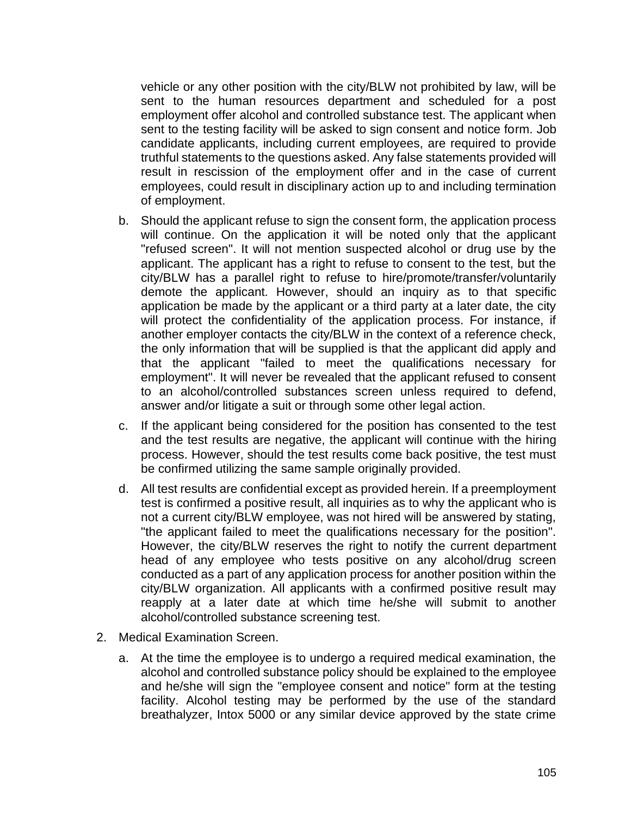vehicle or any other position with the city/BLW not prohibited by law, will be sent to the human resources department and scheduled for a post employment offer alcohol and controlled substance test. The applicant when sent to the testing facility will be asked to sign consent and notice form. Job candidate applicants, including current employees, are required to provide truthful statements to the questions asked. Any false statements provided will result in rescission of the employment offer and in the case of current employees, could result in disciplinary action up to and including termination of employment.

- b. Should the applicant refuse to sign the consent form, the application process will continue. On the application it will be noted only that the applicant "refused screen". It will not mention suspected alcohol or drug use by the applicant. The applicant has a right to refuse to consent to the test, but the city/BLW has a parallel right to refuse to hire/promote/transfer/voluntarily demote the applicant. However, should an inquiry as to that specific application be made by the applicant or a third party at a later date, the city will protect the confidentiality of the application process. For instance, if another employer contacts the city/BLW in the context of a reference check, the only information that will be supplied is that the applicant did apply and that the applicant "failed to meet the qualifications necessary for employment". It will never be revealed that the applicant refused to consent to an alcohol/controlled substances screen unless required to defend, answer and/or litigate a suit or through some other legal action.
- c. If the applicant being considered for the position has consented to the test and the test results are negative, the applicant will continue with the hiring process. However, should the test results come back positive, the test must be confirmed utilizing the same sample originally provided.
- d. All test results are confidential except as provided herein. If a preemployment test is confirmed a positive result, all inquiries as to why the applicant who is not a current city/BLW employee, was not hired will be answered by stating, "the applicant failed to meet the qualifications necessary for the position". However, the city/BLW reserves the right to notify the current department head of any employee who tests positive on any alcohol/drug screen conducted as a part of any application process for another position within the city/BLW organization. All applicants with a confirmed positive result may reapply at a later date at which time he/she will submit to another alcohol/controlled substance screening test.
- 2. Medical Examination Screen.
	- a. At the time the employee is to undergo a required medical examination, the alcohol and controlled substance policy should be explained to the employee and he/she will sign the "employee consent and notice" form at the testing facility. Alcohol testing may be performed by the use of the standard breathalyzer, Intox 5000 or any similar device approved by the state crime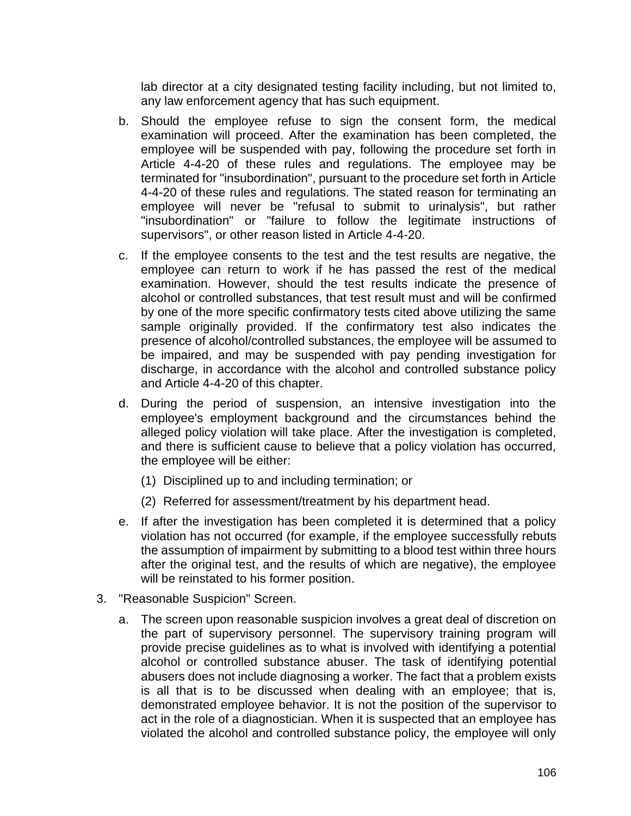lab director at a city designated testing facility including, but not limited to, any law enforcement agency that has such equipment.

- b. Should the employee refuse to sign the consent form, the medical examination will proceed. After the examination has been completed, the employee will be suspended with pay, following the procedure set forth in Article 4-4-20 of these rules and regulations. The employee may be terminated for "insubordination", pursuant to the procedure set forth in Article 4-4-20 of these rules and regulations. The stated reason for terminating an employee will never be "refusal to submit to urinalysis", but rather "insubordination" or "failure to follow the legitimate instructions of supervisors", or other reason listed in Article 4-4-20.
- c. If the employee consents to the test and the test results are negative, the employee can return to work if he has passed the rest of the medical examination. However, should the test results indicate the presence of alcohol or controlled substances, that test result must and will be confirmed by one of the more specific confirmatory tests cited above utilizing the same sample originally provided. If the confirmatory test also indicates the presence of alcohol/controlled substances, the employee will be assumed to be impaired, and may be suspended with pay pending investigation for discharge, in accordance with the alcohol and controlled substance policy and Article 4-4-20 of this chapter.
- d. During the period of suspension, an intensive investigation into the employee's employment background and the circumstances behind the alleged policy violation will take place. After the investigation is completed, and there is sufficient cause to believe that a policy violation has occurred, the employee will be either:
	- (1) Disciplined up to and including termination; or
	- (2) Referred for assessment/treatment by his department head.
- e. If after the investigation has been completed it is determined that a policy violation has not occurred (for example, if the employee successfully rebuts the assumption of impairment by submitting to a blood test within three hours after the original test, and the results of which are negative), the employee will be reinstated to his former position.
- 3. "Reasonable Suspicion" Screen.
	- a. The screen upon reasonable suspicion involves a great deal of discretion on the part of supervisory personnel. The supervisory training program will provide precise guidelines as to what is involved with identifying a potential alcohol or controlled substance abuser. The task of identifying potential abusers does not include diagnosing a worker. The fact that a problem exists is all that is to be discussed when dealing with an employee; that is, demonstrated employee behavior. It is not the position of the supervisor to act in the role of a diagnostician. When it is suspected that an employee has violated the alcohol and controlled substance policy, the employee will only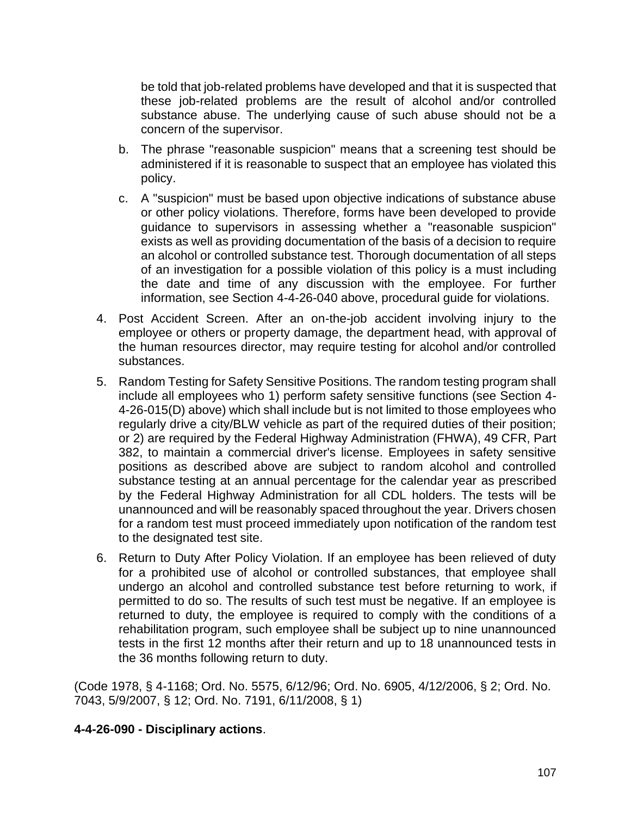be told that job-related problems have developed and that it is suspected that these job-related problems are the result of alcohol and/or controlled substance abuse. The underlying cause of such abuse should not be a concern of the supervisor.

- b. The phrase "reasonable suspicion" means that a screening test should be administered if it is reasonable to suspect that an employee has violated this policy.
- c. A "suspicion" must be based upon objective indications of substance abuse or other policy violations. Therefore, forms have been developed to provide guidance to supervisors in assessing whether a "reasonable suspicion" exists as well as providing documentation of the basis of a decision to require an alcohol or controlled substance test. Thorough documentation of all steps of an investigation for a possible violation of this policy is a must including the date and time of any discussion with the employee. For further information, see Section 4-4-26-040 above, procedural guide for violations.
- 4. Post Accident Screen. After an on-the-job accident involving injury to the employee or others or property damage, the department head, with approval of the human resources director, may require testing for alcohol and/or controlled substances.
- 5. Random Testing for Safety Sensitive Positions. The random testing program shall include all employees who 1) perform safety sensitive functions (see Section 4- 4-26-015(D) above) which shall include but is not limited to those employees who regularly drive a city/BLW vehicle as part of the required duties of their position; or 2) are required by the Federal Highway Administration (FHWA), 49 CFR, Part 382, to maintain a commercial driver's license. Employees in safety sensitive positions as described above are subject to random alcohol and controlled substance testing at an annual percentage for the calendar year as prescribed by the Federal Highway Administration for all CDL holders. The tests will be unannounced and will be reasonably spaced throughout the year. Drivers chosen for a random test must proceed immediately upon notification of the random test to the designated test site.
- 6. Return to Duty After Policy Violation. If an employee has been relieved of duty for a prohibited use of alcohol or controlled substances, that employee shall undergo an alcohol and controlled substance test before returning to work, if permitted to do so. The results of such test must be negative. If an employee is returned to duty, the employee is required to comply with the conditions of a rehabilitation program, such employee shall be subject up to nine unannounced tests in the first 12 months after their return and up to 18 unannounced tests in the 36 months following return to duty.

(Code 1978, § 4-1168; Ord. No. 5575, 6/12/96; Ord. No. 6905, 4/12/2006, § 2; Ord. No. 7043, 5/9/2007, § 12; Ord. No. 7191, 6/11/2008, § 1)

## **4-4-26-090 - Disciplinary actions**.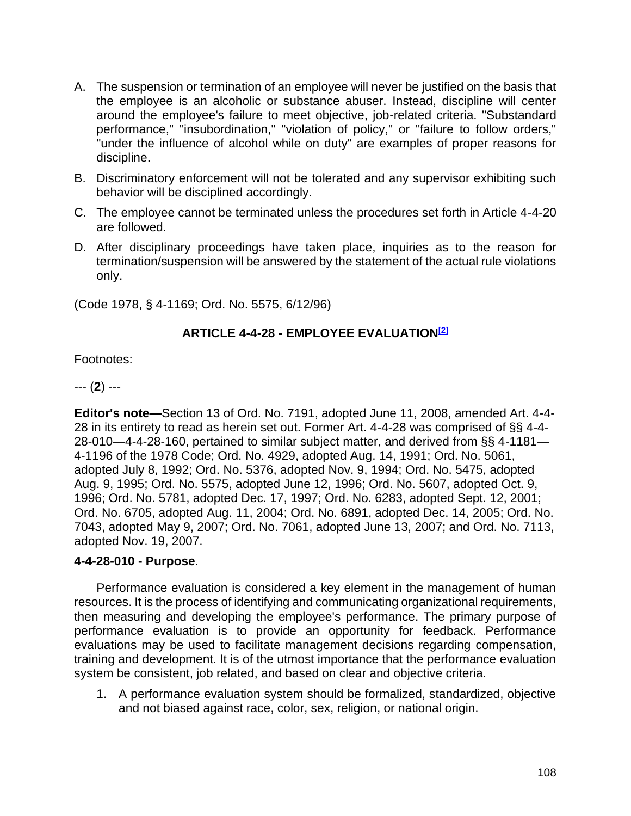- A. The suspension or termination of an employee will never be justified on the basis that the employee is an alcoholic or substance abuser. Instead, discipline will center around the employee's failure to meet objective, job-related criteria. "Substandard performance," "insubordination," "violation of policy," or "failure to follow orders," "under the influence of alcohol while on duty" are examples of proper reasons for discipline.
- B. Discriminatory enforcement will not be tolerated and any supervisor exhibiting such behavior will be disciplined accordingly.
- C. The employee cannot be terminated unless the procedures set forth in Article 4-4-20 are followed.
- D. After disciplinary proceedings have taken place, inquiries as to the reason for termination/suspension will be answered by the statement of the actual rule violations only.

(Code 1978, § 4-1169; Ord. No. 5575, 6/12/96)

# **ARTICLE 4-4-28 - EMPLOYEE EVALUATION[2]**

Footnotes:

--- (**2**) ---

**Editor's note—**Section 13 of Ord. No. 7191, adopted June 11, 2008, amended Art. 4-4- 28 in its entirety to read as herein set out. Former Art. 4-4-28 was comprised of §§ 4-4- 28-010—4-4-28-160, pertained to similar subject matter, and derived from §§ 4-1181— 4-1196 of the 1978 Code; Ord. No. 4929, adopted Aug. 14, 1991; Ord. No. 5061, adopted July 8, 1992; Ord. No. 5376, adopted Nov. 9, 1994; Ord. No. 5475, adopted Aug. 9, 1995; Ord. No. 5575, adopted June 12, 1996; Ord. No. 5607, adopted Oct. 9, 1996; Ord. No. 5781, adopted Dec. 17, 1997; Ord. No. 6283, adopted Sept. 12, 2001; Ord. No. 6705, adopted Aug. 11, 2004; Ord. No. 6891, adopted Dec. 14, 2005; Ord. No. 7043, adopted May 9, 2007; Ord. No. 7061, adopted June 13, 2007; and Ord. No. 7113, adopted Nov. 19, 2007.

## **4-4-28-010 - Purpose**.

Performance evaluation is considered a key element in the management of human resources. It is the process of identifying and communicating organizational requirements, then measuring and developing the employee's performance. The primary purpose of performance evaluation is to provide an opportunity for feedback. Performance evaluations may be used to facilitate management decisions regarding compensation, training and development. It is of the utmost importance that the performance evaluation system be consistent, job related, and based on clear and objective criteria.

1. A performance evaluation system should be formalized, standardized, objective and not biased against race, color, sex, religion, or national origin.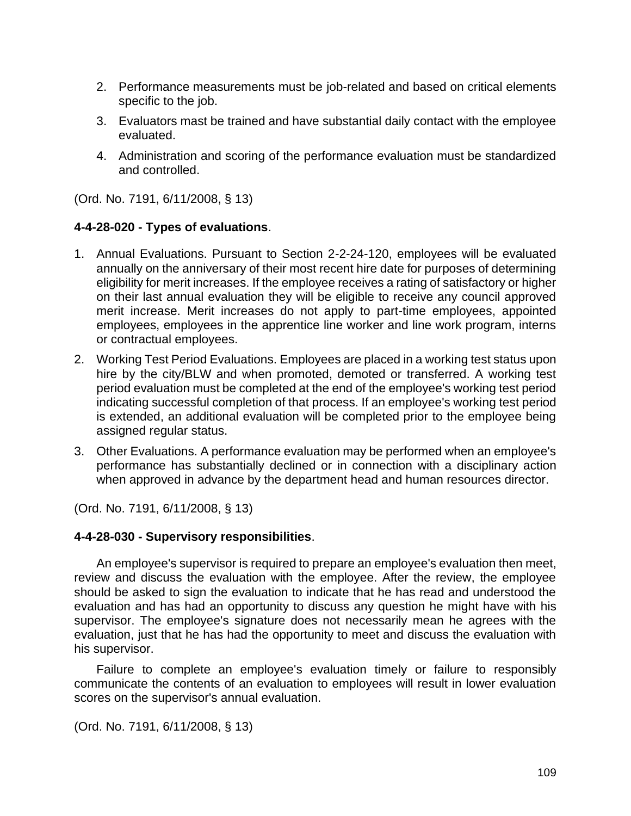- 2. Performance measurements must be job-related and based on critical elements specific to the job.
- 3. Evaluators mast be trained and have substantial daily contact with the employee evaluated.
- 4. Administration and scoring of the performance evaluation must be standardized and controlled.

(Ord. No. 7191, 6/11/2008, § 13)

# **4-4-28-020 - Types of evaluations**.

- 1. Annual Evaluations. Pursuant to Section 2-2-24-120, employees will be evaluated annually on the anniversary of their most recent hire date for purposes of determining eligibility for merit increases. If the employee receives a rating of satisfactory or higher on their last annual evaluation they will be eligible to receive any council approved merit increase. Merit increases do not apply to part-time employees, appointed employees, employees in the apprentice line worker and line work program, interns or contractual employees.
- 2. Working Test Period Evaluations. Employees are placed in a working test status upon hire by the city/BLW and when promoted, demoted or transferred. A working test period evaluation must be completed at the end of the employee's working test period indicating successful completion of that process. If an employee's working test period is extended, an additional evaluation will be completed prior to the employee being assigned regular status.
- 3. Other Evaluations. A performance evaluation may be performed when an employee's performance has substantially declined or in connection with a disciplinary action when approved in advance by the department head and human resources director.

(Ord. No. 7191, 6/11/2008, § 13)

## **4-4-28-030 - Supervisory responsibilities**.

An employee's supervisor is required to prepare an employee's evaluation then meet, review and discuss the evaluation with the employee. After the review, the employee should be asked to sign the evaluation to indicate that he has read and understood the evaluation and has had an opportunity to discuss any question he might have with his supervisor. The employee's signature does not necessarily mean he agrees with the evaluation, just that he has had the opportunity to meet and discuss the evaluation with his supervisor.

Failure to complete an employee's evaluation timely or failure to responsibly communicate the contents of an evaluation to employees will result in lower evaluation scores on the supervisor's annual evaluation.

(Ord. No. 7191, 6/11/2008, § 13)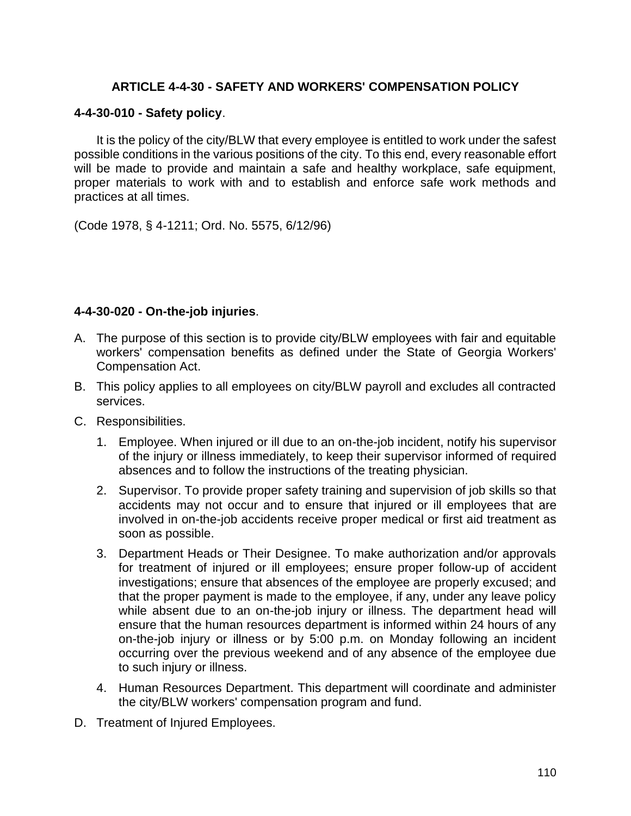# **ARTICLE 4-4-30 - SAFETY AND WORKERS' COMPENSATION POLICY**

#### **4-4-30-010 - Safety policy**.

It is the policy of the city/BLW that every employee is entitled to work under the safest possible conditions in the various positions of the city. To this end, every reasonable effort will be made to provide and maintain a safe and healthy workplace, safe equipment, proper materials to work with and to establish and enforce safe work methods and practices at all times.

(Code 1978, § 4-1211; Ord. No. 5575, 6/12/96)

#### **4-4-30-020 - On-the-job injuries**.

- A. The purpose of this section is to provide city/BLW employees with fair and equitable workers' compensation benefits as defined under the State of Georgia Workers' Compensation Act.
- B. This policy applies to all employees on city/BLW payroll and excludes all contracted services.
- C. Responsibilities.
	- 1. Employee. When injured or ill due to an on-the-job incident, notify his supervisor of the injury or illness immediately, to keep their supervisor informed of required absences and to follow the instructions of the treating physician.
	- 2. Supervisor. To provide proper safety training and supervision of job skills so that accidents may not occur and to ensure that injured or ill employees that are involved in on-the-job accidents receive proper medical or first aid treatment as soon as possible.
	- 3. Department Heads or Their Designee. To make authorization and/or approvals for treatment of injured or ill employees; ensure proper follow-up of accident investigations; ensure that absences of the employee are properly excused; and that the proper payment is made to the employee, if any, under any leave policy while absent due to an on-the-job injury or illness. The department head will ensure that the human resources department is informed within 24 hours of any on-the-job injury or illness or by 5:00 p.m. on Monday following an incident occurring over the previous weekend and of any absence of the employee due to such injury or illness.
	- 4. Human Resources Department. This department will coordinate and administer the city/BLW workers' compensation program and fund.
- D. Treatment of Injured Employees.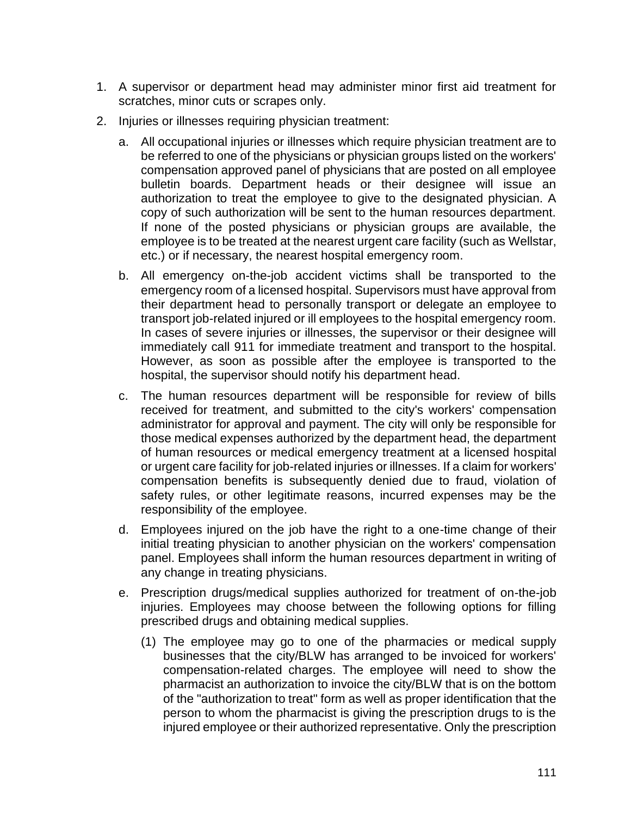- 1. A supervisor or department head may administer minor first aid treatment for scratches, minor cuts or scrapes only.
- 2. Injuries or illnesses requiring physician treatment:
	- a. All occupational injuries or illnesses which require physician treatment are to be referred to one of the physicians or physician groups listed on the workers' compensation approved panel of physicians that are posted on all employee bulletin boards. Department heads or their designee will issue an authorization to treat the employee to give to the designated physician. A copy of such authorization will be sent to the human resources department. If none of the posted physicians or physician groups are available, the employee is to be treated at the nearest urgent care facility (such as Wellstar, etc.) or if necessary, the nearest hospital emergency room.
	- b. All emergency on-the-job accident victims shall be transported to the emergency room of a licensed hospital. Supervisors must have approval from their department head to personally transport or delegate an employee to transport job-related injured or ill employees to the hospital emergency room. In cases of severe injuries or illnesses, the supervisor or their designee will immediately call 911 for immediate treatment and transport to the hospital. However, as soon as possible after the employee is transported to the hospital, the supervisor should notify his department head.
	- c. The human resources department will be responsible for review of bills received for treatment, and submitted to the city's workers' compensation administrator for approval and payment. The city will only be responsible for those medical expenses authorized by the department head, the department of human resources or medical emergency treatment at a licensed hospital or urgent care facility for job-related injuries or illnesses. If a claim for workers' compensation benefits is subsequently denied due to fraud, violation of safety rules, or other legitimate reasons, incurred expenses may be the responsibility of the employee.
	- d. Employees injured on the job have the right to a one-time change of their initial treating physician to another physician on the workers' compensation panel. Employees shall inform the human resources department in writing of any change in treating physicians.
	- e. Prescription drugs/medical supplies authorized for treatment of on-the-job injuries. Employees may choose between the following options for filling prescribed drugs and obtaining medical supplies.
		- (1) The employee may go to one of the pharmacies or medical supply businesses that the city/BLW has arranged to be invoiced for workers' compensation-related charges. The employee will need to show the pharmacist an authorization to invoice the city/BLW that is on the bottom of the "authorization to treat" form as well as proper identification that the person to whom the pharmacist is giving the prescription drugs to is the injured employee or their authorized representative. Only the prescription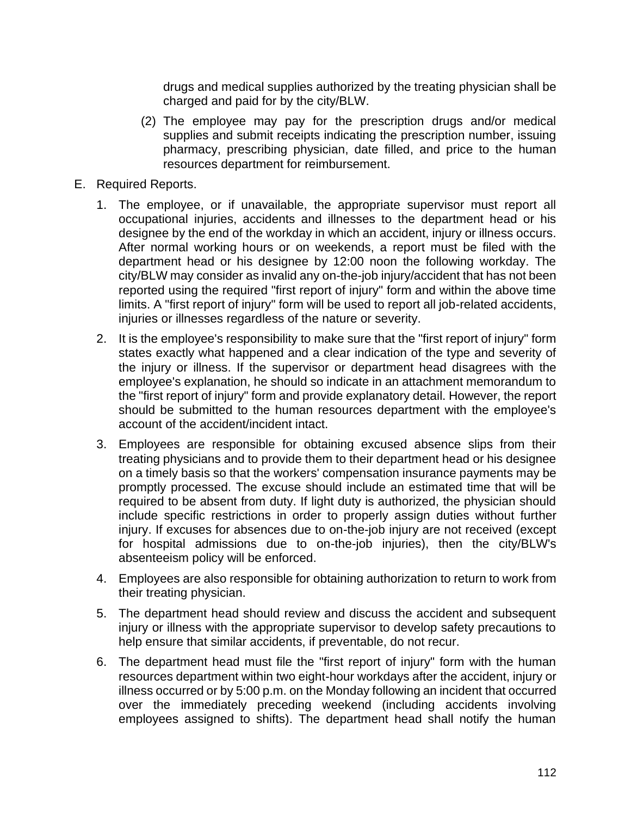drugs and medical supplies authorized by the treating physician shall be charged and paid for by the city/BLW.

- (2) The employee may pay for the prescription drugs and/or medical supplies and submit receipts indicating the prescription number, issuing pharmacy, prescribing physician, date filled, and price to the human resources department for reimbursement.
- E. Required Reports.
	- 1. The employee, or if unavailable, the appropriate supervisor must report all occupational injuries, accidents and illnesses to the department head or his designee by the end of the workday in which an accident, injury or illness occurs. After normal working hours or on weekends, a report must be filed with the department head or his designee by 12:00 noon the following workday. The city/BLW may consider as invalid any on-the-job injury/accident that has not been reported using the required "first report of injury" form and within the above time limits. A "first report of injury" form will be used to report all job-related accidents, injuries or illnesses regardless of the nature or severity.
	- 2. It is the employee's responsibility to make sure that the "first report of injury" form states exactly what happened and a clear indication of the type and severity of the injury or illness. If the supervisor or department head disagrees with the employee's explanation, he should so indicate in an attachment memorandum to the "first report of injury" form and provide explanatory detail. However, the report should be submitted to the human resources department with the employee's account of the accident/incident intact.
	- 3. Employees are responsible for obtaining excused absence slips from their treating physicians and to provide them to their department head or his designee on a timely basis so that the workers' compensation insurance payments may be promptly processed. The excuse should include an estimated time that will be required to be absent from duty. If light duty is authorized, the physician should include specific restrictions in order to properly assign duties without further injury. If excuses for absences due to on-the-job injury are not received (except for hospital admissions due to on-the-job injuries), then the city/BLW's absenteeism policy will be enforced.
	- 4. Employees are also responsible for obtaining authorization to return to work from their treating physician.
	- 5. The department head should review and discuss the accident and subsequent injury or illness with the appropriate supervisor to develop safety precautions to help ensure that similar accidents, if preventable, do not recur.
	- 6. The department head must file the "first report of injury" form with the human resources department within two eight-hour workdays after the accident, injury or illness occurred or by 5:00 p.m. on the Monday following an incident that occurred over the immediately preceding weekend (including accidents involving employees assigned to shifts). The department head shall notify the human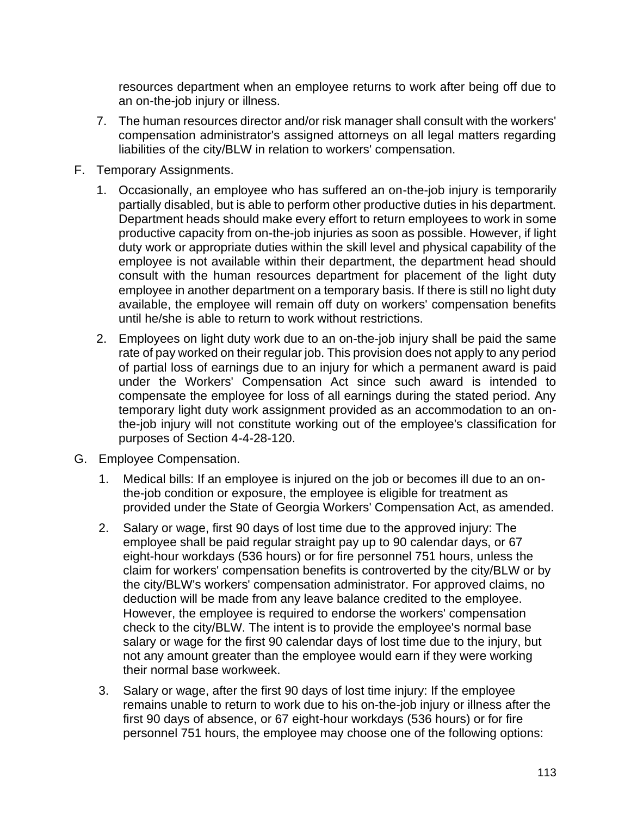resources department when an employee returns to work after being off due to an on-the-job injury or illness.

- 7. The human resources director and/or risk manager shall consult with the workers' compensation administrator's assigned attorneys on all legal matters regarding liabilities of the city/BLW in relation to workers' compensation.
- F. Temporary Assignments.
	- 1. Occasionally, an employee who has suffered an on-the-job injury is temporarily partially disabled, but is able to perform other productive duties in his department. Department heads should make every effort to return employees to work in some productive capacity from on-the-job injuries as soon as possible. However, if light duty work or appropriate duties within the skill level and physical capability of the employee is not available within their department, the department head should consult with the human resources department for placement of the light duty employee in another department on a temporary basis. If there is still no light duty available, the employee will remain off duty on workers' compensation benefits until he/she is able to return to work without restrictions.
	- 2. Employees on light duty work due to an on-the-job injury shall be paid the same rate of pay worked on their regular job. This provision does not apply to any period of partial loss of earnings due to an injury for which a permanent award is paid under the Workers' Compensation Act since such award is intended to compensate the employee for loss of all earnings during the stated period. Any temporary light duty work assignment provided as an accommodation to an onthe-job injury will not constitute working out of the employee's classification for purposes of Section 4-4-28-120.
- G. Employee Compensation.
	- 1. Medical bills: If an employee is injured on the job or becomes ill due to an onthe-job condition or exposure, the employee is eligible for treatment as provided under the State of Georgia Workers' Compensation Act, as amended.
	- 2. Salary or wage, first 90 days of lost time due to the approved injury: The employee shall be paid regular straight pay up to 90 calendar days, or 67 eight-hour workdays (536 hours) or for fire personnel 751 hours, unless the claim for workers' compensation benefits is controverted by the city/BLW or by the city/BLW's workers' compensation administrator. For approved claims, no deduction will be made from any leave balance credited to the employee. However, the employee is required to endorse the workers' compensation check to the city/BLW. The intent is to provide the employee's normal base salary or wage for the first 90 calendar days of lost time due to the injury, but not any amount greater than the employee would earn if they were working their normal base workweek.
	- 3. Salary or wage, after the first 90 days of lost time injury: If the employee remains unable to return to work due to his on-the-job injury or illness after the first 90 days of absence, or 67 eight-hour workdays (536 hours) or for fire personnel 751 hours, the employee may choose one of the following options: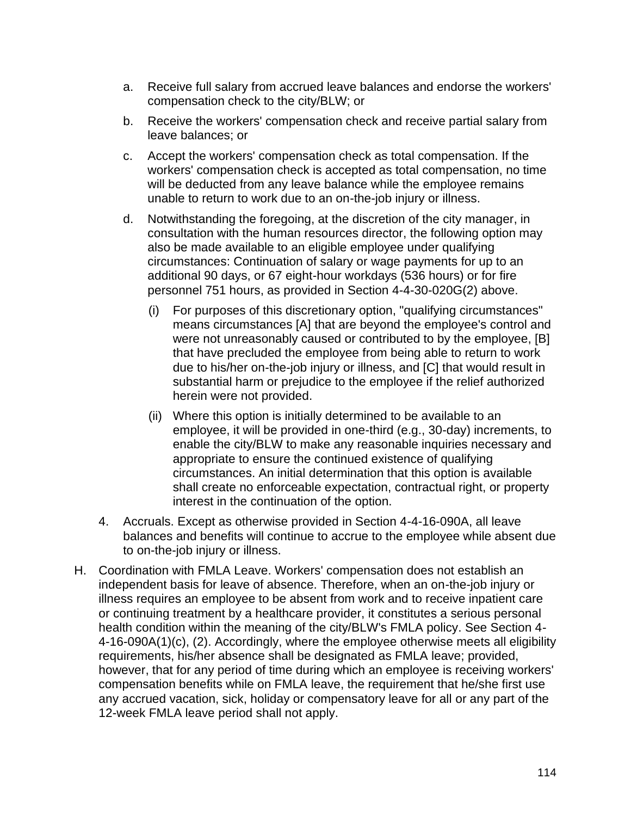- a. Receive full salary from accrued leave balances and endorse the workers' compensation check to the city/BLW; or
- b. Receive the workers' compensation check and receive partial salary from leave balances; or
- c. Accept the workers' compensation check as total compensation. If the workers' compensation check is accepted as total compensation, no time will be deducted from any leave balance while the employee remains unable to return to work due to an on-the-job injury or illness.
- d. Notwithstanding the foregoing, at the discretion of the city manager, in consultation with the human resources director, the following option may also be made available to an eligible employee under qualifying circumstances: Continuation of salary or wage payments for up to an additional 90 days, or 67 eight-hour workdays (536 hours) or for fire personnel 751 hours, as provided in Section 4-4-30-020G(2) above.
	- (i) For purposes of this discretionary option, "qualifying circumstances" means circumstances [A] that are beyond the employee's control and were not unreasonably caused or contributed to by the employee, [B] that have precluded the employee from being able to return to work due to his/her on-the-job injury or illness, and [C] that would result in substantial harm or prejudice to the employee if the relief authorized herein were not provided.
	- (ii) Where this option is initially determined to be available to an employee, it will be provided in one-third (e.g., 30-day) increments, to enable the city/BLW to make any reasonable inquiries necessary and appropriate to ensure the continued existence of qualifying circumstances. An initial determination that this option is available shall create no enforceable expectation, contractual right, or property interest in the continuation of the option.
- 4. Accruals. Except as otherwise provided in Section 4-4-16-090A, all leave balances and benefits will continue to accrue to the employee while absent due to on-the-job injury or illness.
- H. Coordination with FMLA Leave. Workers' compensation does not establish an independent basis for leave of absence. Therefore, when an on-the-job injury or illness requires an employee to be absent from work and to receive inpatient care or continuing treatment by a healthcare provider, it constitutes a serious personal health condition within the meaning of the city/BLW's FMLA policy. See Section 4- 4-16-090A(1)(c), (2). Accordingly, where the employee otherwise meets all eligibility requirements, his/her absence shall be designated as FMLA leave; provided, however, that for any period of time during which an employee is receiving workers' compensation benefits while on FMLA leave, the requirement that he/she first use any accrued vacation, sick, holiday or compensatory leave for all or any part of the 12-week FMLA leave period shall not apply.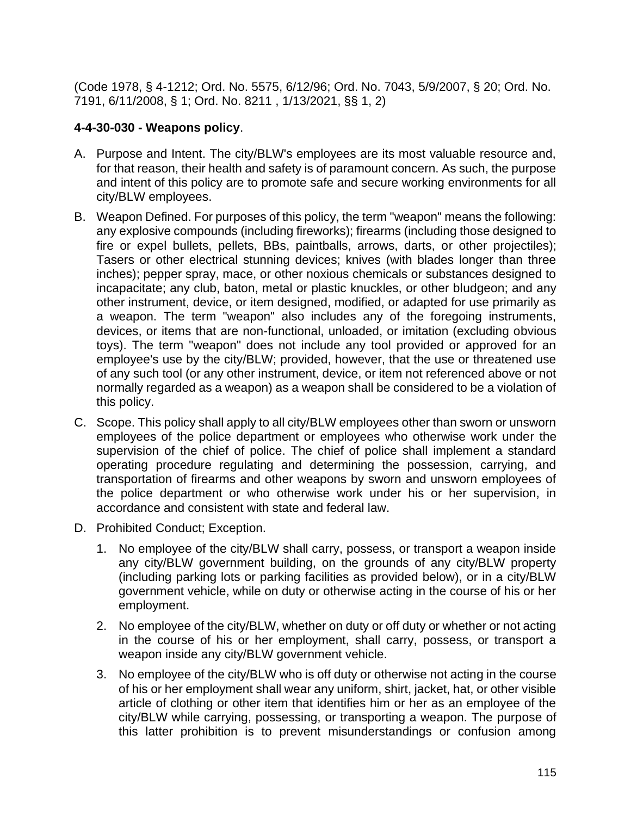(Code 1978, § 4-1212; Ord. No. 5575, 6/12/96; Ord. No. 7043, 5/9/2007, § 20; Ord. No. 7191, 6/11/2008, § 1; Ord. No. 8211 , 1/13/2021, §§ 1, 2)

# **4-4-30-030 - Weapons policy**.

- A. Purpose and Intent. The city/BLW's employees are its most valuable resource and, for that reason, their health and safety is of paramount concern. As such, the purpose and intent of this policy are to promote safe and secure working environments for all city/BLW employees.
- B. Weapon Defined. For purposes of this policy, the term "weapon" means the following: any explosive compounds (including fireworks); firearms (including those designed to fire or expel bullets, pellets, BBs, paintballs, arrows, darts, or other projectiles); Tasers or other electrical stunning devices; knives (with blades longer than three inches); pepper spray, mace, or other noxious chemicals or substances designed to incapacitate; any club, baton, metal or plastic knuckles, or other bludgeon; and any other instrument, device, or item designed, modified, or adapted for use primarily as a weapon. The term "weapon" also includes any of the foregoing instruments, devices, or items that are non-functional, unloaded, or imitation (excluding obvious toys). The term "weapon" does not include any tool provided or approved for an employee's use by the city/BLW; provided, however, that the use or threatened use of any such tool (or any other instrument, device, or item not referenced above or not normally regarded as a weapon) as a weapon shall be considered to be a violation of this policy.
- C. Scope. This policy shall apply to all city/BLW employees other than sworn or unsworn employees of the police department or employees who otherwise work under the supervision of the chief of police. The chief of police shall implement a standard operating procedure regulating and determining the possession, carrying, and transportation of firearms and other weapons by sworn and unsworn employees of the police department or who otherwise work under his or her supervision, in accordance and consistent with state and federal law.
- D. Prohibited Conduct; Exception.
	- 1. No employee of the city/BLW shall carry, possess, or transport a weapon inside any city/BLW government building, on the grounds of any city/BLW property (including parking lots or parking facilities as provided below), or in a city/BLW government vehicle, while on duty or otherwise acting in the course of his or her employment.
	- 2. No employee of the city/BLW, whether on duty or off duty or whether or not acting in the course of his or her employment, shall carry, possess, or transport a weapon inside any city/BLW government vehicle.
	- 3. No employee of the city/BLW who is off duty or otherwise not acting in the course of his or her employment shall wear any uniform, shirt, jacket, hat, or other visible article of clothing or other item that identifies him or her as an employee of the city/BLW while carrying, possessing, or transporting a weapon. The purpose of this latter prohibition is to prevent misunderstandings or confusion among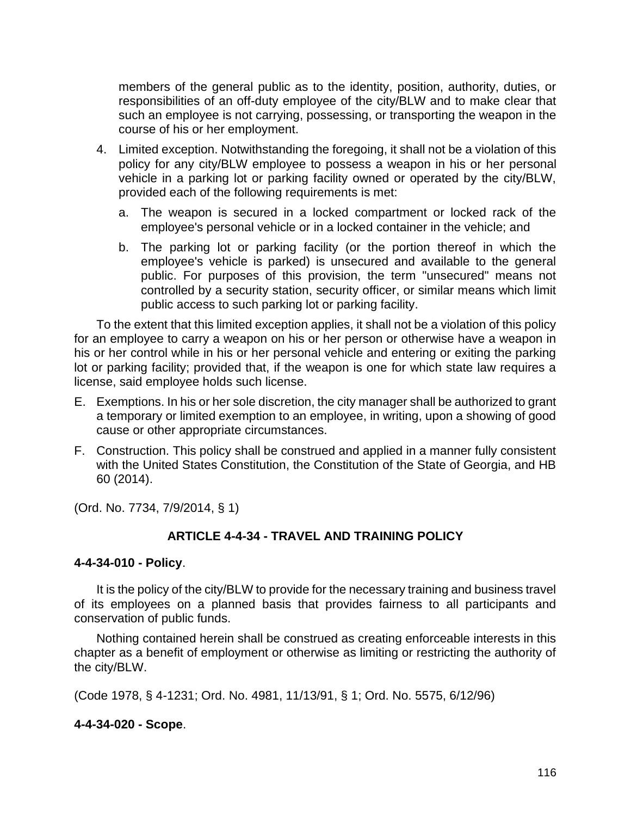members of the general public as to the identity, position, authority, duties, or responsibilities of an off-duty employee of the city/BLW and to make clear that such an employee is not carrying, possessing, or transporting the weapon in the course of his or her employment.

- 4. Limited exception. Notwithstanding the foregoing, it shall not be a violation of this policy for any city/BLW employee to possess a weapon in his or her personal vehicle in a parking lot or parking facility owned or operated by the city/BLW, provided each of the following requirements is met:
	- a. The weapon is secured in a locked compartment or locked rack of the employee's personal vehicle or in a locked container in the vehicle; and
	- b. The parking lot or parking facility (or the portion thereof in which the employee's vehicle is parked) is unsecured and available to the general public. For purposes of this provision, the term "unsecured" means not controlled by a security station, security officer, or similar means which limit public access to such parking lot or parking facility.

To the extent that this limited exception applies, it shall not be a violation of this policy for an employee to carry a weapon on his or her person or otherwise have a weapon in his or her control while in his or her personal vehicle and entering or exiting the parking lot or parking facility; provided that, if the weapon is one for which state law requires a license, said employee holds such license.

- E. Exemptions. In his or her sole discretion, the city manager shall be authorized to grant a temporary or limited exemption to an employee, in writing, upon a showing of good cause or other appropriate circumstances.
- F. Construction. This policy shall be construed and applied in a manner fully consistent with the United States Constitution, the Constitution of the State of Georgia, and HB 60 (2014).

(Ord. No. 7734, 7/9/2014, § 1)

## **ARTICLE 4-4-34 - TRAVEL AND TRAINING POLICY**

#### **4-4-34-010 - Policy**.

It is the policy of the city/BLW to provide for the necessary training and business travel of its employees on a planned basis that provides fairness to all participants and conservation of public funds.

Nothing contained herein shall be construed as creating enforceable interests in this chapter as a benefit of employment or otherwise as limiting or restricting the authority of the city/BLW.

(Code 1978, § 4-1231; Ord. No. 4981, 11/13/91, § 1; Ord. No. 5575, 6/12/96)

## **4-4-34-020 - Scope**.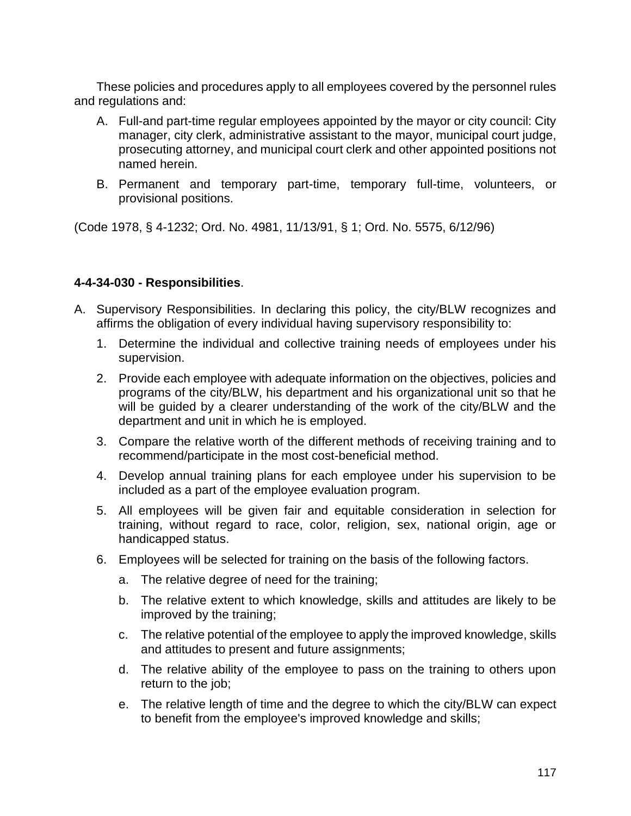These policies and procedures apply to all employees covered by the personnel rules and regulations and:

- A. Full-and part-time regular employees appointed by the mayor or city council: City manager, city clerk, administrative assistant to the mayor, municipal court judge, prosecuting attorney, and municipal court clerk and other appointed positions not named herein.
- B. Permanent and temporary part-time, temporary full-time, volunteers, or provisional positions.

(Code 1978, § 4-1232; Ord. No. 4981, 11/13/91, § 1; Ord. No. 5575, 6/12/96)

# **4-4-34-030 - Responsibilities**.

- A. Supervisory Responsibilities. In declaring this policy, the city/BLW recognizes and affirms the obligation of every individual having supervisory responsibility to:
	- 1. Determine the individual and collective training needs of employees under his supervision.
	- 2. Provide each employee with adequate information on the objectives, policies and programs of the city/BLW, his department and his organizational unit so that he will be guided by a clearer understanding of the work of the city/BLW and the department and unit in which he is employed.
	- 3. Compare the relative worth of the different methods of receiving training and to recommend/participate in the most cost-beneficial method.
	- 4. Develop annual training plans for each employee under his supervision to be included as a part of the employee evaluation program.
	- 5. All employees will be given fair and equitable consideration in selection for training, without regard to race, color, religion, sex, national origin, age or handicapped status.
	- 6. Employees will be selected for training on the basis of the following factors.
		- a. The relative degree of need for the training;
		- b. The relative extent to which knowledge, skills and attitudes are likely to be improved by the training;
		- c. The relative potential of the employee to apply the improved knowledge, skills and attitudes to present and future assignments;
		- d. The relative ability of the employee to pass on the training to others upon return to the job;
		- e. The relative length of time and the degree to which the city/BLW can expect to benefit from the employee's improved knowledge and skills;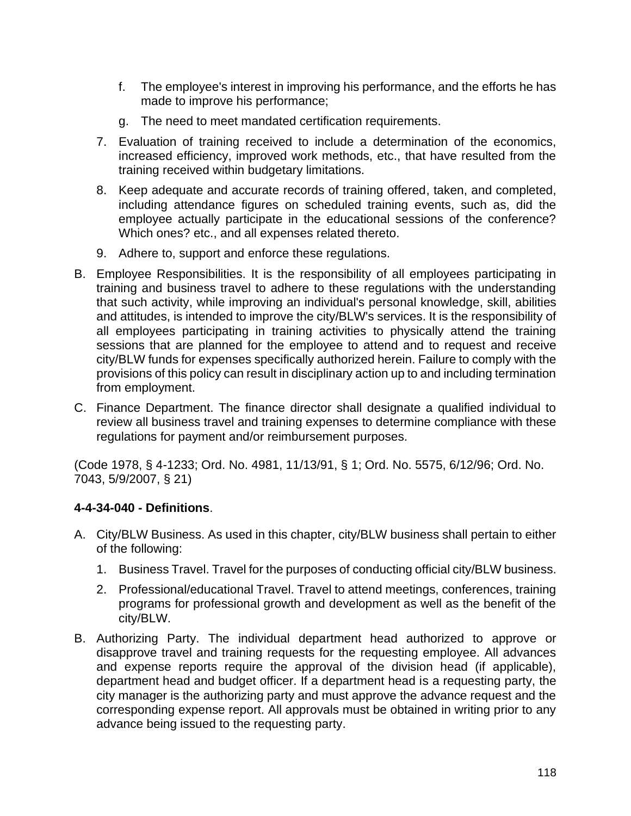- f. The employee's interest in improving his performance, and the efforts he has made to improve his performance;
- g. The need to meet mandated certification requirements.
- 7. Evaluation of training received to include a determination of the economics, increased efficiency, improved work methods, etc., that have resulted from the training received within budgetary limitations.
- 8. Keep adequate and accurate records of training offered, taken, and completed, including attendance figures on scheduled training events, such as, did the employee actually participate in the educational sessions of the conference? Which ones? etc., and all expenses related thereto.
- 9. Adhere to, support and enforce these regulations.
- B. Employee Responsibilities. It is the responsibility of all employees participating in training and business travel to adhere to these regulations with the understanding that such activity, while improving an individual's personal knowledge, skill, abilities and attitudes, is intended to improve the city/BLW's services. It is the responsibility of all employees participating in training activities to physically attend the training sessions that are planned for the employee to attend and to request and receive city/BLW funds for expenses specifically authorized herein. Failure to comply with the provisions of this policy can result in disciplinary action up to and including termination from employment.
- C. Finance Department. The finance director shall designate a qualified individual to review all business travel and training expenses to determine compliance with these regulations for payment and/or reimbursement purposes.

(Code 1978, § 4-1233; Ord. No. 4981, 11/13/91, § 1; Ord. No. 5575, 6/12/96; Ord. No. 7043, 5/9/2007, § 21)

# **4-4-34-040 - Definitions**.

- A. City/BLW Business. As used in this chapter, city/BLW business shall pertain to either of the following:
	- 1. Business Travel. Travel for the purposes of conducting official city/BLW business.
	- 2. Professional/educational Travel. Travel to attend meetings, conferences, training programs for professional growth and development as well as the benefit of the city/BLW.
- B. Authorizing Party. The individual department head authorized to approve or disapprove travel and training requests for the requesting employee. All advances and expense reports require the approval of the division head (if applicable), department head and budget officer. If a department head is a requesting party, the city manager is the authorizing party and must approve the advance request and the corresponding expense report. All approvals must be obtained in writing prior to any advance being issued to the requesting party.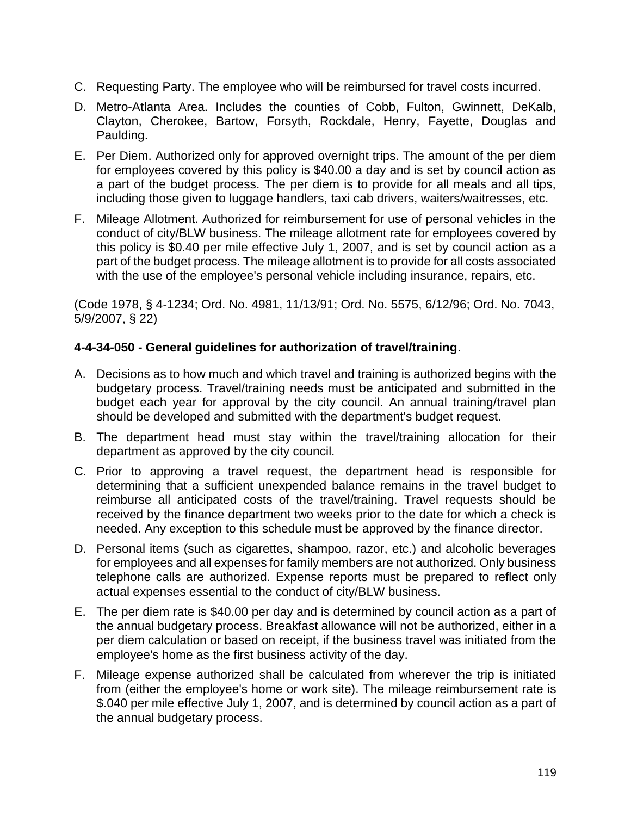- C. Requesting Party. The employee who will be reimbursed for travel costs incurred.
- D. Metro-Atlanta Area. Includes the counties of Cobb, Fulton, Gwinnett, DeKalb, Clayton, Cherokee, Bartow, Forsyth, Rockdale, Henry, Fayette, Douglas and Paulding.
- E. Per Diem. Authorized only for approved overnight trips. The amount of the per diem for employees covered by this policy is \$40.00 a day and is set by council action as a part of the budget process. The per diem is to provide for all meals and all tips, including those given to luggage handlers, taxi cab drivers, waiters/waitresses, etc.
- F. Mileage Allotment. Authorized for reimbursement for use of personal vehicles in the conduct of city/BLW business. The mileage allotment rate for employees covered by this policy is \$0.40 per mile effective July 1, 2007, and is set by council action as a part of the budget process. The mileage allotment is to provide for all costs associated with the use of the employee's personal vehicle including insurance, repairs, etc.

(Code 1978, § 4-1234; Ord. No. 4981, 11/13/91; Ord. No. 5575, 6/12/96; Ord. No. 7043, 5/9/2007, § 22)

# **4-4-34-050 - General guidelines for authorization of travel/training**.

- A. Decisions as to how much and which travel and training is authorized begins with the budgetary process. Travel/training needs must be anticipated and submitted in the budget each year for approval by the city council. An annual training/travel plan should be developed and submitted with the department's budget request.
- B. The department head must stay within the travel/training allocation for their department as approved by the city council.
- C. Prior to approving a travel request, the department head is responsible for determining that a sufficient unexpended balance remains in the travel budget to reimburse all anticipated costs of the travel/training. Travel requests should be received by the finance department two weeks prior to the date for which a check is needed. Any exception to this schedule must be approved by the finance director.
- D. Personal items (such as cigarettes, shampoo, razor, etc.) and alcoholic beverages for employees and all expenses for family members are not authorized. Only business telephone calls are authorized. Expense reports must be prepared to reflect only actual expenses essential to the conduct of city/BLW business.
- E. The per diem rate is \$40.00 per day and is determined by council action as a part of the annual budgetary process. Breakfast allowance will not be authorized, either in a per diem calculation or based on receipt, if the business travel was initiated from the employee's home as the first business activity of the day.
- F. Mileage expense authorized shall be calculated from wherever the trip is initiated from (either the employee's home or work site). The mileage reimbursement rate is \$.040 per mile effective July 1, 2007, and is determined by council action as a part of the annual budgetary process.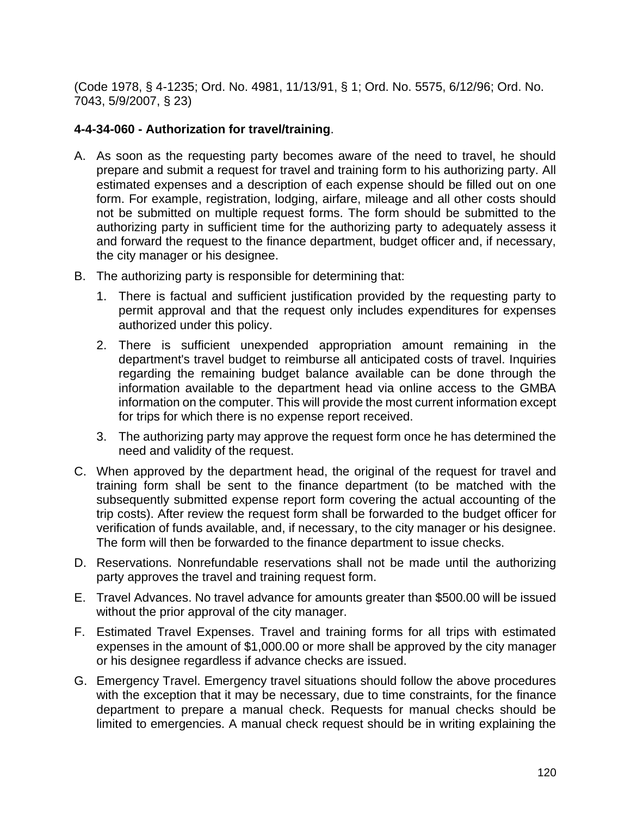(Code 1978, § 4-1235; Ord. No. 4981, 11/13/91, § 1; Ord. No. 5575, 6/12/96; Ord. No. 7043, 5/9/2007, § 23)

## **4-4-34-060 - Authorization for travel/training**.

- A. As soon as the requesting party becomes aware of the need to travel, he should prepare and submit a request for travel and training form to his authorizing party. All estimated expenses and a description of each expense should be filled out on one form. For example, registration, lodging, airfare, mileage and all other costs should not be submitted on multiple request forms. The form should be submitted to the authorizing party in sufficient time for the authorizing party to adequately assess it and forward the request to the finance department, budget officer and, if necessary, the city manager or his designee.
- B. The authorizing party is responsible for determining that:
	- 1. There is factual and sufficient justification provided by the requesting party to permit approval and that the request only includes expenditures for expenses authorized under this policy.
	- 2. There is sufficient unexpended appropriation amount remaining in the department's travel budget to reimburse all anticipated costs of travel. Inquiries regarding the remaining budget balance available can be done through the information available to the department head via online access to the GMBA information on the computer. This will provide the most current information except for trips for which there is no expense report received.
	- 3. The authorizing party may approve the request form once he has determined the need and validity of the request.
- C. When approved by the department head, the original of the request for travel and training form shall be sent to the finance department (to be matched with the subsequently submitted expense report form covering the actual accounting of the trip costs). After review the request form shall be forwarded to the budget officer for verification of funds available, and, if necessary, to the city manager or his designee. The form will then be forwarded to the finance department to issue checks.
- D. Reservations. Nonrefundable reservations shall not be made until the authorizing party approves the travel and training request form.
- E. Travel Advances. No travel advance for amounts greater than \$500.00 will be issued without the prior approval of the city manager.
- F. Estimated Travel Expenses. Travel and training forms for all trips with estimated expenses in the amount of \$1,000.00 or more shall be approved by the city manager or his designee regardless if advance checks are issued.
- G. Emergency Travel. Emergency travel situations should follow the above procedures with the exception that it may be necessary, due to time constraints, for the finance department to prepare a manual check. Requests for manual checks should be limited to emergencies. A manual check request should be in writing explaining the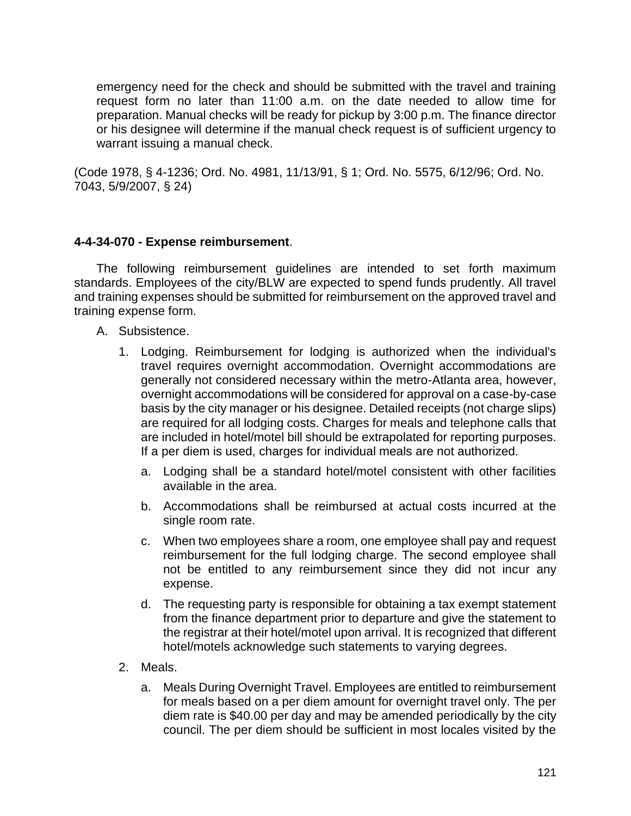emergency need for the check and should be submitted with the travel and training request form no later than 11:00 a.m. on the date needed to allow time for preparation. Manual checks will be ready for pickup by 3:00 p.m. The finance director or his designee will determine if the manual check request is of sufficient urgency to warrant issuing a manual check.

(Code 1978, § 4-1236; Ord. No. 4981, 11/13/91, § 1; Ord. No. 5575, 6/12/96; Ord. No. 7043, 5/9/2007, § 24)

# **4-4-34-070 - Expense reimbursement**.

The following reimbursement guidelines are intended to set forth maximum standards. Employees of the city/BLW are expected to spend funds prudently. All travel and training expenses should be submitted for reimbursement on the approved travel and training expense form.

- A. Subsistence.
	- 1. Lodging. Reimbursement for lodging is authorized when the individual's travel requires overnight accommodation. Overnight accommodations are generally not considered necessary within the metro-Atlanta area, however, overnight accommodations will be considered for approval on a case-by-case basis by the city manager or his designee. Detailed receipts (not charge slips) are required for all lodging costs. Charges for meals and telephone calls that are included in hotel/motel bill should be extrapolated for reporting purposes. If a per diem is used, charges for individual meals are not authorized.
		- a. Lodging shall be a standard hotel/motel consistent with other facilities available in the area.
		- b. Accommodations shall be reimbursed at actual costs incurred at the single room rate.
		- c. When two employees share a room, one employee shall pay and request reimbursement for the full lodging charge. The second employee shall not be entitled to any reimbursement since they did not incur any expense.
		- d. The requesting party is responsible for obtaining a tax exempt statement from the finance department prior to departure and give the statement to the registrar at their hotel/motel upon arrival. It is recognized that different hotel/motels acknowledge such statements to varying degrees.
	- 2. Meals.
		- a. Meals During Overnight Travel. Employees are entitled to reimbursement for meals based on a per diem amount for overnight travel only. The per diem rate is \$40.00 per day and may be amended periodically by the city council. The per diem should be sufficient in most locales visited by the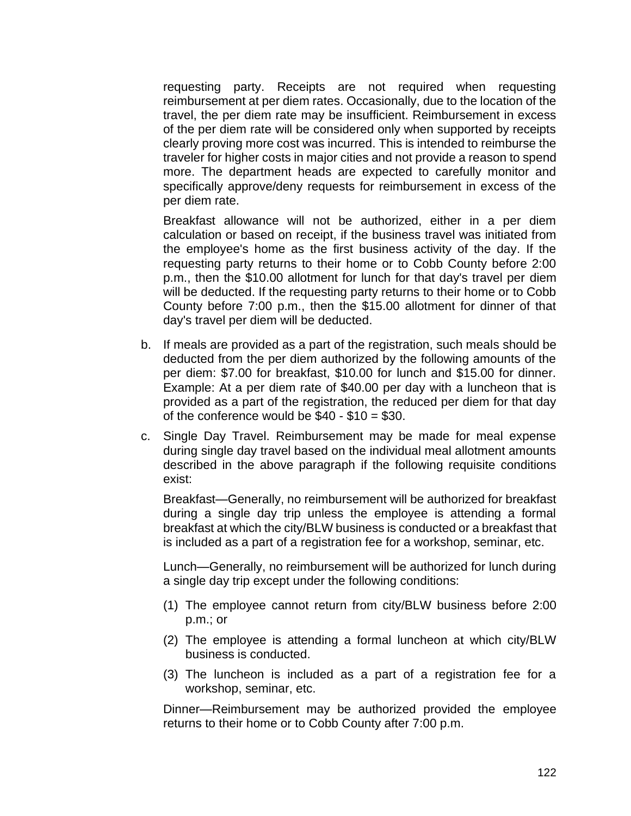requesting party. Receipts are not required when requesting reimbursement at per diem rates. Occasionally, due to the location of the travel, the per diem rate may be insufficient. Reimbursement in excess of the per diem rate will be considered only when supported by receipts clearly proving more cost was incurred. This is intended to reimburse the traveler for higher costs in major cities and not provide a reason to spend more. The department heads are expected to carefully monitor and specifically approve/deny requests for reimbursement in excess of the per diem rate.

Breakfast allowance will not be authorized, either in a per diem calculation or based on receipt, if the business travel was initiated from the employee's home as the first business activity of the day. If the requesting party returns to their home or to Cobb County before 2:00 p.m., then the \$10.00 allotment for lunch for that day's travel per diem will be deducted. If the requesting party returns to their home or to Cobb County before 7:00 p.m., then the \$15.00 allotment for dinner of that day's travel per diem will be deducted.

- b. If meals are provided as a part of the registration, such meals should be deducted from the per diem authorized by the following amounts of the per diem: \$7.00 for breakfast, \$10.00 for lunch and \$15.00 for dinner. Example: At a per diem rate of \$40.00 per day with a luncheon that is provided as a part of the registration, the reduced per diem for that day of the conference would be  $$40 - $10 = $30$ .
- c. Single Day Travel. Reimbursement may be made for meal expense during single day travel based on the individual meal allotment amounts described in the above paragraph if the following requisite conditions exist:

Breakfast—Generally, no reimbursement will be authorized for breakfast during a single day trip unless the employee is attending a formal breakfast at which the city/BLW business is conducted or a breakfast that is included as a part of a registration fee for a workshop, seminar, etc.

Lunch—Generally, no reimbursement will be authorized for lunch during a single day trip except under the following conditions:

- (1) The employee cannot return from city/BLW business before 2:00 p.m.; or
- (2) The employee is attending a formal luncheon at which city/BLW business is conducted.
- (3) The luncheon is included as a part of a registration fee for a workshop, seminar, etc.

Dinner—Reimbursement may be authorized provided the employee returns to their home or to Cobb County after 7:00 p.m.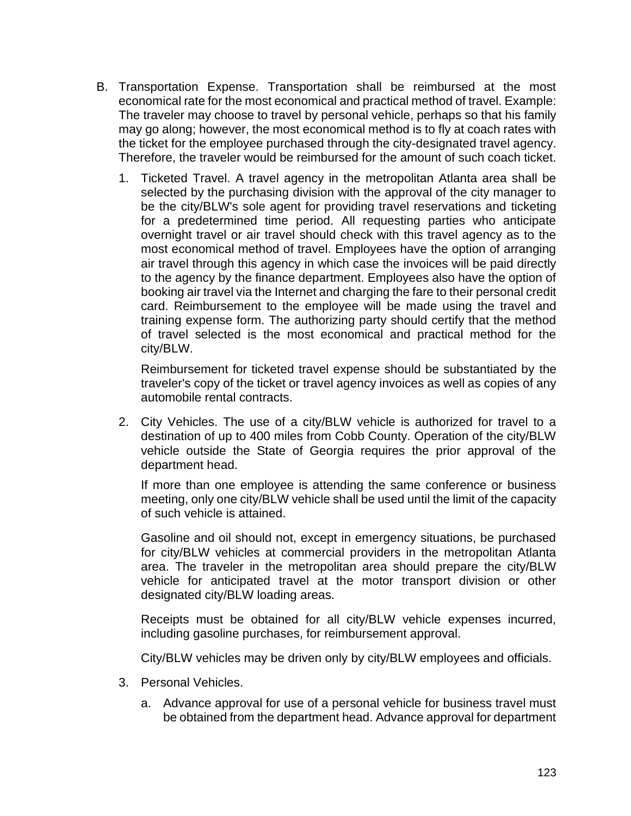- B. Transportation Expense. Transportation shall be reimbursed at the most economical rate for the most economical and practical method of travel. Example: The traveler may choose to travel by personal vehicle, perhaps so that his family may go along; however, the most economical method is to fly at coach rates with the ticket for the employee purchased through the city-designated travel agency. Therefore, the traveler would be reimbursed for the amount of such coach ticket.
	- 1. Ticketed Travel. A travel agency in the metropolitan Atlanta area shall be selected by the purchasing division with the approval of the city manager to be the city/BLW's sole agent for providing travel reservations and ticketing for a predetermined time period. All requesting parties who anticipate overnight travel or air travel should check with this travel agency as to the most economical method of travel. Employees have the option of arranging air travel through this agency in which case the invoices will be paid directly to the agency by the finance department. Employees also have the option of booking air travel via the Internet and charging the fare to their personal credit card. Reimbursement to the employee will be made using the travel and training expense form. The authorizing party should certify that the method of travel selected is the most economical and practical method for the city/BLW.

Reimbursement for ticketed travel expense should be substantiated by the traveler's copy of the ticket or travel agency invoices as well as copies of any automobile rental contracts.

2. City Vehicles. The use of a city/BLW vehicle is authorized for travel to a destination of up to 400 miles from Cobb County. Operation of the city/BLW vehicle outside the State of Georgia requires the prior approval of the department head.

If more than one employee is attending the same conference or business meeting, only one city/BLW vehicle shall be used until the limit of the capacity of such vehicle is attained.

Gasoline and oil should not, except in emergency situations, be purchased for city/BLW vehicles at commercial providers in the metropolitan Atlanta area. The traveler in the metropolitan area should prepare the city/BLW vehicle for anticipated travel at the motor transport division or other designated city/BLW loading areas.

Receipts must be obtained for all city/BLW vehicle expenses incurred, including gasoline purchases, for reimbursement approval.

City/BLW vehicles may be driven only by city/BLW employees and officials.

- 3. Personal Vehicles.
	- a. Advance approval for use of a personal vehicle for business travel must be obtained from the department head. Advance approval for department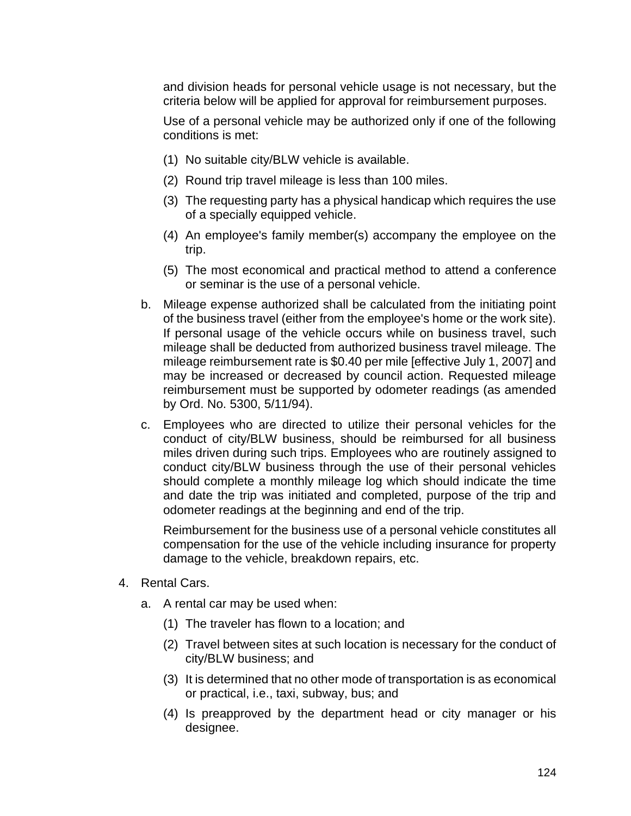and division heads for personal vehicle usage is not necessary, but the criteria below will be applied for approval for reimbursement purposes.

Use of a personal vehicle may be authorized only if one of the following conditions is met:

- (1) No suitable city/BLW vehicle is available.
- (2) Round trip travel mileage is less than 100 miles.
- (3) The requesting party has a physical handicap which requires the use of a specially equipped vehicle.
- (4) An employee's family member(s) accompany the employee on the trip.
- (5) The most economical and practical method to attend a conference or seminar is the use of a personal vehicle.
- b. Mileage expense authorized shall be calculated from the initiating point of the business travel (either from the employee's home or the work site). If personal usage of the vehicle occurs while on business travel, such mileage shall be deducted from authorized business travel mileage. The mileage reimbursement rate is \$0.40 per mile [effective July 1, 2007] and may be increased or decreased by council action. Requested mileage reimbursement must be supported by odometer readings (as amended by Ord. No. 5300, 5/11/94).
- c. Employees who are directed to utilize their personal vehicles for the conduct of city/BLW business, should be reimbursed for all business miles driven during such trips. Employees who are routinely assigned to conduct city/BLW business through the use of their personal vehicles should complete a monthly mileage log which should indicate the time and date the trip was initiated and completed, purpose of the trip and odometer readings at the beginning and end of the trip.

Reimbursement for the business use of a personal vehicle constitutes all compensation for the use of the vehicle including insurance for property damage to the vehicle, breakdown repairs, etc.

- 4. Rental Cars.
	- a. A rental car may be used when:
		- (1) The traveler has flown to a location; and
		- (2) Travel between sites at such location is necessary for the conduct of city/BLW business; and
		- (3) It is determined that no other mode of transportation is as economical or practical, i.e., taxi, subway, bus; and
		- (4) Is preapproved by the department head or city manager or his designee.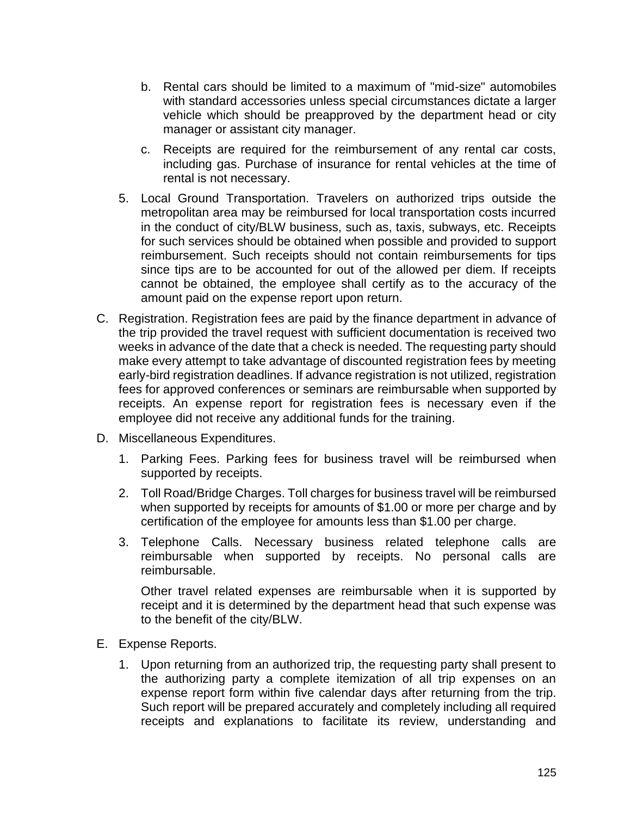- b. Rental cars should be limited to a maximum of "mid-size" automobiles with standard accessories unless special circumstances dictate a larger vehicle which should be preapproved by the department head or city manager or assistant city manager.
- c. Receipts are required for the reimbursement of any rental car costs, including gas. Purchase of insurance for rental vehicles at the time of rental is not necessary.
- 5. Local Ground Transportation. Travelers on authorized trips outside the metropolitan area may be reimbursed for local transportation costs incurred in the conduct of city/BLW business, such as, taxis, subways, etc. Receipts for such services should be obtained when possible and provided to support reimbursement. Such receipts should not contain reimbursements for tips since tips are to be accounted for out of the allowed per diem. If receipts cannot be obtained, the employee shall certify as to the accuracy of the amount paid on the expense report upon return.
- C. Registration. Registration fees are paid by the finance department in advance of the trip provided the travel request with sufficient documentation is received two weeks in advance of the date that a check is needed. The requesting party should make every attempt to take advantage of discounted registration fees by meeting early-bird registration deadlines. If advance registration is not utilized, registration fees for approved conferences or seminars are reimbursable when supported by receipts. An expense report for registration fees is necessary even if the employee did not receive any additional funds for the training.
- D. Miscellaneous Expenditures.
	- 1. Parking Fees. Parking fees for business travel will be reimbursed when supported by receipts.
	- 2. Toll Road/Bridge Charges. Toll charges for business travel will be reimbursed when supported by receipts for amounts of \$1.00 or more per charge and by certification of the employee for amounts less than \$1.00 per charge.
	- 3. Telephone Calls. Necessary business related telephone calls are reimbursable when supported by receipts. No personal calls are reimbursable.

Other travel related expenses are reimbursable when it is supported by receipt and it is determined by the department head that such expense was to the benefit of the city/BLW.

- E. Expense Reports.
	- 1. Upon returning from an authorized trip, the requesting party shall present to the authorizing party a complete itemization of all trip expenses on an expense report form within five calendar days after returning from the trip. Such report will be prepared accurately and completely including all required receipts and explanations to facilitate its review, understanding and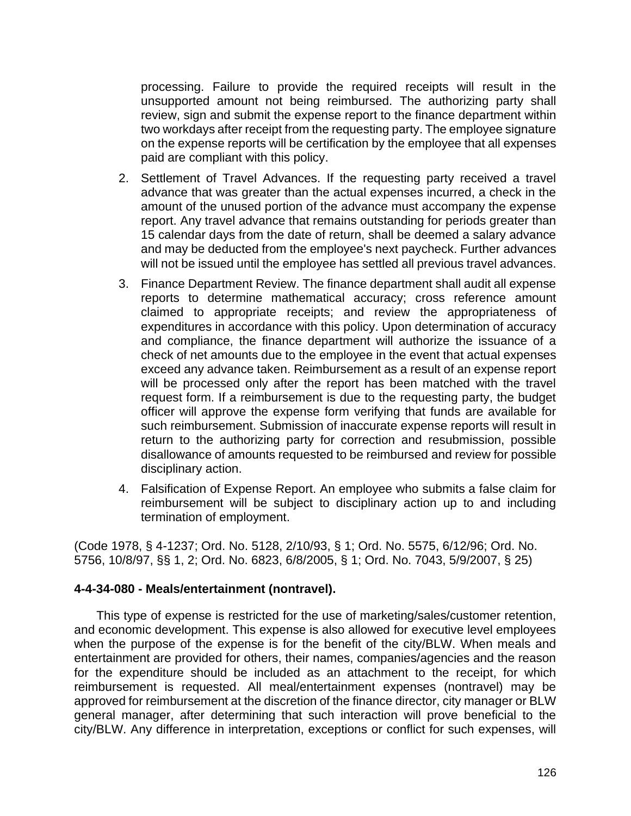processing. Failure to provide the required receipts will result in the unsupported amount not being reimbursed. The authorizing party shall review, sign and submit the expense report to the finance department within two workdays after receipt from the requesting party. The employee signature on the expense reports will be certification by the employee that all expenses paid are compliant with this policy.

- 2. Settlement of Travel Advances. If the requesting party received a travel advance that was greater than the actual expenses incurred, a check in the amount of the unused portion of the advance must accompany the expense report. Any travel advance that remains outstanding for periods greater than 15 calendar days from the date of return, shall be deemed a salary advance and may be deducted from the employee's next paycheck. Further advances will not be issued until the employee has settled all previous travel advances.
- 3. Finance Department Review. The finance department shall audit all expense reports to determine mathematical accuracy; cross reference amount claimed to appropriate receipts; and review the appropriateness of expenditures in accordance with this policy. Upon determination of accuracy and compliance, the finance department will authorize the issuance of a check of net amounts due to the employee in the event that actual expenses exceed any advance taken. Reimbursement as a result of an expense report will be processed only after the report has been matched with the travel request form. If a reimbursement is due to the requesting party, the budget officer will approve the expense form verifying that funds are available for such reimbursement. Submission of inaccurate expense reports will result in return to the authorizing party for correction and resubmission, possible disallowance of amounts requested to be reimbursed and review for possible disciplinary action.
- 4. Falsification of Expense Report. An employee who submits a false claim for reimbursement will be subject to disciplinary action up to and including termination of employment.

(Code 1978, § 4-1237; Ord. No. 5128, 2/10/93, § 1; Ord. No. 5575, 6/12/96; Ord. No. 5756, 10/8/97, §§ 1, 2; Ord. No. 6823, 6/8/2005, § 1; Ord. No. 7043, 5/9/2007, § 25)

## **4-4-34-080 - Meals/entertainment (nontravel).**

This type of expense is restricted for the use of marketing/sales/customer retention, and economic development. This expense is also allowed for executive level employees when the purpose of the expense is for the benefit of the city/BLW. When meals and entertainment are provided for others, their names, companies/agencies and the reason for the expenditure should be included as an attachment to the receipt, for which reimbursement is requested. All meal/entertainment expenses (nontravel) may be approved for reimbursement at the discretion of the finance director, city manager or BLW general manager, after determining that such interaction will prove beneficial to the city/BLW. Any difference in interpretation, exceptions or conflict for such expenses, will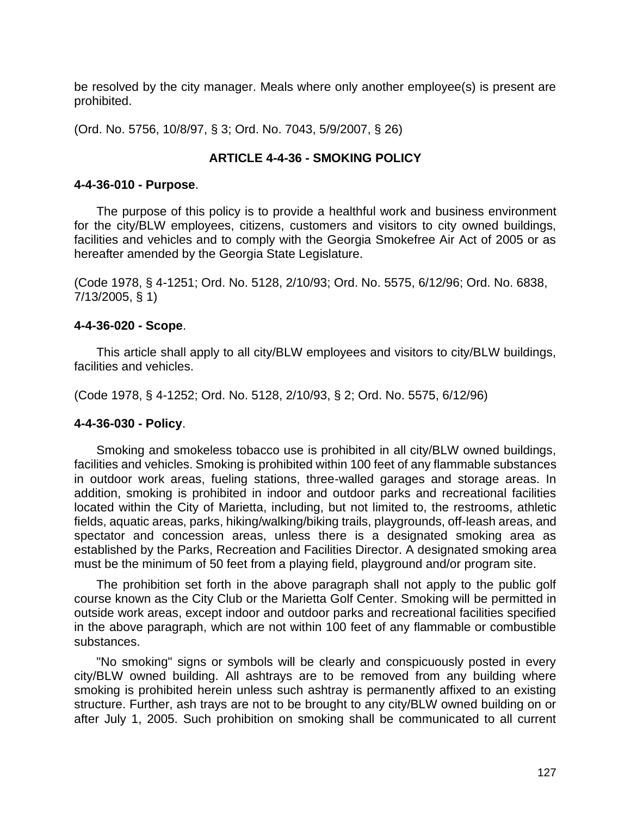be resolved by the city manager. Meals where only another employee(s) is present are prohibited.

(Ord. No. 5756, 10/8/97, § 3; Ord. No. 7043, 5/9/2007, § 26)

#### **ARTICLE 4-4-36 - SMOKING POLICY**

#### **4-4-36-010 - Purpose**.

The purpose of this policy is to provide a healthful work and business environment for the city/BLW employees, citizens, customers and visitors to city owned buildings, facilities and vehicles and to comply with the Georgia Smokefree Air Act of 2005 or as hereafter amended by the Georgia State Legislature.

(Code 1978, § 4-1251; Ord. No. 5128, 2/10/93; Ord. No. 5575, 6/12/96; Ord. No. 6838, 7/13/2005, § 1)

#### **4-4-36-020 - Scope**.

This article shall apply to all city/BLW employees and visitors to city/BLW buildings, facilities and vehicles.

(Code 1978, § 4-1252; Ord. No. 5128, 2/10/93, § 2; Ord. No. 5575, 6/12/96)

#### **4-4-36-030 - Policy**.

Smoking and smokeless tobacco use is prohibited in all city/BLW owned buildings, facilities and vehicles. Smoking is prohibited within 100 feet of any flammable substances in outdoor work areas, fueling stations, three-walled garages and storage areas. In addition, smoking is prohibited in indoor and outdoor parks and recreational facilities located within the City of Marietta, including, but not limited to, the restrooms, athletic fields, aquatic areas, parks, hiking/walking/biking trails, playgrounds, off-leash areas, and spectator and concession areas, unless there is a designated smoking area as established by the Parks, Recreation and Facilities Director. A designated smoking area must be the minimum of 50 feet from a playing field, playground and/or program site.

The prohibition set forth in the above paragraph shall not apply to the public golf course known as the City Club or the Marietta Golf Center. Smoking will be permitted in outside work areas, except indoor and outdoor parks and recreational facilities specified in the above paragraph, which are not within 100 feet of any flammable or combustible substances.

"No smoking" signs or symbols will be clearly and conspicuously posted in every city/BLW owned building. All ashtrays are to be removed from any building where smoking is prohibited herein unless such ashtray is permanently affixed to an existing structure. Further, ash trays are not to be brought to any city/BLW owned building on or after July 1, 2005. Such prohibition on smoking shall be communicated to all current